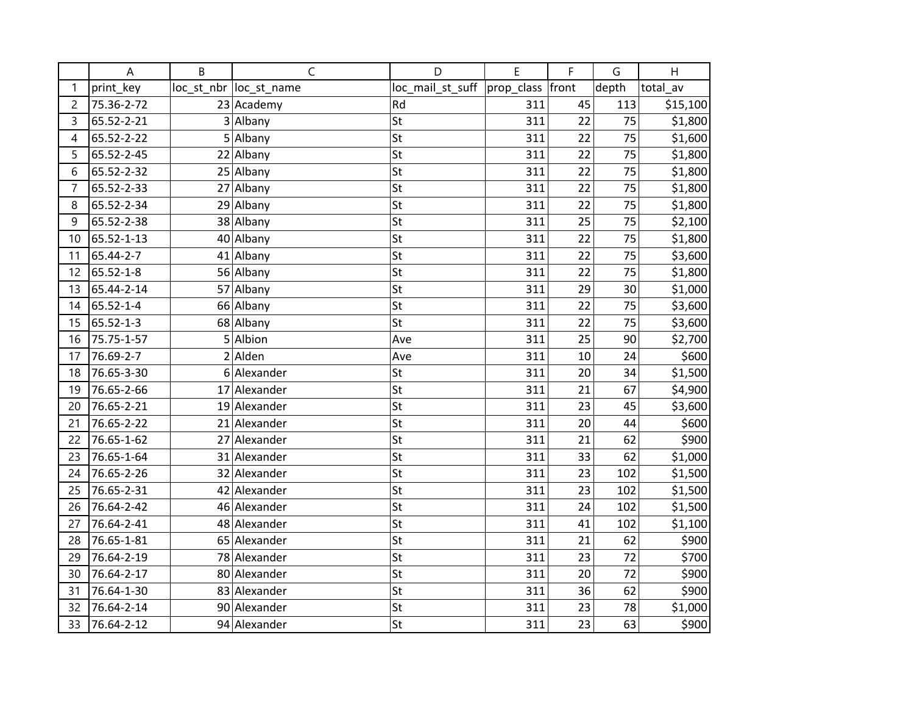|                | A          | B | $\mathsf{C}$            | D                            | E   | F     | G               | H        |
|----------------|------------|---|-------------------------|------------------------------|-----|-------|-----------------|----------|
| 1              | print_key  |   | loc_st_nbr  loc_st_name | loc_mail_st_suff  prop_class |     | front | depth           | total_av |
| $\overline{c}$ | 75.36-2-72 |   | 23 Academy              | Rd                           | 311 | 45    | 113             | \$15,100 |
| 3              | 65.52-2-21 |   | 3 Albany                | St                           | 311 | 22    | 75              | \$1,800  |
| 4              | 65.52-2-22 |   | $5$ Albany              | St                           | 311 | 22    | 75              | \$1,600  |
| 5              | 65.52-2-45 |   | 22 Albany               | St                           | 311 | 22    | 75              | \$1,800  |
| $\sqrt{6}$     | 65.52-2-32 |   | 25 Albany               | St                           | 311 | 22    | 75              | \$1,800  |
| $\overline{7}$ | 65.52-2-33 |   | 27 Albany               | St                           | 311 | 22    | 75              | \$1,800  |
| 8              | 65.52-2-34 |   | 29 Albany               | St                           | 311 | 22    | 75              | \$1,800  |
| $\overline{9}$ | 65.52-2-38 |   | 38 Albany               | St                           | 311 | 25    | $\overline{75}$ | \$2,100  |
| 10             | 65.52-1-13 |   | 40 Albany               | St                           | 311 | 22    | 75              | \$1,800  |
| 11             | 65.44-2-7  |   | 41 Albany               | St                           | 311 | 22    | 75              | \$3,600  |
| 12             | 65.52-1-8  |   | 56 Albany               | St                           | 311 | 22    | 75              | \$1,800  |
| 13             | 65.44-2-14 |   | 57 Albany               | St                           | 311 | 29    | 30              | \$1,000  |
| 14             | 65.52-1-4  |   | 66 Albany               | St                           | 311 | 22    | 75              | \$3,600  |
| 15             | 65.52-1-3  |   | 68 Albany               | St                           | 311 | 22    | 75              | \$3,600  |
| 16             | 75.75-1-57 |   | 5 Albion                | Ave                          | 311 | 25    | 90              | \$2,700  |
| 17             | 76.69-2-7  |   | $2$ Alden               | Ave                          | 311 | 10    | 24              | \$600    |
| 18             | 76.65-3-30 |   | 6 Alexander             | St                           | 311 | 20    | 34              | \$1,500  |
| 19             | 76.65-2-66 |   | 17 Alexander            | St                           | 311 | 21    | 67              | \$4,900  |
| 20             | 76.65-2-21 |   | 19 Alexander            | St                           | 311 | 23    | 45              | \$3,600  |
| 21             | 76.65-2-22 |   | 21 Alexander            | St                           | 311 | 20    | 44              | \$600    |
| 22             | 76.65-1-62 |   | 27 Alexander            | St                           | 311 | 21    | 62              | \$900    |
| 23             | 76.65-1-64 |   | 31 Alexander            | St                           | 311 | 33    | 62              | \$1,000  |
| 24             | 76.65-2-26 |   | 32 Alexander            | St                           | 311 | 23    | 102             | \$1,500  |
| 25             | 76.65-2-31 |   | 42 Alexander            | St                           | 311 | 23    | 102             | \$1,500  |
| 26             | 76.64-2-42 |   | 46 Alexander            | St                           | 311 | 24    | 102             | \$1,500  |
| 27             | 76.64-2-41 |   | 48 Alexander            | St                           | 311 | 41    | 102             | \$1,100  |
| 28             | 76.65-1-81 |   | 65 Alexander            | St                           | 311 | 21    | 62              | \$900    |
| 29             | 76.64-2-19 |   | 78 Alexander            | St                           | 311 | 23    | 72              | \$700    |
| 30             | 76.64-2-17 |   | 80 Alexander            | St                           | 311 | 20    | 72              | \$900    |
| 31             | 76.64-1-30 |   | 83 Alexander            | St                           | 311 | 36    | 62              | \$900    |
| 32             | 76.64-2-14 |   | 90 Alexander            | St                           | 311 | 23    | 78              | \$1,000  |
| 33             | 76.64-2-12 |   | 94 Alexander            | St                           | 311 | 23    | 63              | \$900    |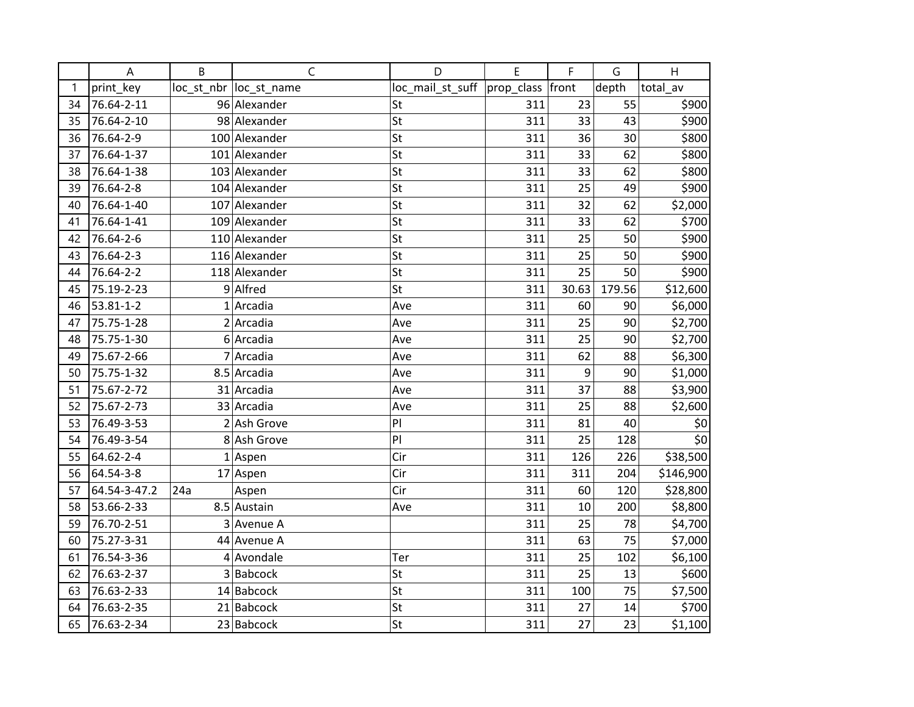|    | A            | B   | $\mathsf{C}$           | D                | E                | F     | G      | H         |
|----|--------------|-----|------------------------|------------------|------------------|-------|--------|-----------|
| 1  | print key    |     | loc st nbr loc st name | loc_mail_st_suff | prop_class front |       | depth  | total av  |
| 34 | 76.64-2-11   |     | 96 Alexander           | St               | 311              | 23    | 55     | \$900     |
| 35 | 76.64-2-10   |     | 98 Alexander           | St               | 311              | 33    | 43     | \$900     |
| 36 | 76.64-2-9    |     | 100 Alexander          | St               | 311              | 36    | 30     | \$800     |
| 37 | 76.64-1-37   |     | 101 Alexander          | St               | 311              | 33    | 62     | \$800     |
| 38 | 76.64-1-38   |     | 103 Alexander          | St               | 311              | 33    | 62     | \$800     |
| 39 | 76.64-2-8    |     | 104 Alexander          | St               | 311              | 25    | 49     | \$900     |
| 40 | 76.64-1-40   |     | 107 Alexander          | St               | 311              | 32    | 62     | \$2,000   |
| 41 | 76.64-1-41   |     | 109 Alexander          | St               | 311              | 33    | 62     | \$700     |
| 42 | 76.64-2-6    |     | 110 Alexander          | St               | 311              | 25    | 50     | \$900     |
| 43 | 76.64-2-3    |     | 116 Alexander          | St               | 311              | 25    | 50     | \$900     |
| 44 | 76.64-2-2    |     | 118 Alexander          | St               | 311              | 25    | 50     | \$900     |
| 45 | 75.19-2-23   |     | 9 Alfred               | St               | 311              | 30.63 | 179.56 | \$12,600  |
| 46 | 53.81-1-2    |     | $1$ Arcadia            | Ave              | 311              | 60    | 90     | \$6,000   |
| 47 | 75.75-1-28   |     | $2$ Arcadia            | Ave              | 311              | 25    | 90     | \$2,700   |
| 48 | 75.75-1-30   |     | 6 Arcadia              | Ave              | 311              | 25    | 90     | \$2,700   |
| 49 | 75.67-2-66   |     | 7 Arcadia              | Ave              | 311              | 62    | 88     | \$6,300   |
| 50 | 75.75-1-32   |     | 8.5 Arcadia            | Ave              | 311              | 9     | 90     | \$1,000   |
| 51 | 75.67-2-72   |     | 31 Arcadia             | Ave              | 311              | 37    | 88     | \$3,900   |
| 52 | 75.67-2-73   |     | 33 Arcadia             | Ave              | 311              | 25    | 88     | \$2,600   |
| 53 | 76.49-3-53   |     | $2$ Ash Grove          | PI               | 311              | 81    | 40     | \$0       |
| 54 | 76.49-3-54   |     | 8 Ash Grove            | PI               | 311              | 25    | 128    | \$0       |
| 55 | 64.62-2-4    |     | $1$ Aspen              | Cir              | 311              | 126   | 226    | \$38,500  |
| 56 | 64.54-3-8    |     | 17 Aspen               | Cir              | 311              | 311   | 204    | \$146,900 |
| 57 | 64.54-3-47.2 | 24a | Aspen                  | Cir              | 311              | 60    | 120    | \$28,800  |
| 58 | 53.66-2-33   |     | 8.5 Austain            | Ave              | 311              | 10    | 200    | \$8,800   |
| 59 | 76.70-2-51   |     | 3 Avenue A             |                  | 311              | 25    | 78     | \$4,700   |
| 60 | 75.27-3-31   |     | 44 Avenue A            |                  | 311              | 63    | 75     | \$7,000   |
| 61 | 76.54-3-36   |     | 4 Avondale             | Ter              | 311              | 25    | 102    | \$6,100   |
| 62 | 76.63-2-37   |     | $3 $ Babcock           | St               | 311              | 25    | 13     | \$600     |
| 63 | 76.63-2-33   |     | $14$ Babcock           | St               | 311              | 100   | 75     | \$7,500   |
| 64 | 76.63-2-35   |     | $21$ Babcock           | St               | 311              | 27    | 14     | \$700     |
| 65 | 76.63-2-34   |     | 23 Babcock             | St               | 311              | 27    | 23     | \$1,100   |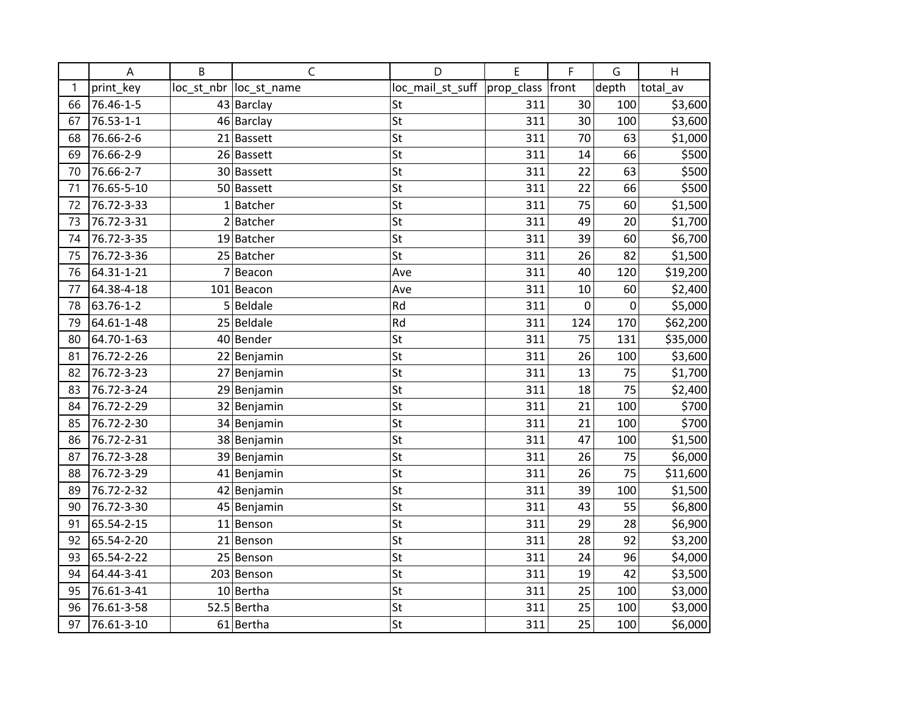|    | A               | B | C                       | D                | E                | F   | G     | H        |
|----|-----------------|---|-------------------------|------------------|------------------|-----|-------|----------|
| 1  | print_key       |   | loc_st_nbr  loc_st_name | loc_mail_st_suff | prop_class front |     | depth | total_av |
| 66 | 76.46-1-5       |   | 43 Barclay              | St               | 311              | 30  | 100   | \$3,600  |
| 67 | $76.53 - 1 - 1$ |   | 46 Barclay              | St               | 311              | 30  | 100   | \$3,600  |
| 68 | 76.66-2-6       |   | 21 Bassett              | St               | 311              | 70  | 63    | \$1,000  |
| 69 | 76.66-2-9       |   | 26 Bassett              | St               | 311              | 14  | 66    | \$500    |
| 70 | 76.66-2-7       |   | 30 Bassett              | St               | 311              | 22  | 63    | \$500    |
| 71 | 76.65-5-10      |   | 50 Bassett              | St               | 311              | 22  | 66    | \$500    |
| 72 | 76.72-3-33      |   | $1$ Batcher             | St               | 311              | 75  | 60    | \$1,500  |
| 73 | 76.72-3-31      |   | $2$ Batcher             | St               | 311              | 49  | 20    | \$1,700  |
| 74 | 76.72-3-35      |   | 19 Batcher              | St               | 311              | 39  | 60    | \$6,700  |
| 75 | 76.72-3-36      |   | 25 Batcher              | St               | 311              | 26  | 82    | \$1,500  |
| 76 | 64.31-1-21      |   | 7 Beacon                | Ave              | 311              | 40  | 120   | \$19,200 |
| 77 | 64.38-4-18      |   | 101 Beacon              | Ave              | 311              | 10  | 60    | \$2,400  |
| 78 | 63.76-1-2       |   | $5 $ Beldale            | Rd               | 311              | 0   | 0     | \$5,000  |
| 79 | 64.61-1-48      |   | 25 Beldale              | Rd               | 311              | 124 | 170   | \$62,200 |
| 80 | 64.70-1-63      |   | 40 Bender               | St               | 311              | 75  | 131   | \$35,000 |
| 81 | 76.72-2-26      |   | 22 Benjamin             | St               | 311              | 26  | 100   | \$3,600  |
| 82 | 76.72-3-23      |   | 27 Benjamin             | St               | 311              | 13  | 75    | \$1,700  |
| 83 | 76.72-3-24      |   | 29 Benjamin             | St               | 311              | 18  | 75    | \$2,400  |
| 84 | 76.72-2-29      |   | 32 Benjamin             | St               | 311              | 21  | 100   | \$700    |
| 85 | 76.72-2-30      |   | 34 Benjamin             | St               | 311              | 21  | 100   | \$700    |
| 86 | 76.72-2-31      |   | 38 Benjamin             | St               | 311              | 47  | 100   | \$1,500  |
| 87 | 76.72-3-28      |   | 39 Benjamin             | St               | 311              | 26  | 75    | \$6,000  |
| 88 | 76.72-3-29      |   | 41 Benjamin             | St               | 311              | 26  | 75    | \$11,600 |
| 89 | 76.72-2-32      |   | 42 Benjamin             | St               | 311              | 39  | 100   | \$1,500  |
| 90 | 76.72-3-30      |   | 45 Benjamin             | St               | 311              | 43  | 55    | \$6,800  |
| 91 | 65.54-2-15      |   | 11 Benson               | St               | 311              | 29  | 28    | \$6,900  |
| 92 | 65.54-2-20      |   | 21 Benson               | St               | 311              | 28  | 92    | \$3,200  |
| 93 | 65.54-2-22      |   | 25 Benson               | St               | 311              | 24  | 96    | \$4,000  |
| 94 | 64.44-3-41      |   | 203 Benson              | St               | 311              | 19  | 42    | \$3,500  |
| 95 | 76.61-3-41      |   | 10 Bertha               | St               | 311              | 25  | 100   | \$3,000  |
| 96 | 76.61-3-58      |   | 52.5 Bertha             | St               | 311              | 25  | 100   | \$3,000  |
| 97 | 76.61-3-10      |   | 61 Bertha               | St               | 311              | 25  | 100   | \$6,000  |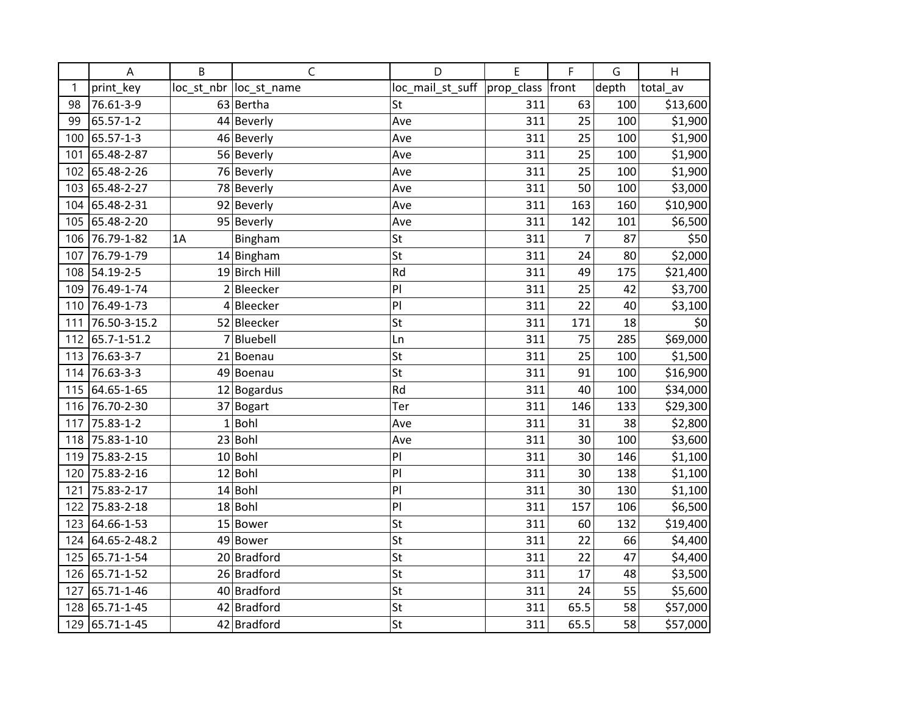|     | A            | B  | $\mathsf{C}$            | D                | E                | F              | G     | H        |
|-----|--------------|----|-------------------------|------------------|------------------|----------------|-------|----------|
| 1   | print_key    |    | loc_st_nbr  loc_st_name | loc_mail_st_suff | prop_class front |                | depth | total av |
| 98  | 76.61-3-9    |    | 63 Bertha               | St               | 311              | 63             | 100   | \$13,600 |
| 99  | 65.57-1-2    |    | 44 Beverly              | Ave              | 311              | 25             | 100   | \$1,900  |
| 100 | 65.57-1-3    |    | 46 Beverly              | Ave              | 311              | 25             | 100   | \$1,900  |
| 101 | 65.48-2-87   |    | 56 Beverly              | Ave              | 311              | 25             | 100   | \$1,900  |
| 102 | 65.48-2-26   |    | 76 Beverly              | Ave              | 311              | 25             | 100   | \$1,900  |
| 103 | 65.48-2-27   |    | 78 Beverly              | Ave              | 311              | 50             | 100   | \$3,000  |
| 104 | 65.48-2-31   |    | 92 Beverly              | Ave              | 311              | 163            | 160   | \$10,900 |
| 105 | 65.48-2-20   |    | 95 Beverly              | Ave              | 311              | 142            | 101   | \$6,500  |
| 106 | 76.79-1-82   | 1A | Bingham                 | St               | 311              | $\overline{7}$ | 87    | \$50     |
| 107 | 76.79-1-79   |    | $14$ Bingham            | St               | 311              | 24             | 80    | \$2,000  |
| 108 | 54.19-2-5    |    | 19 Birch Hill           | Rd               | 311              | 49             | 175   | \$21,400 |
| 109 | 76.49-1-74   |    | $2$ Bleecker            | PI               | 311              | 25             | 42    | \$3,700  |
| 110 | 76.49-1-73   |    | 4Bleecker               | PI               | 311              | 22             | 40    | \$3,100  |
| 111 | 76.50-3-15.2 |    | 52 Bleecker             | St               | 311              | 171            | 18    | \$0      |
| 112 | 65.7-1-51.2  | 7  | Bluebell                | Ln               | 311              | 75             | 285   | \$69,000 |
| 113 | 76.63-3-7    |    | 21 Boenau               | St               | 311              | 25             | 100   | \$1,500  |
| 114 | 76.63-3-3    |    | 49 Boenau               | St               | 311              | 91             | 100   | \$16,900 |
| 115 | 64.65-1-65   |    | $12$ Bogardus           | Rd               | 311              | 40             | 100   | \$34,000 |
| 116 | 76.70-2-30   |    | 37 Bogart               | Ter              | 311              | 146            | 133   | \$29,300 |
| 117 | 75.83-1-2    |    | $1$ Bohl                | Ave              | 311              | 31             | 38    | \$2,800  |
| 118 | 75.83-1-10   |    | 23 Bohl                 | Ave              | 311              | 30             | 100   | \$3,600  |
| 119 | 75.83-2-15   |    | $10$ Bohl               | PI               | 311              | 30             | 146   | \$1,100  |
| 120 | 75.83-2-16   |    | $12$ Bohl               | PI               | 311              | 30             | 138   | \$1,100  |
| 121 | 75.83-2-17   |    | $14$ Bohl               | PI               | 311              | 30             | 130   | \$1,100  |
| 122 | 75.83-2-18   |    | $18 $ Bohl              | PI               | 311              | 157            | 106   | \$6,500  |
| 123 | 64.66-1-53   |    | 15 Bower                | St               | 311              | 60             | 132   | \$19,400 |
| 124 | 64.65-2-48.2 |    | 49 Bower                | St               | 311              | 22             | 66    | \$4,400  |
| 125 | 65.71-1-54   |    | 20 Bradford             | St               | 311              | 22             | 47    | \$4,400  |
| 126 | 65.71-1-52   |    | 26 Bradford             | St               | 311              | 17             | 48    | \$3,500  |
| 127 | 65.71-1-46   |    | 40 Bradford             | St               | 311              | 24             | 55    | \$5,600  |
| 128 | 65.71-1-45   |    | 42 Bradford             | St               | 311              | 65.5           | 58    | \$57,000 |
| 129 | 65.71-1-45   |    | 42 Bradford             | St               | 311              | 65.5           | 58    | \$57,000 |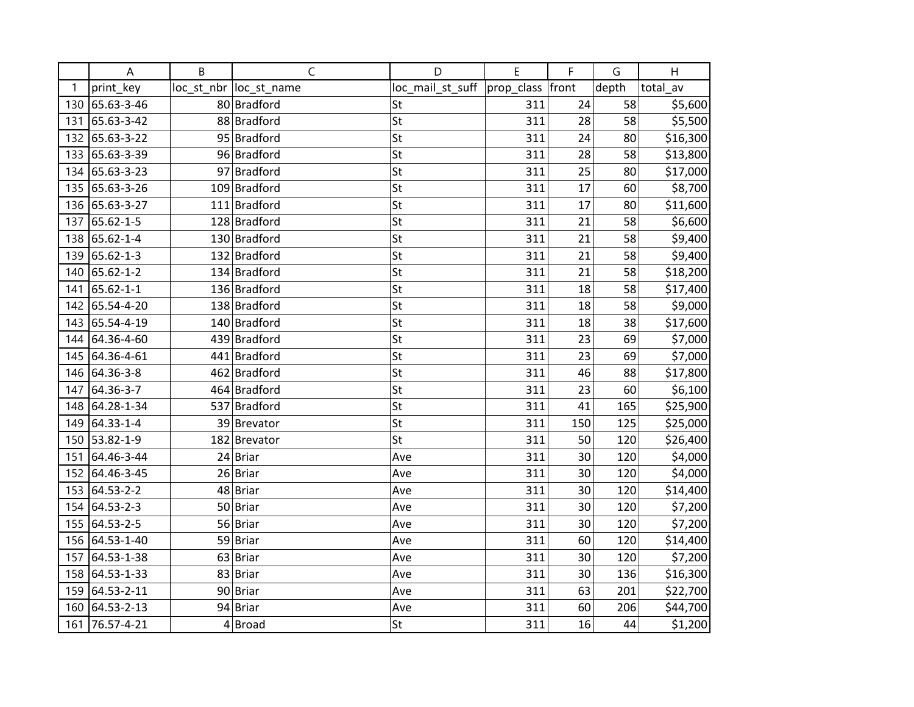|     | A          | B | $\mathsf C$             | D                | E          | F     | G     | H        |
|-----|------------|---|-------------------------|------------------|------------|-------|-------|----------|
| 1   | print_key  |   | loc_st_nbr  loc_st_name | loc_mail_st_suff | prop_class | front | depth | total av |
| 130 | 65.63-3-46 |   | 80 Bradford             | St               | 311        | 24    | 58    | \$5,600  |
| 131 | 65.63-3-42 |   | 88 Bradford             | St               | 311        | 28    | 58    | \$5,500  |
| 132 | 65.63-3-22 |   | 95 Bradford             | St               | 311        | 24    | 80    | \$16,300 |
| 133 | 65.63-3-39 |   | 96 Bradford             | St               | 311        | 28    | 58    | \$13,800 |
| 134 | 65.63-3-23 |   | 97 Bradford             | St               | 311        | 25    | 80    | \$17,000 |
| 135 | 65.63-3-26 |   | 109 Bradford            | St               | 311        | 17    | 60    | \$8,700  |
| 136 | 65.63-3-27 |   | 111 Bradford            | St               | 311        | 17    | 80    | \$11,600 |
| 137 | 65.62-1-5  |   | 128 Bradford            | St               | 311        | 21    | 58    | \$6,600  |
| 138 | 65.62-1-4  |   | 130 Bradford            | St               | 311        | 21    | 58    | \$9,400  |
| 139 | 65.62-1-3  |   | 132 Bradford            | St               | 311        | 21    | 58    | \$9,400  |
| 140 | 65.62-1-2  |   | 134 Bradford            | St               | 311        | 21    | 58    | \$18,200 |
| 141 | 65.62-1-1  |   | 136 Bradford            | St               | 311        | 18    | 58    | \$17,400 |
| 142 | 65.54-4-20 |   | 138 Bradford            | St               | 311        | 18    | 58    | \$9,000  |
| 143 | 65.54-4-19 |   | 140 Bradford            | St               | 311        | 18    | 38    | \$17,600 |
| 144 | 64.36-4-60 |   | 439 Bradford            | St               | 311        | 23    | 69    | \$7,000  |
| 145 | 64.36-4-61 |   | 441 Bradford            | St               | 311        | 23    | 69    | \$7,000  |
| 146 | 64.36-3-8  |   | 462 Bradford            | St               | 311        | 46    | 88    | \$17,800 |
| 147 | 64.36-3-7  |   | 464 Bradford            | St               | 311        | 23    | 60    | \$6,100  |
| 148 | 64.28-1-34 |   | 537 Bradford            | St               | 311        | 41    | 165   | \$25,900 |
| 149 | 64.33-1-4  |   | 39 Brevator             | St               | 311        | 150   | 125   | \$25,000 |
| 150 | 53.82-1-9  |   | 182 Brevator            | St               | 311        | 50    | 120   | \$26,400 |
| 151 | 64.46-3-44 |   | $24$ Briar              | Ave              | 311        | 30    | 120   | \$4,000  |
| 152 | 64.46-3-45 |   | $26$ Briar              | Ave              | 311        | 30    | 120   | \$4,000  |
| 153 | 64.53-2-2  |   | 48 Briar                | Ave              | 311        | 30    | 120   | \$14,400 |
| 154 | 64.53-2-3  |   | 50 Briar                | Ave              | 311        | 30    | 120   | \$7,200  |
| 155 | 64.53-2-5  |   | 56 Briar                | Ave              | 311        | 30    | 120   | \$7,200  |
| 156 | 64.53-1-40 |   | 59 Briar                | Ave              | 311        | 60    | 120   | \$14,400 |
| 157 | 64.53-1-38 |   | $63$ Briar              | Ave              | 311        | 30    | 120   | \$7,200  |
| 158 | 64.53-1-33 |   | 83 Briar                | Ave              | 311        | 30    | 136   | \$16,300 |
| 159 | 64.53-2-11 |   | 90 Briar                | Ave              | 311        | 63    | 201   | \$22,700 |
| 160 | 64.53-2-13 |   | 94 Briar                | Ave              | 311        | 60    | 206   | \$44,700 |
| 161 | 76.57-4-21 |   | $4 $ Broad              | St               | 311        | 16    | 44    | \$1,200  |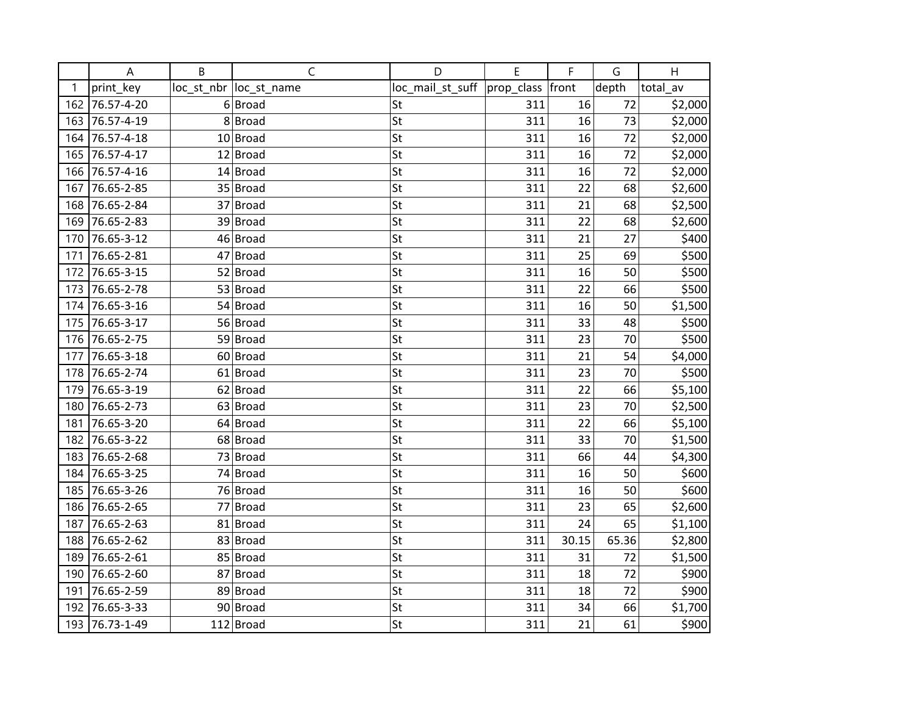|     | A          | B | C                       | D                | E          | F     | G     | H        |
|-----|------------|---|-------------------------|------------------|------------|-------|-------|----------|
| 1   | print_key  |   | loc_st_nbr  loc_st_name | loc_mail_st_suff | prop_class | front | depth | total av |
| 162 | 76.57-4-20 |   | 6 Broad                 | St               | 311        | 16    | 72    | \$2,000  |
| 163 | 76.57-4-19 |   | 8Broad                  | St               | 311        | 16    | 73    | \$2,000  |
| 164 | 76.57-4-18 |   | 10 Broad                | St               | 311        | 16    | 72    | \$2,000  |
| 165 | 76.57-4-17 |   | $12$ Broad              | St               | 311        | 16    | 72    | \$2,000  |
| 166 | 76.57-4-16 |   | 14 Broad                | St               | 311        | 16    | 72    | \$2,000  |
| 167 | 76.65-2-85 |   | 35 Broad                | St               | 311        | 22    | 68    | \$2,600  |
| 168 | 76.65-2-84 |   | 37 Broad                | St               | 311        | 21    | 68    | \$2,500  |
| 169 | 76.65-2-83 |   | 39 Broad                | St               | 311        | 22    | 68    | \$2,600  |
| 170 | 76.65-3-12 |   | 46 Broad                | St               | 311        | 21    | 27    | \$400    |
| 171 | 76.65-2-81 |   | $47$ Broad              | St               | 311        | 25    | 69    | \$500    |
| 172 | 76.65-3-15 |   | $52$ Broad              | St               | 311        | 16    | 50    | \$500    |
| 173 | 76.65-2-78 |   | 53 Broad                | St               | 311        | 22    | 66    | \$500    |
| 174 | 76.65-3-16 |   | $54$ Broad              | St               | 311        | 16    | 50    | \$1,500  |
| 175 | 76.65-3-17 |   | 56 Broad                | St               | 311        | 33    | 48    | \$500    |
| 176 | 76.65-2-75 |   | 59 Broad                | St               | 311        | 23    | 70    | \$500    |
| 177 | 76.65-3-18 |   | 60 Broad                | St               | 311        | 21    | 54    | \$4,000  |
| 178 | 76.65-2-74 |   | $61$ Broad              | St               | 311        | 23    | 70    | \$500    |
| 179 | 76.65-3-19 |   | $62$ Broad              | St               | 311        | 22    | 66    | \$5,100  |
| 180 | 76.65-2-73 |   | $63$ Broad              | St               | 311        | 23    | 70    | \$2,500  |
| 181 | 76.65-3-20 |   | $64$ Broad              | St               | 311        | 22    | 66    | \$5,100  |
| 182 | 76.65-3-22 |   | 68 Broad                | St               | 311        | 33    | 70    | \$1,500  |
| 183 | 76.65-2-68 |   | $73$ Broad              | St               | 311        | 66    | 44    | \$4,300  |
| 184 | 76.65-3-25 |   | 74 Broad                | St               | 311        | 16    | 50    | \$600    |
| 185 | 76.65-3-26 |   | 76 Broad                | St               | 311        | 16    | 50    | \$600    |
| 186 | 76.65-2-65 |   | 77 Broad                | St               | 311        | 23    | 65    | \$2,600  |
| 187 | 76.65-2-63 |   | 81 Broad                | St               | 311        | 24    | 65    | \$1,100  |
| 188 | 76.65-2-62 |   | 83 Broad                | St               | 311        | 30.15 | 65.36 | \$2,800  |
| 189 | 76.65-2-61 |   | 85 Broad                | St               | 311        | 31    | 72    | \$1,500  |
| 190 | 76.65-2-60 |   | 87 Broad                | St               | 311        | 18    | 72    | \$900    |
| 191 | 76.65-2-59 |   | 89 Broad                | St               | 311        | 18    | 72    | \$900    |
| 192 | 76.65-3-33 |   | 90 Broad                | St               | 311        | 34    | 66    | \$1,700  |
| 193 | 76.73-1-49 |   | $112$ Broad             | St               | 311        | 21    | 61    | \$900    |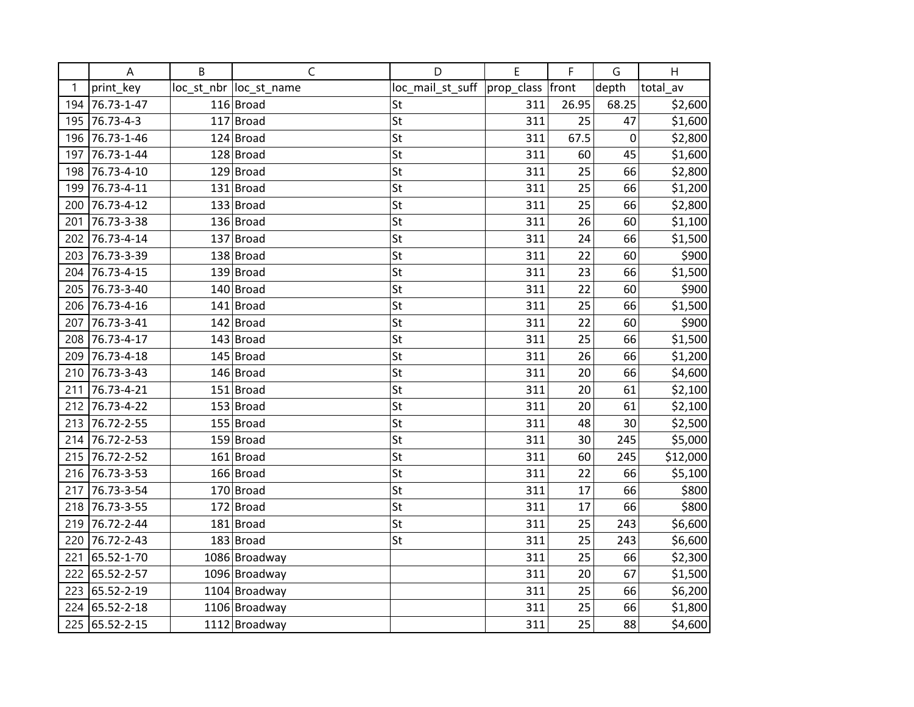|     | A          | B | C                      | D                | E          | F     | G     | H        |
|-----|------------|---|------------------------|------------------|------------|-------|-------|----------|
| 1   | print_key  |   | loc_st_nbr loc_st_name | loc_mail_st_suff | prop_class | front | depth | total_av |
| 194 | 76.73-1-47 |   | $116$ Broad            | St               | 311        | 26.95 | 68.25 | \$2,600  |
| 195 | 76.73-4-3  |   | $117$ Broad            | St               | 311        | 25    | 47    | \$1,600  |
| 196 | 76.73-1-46 |   | $124$ Broad            | St               | 311        | 67.5  | 0     | \$2,800  |
| 197 | 76.73-1-44 |   | $128$ Broad            | St               | 311        | 60    | 45    | \$1,600  |
| 198 | 76.73-4-10 |   | $129$ Broad            | St               | 311        | 25    | 66    | \$2,800  |
| 199 | 76.73-4-11 |   | $131$ Broad            | St               | 311        | 25    | 66    | \$1,200  |
| 200 | 76.73-4-12 |   | $133$ Broad            | St               | 311        | 25    | 66    | \$2,800  |
| 201 | 76.73-3-38 |   | $136$ Broad            | St               | 311        | 26    | 60    | \$1,100  |
| 202 | 76.73-4-14 |   | $137$ Broad            | St               | 311        | 24    | 66    | \$1,500  |
| 203 | 76.73-3-39 |   | $138$ Broad            | St               | 311        | 22    | 60    | \$900    |
| 204 | 76.73-4-15 |   | $139$ Broad            | St               | 311        | 23    | 66    | \$1,500  |
| 205 | 76.73-3-40 |   | $140$ Broad            | St               | 311        | 22    | 60    | \$900    |
| 206 | 76.73-4-16 |   | $141$ Broad            | St               | 311        | 25    | 66    | \$1,500  |
| 207 | 76.73-3-41 |   | $142$ Broad            | St               | 311        | 22    | 60    | \$900    |
| 208 | 76.73-4-17 |   | $143$ Broad            | St               | 311        | 25    | 66    | \$1,500  |
| 209 | 76.73-4-18 |   | $145$ Broad            | St               | 311        | 26    | 66    | \$1,200  |
| 210 | 76.73-3-43 |   | $146$ Broad            | St               | 311        | 20    | 66    | \$4,600  |
| 211 | 76.73-4-21 |   | $151$ Broad            | St               | 311        | 20    | 61    | \$2,100  |
| 212 | 76.73-4-22 |   | $153$ Broad            | St               | 311        | 20    | 61    | \$2,100  |
| 213 | 76.72-2-55 |   | 155 Broad              | St               | 311        | 48    | 30    | \$2,500  |
| 214 | 76.72-2-53 |   | $159$ Broad            | St               | 311        | 30    | 245   | \$5,000  |
| 215 | 76.72-2-52 |   | $161$ Broad            | St               | 311        | 60    | 245   | \$12,000 |
| 216 | 76.73-3-53 |   | $166$ Broad            | St               | 311        | 22    | 66    | \$5,100  |
| 217 | 76.73-3-54 |   | $170$ Broad            | St               | 311        | 17    | 66    | \$800    |
| 218 | 76.73-3-55 |   | $172$ Broad            | St               | 311        | 17    | 66    | \$800    |
| 219 | 76.72-2-44 |   | $181$ Broad            | St               | 311        | 25    | 243   | \$6,600  |
| 220 | 76.72-2-43 |   | $183$ Broad            | St               | 311        | 25    | 243   | \$6,600  |
| 221 | 65.52-1-70 |   | 1086 Broadway          |                  | 311        | 25    | 66    | \$2,300  |
| 222 | 65.52-2-57 |   | 1096 Broadway          |                  | 311        | 20    | 67    | \$1,500  |
| 223 | 65.52-2-19 |   | 1104 Broadway          |                  | 311        | 25    | 66    | \$6,200  |
| 224 | 65.52-2-18 |   | 1106 Broadway          |                  | 311        | 25    | 66    | \$1,800  |
| 225 | 65.52-2-15 |   | 1112 Broadway          |                  | 311        | 25    | 88    | \$4,600  |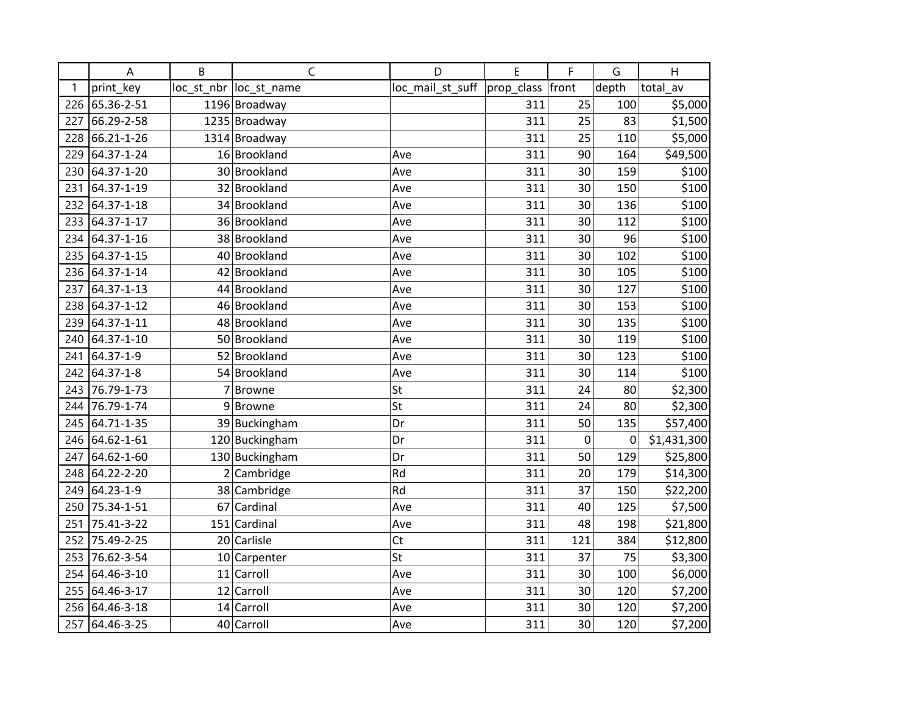|     | A          | B | C                       | D                | E          | F     | G     | H           |
|-----|------------|---|-------------------------|------------------|------------|-------|-------|-------------|
| 1   | print_key  |   | loc_st_nbr  loc_st_name | loc_mail_st_suff | prop_class | front | depth | total av    |
| 226 | 65.36-2-51 |   | 1196 Broadway           |                  | 311        | 25    | 100   | \$5,000     |
| 227 | 66.29-2-58 |   | 1235 Broadway           |                  | 311        | 25    | 83    | \$1,500     |
| 228 | 66.21-1-26 |   | 1314 Broadway           |                  | 311        | 25    | 110   | \$5,000     |
| 229 | 64.37-1-24 |   | 16 Brookland            | Ave              | 311        | 90    | 164   | \$49,500    |
| 230 | 64.37-1-20 |   | 30 Brookland            | Ave              | 311        | 30    | 159   | \$100       |
| 231 | 64.37-1-19 |   | 32 Brookland            | Ave              | 311        | 30    | 150   | \$100       |
| 232 | 64.37-1-18 |   | 34 Brookland            | Ave              | 311        | 30    | 136   | \$100       |
| 233 | 64.37-1-17 |   | 36 Brookland            | Ave              | 311        | 30    | 112   | \$100       |
| 234 | 64.37-1-16 |   | 38 Brookland            | Ave              | 311        | 30    | 96    | \$100       |
| 235 | 64.37-1-15 |   | 40 Brookland            | Ave              | 311        | 30    | 102   | \$100       |
| 236 | 64.37-1-14 |   | 42 Brookland            | Ave              | 311        | 30    | 105   | \$100       |
| 237 | 64.37-1-13 |   | 44 Brookland            | Ave              | 311        | 30    | 127   | \$100       |
| 238 | 64.37-1-12 |   | 46 Brookland            | Ave              | 311        | 30    | 153   | \$100       |
| 239 | 64.37-1-11 |   | 48 Brookland            | Ave              | 311        | 30    | 135   | \$100       |
| 240 | 64.37-1-10 |   | 50 Brookland            | Ave              | 311        | 30    | 119   | \$100       |
| 241 | 64.37-1-9  |   | 52 Brookland            | Ave              | 311        | 30    | 123   | \$100       |
| 242 | 64.37-1-8  |   | 54 Brookland            | Ave              | 311        | 30    | 114   | \$100       |
| 243 | 76.79-1-73 |   | 7 Browne                | St               | 311        | 24    | 80    | \$2,300     |
| 244 | 76.79-1-74 |   | 9Browne                 | St               | 311        | 24    | 80    | \$2,300     |
| 245 | 64.71-1-35 |   | 39 Buckingham           | Dr               | 311        | 50    | 135   | \$57,400    |
| 246 | 64.62-1-61 |   | 120 Buckingham          | Dr               | 311        | 0     | 0     | \$1,431,300 |
| 247 | 64.62-1-60 |   | 130 Buckingham          | Dr               | 311        | 50    | 129   | \$25,800    |
| 248 | 64.22-2-20 |   | $2$ Cambridge           | Rd               | 311        | 20    | 179   | \$14,300    |
| 249 | 64.23-1-9  |   | 38 Cambridge            | Rd               | 311        | 37    | 150   | \$22,200    |
| 250 | 75.34-1-51 |   | 67 Cardinal             | Ave              | 311        | 40    | 125   | \$7,500     |
| 251 | 75.41-3-22 |   | 151 Cardinal            | Ave              | 311        | 48    | 198   | \$21,800    |
| 252 | 75.49-2-25 |   | 20 Carlisle             | Ct               | 311        | 121   | 384   | \$12,800    |
| 253 | 76.62-3-54 |   | 10 Carpenter            | St               | 311        | 37    | 75    | \$3,300     |
| 254 | 64.46-3-10 |   | 11 Carroll              | Ave              | 311        | 30    | 100   | \$6,000     |
| 255 | 64.46-3-17 |   | 12 Carroll              | Ave              | 311        | 30    | 120   | \$7,200     |
| 256 | 64.46-3-18 |   | 14 Carroll              | Ave              | 311        | 30    | 120   | \$7,200     |
| 257 | 64.46-3-25 |   | 40 Carroll              | Ave              | 311        | 30    | 120   | \$7,200     |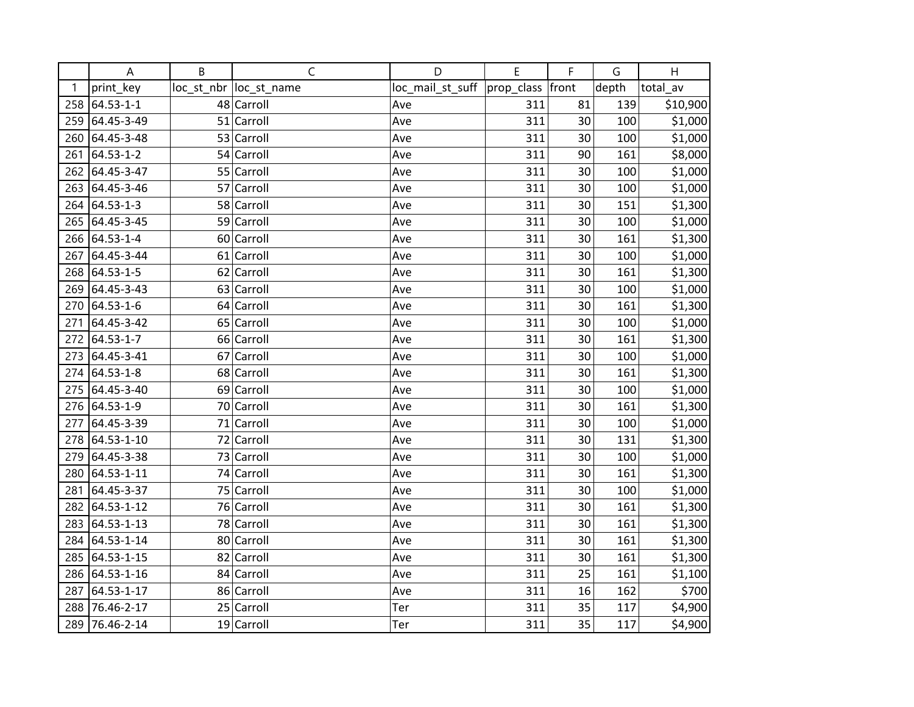|     | A             | B | $\mathsf C$             | D                | E          | F     | G     | H        |
|-----|---------------|---|-------------------------|------------------|------------|-------|-------|----------|
| 1   | print_key     |   | loc_st_nbr  loc_st_name | loc_mail_st_suff | prop_class | front | depth | total av |
| 258 | 64.53-1-1     |   | 48 Carroll              | Ave              | 311        | 81    | 139   | \$10,900 |
| 259 | 64.45-3-49    |   | 51 Carroll              | Ave              | 311        | 30    | 100   | \$1,000  |
| 260 | 64.45-3-48    |   | 53 Carroll              | Ave              | 311        | 30    | 100   | \$1,000  |
| 261 | 64.53-1-2     |   | 54 Carroll              | Ave              | 311        | 90    | 161   | \$8,000  |
| 262 | 64.45-3-47    |   | 55 Carroll              | Ave              | 311        | 30    | 100   | \$1,000  |
| 263 | 64.45-3-46    |   | 57 Carroll              | Ave              | 311        | 30    | 100   | \$1,000  |
| 264 | 64.53-1-3     |   | 58 Carroll              | Ave              | 311        | 30    | 151   | \$1,300  |
| 265 | 64.45-3-45    |   | 59 Carroll              | Ave              | 311        | 30    | 100   | \$1,000  |
|     | 266 64.53-1-4 |   | 60 Carroll              | Ave              | 311        | 30    | 161   | \$1,300  |
| 267 | 64.45-3-44    |   | 61 Carroll              | Ave              | 311        | 30    | 100   | \$1,000  |
| 268 | 64.53-1-5     |   | 62 Carroll              | Ave              | 311        | 30    | 161   | \$1,300  |
| 269 | 64.45-3-43    |   | 63 Carroll              | Ave              | 311        | 30    | 100   | \$1,000  |
| 270 | 64.53-1-6     |   | 64 Carroll              | Ave              | 311        | 30    | 161   | \$1,300  |
| 271 | 64.45-3-42    |   | 65 Carroll              | Ave              | 311        | 30    | 100   | \$1,000  |
| 272 | 64.53-1-7     |   | 66 Carroll              | Ave              | 311        | 30    | 161   | \$1,300  |
| 273 | 64.45-3-41    |   | 67 Carroll              | Ave              | 311        | 30    | 100   | \$1,000  |
| 274 | 64.53-1-8     |   | 68 Carroll              | Ave              | 311        | 30    | 161   | \$1,300  |
| 275 | 64.45-3-40    |   | 69 Carroll              | Ave              | 311        | 30    | 100   | \$1,000  |
| 276 | 64.53-1-9     |   | 70 Carroll              | Ave              | 311        | 30    | 161   | \$1,300  |
| 277 | 64.45-3-39    |   | 71 Carroll              | Ave              | 311        | 30    | 100   | \$1,000  |
| 278 | 64.53-1-10    |   | 72 Carroll              | Ave              | 311        | 30    | 131   | \$1,300  |
| 279 | 64.45-3-38    |   | 73 Carroll              | Ave              | 311        | 30    | 100   | \$1,000  |
| 280 | 64.53-1-11    |   | 74 Carroll              | Ave              | 311        | 30    | 161   | \$1,300  |
| 281 | 64.45-3-37    |   | 75 Carroll              | Ave              | 311        | 30    | 100   | \$1,000  |
| 282 | 64.53-1-12    |   | 76 Carroll              | Ave              | 311        | 30    | 161   | \$1,300  |
| 283 | 64.53-1-13    |   | 78 Carroll              | Ave              | 311        | 30    | 161   | \$1,300  |
| 284 | 64.53-1-14    |   | 80 Carroll              | Ave              | 311        | 30    | 161   | \$1,300  |
| 285 | 64.53-1-15    |   | 82 Carroll              | Ave              | 311        | 30    | 161   | \$1,300  |
| 286 | 64.53-1-16    |   | 84 Carroll              | Ave              | 311        | 25    | 161   | \$1,100  |
| 287 | 64.53-1-17    |   | 86 Carroll              | Ave              | 311        | 16    | 162   | \$700    |
| 288 | 76.46-2-17    |   | 25 Carroll              | Ter              | 311        | 35    | 117   | \$4,900  |
| 289 | 76.46-2-14    |   | 19 Carroll              | Ter              | 311        | 35    | 117   | \$4,900  |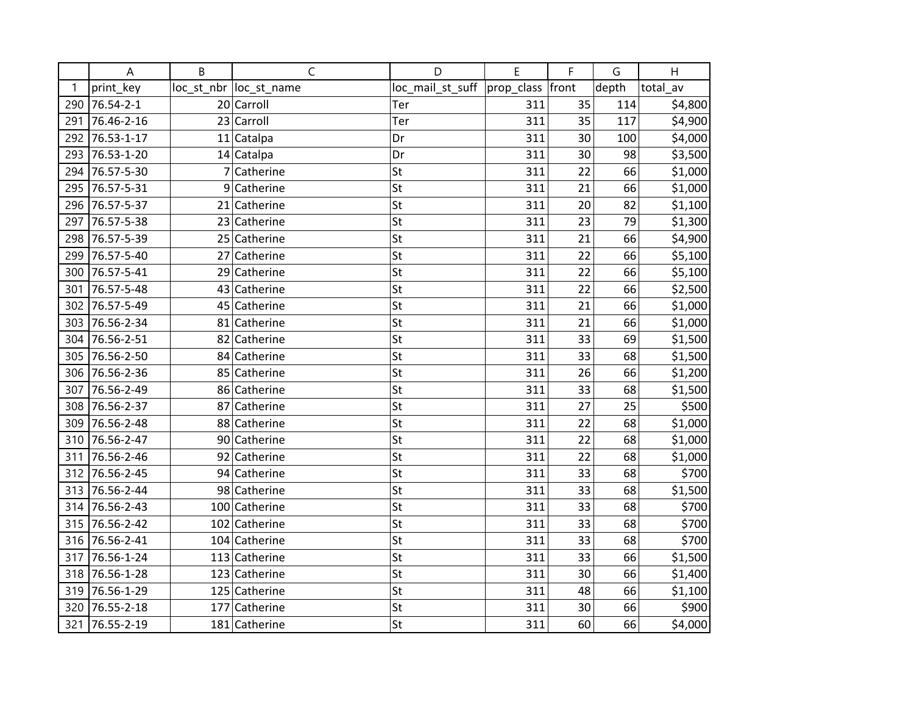|     | A          | B | $\mathsf{C}$            | D                | E                | F  | G     | H        |
|-----|------------|---|-------------------------|------------------|------------------|----|-------|----------|
| 1   | print_key  |   | loc_st_nbr  loc_st_name | loc_mail_st_suff | prop_class front |    | depth | total_av |
| 290 | 76.54-2-1  |   | 20 Carroll              | Ter              | 311              | 35 | 114   | \$4,800  |
| 291 | 76.46-2-16 |   | 23 Carroll              | Ter              | 311              | 35 | 117   | \$4,900  |
| 292 | 76.53-1-17 |   | 11 Catalpa              | Dr               | 311              | 30 | 100   | \$4,000  |
| 293 | 76.53-1-20 |   | 14 Catalpa              | Dr               | 311              | 30 | 98    | \$3,500  |
| 294 | 76.57-5-30 |   | 7 Catherine             | St               | 311              | 22 | 66    | \$1,000  |
| 295 | 76.57-5-31 |   | 9 Catherine             | St               | 311              | 21 | 66    | \$1,000  |
| 296 | 76.57-5-37 |   | 21 Catherine            | St               | 311              | 20 | 82    | \$1,100  |
| 297 | 76.57-5-38 |   | 23 Catherine            | St               | 311              | 23 | 79    | \$1,300  |
| 298 | 76.57-5-39 |   | 25 Catherine            | St               | 311              | 21 | 66    | \$4,900  |
| 299 | 76.57-5-40 |   | 27 Catherine            | St               | 311              | 22 | 66    | \$5,100  |
| 300 | 76.57-5-41 |   | 29 Catherine            | St               | 311              | 22 | 66    | \$5,100  |
| 301 | 76.57-5-48 |   | 43 Catherine            | St               | 311              | 22 | 66    | \$2,500  |
| 302 | 76.57-5-49 |   | 45 Catherine            | St               | 311              | 21 | 66    | \$1,000  |
| 303 | 76.56-2-34 |   | 81 Catherine            | St               | 311              | 21 | 66    | \$1,000  |
| 304 | 76.56-2-51 |   | 82 Catherine            | St               | 311              | 33 | 69    | \$1,500  |
| 305 | 76.56-2-50 |   | 84 Catherine            | St               | 311              | 33 | 68    | \$1,500  |
| 306 | 76.56-2-36 |   | 85 Catherine            | St               | 311              | 26 | 66    | \$1,200  |
| 307 | 76.56-2-49 |   | 86 Catherine            | St               | 311              | 33 | 68    | \$1,500  |
| 308 | 76.56-2-37 |   | 87 Catherine            | St               | 311              | 27 | 25    | \$500    |
| 309 | 76.56-2-48 |   | 88 Catherine            | St               | 311              | 22 | 68    | \$1,000  |
| 310 | 76.56-2-47 |   | 90 Catherine            | St               | 311              | 22 | 68    | \$1,000  |
| 311 | 76.56-2-46 |   | 92 Catherine            | St               | 311              | 22 | 68    | \$1,000  |
| 312 | 76.56-2-45 |   | 94 Catherine            | St               | 311              | 33 | 68    | \$700    |
| 313 | 76.56-2-44 |   | 98 Catherine            | St               | 311              | 33 | 68    | \$1,500  |
| 314 | 76.56-2-43 |   | 100 Catherine           | St               | 311              | 33 | 68    | \$700    |
| 315 | 76.56-2-42 |   | 102 Catherine           | St               | 311              | 33 | 68    | \$700    |
| 316 | 76.56-2-41 |   | 104 Catherine           | St               | 311              | 33 | 68    | \$700    |
| 317 | 76.56-1-24 |   | 113 Catherine           | St               | 311              | 33 | 66    | \$1,500  |
| 318 | 76.56-1-28 |   | 123 Catherine           | St               | 311              | 30 | 66    | \$1,400  |
| 319 | 76.56-1-29 |   | 125 Catherine           | St               | 311              | 48 | 66    | \$1,100  |
| 320 | 76.55-2-18 |   | 177 Catherine           | St               | 311              | 30 | 66    | \$900    |
| 321 | 76.55-2-19 |   | 181 Catherine           | St               | 311              | 60 | 66    | \$4,000  |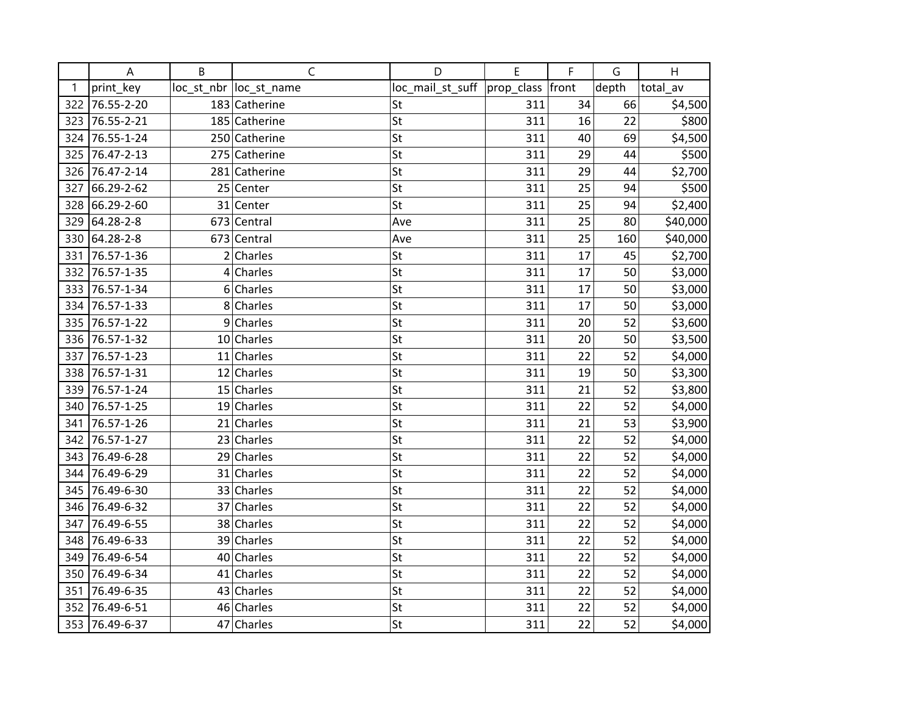|     | A          | B | C                       | D                | E          | F     | G     | H        |
|-----|------------|---|-------------------------|------------------|------------|-------|-------|----------|
| 1   | print_key  |   | loc_st_nbr  loc_st_name | loc_mail_st_suff | prop_class | front | depth | total av |
| 322 | 76.55-2-20 |   | 183 Catherine           | St               | 311        | 34    | 66    | \$4,500  |
| 323 | 76.55-2-21 |   | 185 Catherine           | St               | 311        | 16    | 22    | \$800    |
| 324 | 76.55-1-24 |   | 250 Catherine           | St               | 311        | 40    | 69    | \$4,500  |
| 325 | 76.47-2-13 |   | 275 Catherine           | St               | 311        | 29    | 44    | \$500    |
| 326 | 76.47-2-14 |   | 281 Catherine           | St               | 311        | 29    | 44    | \$2,700  |
| 327 | 66.29-2-62 |   | 25 Center               | St               | 311        | 25    | 94    | \$500    |
| 328 | 66.29-2-60 |   | 31 Center               | St               | 311        | 25    | 94    | \$2,400  |
| 329 | 64.28-2-8  |   | 673 Central             | Ave              | 311        | 25    | 80    | \$40,000 |
| 330 | 64.28-2-8  |   | 673 Central             | Ave              | 311        | 25    | 160   | \$40,000 |
| 331 | 76.57-1-36 |   | $2$ Charles             | St               | 311        | 17    | 45    | \$2,700  |
| 332 | 76.57-1-35 |   | $4$ Charles             | St               | 311        | 17    | 50    | \$3,000  |
| 333 | 76.57-1-34 |   | $6$ Charles             | St               | 311        | 17    | 50    | \$3,000  |
| 334 | 76.57-1-33 |   | 8 Charles               | St               | 311        | 17    | 50    | \$3,000  |
| 335 | 76.57-1-22 |   | $9$ Charles             | St               | 311        | 20    | 52    | \$3,600  |
| 336 | 76.57-1-32 |   | $10$ Charles            | St               | 311        | 20    | 50    | \$3,500  |
| 337 | 76.57-1-23 |   | $11$ Charles            | St               | 311        | 22    | 52    | \$4,000  |
| 338 | 76.57-1-31 |   | $12$ Charles            | St               | 311        | 19    | 50    | \$3,300  |
| 339 | 76.57-1-24 |   | 15 Charles              | St               | 311        | 21    | 52    | \$3,800  |
| 340 | 76.57-1-25 |   | $19$ Charles            | St               | 311        | 22    | 52    | \$4,000  |
| 341 | 76.57-1-26 |   | $21$ Charles            | St               | 311        | 21    | 53    | \$3,900  |
| 342 | 76.57-1-27 |   | 23 Charles              | St               | 311        | 22    | 52    | \$4,000  |
| 343 | 76.49-6-28 |   | 29 Charles              | St               | 311        | 22    | 52    | \$4,000  |
| 344 | 76.49-6-29 |   | 31 Charles              | St               | 311        | 22    | 52    | \$4,000  |
| 345 | 76.49-6-30 |   | 33 Charles              | St               | 311        | 22    | 52    | \$4,000  |
| 346 | 76.49-6-32 |   | 37 Charles              | St               | 311        | 22    | 52    | \$4,000  |
| 347 | 76.49-6-55 |   | 38 Charles              | St               | 311        | 22    | 52    | \$4,000  |
| 348 | 76.49-6-33 |   | 39 Charles              | St               | 311        | 22    | 52    | \$4,000  |
| 349 | 76.49-6-54 |   | 40 Charles              | St               | 311        | 22    | 52    | \$4,000  |
| 350 | 76.49-6-34 |   | $41$ Charles            | St               | 311        | 22    | 52    | \$4,000  |
| 351 | 76.49-6-35 |   | 43 Charles              | St               | 311        | 22    | 52    | \$4,000  |
| 352 | 76.49-6-51 |   | 46 Charles              | St               | 311        | 22    | 52    | \$4,000  |
| 353 | 76.49-6-37 |   | 47 Charles              | St               | 311        | 22    | 52    | \$4,000  |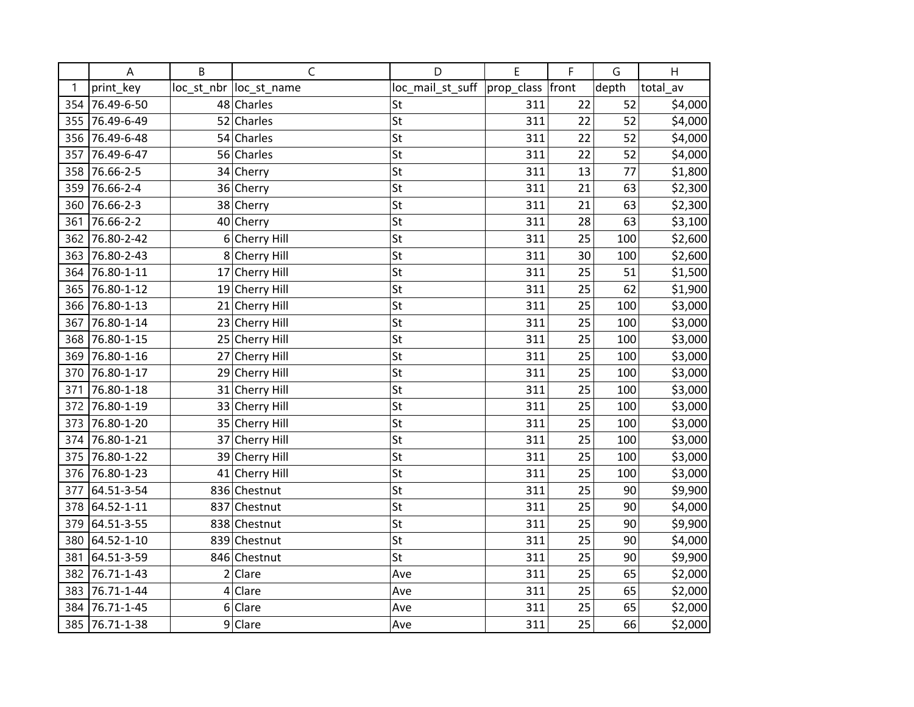|     | A          | B | C                       | D                | E                | F  | G     | H        |
|-----|------------|---|-------------------------|------------------|------------------|----|-------|----------|
| 1   | print key  |   | loc_st_nbr  loc_st_name | loc_mail_st_suff | prop_class front |    | depth | total_av |
| 354 | 76.49-6-50 |   | 48 Charles              | St               | 311              | 22 | 52    | \$4,000  |
| 355 | 76.49-6-49 |   | 52 Charles              | St               | 311              | 22 | 52    | \$4,000  |
| 356 | 76.49-6-48 |   | 54 Charles              | St               | 311              | 22 | 52    | \$4,000  |
| 357 | 76.49-6-47 |   | 56 Charles              | St               | 311              | 22 | 52    | \$4,000  |
| 358 | 76.66-2-5  |   | 34 Cherry               | St               | 311              | 13 | 77    | \$1,800  |
| 359 | 76.66-2-4  |   | 36 Cherry               | St               | 311              | 21 | 63    | \$2,300  |
| 360 | 76.66-2-3  |   | 38 Cherry               | St               | 311              | 21 | 63    | \$2,300  |
| 361 | 76.66-2-2  |   | 40 Cherry               | St               | 311              | 28 | 63    | \$3,100  |
| 362 | 76.80-2-42 |   | 6 Cherry Hill           | St               | 311              | 25 | 100   | \$2,600  |
| 363 | 76.80-2-43 |   | 8 Cherry Hill           | St               | 311              | 30 | 100   | \$2,600  |
| 364 | 76.80-1-11 |   | 17 Cherry Hill          | St               | 311              | 25 | 51    | \$1,500  |
| 365 | 76.80-1-12 |   | 19 Cherry Hill          | St               | 311              | 25 | 62    | \$1,900  |
| 366 | 76.80-1-13 |   | 21 Cherry Hill          | St               | 311              | 25 | 100   | \$3,000  |
| 367 | 76.80-1-14 |   | 23 Cherry Hill          | St               | 311              | 25 | 100   | \$3,000  |
| 368 | 76.80-1-15 |   | 25 Cherry Hill          | St               | 311              | 25 | 100   | \$3,000  |
| 369 | 76.80-1-16 |   | 27 Cherry Hill          | St               | 311              | 25 | 100   | \$3,000  |
| 370 | 76.80-1-17 |   | 29 Cherry Hill          | St               | 311              | 25 | 100   | \$3,000  |
| 371 | 76.80-1-18 |   | 31 Cherry Hill          | St               | 311              | 25 | 100   | \$3,000  |
| 372 | 76.80-1-19 |   | 33 Cherry Hill          | St               | 311              | 25 | 100   | \$3,000  |
| 373 | 76.80-1-20 |   | 35 Cherry Hill          | St               | 311              | 25 | 100   | \$3,000  |
| 374 | 76.80-1-21 |   | 37 Cherry Hill          | St               | 311              | 25 | 100   | \$3,000  |
| 375 | 76.80-1-22 |   | 39 Cherry Hill          | St               | 311              | 25 | 100   | \$3,000  |
| 376 | 76.80-1-23 |   | 41 Cherry Hill          | St               | 311              | 25 | 100   | \$3,000  |
| 377 | 64.51-3-54 |   | 836 Chestnut            | St               | 311              | 25 | 90    | \$9,900  |
| 378 | 64.52-1-11 |   | 837 Chestnut            | St               | 311              | 25 | 90    | \$4,000  |
| 379 | 64.51-3-55 |   | 838 Chestnut            | St               | 311              | 25 | 90    | \$9,900  |
| 380 | 64.52-1-10 |   | 839 Chestnut            | St               | 311              | 25 | 90    | \$4,000  |
| 381 | 64.51-3-59 |   | 846 Chestnut            | St               | 311              | 25 | 90    | \$9,900  |
| 382 | 76.71-1-43 |   | 2 Clare                 | Ave              | 311              | 25 | 65    | \$2,000  |
| 383 | 76.71-1-44 |   | $4$ Clare               | Ave              | 311              | 25 | 65    | \$2,000  |
| 384 | 76.71-1-45 |   | $6 $ Clare              | Ave              | 311              | 25 | 65    | \$2,000  |
| 385 | 76.71-1-38 |   | $9$ Clare               | Ave              | 311              | 25 | 66    | \$2,000  |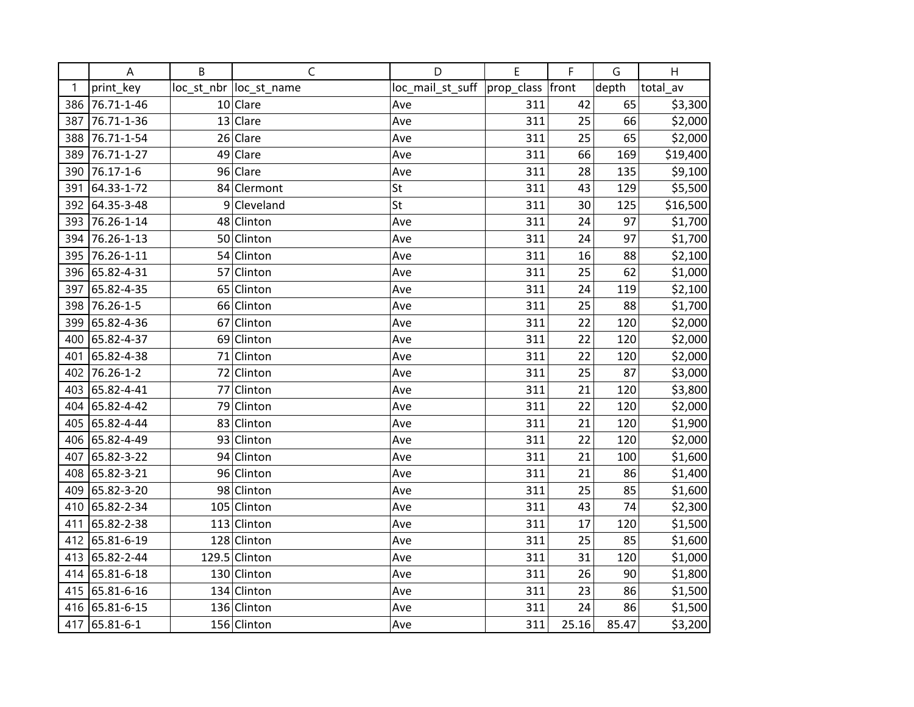|     | A          | B | $\mathsf C$             | D                | E                | F     | G     | H        |
|-----|------------|---|-------------------------|------------------|------------------|-------|-------|----------|
| 1   | print_key  |   | loc_st_nbr  loc_st_name | loc_mail_st_suff | prop_class front |       | depth | total_av |
| 386 | 76.71-1-46 |   | $10$ Clare              | Ave              | 311              | 42    | 65    | \$3,300  |
| 387 | 76.71-1-36 |   | 13 Clare                | Ave              | 311              | 25    | 66    | \$2,000  |
| 388 | 76.71-1-54 |   | 26 Clare                | Ave              | 311              | 25    | 65    | \$2,000  |
| 389 | 76.71-1-27 |   | 49 Clare                | Ave              | 311              | 66    | 169   | \$19,400 |
| 390 | 76.17-1-6  |   | 96 Clare                | Ave              | 311              | 28    | 135   | \$9,100  |
| 391 | 64.33-1-72 |   | 84 Clermont             | St               | 311              | 43    | 129   | \$5,500  |
| 392 | 64.35-3-48 |   | 9 Cleveland             | St               | 311              | 30    | 125   | \$16,500 |
| 393 | 76.26-1-14 |   | 48 Clinton              | Ave              | 311              | 24    | 97    | \$1,700  |
| 394 | 76.26-1-13 |   | 50 Clinton              | Ave              | 311              | 24    | 97    | \$1,700  |
| 395 | 76.26-1-11 |   | 54 Clinton              | Ave              | 311              | 16    | 88    | \$2,100  |
| 396 | 65.82-4-31 |   | 57 Clinton              | Ave              | 311              | 25    | 62    | \$1,000  |
| 397 | 65.82-4-35 |   | 65 Clinton              | Ave              | 311              | 24    | 119   | \$2,100  |
| 398 | 76.26-1-5  |   | 66 Clinton              | Ave              | 311              | 25    | 88    | \$1,700  |
| 399 | 65.82-4-36 |   | 67 Clinton              | Ave              | 311              | 22    | 120   | \$2,000  |
| 400 | 65.82-4-37 |   | 69 Clinton              | Ave              | 311              | 22    | 120   | \$2,000  |
| 401 | 65.82-4-38 |   | 71 Clinton              | Ave              | 311              | 22    | 120   | \$2,000  |
| 402 | 76.26-1-2  |   | 72 Clinton              | Ave              | 311              | 25    | 87    | \$3,000  |
| 403 | 65.82-4-41 |   | 77 Clinton              | Ave              | 311              | 21    | 120   | \$3,800  |
| 404 | 65.82-4-42 |   | 79 Clinton              | Ave              | 311              | 22    | 120   | \$2,000  |
| 405 | 65.82-4-44 |   | 83 Clinton              | Ave              | 311              | 21    | 120   | \$1,900  |
| 406 | 65.82-4-49 |   | 93 Clinton              | Ave              | 311              | 22    | 120   | \$2,000  |
| 407 | 65.82-3-22 |   | 94 Clinton              | Ave              | 311              | 21    | 100   | \$1,600  |
| 408 | 65.82-3-21 |   | 96 Clinton              | Ave              | 311              | 21    | 86    | \$1,400  |
| 409 | 65.82-3-20 |   | 98 Clinton              | Ave              | 311              | 25    | 85    | \$1,600  |
| 410 | 65.82-2-34 |   | 105 Clinton             | Ave              | 311              | 43    | 74    | \$2,300  |
| 411 | 65.82-2-38 |   | 113 Clinton             | Ave              | 311              | 17    | 120   | \$1,500  |
| 412 | 65.81-6-19 |   | 128 Clinton             | Ave              | 311              | 25    | 85    | \$1,600  |
| 413 | 65.82-2-44 |   | 129.5 Clinton           | Ave              | 311              | 31    | 120   | \$1,000  |
| 414 | 65.81-6-18 |   | 130 Clinton             | Ave              | 311              | 26    | 90    | \$1,800  |
| 415 | 65.81-6-16 |   | 134 Clinton             | Ave              | 311              | 23    | 86    | \$1,500  |
| 416 | 65.81-6-15 |   | 136 Clinton             | Ave              | 311              | 24    | 86    | \$1,500  |
| 417 | 65.81-6-1  |   | 156 Clinton             | Ave              | 311              | 25.16 | 85.47 | \$3,200  |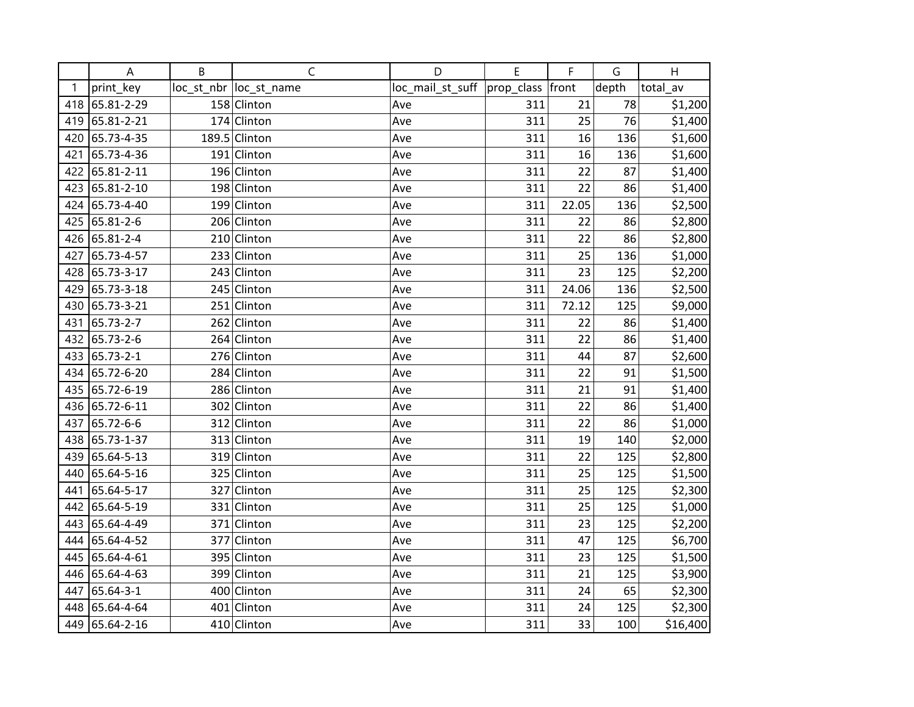|     | A          | B | $\mathsf C$             | D                | E                | F     | G     | H        |
|-----|------------|---|-------------------------|------------------|------------------|-------|-------|----------|
| 1   | print_key  |   | loc_st_nbr  loc_st_name | loc_mail_st_suff | prop_class front |       | depth | total_av |
| 418 | 65.81-2-29 |   | 158 Clinton             | Ave              | 311              | 21    | 78    | \$1,200  |
| 419 | 65.81-2-21 |   | 174 Clinton             | Ave              | 311              | 25    | 76    | \$1,400  |
| 420 | 65.73-4-35 |   | 189.5 Clinton           | Ave              | 311              | 16    | 136   | \$1,600  |
| 421 | 65.73-4-36 |   | 191 Clinton             | Ave              | 311              | 16    | 136   | \$1,600  |
| 422 | 65.81-2-11 |   | 196 Clinton             | Ave              | 311              | 22    | 87    | \$1,400  |
| 423 | 65.81-2-10 |   | 198 Clinton             | Ave              | 311              | 22    | 86    | \$1,400  |
| 424 | 65.73-4-40 |   | 199 Clinton             | Ave              | 311              | 22.05 | 136   | \$2,500  |
| 425 | 65.81-2-6  |   | 206 Clinton             | Ave              | 311              | 22    | 86    | \$2,800  |
| 426 | 65.81-2-4  |   | 210 Clinton             | Ave              | 311              | 22    | 86    | \$2,800  |
| 427 | 65.73-4-57 |   | 233 Clinton             | Ave              | 311              | 25    | 136   | \$1,000  |
| 428 | 65.73-3-17 |   | 243 Clinton             | Ave              | 311              | 23    | 125   | \$2,200  |
| 429 | 65.73-3-18 |   | 245 Clinton             | Ave              | 311              | 24.06 | 136   | \$2,500  |
| 430 | 65.73-3-21 |   | 251 Clinton             | Ave              | 311              | 72.12 | 125   | \$9,000  |
| 431 | 65.73-2-7  |   | 262 Clinton             | Ave              | 311              | 22    | 86    | \$1,400  |
| 432 | 65.73-2-6  |   | 264 Clinton             | Ave              | 311              | 22    | 86    | \$1,400  |
| 433 | 65.73-2-1  |   | 276 Clinton             | Ave              | 311              | 44    | 87    | \$2,600  |
| 434 | 65.72-6-20 |   | 284 Clinton             | Ave              | 311              | 22    | 91    | \$1,500  |
| 435 | 65.72-6-19 |   | 286 Clinton             | Ave              | 311              | 21    | 91    | \$1,400  |
| 436 | 65.72-6-11 |   | 302 Clinton             | Ave              | 311              | 22    | 86    | \$1,400  |
| 437 | 65.72-6-6  |   | 312 Clinton             | Ave              | 311              | 22    | 86    | \$1,000  |
| 438 | 65.73-1-37 |   | 313 Clinton             | Ave              | 311              | 19    | 140   | \$2,000  |
| 439 | 65.64-5-13 |   | 319 Clinton             | Ave              | 311              | 22    | 125   | \$2,800  |
| 440 | 65.64-5-16 |   | 325 Clinton             | Ave              | 311              | 25    | 125   | \$1,500  |
| 441 | 65.64-5-17 |   | 327 Clinton             | Ave              | 311              | 25    | 125   | \$2,300  |
| 442 | 65.64-5-19 |   | 331 Clinton             | Ave              | 311              | 25    | 125   | \$1,000  |
| 443 | 65.64-4-49 |   | 371 Clinton             | Ave              | 311              | 23    | 125   | \$2,200  |
| 444 | 65.64-4-52 |   | 377 Clinton             | Ave              | 311              | 47    | 125   | \$6,700  |
| 445 | 65.64-4-61 |   | 395 Clinton             | Ave              | 311              | 23    | 125   | \$1,500  |
| 446 | 65.64-4-63 |   | 399 Clinton             | Ave              | 311              | 21    | 125   | \$3,900  |
| 447 | 65.64-3-1  |   | 400 Clinton             | Ave              | 311              | 24    | 65    | \$2,300  |
| 448 | 65.64-4-64 |   | 401 Clinton             | Ave              | 311              | 24    | 125   | \$2,300  |
| 449 | 65.64-2-16 |   | 410 Clinton             | Ave              | 311              | 33    | 100   | \$16,400 |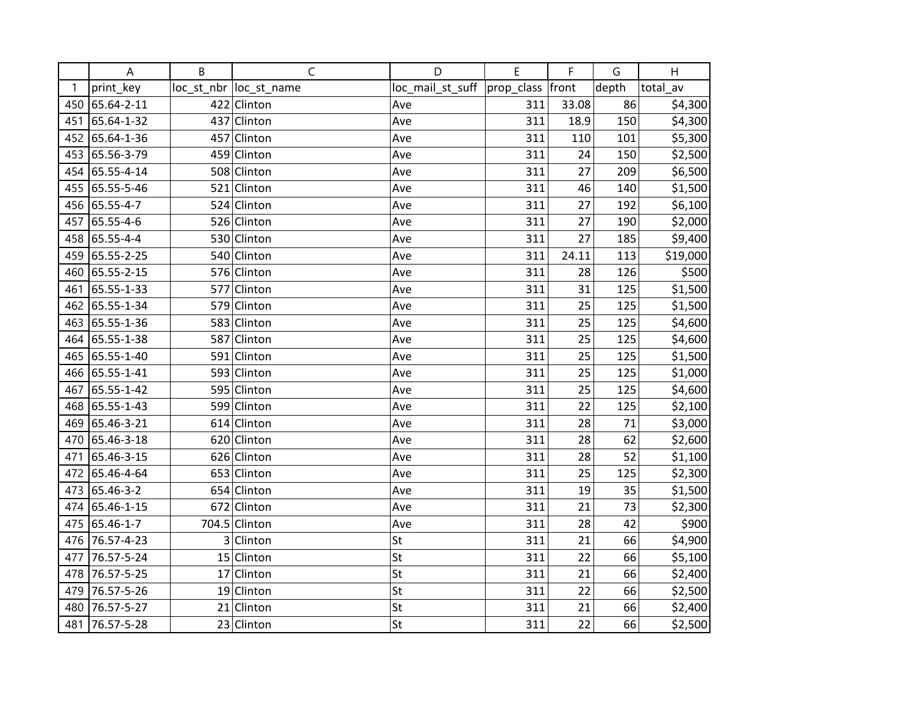|     | A          | B | $\mathsf C$             | D                | E                | F     | G     | H        |
|-----|------------|---|-------------------------|------------------|------------------|-------|-------|----------|
| 1   | print_key  |   | loc_st_nbr  loc_st_name | loc_mail_st_suff | prop_class front |       | depth | total_av |
| 450 | 65.64-2-11 |   | 422 Clinton             | Ave              | 311              | 33.08 | 86    | \$4,300  |
| 451 | 65.64-1-32 |   | 437 Clinton             | Ave              | 311              | 18.9  | 150   | \$4,300  |
| 452 | 65.64-1-36 |   | 457 Clinton             | Ave              | 311              | 110   | 101   | \$5,300  |
| 453 | 65.56-3-79 |   | 459 Clinton             | Ave              | 311              | 24    | 150   | \$2,500  |
| 454 | 65.55-4-14 |   | 508 Clinton             | Ave              | 311              | 27    | 209   | \$6,500  |
| 455 | 65.55-5-46 |   | 521 Clinton             | Ave              | 311              | 46    | 140   | \$1,500  |
| 456 | 65.55-4-7  |   | 524 Clinton             | Ave              | 311              | 27    | 192   | \$6,100  |
| 457 | 65.55-4-6  |   | 526 Clinton             | Ave              | 311              | 27    | 190   | \$2,000  |
| 458 | 65.55-4-4  |   | 530 Clinton             | Ave              | 311              | 27    | 185   | \$9,400  |
| 459 | 65.55-2-25 |   | 540 Clinton             | Ave              | 311              | 24.11 | 113   | \$19,000 |
| 460 | 65.55-2-15 |   | 576 Clinton             | Ave              | 311              | 28    | 126   | \$500    |
| 461 | 65.55-1-33 |   | 577 Clinton             | Ave              | 311              | 31    | 125   | \$1,500  |
| 462 | 65.55-1-34 |   | 579 Clinton             | Ave              | 311              | 25    | 125   | \$1,500  |
| 463 | 65.55-1-36 |   | 583 Clinton             | Ave              | 311              | 25    | 125   | \$4,600  |
| 464 | 65.55-1-38 |   | 587 Clinton             | Ave              | 311              | 25    | 125   | \$4,600  |
| 465 | 65.55-1-40 |   | 591 Clinton             | Ave              | 311              | 25    | 125   | \$1,500  |
| 466 | 65.55-1-41 |   | 593 Clinton             | Ave              | 311              | 25    | 125   | \$1,000  |
| 467 | 65.55-1-42 |   | 595 Clinton             | Ave              | 311              | 25    | 125   | \$4,600  |
| 468 | 65.55-1-43 |   | 599 Clinton             | Ave              | 311              | 22    | 125   | \$2,100  |
| 469 | 65.46-3-21 |   | 614 Clinton             | Ave              | 311              | 28    | 71    | \$3,000  |
| 470 | 65.46-3-18 |   | 620 Clinton             | Ave              | 311              | 28    | 62    | \$2,600  |
| 471 | 65.46-3-15 |   | 626 Clinton             | Ave              | 311              | 28    | 52    | \$1,100  |
| 472 | 65.46-4-64 |   | 653 Clinton             | Ave              | 311              | 25    | 125   | \$2,300  |
| 473 | 65.46-3-2  |   | 654 Clinton             | Ave              | 311              | 19    | 35    | \$1,500  |
| 474 | 65.46-1-15 |   | 672 Clinton             | Ave              | 311              | 21    | 73    | \$2,300  |
| 475 | 65.46-1-7  |   | 704.5 Clinton           | Ave              | 311              | 28    | 42    | \$900    |
| 476 | 76.57-4-23 |   | 3 Clinton               | St               | 311              | 21    | 66    | \$4,900  |
| 477 | 76.57-5-24 |   | 15 Clinton              | St               | 311              | 22    | 66    | \$5,100  |
| 478 | 76.57-5-25 |   | 17 Clinton              | St               | 311              | 21    | 66    | \$2,400  |
| 479 | 76.57-5-26 |   | 19 Clinton              | St               | 311              | 22    | 66    | \$2,500  |
| 480 | 76.57-5-27 |   | $21$ Clinton            | St               | 311              | 21    | 66    | \$2,400  |
| 481 | 76.57-5-28 |   | 23 Clinton              | St               | 311              | 22    | 66    | \$2,500  |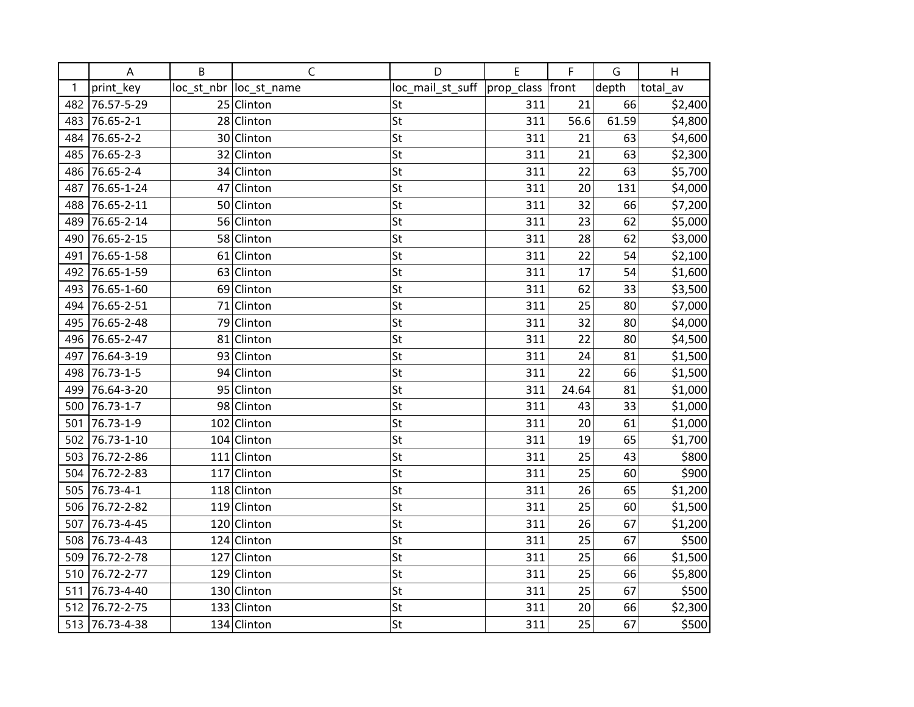|     | A              | B | $\mathsf C$             | D                | E                | F     | G     | H        |
|-----|----------------|---|-------------------------|------------------|------------------|-------|-------|----------|
| 1   | print_key      |   | loc_st_nbr  loc_st_name | loc_mail_st_suff | prop_class front |       | depth | total_av |
| 482 | 76.57-5-29     |   | 25 Clinton              | St               | 311              | 21    | 66    | \$2,400  |
| 483 | 76.65-2-1      |   | 28 Clinton              | St               | 311              | 56.6  | 61.59 | \$4,800  |
| 484 | 76.65-2-2      |   | 30 Clinton              | St               | 311              | 21    | 63    | \$4,600  |
| 485 | 76.65-2-3      |   | 32 Clinton              | St               | 311              | 21    | 63    | \$2,300  |
| 486 | 76.65-2-4      |   | 34 Clinton              | St               | 311              | 22    | 63    | \$5,700  |
| 487 | 76.65-1-24     |   | 47 Clinton              | St               | 311              | 20    | 131   | \$4,000  |
| 488 | 76.65-2-11     |   | 50 Clinton              | St               | 311              | 32    | 66    | \$7,200  |
| 489 | 76.65-2-14     |   | 56 Clinton              | St               | 311              | 23    | 62    | \$5,000  |
| 490 | 76.65-2-15     |   | 58 Clinton              | St               | 311              | 28    | 62    | \$3,000  |
| 491 | 76.65-1-58     |   | 61 Clinton              | St               | 311              | 22    | 54    | \$2,100  |
| 492 | 76.65-1-59     |   | 63 Clinton              | St               | 311              | 17    | 54    | \$1,600  |
| 493 | 76.65-1-60     |   | 69 Clinton              | St               | 311              | 62    | 33    | \$3,500  |
| 494 | 76.65-2-51     |   | 71 Clinton              | St               | 311              | 25    | 80    | \$7,000  |
| 495 | 76.65-2-48     |   | 79 Clinton              | St               | 311              | 32    | 80    | \$4,000  |
| 496 | 76.65-2-47     |   | 81 Clinton              | St               | 311              | 22    | 80    | \$4,500  |
| 497 | 76.64-3-19     |   | 93 Clinton              | St               | 311              | 24    | 81    | \$1,500  |
| 498 | 76.73-1-5      |   | 94 Clinton              | St               | 311              | 22    | 66    | \$1,500  |
| 499 | 76.64-3-20     |   | 95 Clinton              | St               | 311              | 24.64 | 81    | \$1,000  |
| 500 | 76.73-1-7      |   | 98 Clinton              | St               | 311              | 43    | 33    | \$1,000  |
| 501 | 76.73-1-9      |   | 102 Clinton             | St               | 311              | 20    | 61    | \$1,000  |
| 502 | 76.73-1-10     |   | 104 Clinton             | St               | 311              | 19    | 65    | \$1,700  |
| 503 | 76.72-2-86     |   | 111 Clinton             | St               | 311              | 25    | 43    | \$800    |
| 504 | 76.72-2-83     |   | 117 Clinton             | St               | 311              | 25    | 60    | \$900    |
| 505 | 76.73-4-1      |   | 118 Clinton             | St               | 311              | 26    | 65    | \$1,200  |
| 506 | 76.72-2-82     |   | 119 Clinton             | St               | 311              | 25    | 60    | \$1,500  |
| 507 | 76.73-4-45     |   | 120 Clinton             | St               | 311              | 26    | 67    | \$1,200  |
| 508 | 76.73-4-43     |   | 124 Clinton             | St               | 311              | 25    | 67    | \$500    |
| 509 | 76.72-2-78     |   | 127 Clinton             | St               | 311              | 25    | 66    | \$1,500  |
| 510 | 76.72-2-77     |   | 129 Clinton             | St               | 311              | 25    | 66    | \$5,800  |
| 511 | 76.73-4-40     |   | 130 Clinton             | St               | 311              | 25    | 67    | \$500    |
| 512 | 76.72-2-75     |   | 133 Clinton             | St               | 311              | 20    | 66    | \$2,300  |
|     | 513 76.73-4-38 |   | 134 Clinton             | St               | 311              | 25    | 67    | \$500    |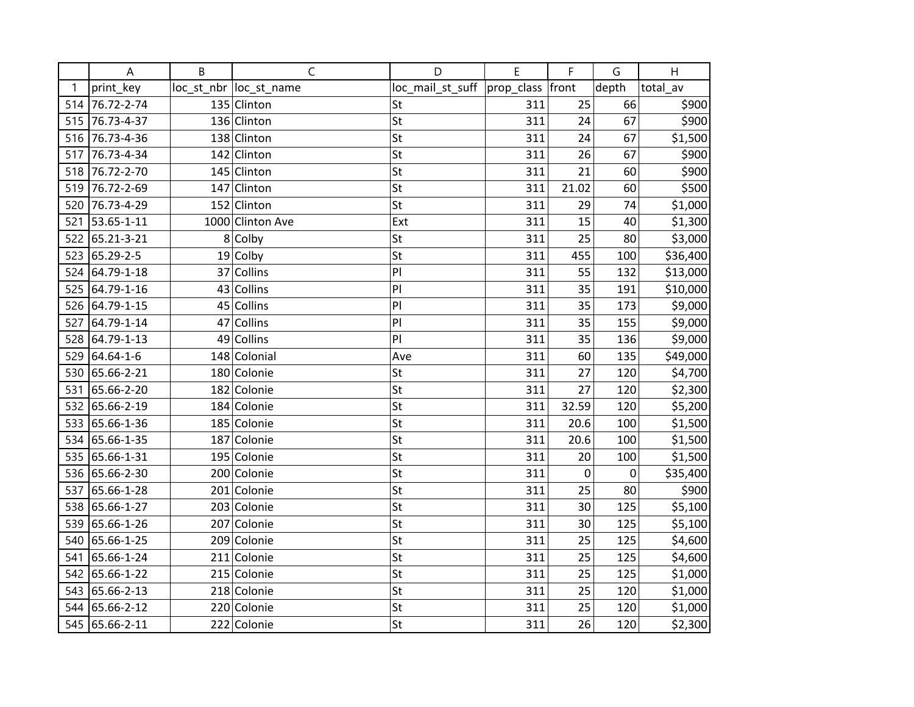|     | A              | B | $\mathsf{C}$            | D                | E                | F     | G     | Н        |
|-----|----------------|---|-------------------------|------------------|------------------|-------|-------|----------|
| 1   | print_key      |   | loc_st_nbr  loc_st_name | loc_mail_st_suff | prop_class front |       | depth | total_av |
| 514 | 76.72-2-74     |   | 135 Clinton             | St               | 311              | 25    | 66    | \$900    |
| 515 | 76.73-4-37     |   | 136 Clinton             | St               | 311              | 24    | 67    | \$900    |
| 516 | 76.73-4-36     |   | 138 Clinton             | St               | 311              | 24    | 67    | \$1,500  |
| 517 | 76.73-4-34     |   | 142 Clinton             | St               | 311              | 26    | 67    | \$900    |
| 518 | 76.72-2-70     |   | 145 Clinton             | St               | 311              | 21    | 60    | \$900    |
| 519 | 76.72-2-69     |   | 147 Clinton             | St               | 311              | 21.02 | 60    | \$500    |
| 520 | 76.73-4-29     |   | 152 Clinton             | St               | 311              | 29    | 74    | \$1,000  |
| 521 | 53.65-1-11     |   | 1000 Clinton Ave        | Ext              | 311              | 15    | 40    | \$1,300  |
| 522 | 65.21-3-21     |   | 8 Colby                 | St               | 311              | 25    | 80    | \$3,000  |
| 523 | 65.29-2-5      |   | 19 Colby                | St               | 311              | 455   | 100   | \$36,400 |
| 524 | 64.79-1-18     |   | 37 Collins              | PI               | 311              | 55    | 132   | \$13,000 |
| 525 | 64.79-1-16     |   | 43 Collins              | PI               | 311              | 35    | 191   | \$10,000 |
| 526 | 64.79-1-15     |   | 45 Collins              | P                | 311              | 35    | 173   | \$9,000  |
| 527 | 64.79-1-14     |   | 47 Collins              | PI               | 311              | 35    | 155   | \$9,000  |
| 528 | 64.79-1-13     |   | 49 Collins              | PI               | 311              | 35    | 136   | \$9,000  |
| 529 | 64.64-1-6      |   | 148 Colonial            | Ave              | 311              | 60    | 135   | \$49,000 |
| 530 | 65.66-2-21     |   | 180 Colonie             | St               | 311              | 27    | 120   | \$4,700  |
| 531 | 65.66-2-20     |   | 182 Colonie             | St               | 311              | 27    | 120   | \$2,300  |
| 532 | 65.66-2-19     |   | 184 Colonie             | St               | 311              | 32.59 | 120   | \$5,200  |
| 533 | 65.66-1-36     |   | 185 Colonie             | St               | 311              | 20.6  | 100   | \$1,500  |
| 534 | 65.66-1-35     |   | 187 Colonie             | St               | 311              | 20.6  | 100   | \$1,500  |
| 535 | 65.66-1-31     |   | 195 Colonie             | St               | 311              | 20    | 100   | \$1,500  |
|     | 536 65.66-2-30 |   | 200 Colonie             | St               | 311              | 0     | 0     | \$35,400 |
| 537 | 65.66-1-28     |   | 201 Colonie             | St               | 311              | 25    | 80    | \$900    |
| 538 | 65.66-1-27     |   | 203 Colonie             | St               | 311              | 30    | 125   | \$5,100  |
| 539 | 65.66-1-26     |   | 207 Colonie             | St               | 311              | 30    | 125   | \$5,100  |
| 540 | 65.66-1-25     |   | 209 Colonie             | St               | 311              | 25    | 125   | \$4,600  |
| 541 | 65.66-1-24     |   | 211 Colonie             | St               | 311              | 25    | 125   | \$4,600  |
| 542 | 65.66-1-22     |   | 215 Colonie             | St               | 311              | 25    | 125   | \$1,000  |
| 543 | 65.66-2-13     |   | 218 Colonie             | St               | 311              | 25    | 120   | \$1,000  |
| 544 | 65.66-2-12     |   | 220 Colonie             | St               | 311              | 25    | 120   | \$1,000  |
|     | 545 65.66-2-11 |   | 222 Colonie             | St               | 311              | 26    | 120   | \$2,300  |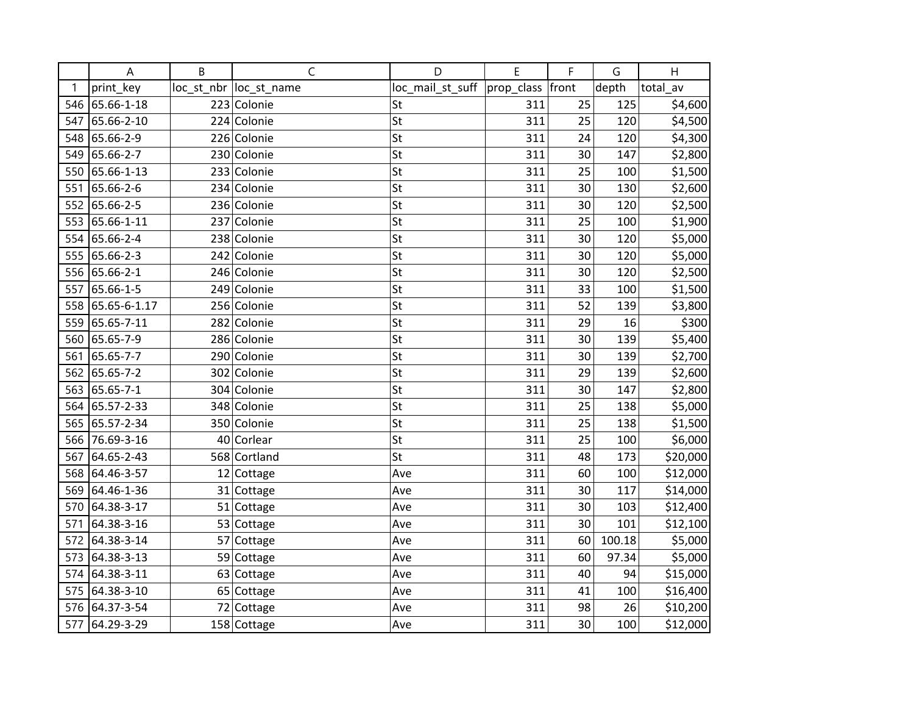|     | A            | B | C                       | D                | E          | F     | G      | H        |
|-----|--------------|---|-------------------------|------------------|------------|-------|--------|----------|
| 1   | print key    |   | loc_st_nbr  loc_st_name | loc_mail_st_suff | prop_class | front | depth  | total av |
| 546 | 65.66-1-18   |   | 223 Colonie             | St               | 311        | 25    | 125    | \$4,600  |
| 547 | 65.66-2-10   |   | 224 Colonie             | St               | 311        | 25    | 120    | \$4,500  |
| 548 | 65.66-2-9    |   | 226 Colonie             | St               | 311        | 24    | 120    | \$4,300  |
| 549 | 65.66-2-7    |   | 230 Colonie             | St               | 311        | 30    | 147    | \$2,800  |
| 550 | 65.66-1-13   |   | 233 Colonie             | St               | 311        | 25    | 100    | \$1,500  |
| 551 | 65.66-2-6    |   | 234 Colonie             | St               | 311        | 30    | 130    | \$2,600  |
| 552 | 65.66-2-5    |   | 236 Colonie             | St               | 311        | 30    | 120    | \$2,500  |
| 553 | 65.66-1-11   |   | 237 Colonie             | St               | 311        | 25    | 100    | \$1,900  |
| 554 | 65.66-2-4    |   | 238 Colonie             | St               | 311        | 30    | 120    | \$5,000  |
| 555 | 65.66-2-3    |   | 242 Colonie             | St               | 311        | 30    | 120    | \$5,000  |
| 556 | 65.66-2-1    |   | 246 Colonie             | St               | 311        | 30    | 120    | \$2,500  |
| 557 | 65.66-1-5    |   | 249 Colonie             | St               | 311        | 33    | 100    | \$1,500  |
| 558 | 65.65-6-1.17 |   | 256 Colonie             | St               | 311        | 52    | 139    | \$3,800  |
| 559 | 65.65-7-11   |   | 282 Colonie             | St               | 311        | 29    | 16     | \$300    |
| 560 | 65.65-7-9    |   | 286 Colonie             | St               | 311        | 30    | 139    | \$5,400  |
| 561 | 65.65-7-7    |   | 290 Colonie             | St               | 311        | 30    | 139    | \$2,700  |
| 562 | 65.65-7-2    |   | 302 Colonie             | St               | 311        | 29    | 139    | \$2,600  |
| 563 | 65.65-7-1    |   | 304 Colonie             | St               | 311        | 30    | 147    | \$2,800  |
| 564 | 65.57-2-33   |   | 348 Colonie             | St               | 311        | 25    | 138    | \$5,000  |
| 565 | 65.57-2-34   |   | 350 Colonie             | St               | 311        | 25    | 138    | \$1,500  |
| 566 | 76.69-3-16   |   | 40 Corlear              | St               | 311        | 25    | 100    | \$6,000  |
| 567 | 64.65-2-43   |   | 568 Cortland            | St               | 311        | 48    | 173    | \$20,000 |
| 568 | 64.46-3-57   |   | 12 Cottage              | Ave              | 311        | 60    | 100    | \$12,000 |
| 569 | 64.46-1-36   |   | 31 Cottage              | Ave              | 311        | 30    | 117    | \$14,000 |
| 570 | 64.38-3-17   |   | 51 Cottage              | Ave              | 311        | 30    | 103    | \$12,400 |
| 571 | 64.38-3-16   |   | 53 Cottage              | Ave              | 311        | 30    | 101    | \$12,100 |
| 572 | 64.38-3-14   |   | 57 Cottage              | Ave              | 311        | 60    | 100.18 | \$5,000  |
| 573 | 64.38-3-13   |   | 59 Cottage              | Ave              | 311        | 60    | 97.34  | \$5,000  |
| 574 | 64.38-3-11   |   | 63 Cottage              | Ave              | 311        | 40    | 94     | \$15,000 |
| 575 | 64.38-3-10   |   | 65 Cottage              | Ave              | 311        | 41    | 100    | \$16,400 |
| 576 | 64.37-3-54   |   | 72 Cottage              | Ave              | 311        | 98    | 26     | \$10,200 |
| 577 | 64.29-3-29   |   | 158 Cottage             | Ave              | 311        | 30    | 100    | \$12,000 |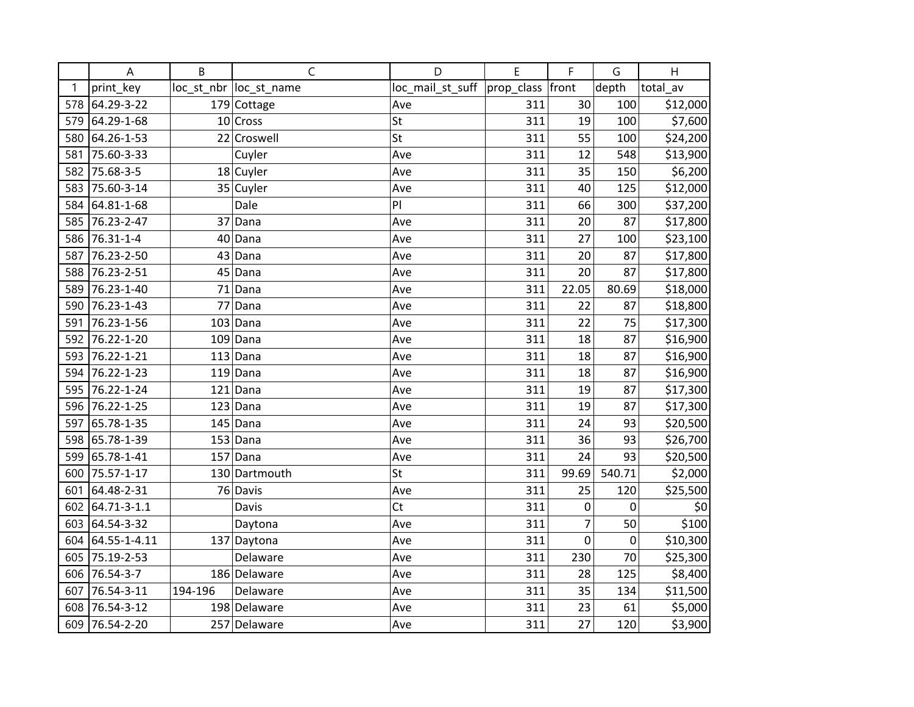|     | A            | B       | $\mathsf{C}$            | D                | E          | F     | G                | H        |
|-----|--------------|---------|-------------------------|------------------|------------|-------|------------------|----------|
| 1   | print_key    |         | loc_st_nbr  loc_st_name | loc_mail_st_suff | prop_class | front | depth            | total av |
| 578 | 64.29-3-22   |         | 179 Cottage             | Ave              | 311        | 30    | 100              | \$12,000 |
| 579 | 64.29-1-68   |         | 10 Cross                | <b>St</b>        | 311        | 19    | 100              | \$7,600  |
| 580 | 64.26-1-53   |         | 22 Croswell             | St               | 311        | 55    | 100              | \$24,200 |
| 581 | 75.60-3-33   |         | Cuyler                  | Ave              | 311        | 12    | 548              | \$13,900 |
| 582 | 75.68-3-5    |         | 18 Cuyler               | Ave              | 311        | 35    | 150              | \$6,200  |
| 583 | 75.60-3-14   |         | 35 Cuyler               | Ave              | 311        | 40    | 125              | \$12,000 |
| 584 | 64.81-1-68   |         | Dale                    | PI               | 311        | 66    | 300              | \$37,200 |
| 585 | 76.23-2-47   |         | 37 Dana                 | Ave              | 311        | 20    | 87               | \$17,800 |
| 586 | 76.31-1-4    | 40      | Dana                    | Ave              | 311        | 27    | 100              | \$23,100 |
| 587 | 76.23-2-50   |         | $43$ Dana               | Ave              | 311        | 20    | 87               | \$17,800 |
| 588 | 76.23-2-51   |         | $45$ Dana               | Ave              | 311        | 20    | 87               | \$17,800 |
| 589 | 76.23-1-40   |         | 71 Dana                 | Ave              | 311        | 22.05 | 80.69            | \$18,000 |
| 590 | 76.23-1-43   |         | 77 Dana                 | Ave              | 311        | 22    | 87               | \$18,800 |
| 591 | 76.23-1-56   |         | $103$ Dana              | Ave              | 311        | 22    | 75               | \$17,300 |
| 592 | 76.22-1-20   |         | $109$ Dana              | Ave              | 311        | 18    | 87               | \$16,900 |
| 593 | 76.22-1-21   |         | $113$ Dana              | Ave              | 311        | 18    | 87               | \$16,900 |
| 594 | 76.22-1-23   |         | $119$ Dana              | Ave              | 311        | 18    | 87               | \$16,900 |
| 595 | 76.22-1-24   |         | $121$ Dana              | Ave              | 311        | 19    | 87               | \$17,300 |
| 596 | 76.22-1-25   |         | $123$ Dana              | Ave              | 311        | 19    | 87               | \$17,300 |
| 597 | 65.78-1-35   |         | $145$ Dana              | Ave              | 311        | 24    | 93               | \$20,500 |
| 598 | 65.78-1-39   |         | $153$ Dana              | Ave              | 311        | 36    | 93               | \$26,700 |
| 599 | 65.78-1-41   |         | $157$ Dana              | Ave              | 311        | 24    | 93               | \$20,500 |
| 600 | 75.57-1-17   |         | 130 Dartmouth           | St               | 311        | 99.69 | 540.71           | \$2,000  |
| 601 | 64.48-2-31   |         | 76 Davis                | Ave              | 311        | 25    | 120              | \$25,500 |
| 602 | 64.71-3-1.1  |         | Davis                   | Ct               | 311        | 0     | 0                | \$0      |
| 603 | 64.54-3-32   |         | Daytona                 | Ave              | 311        | 7     | 50               | \$100    |
| 604 | 64.55-1-4.11 |         | 137 Daytona             | Ave              | 311        | 0     | $\boldsymbol{0}$ | \$10,300 |
| 605 | 75.19-2-53   |         | Delaware                | Ave              | 311        | 230   | 70               | \$25,300 |
| 606 | 76.54-3-7    |         | 186 Delaware            | Ave              | 311        | 28    | 125              | \$8,400  |
| 607 | 76.54-3-11   | 194-196 | Delaware                | Ave              | 311        | 35    | 134              | \$11,500 |
| 608 | 76.54-3-12   |         | 198 Delaware            | Ave              | 311        | 23    | 61               | \$5,000  |
| 609 | 76.54-2-20   |         | 257 Delaware            | Ave              | 311        | 27    | 120              | \$3,900  |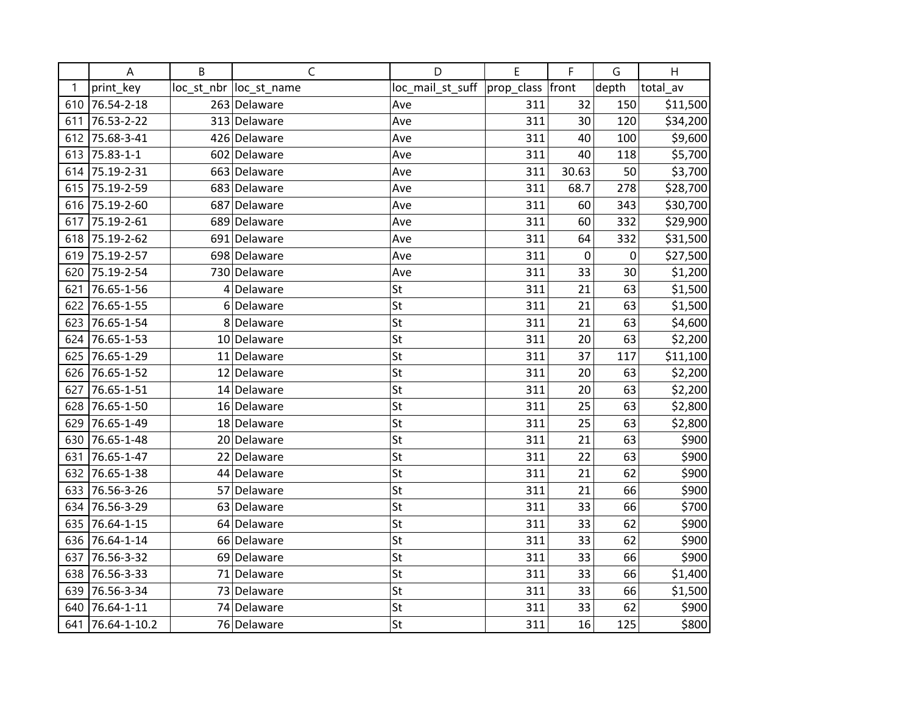|     | A            | B  | $\mathsf{C}$            | D                | E          | F         | G     | H        |
|-----|--------------|----|-------------------------|------------------|------------|-----------|-------|----------|
| 1   | print_key    |    | loc_st_nbr  loc_st_name | loc_mail_st_suff | prop_class | front     | depth | total av |
| 610 | 76.54-2-18   |    | 263 Delaware            | Ave              | 311        | 32        | 150   | \$11,500 |
| 611 | 76.53-2-22   |    | 313 Delaware            | Ave              | 311        | 30        | 120   | \$34,200 |
| 612 | 75.68-3-41   |    | 426 Delaware            | Ave              | 311        | 40        | 100   | \$9,600  |
| 613 | 75.83-1-1    |    | 602 Delaware            | Ave              | 311        | 40        | 118   | \$5,700  |
| 614 | 75.19-2-31   |    | 663 Delaware            | Ave              | 311        | 30.63     | 50    | \$3,700  |
| 615 | 75.19-2-59   |    | 683 Delaware            | Ave              | 311        | 68.7      | 278   | \$28,700 |
| 616 | 75.19-2-60   |    | 687 Delaware            | Ave              | 311        | 60        | 343   | \$30,700 |
| 617 | 75.19-2-61   |    | 689 Delaware            | Ave              | 311        | 60        | 332   | \$29,900 |
| 618 | 75.19-2-62   |    | 691 Delaware            | Ave              | 311        | 64        | 332   | \$31,500 |
| 619 | 75.19-2-57   |    | 698 Delaware            | Ave              | 311        | $\pmb{0}$ | 0     | \$27,500 |
| 620 | 75.19-2-54   |    | 730 Delaware            | Ave              | 311        | 33        | 30    | \$1,200  |
| 621 | 76.65-1-56   |    | 4 Delaware              | St               | 311        | 21        | 63    | \$1,500  |
| 622 | 76.65-1-55   |    | 6 Delaware              | St               | 311        | 21        | 63    | \$1,500  |
| 623 | 76.65-1-54   | 8  | Delaware                | St               | 311        | 21        | 63    | \$4,600  |
| 624 | 76.65-1-53   | 10 | Delaware                | St               | 311        | 20        | 63    | \$2,200  |
| 625 | 76.65-1-29   |    | 11 Delaware             | St               | 311        | 37        | 117   | \$11,100 |
| 626 | 76.65-1-52   |    | 12 Delaware             | St               | 311        | 20        | 63    | \$2,200  |
| 627 | 76.65-1-51   |    | 14 Delaware             | St               | 311        | 20        | 63    | \$2,200  |
| 628 | 76.65-1-50   |    | 16 Delaware             | St               | 311        | 25        | 63    | \$2,800  |
| 629 | 76.65-1-49   |    | 18 Delaware             | St               | 311        | 25        | 63    | \$2,800  |
| 630 | 76.65-1-48   |    | 20 Delaware             | St               | 311        | 21        | 63    | \$900    |
| 631 | 76.65-1-47   |    | 22 Delaware             | St               | 311        | 22        | 63    | \$900    |
| 632 | 76.65-1-38   |    | 44 Delaware             | St               | 311        | 21        | 62    | \$900    |
| 633 | 76.56-3-26   |    | 57 Delaware             | St               | 311        | 21        | 66    | \$900    |
| 634 | 76.56-3-29   | 63 | Delaware                | St               | 311        | 33        | 66    | \$700    |
| 635 | 76.64-1-15   |    | 64 Delaware             | St               | 311        | 33        | 62    | \$900    |
| 636 | 76.64-1-14   |    | 66 Delaware             | St               | 311        | 33        | 62    | \$900    |
| 637 | 76.56-3-32   |    | 69 Delaware             | St               | 311        | 33        | 66    | \$900    |
| 638 | 76.56-3-33   |    | 71 Delaware             | St               | 311        | 33        | 66    | \$1,400  |
| 639 | 76.56-3-34   |    | 73 Delaware             | St               | 311        | 33        | 66    | \$1,500  |
| 640 | 76.64-1-11   |    | 74 Delaware             | St               | 311        | 33        | 62    | \$900    |
| 641 | 76.64-1-10.2 |    | 76 Delaware             | St               | 311        | 16        | 125   | \$800    |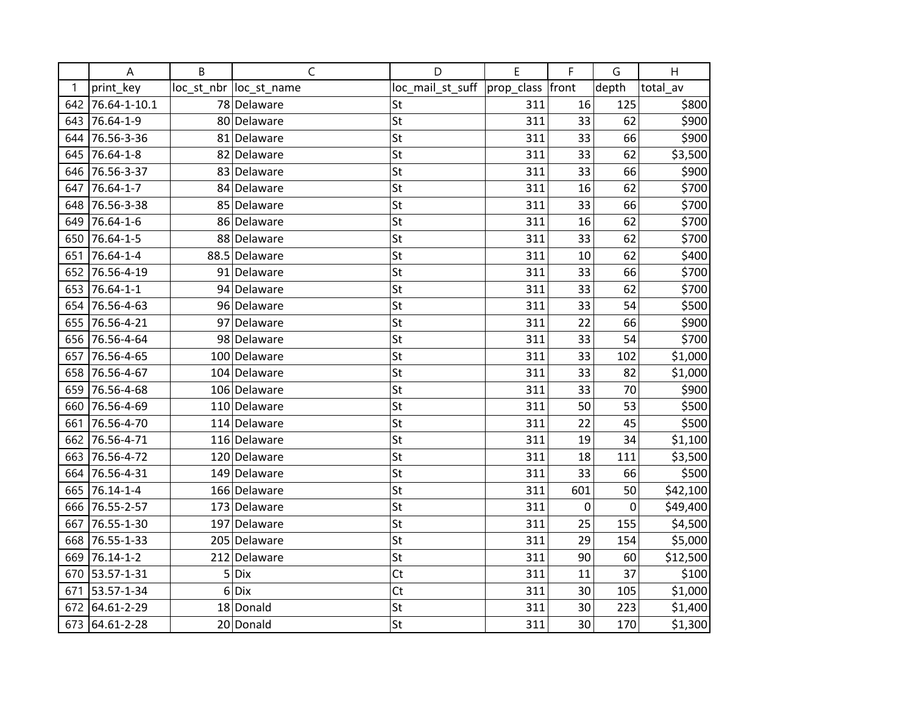|     | A            | B | C                       | D                | E          | F     | G     | H        |
|-----|--------------|---|-------------------------|------------------|------------|-------|-------|----------|
| 1   | print key    |   | loc_st_nbr  loc_st_name | loc_mail_st_suff | prop_class | front | depth | total av |
| 642 | 76.64-1-10.1 |   | 78 Delaware             | St               | 311        | 16    | 125   | \$800    |
| 643 | 76.64-1-9    |   | 80 Delaware             | St               | 311        | 33    | 62    | \$900    |
| 644 | 76.56-3-36   |   | 81 Delaware             | St               | 311        | 33    | 66    | \$900    |
| 645 | 76.64-1-8    |   | 82 Delaware             | St               | 311        | 33    | 62    | \$3,500  |
| 646 | 76.56-3-37   |   | 83 Delaware             | St               | 311        | 33    | 66    | \$900    |
| 647 | 76.64-1-7    |   | 84 Delaware             | St               | 311        | 16    | 62    | \$700    |
| 648 | 76.56-3-38   |   | 85 Delaware             | St               | 311        | 33    | 66    | \$700    |
| 649 | 76.64-1-6    |   | 86 Delaware             | St               | 311        | 16    | 62    | \$700    |
| 650 | 76.64-1-5    |   | 88 Delaware             | St               | 311        | 33    | 62    | \$700    |
| 651 | 76.64-1-4    |   | 88.5 Delaware           | St               | 311        | 10    | 62    | \$400    |
| 652 | 76.56-4-19   |   | 91 Delaware             | St               | 311        | 33    | 66    | \$700    |
| 653 | 76.64-1-1    |   | 94 Delaware             | St               | 311        | 33    | 62    | \$700    |
| 654 | 76.56-4-63   |   | 96 Delaware             | St               | 311        | 33    | 54    | \$500    |
| 655 | 76.56-4-21   |   | 97 Delaware             | St               | 311        | 22    | 66    | \$900    |
| 656 | 76.56-4-64   |   | 98 Delaware             | St               | 311        | 33    | 54    | \$700    |
| 657 | 76.56-4-65   |   | 100 Delaware            | St               | 311        | 33    | 102   | \$1,000  |
| 658 | 76.56-4-67   |   | 104 Delaware            | St               | 311        | 33    | 82    | \$1,000  |
| 659 | 76.56-4-68   |   | 106 Delaware            | St               | 311        | 33    | 70    | \$900    |
| 660 | 76.56-4-69   |   | 110 Delaware            | St               | 311        | 50    | 53    | \$500    |
| 661 | 76.56-4-70   |   | 114 Delaware            | St               | 311        | 22    | 45    | \$500    |
| 662 | 76.56-4-71   |   | 116 Delaware            | St               | 311        | 19    | 34    | \$1,100  |
| 663 | 76.56-4-72   |   | 120 Delaware            | St               | 311        | 18    | 111   | \$3,500  |
| 664 | 76.56-4-31   |   | 149 Delaware            | St               | 311        | 33    | 66    | \$500    |
| 665 | 76.14-1-4    |   | 166 Delaware            | St               | 311        | 601   | 50    | \$42,100 |
| 666 | 76.55-2-57   |   | 173 Delaware            | St               | 311        | 0     | 0     | \$49,400 |
| 667 | 76.55-1-30   |   | 197 Delaware            | St               | 311        | 25    | 155   | \$4,500  |
| 668 | 76.55-1-33   |   | 205 Delaware            | St               | 311        | 29    | 154   | \$5,000  |
| 669 | 76.14-1-2    |   | 212 Delaware            | St               | 311        | 90    | 60    | \$12,500 |
| 670 | 53.57-1-31   |   | $5$ Dix                 | Ct               | 311        | 11    | 37    | \$100    |
| 671 | 53.57-1-34   | 6 | Dix                     | <b>Ct</b>        | 311        | 30    | 105   | \$1,000  |
| 672 | 64.61-2-29   |   | 18 Donald               | St               | 311        | 30    | 223   | \$1,400  |
| 673 | 64.61-2-28   |   | 20 Donald               | St               | 311        | 30    | 170   | \$1,300  |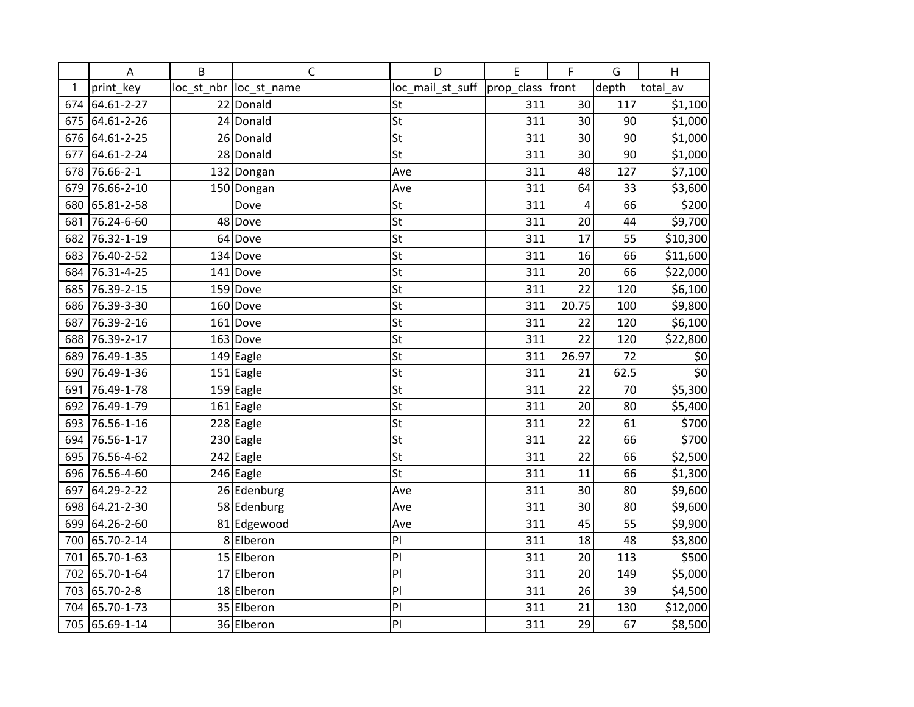|     | A          | B | $\mathsf{C}$            | D                | E          | F     | G     | $\mathsf{H}$ |
|-----|------------|---|-------------------------|------------------|------------|-------|-------|--------------|
| 1   | print_key  |   | loc_st_nbr  loc_st_name | loc_mail_st_suff | prop_class | front | depth | total av     |
| 674 | 64.61-2-27 |   | 22 Donald               | St               | 311        | 30    | 117   | \$1,100      |
| 675 | 64.61-2-26 |   | 24 Donald               | St               | 311        | 30    | 90    | \$1,000      |
| 676 | 64.61-2-25 |   | 26 Donald               | St               | 311        | 30    | 90    | \$1,000      |
| 677 | 64.61-2-24 |   | 28 Donald               | St               | 311        | 30    | 90    | \$1,000      |
| 678 | 76.66-2-1  |   | 132 Dongan              | Ave              | 311        | 48    | 127   | \$7,100      |
| 679 | 76.66-2-10 |   | 150 Dongan              | Ave              | 311        | 64    | 33    | \$3,600      |
| 680 | 65.81-2-58 |   | Dove                    | St               | 311        | 4     | 66    | \$200        |
| 681 | 76.24-6-60 |   | 48 Dove                 | St               | 311        | 20    | 44    | \$9,700      |
| 682 | 76.32-1-19 |   | 64 Dove                 | St               | 311        | 17    | 55    | \$10,300     |
| 683 | 76.40-2-52 |   | $134$ Dove              | St               | 311        | 16    | 66    | \$11,600     |
| 684 | 76.31-4-25 |   | $141$ Dove              | St               | 311        | 20    | 66    | \$22,000     |
| 685 | 76.39-2-15 |   | 159 Dove                | St               | 311        | 22    | 120   | \$6,100      |
| 686 | 76.39-3-30 |   | $160$ Dove              | St               | 311        | 20.75 | 100   | \$9,800      |
| 687 | 76.39-2-16 |   | $161$ Dove              | St               | 311        | 22    | 120   | \$6,100      |
| 688 | 76.39-2-17 |   | $163$ Dove              | St               | 311        | 22    | 120   | \$22,800     |
| 689 | 76.49-1-35 |   | 149 Eagle               | St               | 311        | 26.97 | 72    | \$0          |
| 690 | 76.49-1-36 |   | 151 Eagle               | St               | 311        | 21    | 62.5  | \$0          |
| 691 | 76.49-1-78 |   | $159$ Eagle             | St               | 311        | 22    | 70    | \$5,300      |
| 692 | 76.49-1-79 |   | $\overline{161}$ Eagle  | St               | 311        | 20    | 80    | \$5,400      |
| 693 | 76.56-1-16 |   | $\overline{228}$ Eagle  | St               | 311        | 22    | 61    | \$700        |
| 694 | 76.56-1-17 |   | $230$ Eagle             | St               | 311        | 22    | 66    | \$700        |
| 695 | 76.56-4-62 |   | $\overline{2}$ 42 Eagle | St               | 311        | 22    | 66    | \$2,500      |
| 696 | 76.56-4-60 |   | 246 Eagle               | St               | 311        | 11    | 66    | \$1,300      |
| 697 | 64.29-2-22 |   | 26 Edenburg             | Ave              | 311        | 30    | 80    | \$9,600      |
| 698 | 64.21-2-30 |   | 58 Edenburg             | Ave              | 311        | 30    | 80    | \$9,600      |
| 699 | 64.26-2-60 |   | 81 Edgewood             | Ave              | 311        | 45    | 55    | \$9,900      |
| 700 | 65.70-2-14 |   | 8 Elberon               | PI               | 311        | 18    | 48    | \$3,800      |
| 701 | 65.70-1-63 |   | 15 Elberon              | PI               | 311        | 20    | 113   | \$500        |
| 702 | 65.70-1-64 |   | 17 Elberon              | PI               | 311        | 20    | 149   | \$5,000      |
| 703 | 65.70-2-8  |   | 18 Elberon              | PI               | 311        | 26    | 39    | \$4,500      |
| 704 | 65.70-1-73 |   | 35 Elberon              | PI               | 311        | 21    | 130   | \$12,000     |
| 705 | 65.69-1-14 |   | 36 Elberon              | PI               | 311        | 29    | 67    | \$8,500      |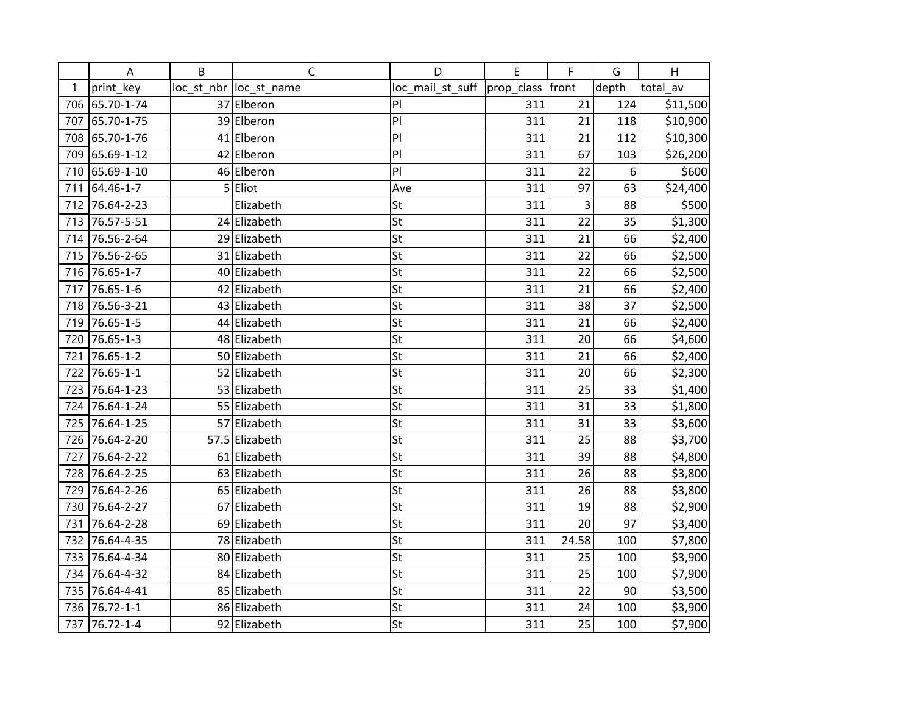|     | A               | B | C                       | D                | E          | F     | G     | H        |
|-----|-----------------|---|-------------------------|------------------|------------|-------|-------|----------|
| 1   | print_key       |   | loc_st_nbr  loc_st_name | loc_mail_st_suff | prop_class | front | depth | total av |
| 706 | 65.70-1-74      |   | 37 Elberon              | PI               | 311        | 21    | 124   | \$11,500 |
| 707 | 65.70-1-75      |   | 39 Elberon              | P                | 311        | 21    | 118   | \$10,900 |
| 708 | 65.70-1-76      |   | 41 Elberon              | PI               | 311        | 21    | 112   | \$10,300 |
| 709 | 65.69-1-12      |   | 42 Elberon              | PI               | 311        | 67    | 103   | \$26,200 |
| 710 | 65.69-1-10      |   | 46 Elberon              | PI               | 311        | 22    | 6     | \$600    |
| 711 | 64.46-1-7       |   | 5 Eliot                 | Ave              | 311        | 97    | 63    | \$24,400 |
| 712 | 76.64-2-23      |   | Elizabeth               | St               | 311        | 3     | 88    | \$500    |
| 713 | 76.57-5-51      |   | 24 Elizabeth            | St               | 311        | 22    | 35    | \$1,300  |
| 714 | 76.56-2-64      |   | 29 Elizabeth            | St               | 311        | 21    | 66    | \$2,400  |
| 715 | 76.56-2-65      |   | 31 Elizabeth            | St               | 311        | 22    | 66    | \$2,500  |
| 716 | 76.65-1-7       |   | 40 Elizabeth            | St               | 311        | 22    | 66    | \$2,500  |
| 717 | 76.65-1-6       |   | 42 Elizabeth            | St               | 311        | 21    | 66    | \$2,400  |
| 718 | 76.56-3-21      |   | 43 Elizabeth            | St               | 311        | 38    | 37    | \$2,500  |
| 719 | 76.65-1-5       |   | 44 Elizabeth            | St               | 311        | 21    | 66    | \$2,400  |
| 720 | 76.65-1-3       |   | 48 Elizabeth            | St               | 311        | 20    | 66    | \$4,600  |
| 721 | 76.65-1-2       |   | 50 Elizabeth            | St               | 311        | 21    | 66    | \$2,400  |
| 722 | $76.65 - 1 - 1$ |   | 52 Elizabeth            | St               | 311        | 20    | 66    | \$2,300  |
| 723 | 76.64-1-23      |   | 53 Elizabeth            | St               | 311        | 25    | 33    | \$1,400  |
| 724 | 76.64-1-24      |   | 55 Elizabeth            | St               | 311        | 31    | 33    | \$1,800  |
| 725 | 76.64-1-25      |   | 57 Elizabeth            | St               | 311        | 31    | 33    | \$3,600  |
| 726 | 76.64-2-20      |   | 57.5 Elizabeth          | St               | 311        | 25    | 88    | \$3,700  |
| 727 | 76.64-2-22      |   | 61 Elizabeth            | St               | 311        | 39    | 88    | \$4,800  |
| 728 | 76.64-2-25      |   | 63 Elizabeth            | St               | 311        | 26    | 88    | \$3,800  |
| 729 | 76.64-2-26      |   | 65 Elizabeth            | St               | 311        | 26    | 88    | \$3,800  |
| 730 | 76.64-2-27      |   | 67 Elizabeth            | St               | 311        | 19    | 88    | \$2,900  |
| 731 | 76.64-2-28      |   | 69 Elizabeth            | St               | 311        | 20    | 97    | \$3,400  |
| 732 | 76.64-4-35      |   | 78 Elizabeth            | St               | 311        | 24.58 | 100   | \$7,800  |
| 733 | 76.64-4-34      |   | 80 Elizabeth            | St               | 311        | 25    | 100   | \$3,900  |
| 734 | 76.64-4-32      |   | 84 Elizabeth            | St               | 311        | 25    | 100   | \$7,900  |
| 735 | 76.64-4-41      |   | 85 Elizabeth            | St               | 311        | 22    | 90    | \$3,500  |
| 736 | 76.72-1-1       |   | 86 Elizabeth            | St               | 311        | 24    | 100   | \$3,900  |
| 737 | 76.72-1-4       |   | 92 Elizabeth            | St               | 311        | 25    | 100   | \$7,900  |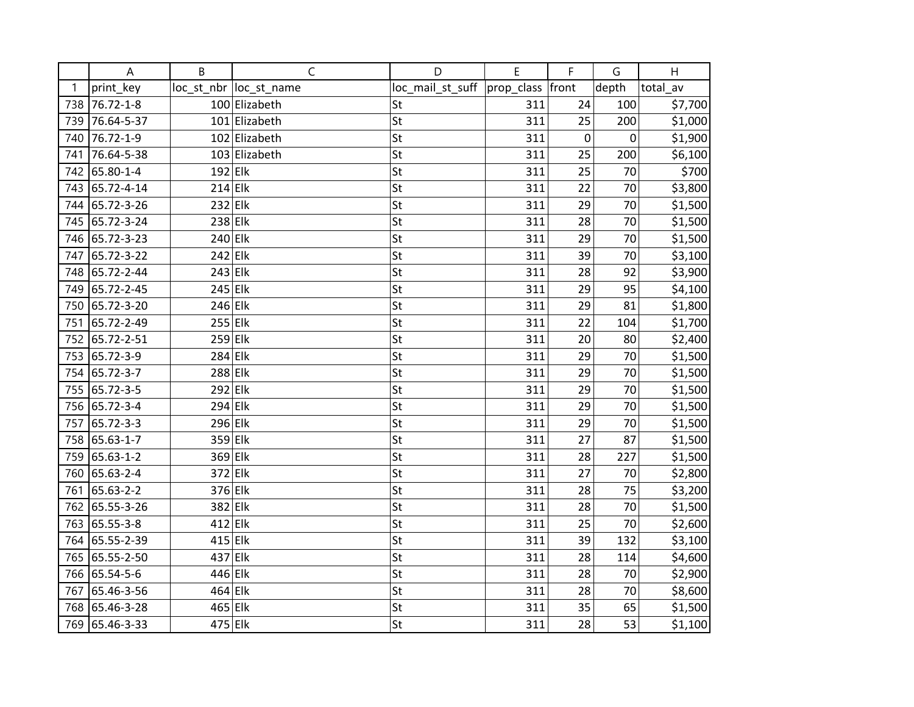|     | A          | B         | $\mathsf{C}$            | D                | E          | F     | G      | Н        |
|-----|------------|-----------|-------------------------|------------------|------------|-------|--------|----------|
| 1   | print_key  |           | loc_st_nbr  loc_st_name | loc_mail_st_suff | prop_class | front | depth  | total av |
| 738 | 76.72-1-8  |           | 100 Elizabeth           | St               | 311        | 24    | 100    | \$7,700  |
| 739 | 76.64-5-37 |           | 101 Elizabeth           | St               | 311        | 25    | 200    | \$1,000  |
| 740 | 76.72-1-9  |           | 102 Elizabeth           | St               | 311        | 0     | 0      | \$1,900  |
| 741 | 76.64-5-38 |           | 103 Elizabeth           | St               | 311        | 25    | 200    | \$6,100  |
| 742 | 65.80-1-4  | $192$ Elk |                         | St               | 311        | 25    | 70     | \$700    |
| 743 | 65.72-4-14 | $214$ Elk |                         | St               | 311        | 22    | 70     | \$3,800  |
| 744 | 65.72-3-26 | $232$ Elk |                         | St               | 311        | 29    | 70     | \$1,500  |
| 745 | 65.72-3-24 | $238$ Elk |                         | St               | 311        | 28    | 70     | \$1,500  |
| 746 | 65.72-3-23 | $240$ Elk |                         | St               | 311        | 29    | 70     | \$1,500  |
| 747 | 65.72-3-22 | $242$ Elk |                         | St               | 311        | 39    | 70     | \$3,100  |
| 748 | 65.72-2-44 | $243$ Elk |                         | St               | 311        | 28    | 92     | \$3,900  |
| 749 | 65.72-2-45 | $245$ Elk |                         | St               | 311        | 29    | 95     | \$4,100  |
| 750 | 65.72-3-20 | $246$ Elk |                         | St               | 311        | 29    | 81     | \$1,800  |
| 751 | 65.72-2-49 | $255$ Elk |                         | St               | 311        | 22    | 104    | \$1,700  |
| 752 | 65.72-2-51 | $259$ Elk |                         | St               | 311        | 20    | 80     | \$2,400  |
| 753 | 65.72-3-9  | $284$ Elk |                         | St               | 311        | 29    | 70     | \$1,500  |
| 754 | 65.72-3-7  | 288 Elk   |                         | St               | 311        | 29    | 70     | \$1,500  |
| 755 | 65.72-3-5  | $292$ Elk |                         | St               | 311        | 29    | 70     | \$1,500  |
| 756 | 65.72-3-4  | $294$ Elk |                         | St               | 311        | 29    | 70     | \$1,500  |
| 757 | 65.72-3-3  | $296$ Elk |                         | St               | 311        | 29    | 70     | \$1,500  |
| 758 | 65.63-1-7  | 359 Elk   |                         | St               | 311        | 27    | 87     | \$1,500  |
| 759 | 65.63-1-2  | 369 Elk   |                         | St               | 311        | 28    | 227    | \$1,500  |
| 760 | 65.63-2-4  | $372$ Elk |                         | St               | 311        | 27    | 70     | \$2,800  |
| 761 | 65.63-2-2  | 376 Elk   |                         | St               | 311        | 28    | 75     | \$3,200  |
| 762 | 65.55-3-26 | 382 Elk   |                         | St               | 311        | 28    | $70\,$ | \$1,500  |
| 763 | 65.55-3-8  | $412$ Elk |                         | St               | 311        | 25    | 70     | \$2,600  |
| 764 | 65.55-2-39 | $415$ Elk |                         | St               | 311        | 39    | 132    | \$3,100  |
| 765 | 65.55-2-50 | 437 Elk   |                         | St               | 311        | 28    | 114    | \$4,600  |
| 766 | 65.54-5-6  | 446 Elk   |                         | St               | 311        | 28    | 70     | \$2,900  |
| 767 | 65.46-3-56 | $464$ Elk |                         | St               | 311        | 28    | 70     | \$8,600  |
| 768 | 65.46-3-28 | $465$ Elk |                         | St               | 311        | 35    | 65     | \$1,500  |
| 769 | 65.46-3-33 | 475 Elk   |                         | St               | 311        | 28    | 53     | \$1,100  |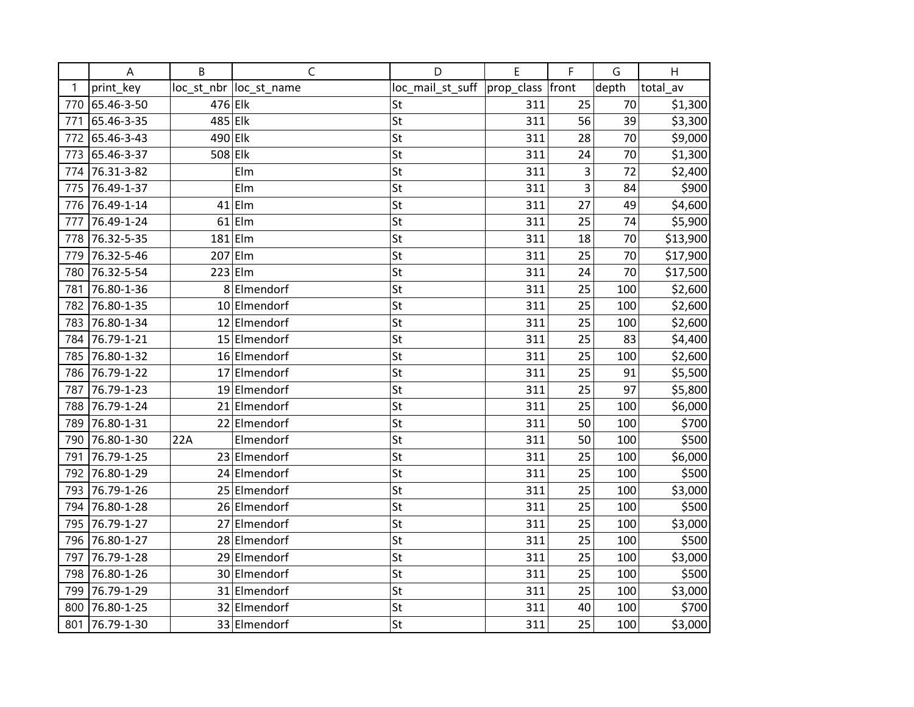|     | A          | B         | C                       | D                | E          | F            | G     | H        |
|-----|------------|-----------|-------------------------|------------------|------------|--------------|-------|----------|
| 1   | print_key  |           | loc_st_nbr  loc_st_name | loc_mail_st_suff | prop_class | front        | depth | total_av |
| 770 | 65.46-3-50 | 476 Elk   |                         | St               | 311        | 25           | 70    | \$1,300  |
| 771 | 65.46-3-35 | 485 Elk   |                         | St               | 311        | 56           | 39    | \$3,300  |
| 772 | 65.46-3-43 | $490$ Elk |                         | St               | 311        | 28           | 70    | \$9,000  |
| 773 | 65.46-3-37 | $508$ Elk |                         | St               | 311        | 24           | 70    | \$1,300  |
| 774 | 76.31-3-82 |           | Elm                     | St               | 311        | $\mathsf{3}$ | 72    | \$2,400  |
| 775 | 76.49-1-37 |           | Elm                     | St               | 311        | 3            | 84    | \$900    |
| 776 | 76.49-1-14 |           | $41$  Elm               | St               | 311        | 27           | 49    | \$4,600  |
| 777 | 76.49-1-24 |           | $61$  Elm               | St               | 311        | 25           | 74    | \$5,900  |
| 778 | 76.32-5-35 |           | $181$ Elm               | St               | 311        | 18           | 70    | \$13,900 |
| 779 | 76.32-5-46 |           | $207$ Elm               | St               | 311        | 25           | 70    | \$17,900 |
| 780 | 76.32-5-54 |           | $223$ Elm               | St               | 311        | 24           | 70    | \$17,500 |
| 781 | 76.80-1-36 |           | 8 Elmendorf             | St               | 311        | 25           | 100   | \$2,600  |
| 782 | 76.80-1-35 |           | 10 Elmendorf            | St               | 311        | 25           | 100   | \$2,600  |
| 783 | 76.80-1-34 |           | 12 Elmendorf            | St               | 311        | 25           | 100   | \$2,600  |
| 784 | 76.79-1-21 |           | 15 Elmendorf            | St               | 311        | 25           | 83    | \$4,400  |
| 785 | 76.80-1-32 |           | 16 Elmendorf            | St               | 311        | 25           | 100   | \$2,600  |
| 786 | 76.79-1-22 |           | 17 Elmendorf            | St               | 311        | 25           | 91    | \$5,500  |
| 787 | 76.79-1-23 |           | 19 Elmendorf            | St               | 311        | 25           | 97    | \$5,800  |
| 788 | 76.79-1-24 |           | 21 Elmendorf            | St               | 311        | 25           | 100   | \$6,000  |
| 789 | 76.80-1-31 |           | 22 Elmendorf            | St               | 311        | 50           | 100   | \$700    |
| 790 | 76.80-1-30 | 22A       | Elmendorf               | St               | 311        | 50           | 100   | \$500    |
| 791 | 76.79-1-25 |           | 23 Elmendorf            | St               | 311        | 25           | 100   | \$6,000  |
| 792 | 76.80-1-29 |           | 24 Elmendorf            | St               | 311        | 25           | 100   | \$500    |
| 793 | 76.79-1-26 |           | 25 Elmendorf            | St               | 311        | 25           | 100   | \$3,000  |
| 794 | 76.80-1-28 |           | 26 Elmendorf            | St               | 311        | 25           | 100   | \$500    |
| 795 | 76.79-1-27 |           | 27 Elmendorf            | St               | 311        | 25           | 100   | \$3,000  |
| 796 | 76.80-1-27 |           | 28 Elmendorf            | St               | 311        | 25           | 100   | \$500    |
| 797 | 76.79-1-28 |           | 29 Elmendorf            | St               | 311        | 25           | 100   | \$3,000  |
| 798 | 76.80-1-26 |           | 30 Elmendorf            | St               | 311        | 25           | 100   | \$500    |
| 799 | 76.79-1-29 |           | 31 Elmendorf            | St               | 311        | 25           | 100   | \$3,000  |
| 800 | 76.80-1-25 |           | 32 Elmendorf            | St               | 311        | 40           | 100   | \$700    |
| 801 | 76.79-1-30 |           | 33 Elmendorf            | St               | 311        | 25           | 100   | \$3,000  |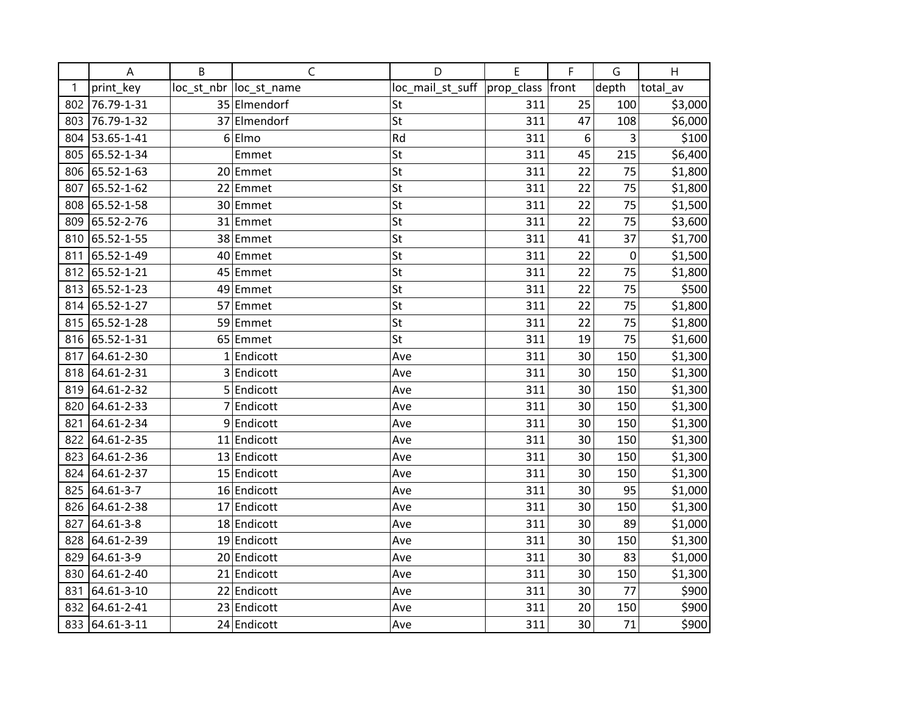|     | A          | B | C                       | D                | E                | F  | G     | H        |
|-----|------------|---|-------------------------|------------------|------------------|----|-------|----------|
| 1   | print_key  |   | loc_st_nbr  loc_st_name | loc_mail_st_suff | prop_class front |    | depth | total av |
| 802 | 76.79-1-31 |   | 35 Elmendorf            | St               | 311              | 25 | 100   | \$3,000  |
| 803 | 76.79-1-32 |   | 37 Elmendorf            | St               | 311              | 47 | 108   | \$6,000  |
| 804 | 53.65-1-41 |   | $6 E$ Imo               | Rd               | 311              | 6  | 3     | \$100    |
| 805 | 65.52-1-34 |   | Emmet                   | St               | 311              | 45 | 215   | \$6,400  |
| 806 | 65.52-1-63 |   | 20 Emmet                | St               | 311              | 22 | 75    | \$1,800  |
| 807 | 65.52-1-62 |   | 22 Emmet                | St               | 311              | 22 | 75    | \$1,800  |
| 808 | 65.52-1-58 |   | 30 Emmet                | St               | 311              | 22 | 75    | \$1,500  |
| 809 | 65.52-2-76 |   | 31 Emmet                | St               | 311              | 22 | 75    | \$3,600  |
| 810 | 65.52-1-55 |   | 38 Emmet                | St               | 311              | 41 | 37    | \$1,700  |
| 811 | 65.52-1-49 |   | 40 Emmet                | St               | 311              | 22 | 0     | \$1,500  |
| 812 | 65.52-1-21 |   | 45 Emmet                | St               | 311              | 22 | 75    | \$1,800  |
| 813 | 65.52-1-23 |   | 49 Emmet                | St               | 311              | 22 | 75    | \$500    |
| 814 | 65.52-1-27 |   | 57 Emmet                | St               | 311              | 22 | 75    | \$1,800  |
| 815 | 65.52-1-28 |   | 59 Emmet                | St               | 311              | 22 | 75    | \$1,800  |
| 816 | 65.52-1-31 |   | 65 Emmet                | St               | 311              | 19 | 75    | \$1,600  |
| 817 | 64.61-2-30 |   | $1$ Endicott            | Ave              | 311              | 30 | 150   | \$1,300  |
| 818 | 64.61-2-31 |   | 3 Endicott              | Ave              | 311              | 30 | 150   | \$1,300  |
| 819 | 64.61-2-32 |   | 5 Endicott              | Ave              | 311              | 30 | 150   | \$1,300  |
| 820 | 64.61-2-33 |   | 7 Endicott              | Ave              | 311              | 30 | 150   | \$1,300  |
| 821 | 64.61-2-34 |   | 9 Endicott              | Ave              | 311              | 30 | 150   | \$1,300  |
| 822 | 64.61-2-35 |   | 11 Endicott             | Ave              | 311              | 30 | 150   | \$1,300  |
| 823 | 64.61-2-36 |   | 13 Endicott             | Ave              | 311              | 30 | 150   | \$1,300  |
| 824 | 64.61-2-37 |   | 15 Endicott             | Ave              | 311              | 30 | 150   | \$1,300  |
| 825 | 64.61-3-7  |   | 16 Endicott             | Ave              | 311              | 30 | 95    | \$1,000  |
| 826 | 64.61-2-38 |   | 17 Endicott             | Ave              | 311              | 30 | 150   | \$1,300  |
| 827 | 64.61-3-8  |   | 18 Endicott             | Ave              | 311              | 30 | 89    | \$1,000  |
| 828 | 64.61-2-39 |   | 19 Endicott             | Ave              | 311              | 30 | 150   | \$1,300  |
| 829 | 64.61-3-9  |   | 20 Endicott             | Ave              | 311              | 30 | 83    | \$1,000  |
| 830 | 64.61-2-40 |   | 21 Endicott             | Ave              | 311              | 30 | 150   | \$1,300  |
| 831 | 64.61-3-10 |   | 22 Endicott             | Ave              | 311              | 30 | 77    | \$900    |
| 832 | 64.61-2-41 |   | 23 Endicott             | Ave              | 311              | 20 | 150   | \$900    |
| 833 | 64.61-3-11 |   | 24 Endicott             | Ave              | 311              | 30 | 71    | \$900    |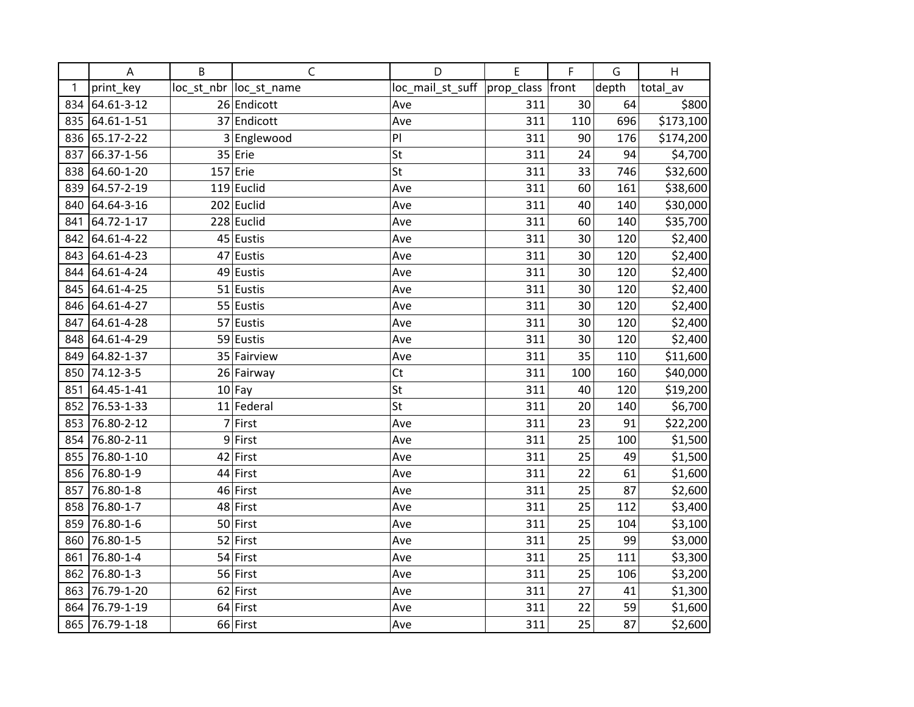|     | A          | B | $\mathsf C$             | D                | E             | F     | G     | H         |
|-----|------------|---|-------------------------|------------------|---------------|-------|-------|-----------|
| 1   | print_key  |   | loc_st_nbr  loc_st_name | loc_mail_st_suff | $prop$ -class | front | depth | total_av  |
| 834 | 64.61-3-12 |   | 26 Endicott             | Ave              | 311           | 30    | 64    | \$800     |
| 835 | 64.61-1-51 |   | 37 Endicott             | Ave              | 311           | 110   | 696   | \$173,100 |
| 836 | 65.17-2-22 |   | 3 Englewood             | PI               | 311           | 90    | 176   | \$174,200 |
| 837 | 66.37-1-56 |   | $35$ Erie               | St               | 311           | 24    | 94    | \$4,700   |
| 838 | 64.60-1-20 |   | $157$ Erie              | St               | 311           | 33    | 746   | \$32,600  |
| 839 | 64.57-2-19 |   | $119$ Euclid            | Ave              | 311           | 60    | 161   | \$38,600  |
| 840 | 64.64-3-16 |   | $202$ Euclid            | Ave              | 311           | 40    | 140   | \$30,000  |
| 841 | 64.72-1-17 |   | $228$ Euclid            | Ave              | 311           | 60    | 140   | \$35,700  |
| 842 | 64.61-4-22 |   | $45$ Eustis             | Ave              | 311           | 30    | 120   | \$2,400   |
| 843 | 64.61-4-23 |   | 47 Eustis               | Ave              | 311           | 30    | 120   | \$2,400   |
| 844 | 64.61-4-24 |   | 49 Eustis               | Ave              | 311           | 30    | 120   | \$2,400   |
| 845 | 64.61-4-25 |   | $51$ Eustis             | Ave              | 311           | 30    | 120   | \$2,400   |
| 846 | 64.61-4-27 |   | 55 Eustis               | Ave              | 311           | 30    | 120   | \$2,400   |
| 847 | 64.61-4-28 |   | 57 Eustis               | Ave              | 311           | 30    | 120   | \$2,400   |
| 848 | 64.61-4-29 |   | 59 Eustis               | Ave              | 311           | 30    | 120   | \$2,400   |
| 849 | 64.82-1-37 |   | 35 Fairview             | Ave              | 311           | 35    | 110   | \$11,600  |
| 850 | 74.12-3-5  |   | 26 Fairway              | Ct               | 311           | 100   | 160   | \$40,000  |
| 851 | 64.45-1-41 |   | $10$ Fay                | St               | 311           | 40    | 120   | \$19,200  |
| 852 | 76.53-1-33 |   | 11 Federal              | St               | 311           | 20    | 140   | \$6,700   |
| 853 | 76.80-2-12 | 7 | First                   | Ave              | 311           | 23    | 91    | \$22,200  |
| 854 | 76.80-2-11 |   | 9First                  | Ave              | 311           | 25    | 100   | \$1,500   |
| 855 | 76.80-1-10 |   | 42 First                | Ave              | 311           | 25    | 49    | \$1,500   |
| 856 | 76.80-1-9  |   | 44 First                | Ave              | 311           | 22    | 61    | \$1,600   |
| 857 | 76.80-1-8  |   | 46 First                | Ave              | 311           | 25    | 87    | \$2,600   |
| 858 | 76.80-1-7  |   | 48 First                | Ave              | 311           | 25    | 112   | \$3,400   |
| 859 | 76.80-1-6  |   | 50 First                | Ave              | 311           | 25    | 104   | \$3,100   |
| 860 | 76.80-1-5  |   | 52 First                | Ave              | 311           | 25    | 99    | \$3,000   |
| 861 | 76.80-1-4  |   | 54 First                | Ave              | 311           | 25    | 111   | \$3,300   |
| 862 | 76.80-1-3  |   | 56 First                | Ave              | 311           | 25    | 106   | \$3,200   |
| 863 | 76.79-1-20 |   | $62$ First              | Ave              | 311           | 27    | 41    | \$1,300   |
| 864 | 76.79-1-19 |   | $64$ First              | Ave              | 311           | 22    | 59    | \$1,600   |
| 865 | 76.79-1-18 |   | 66 First                | Ave              | 311           | 25    | 87    | \$2,600   |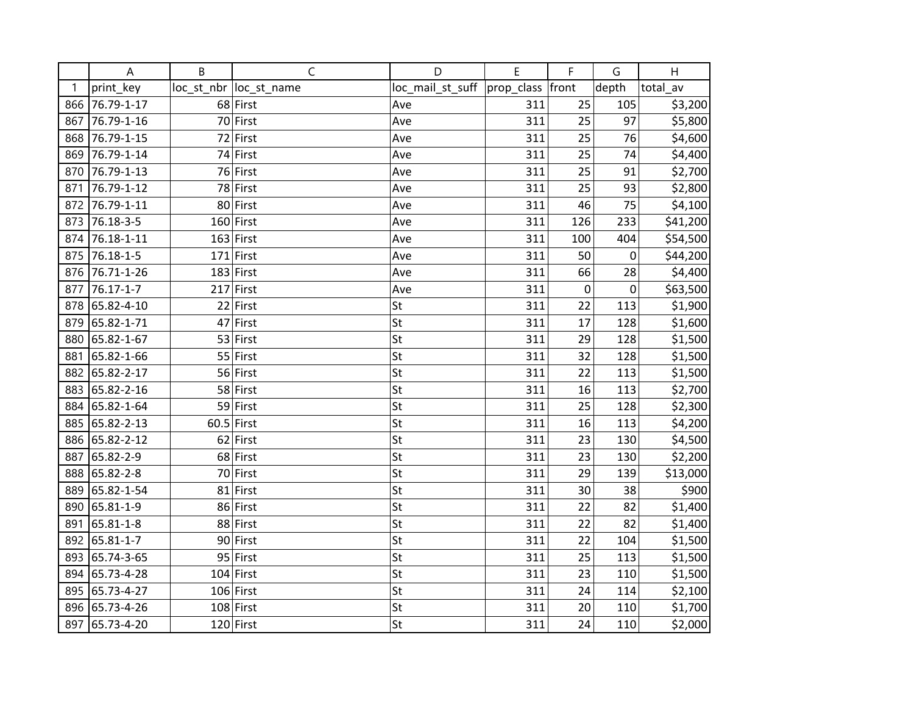|     | A          | B | $\mathsf{C}$            | D                            | E   | F                | G         | H        |
|-----|------------|---|-------------------------|------------------------------|-----|------------------|-----------|----------|
| 1   | print_key  |   | loc_st_nbr  loc_st_name | loc_mail_st_suff  prop_class |     | front            | depth     | total_av |
| 866 | 76.79-1-17 |   | 68 First                | Ave                          | 311 | 25               | 105       | \$3,200  |
| 867 | 76.79-1-16 |   | 70 First                | Ave                          | 311 | 25               | 97        | \$5,800  |
| 868 | 76.79-1-15 |   | 72 First                | Ave                          | 311 | 25               | 76        | \$4,600  |
| 869 | 76.79-1-14 |   | 74 First                | Ave                          | 311 | 25               | 74        | \$4,400  |
| 870 | 76.79-1-13 |   | 76 First                | Ave                          | 311 | 25               | 91        | \$2,700  |
| 871 | 76.79-1-12 |   | 78 First                | Ave                          | 311 | 25               | 93        | \$2,800  |
| 872 | 76.79-1-11 |   | 80 First                | Ave                          | 311 | 46               | 75        | \$4,100  |
| 873 | 76.18-3-5  |   | 160 First               | Ave                          | 311 | 126              | 233       | \$41,200 |
| 874 | 76.18-1-11 |   | $163$ First             | Ave                          | 311 | 100              | 404       | \$54,500 |
| 875 | 76.18-1-5  |   | $171$ First             | Ave                          | 311 | 50               | 0         | \$44,200 |
| 876 | 76.71-1-26 |   | $183$ First             | Ave                          | 311 | 66               | 28        | \$4,400  |
| 877 | 76.17-1-7  |   | $217$ First             | Ave                          | 311 | $\boldsymbol{0}$ | $\pmb{0}$ | \$63,500 |
| 878 | 65.82-4-10 |   | $22$ First              | St                           | 311 | 22               | 113       | \$1,900  |
| 879 | 65.82-1-71 |   | 47 First                | St                           | 311 | 17               | 128       | \$1,600  |
| 880 | 65.82-1-67 |   | 53 First                | St                           | 311 | 29               | 128       | \$1,500  |
| 881 | 65.82-1-66 |   | 55 First                | St                           | 311 | 32               | 128       | \$1,500  |
| 882 | 65.82-2-17 |   | 56 First                | St                           | 311 | 22               | 113       | \$1,500  |
| 883 | 65.82-2-16 |   | 58 First                | St                           | 311 | 16               | 113       | \$2,700  |
| 884 | 65.82-1-64 |   | 59 First                | St                           | 311 | 25               | 128       | \$2,300  |
| 885 | 65.82-2-13 |   | $60.5$ First            | St                           | 311 | 16               | 113       | \$4,200  |
| 886 | 65.82-2-12 |   | 62 First                | St                           | 311 | 23               | 130       | \$4,500  |
| 887 | 65.82-2-9  |   | 68 First                | St                           | 311 | 23               | 130       | \$2,200  |
| 888 | 65.82-2-8  |   | 70 First                | St                           | 311 | 29               | 139       | \$13,000 |
| 889 | 65.82-1-54 |   | $81$ First              | St                           | 311 | 30               | 38        | \$900    |
| 890 | 65.81-1-9  |   | 86 First                | St                           | 311 | 22               | 82        | \$1,400  |
| 891 | 65.81-1-8  |   | 88 First                | St                           | 311 | 22               | 82        | \$1,400  |
| 892 | 65.81-1-7  |   | 90 First                | St                           | 311 | 22               | 104       | \$1,500  |
| 893 | 65.74-3-65 |   | 95 First                | St                           | 311 | 25               | 113       | \$1,500  |
| 894 | 65.73-4-28 |   | $104$ First             | St                           | 311 | 23               | 110       | \$1,500  |
| 895 | 65.73-4-27 |   | 106 First               | St                           | 311 | 24               | 114       | \$2,100  |
| 896 | 65.73-4-26 |   | $108$ First             | St                           | 311 | 20               | 110       | \$1,700  |
| 897 | 65.73-4-20 |   | $120$ First             | St                           | 311 | 24               | 110       | \$2,000  |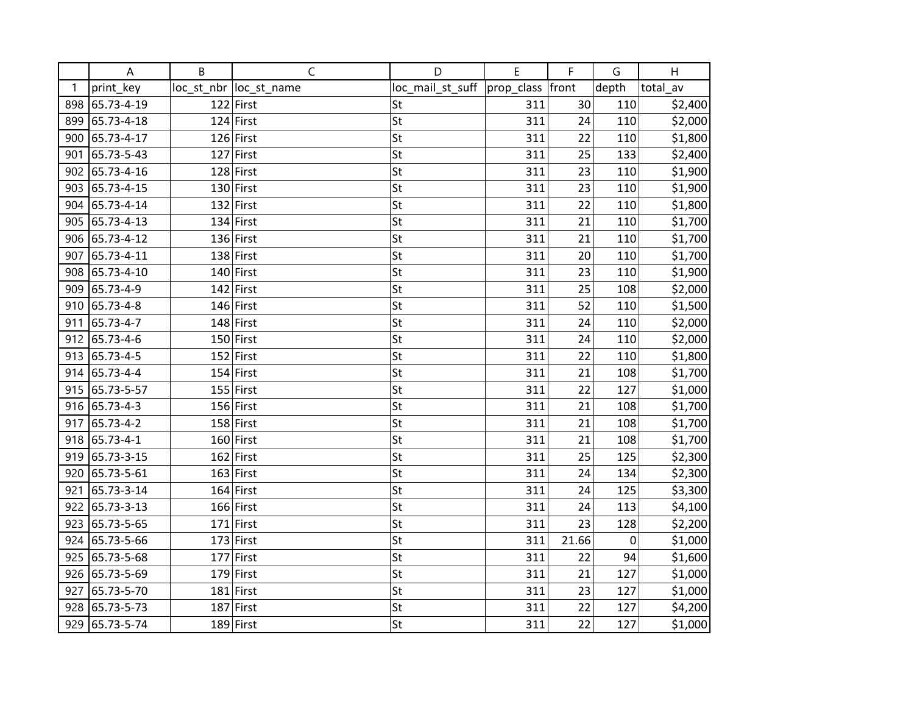|     | A               | B | C                       | D                            | E   | F     | G           | H        |
|-----|-----------------|---|-------------------------|------------------------------|-----|-------|-------------|----------|
| 1   | print_key       |   | loc_st_nbr  loc_st_name | loc_mail_st_suff  prop_class |     | front | depth       | total_av |
| 898 | 65.73-4-19      |   | $122$ First             | St                           | 311 | 30    | 110         | \$2,400  |
| 899 | 65.73-4-18      |   | $124$ First             | St                           | 311 | 24    | 110         | \$2,000  |
| 900 | 65.73-4-17      |   | 126 First               | St                           | 311 | 22    | 110         | \$1,800  |
| 901 | 65.73-5-43      |   | $127$ First             | St                           | 311 | 25    | 133         | \$2,400  |
| 902 | 65.73-4-16      |   | 128 First               | St                           | 311 | 23    | 110         | \$1,900  |
| 903 | 65.73-4-15      |   | $130$ First             | St                           | 311 | 23    | 110         | \$1,900  |
| 904 | 65.73-4-14      |   | $132$ First             | St                           | 311 | 22    | 110         | \$1,800  |
| 905 | 65.73-4-13      |   | $134$ First             | St                           | 311 | 21    | 110         | \$1,700  |
| 906 | 65.73-4-12      |   | 136 First               | St                           | 311 | 21    | 110         | \$1,700  |
| 907 | 65.73-4-11      |   | $138$ First             | St                           | 311 | 20    | 110         | \$1,700  |
| 908 | 65.73-4-10      |   | $140$ First             | St                           | 311 | 23    | 110         | \$1,900  |
| 909 | 65.73-4-9       |   | $142$ First             | St                           | 311 | 25    | 108         | \$2,000  |
| 910 | 65.73-4-8       |   | 146 First               | St                           | 311 | 52    | 110         | \$1,500  |
| 911 | 65.73-4-7       |   | $148$ First             | St                           | 311 | 24    | 110         | \$2,000  |
| 912 | 65.73-4-6       |   | $150$ First             | St                           | 311 | 24    | 110         | \$2,000  |
| 913 | 65.73-4-5       |   | $152$ First             | St                           | 311 | 22    | 110         | \$1,800  |
| 914 | 65.73-4-4       |   | $154$ First             | St                           | 311 | 21    | 108         | \$1,700  |
| 915 | 65.73-5-57      |   | $155$ First             | St                           | 311 | 22    | 127         | \$1,000  |
| 916 | 65.73-4-3       |   | 156 First               | St                           | 311 | 21    | 108         | \$1,700  |
| 917 | 65.73-4-2       |   | $158$ First             | St                           | 311 | 21    | 108         | \$1,700  |
| 918 | $65.73 - 4 - 1$ |   | 160 First               | St                           | 311 | 21    | 108         | \$1,700  |
| 919 | 65.73-3-15      |   | 162 First               | St                           | 311 | 25    | 125         | \$2,300  |
| 920 | 65.73-5-61      |   | 163 First               | St                           | 311 | 24    | 134         | \$2,300  |
| 921 | 65.73-3-14      |   | $164$ First             | St                           | 311 | 24    | 125         | \$3,300  |
| 922 | 65.73-3-13      |   | 166 First               | St                           | 311 | 24    | 113         | \$4,100  |
| 923 | 65.73-5-65      |   | $171$ First             | St                           | 311 | 23    | 128         | \$2,200  |
| 924 | 65.73-5-66      |   | $173$ First             | St                           | 311 | 21.66 | $\mathbf 0$ | \$1,000  |
| 925 | 65.73-5-68      |   | $177$ First             | St                           | 311 | 22    | 94          | \$1,600  |
| 926 | 65.73-5-69      |   | $179$ First             | St                           | 311 | 21    | 127         | \$1,000  |
| 927 | 65.73-5-70      |   | $181$ First             | St                           | 311 | 23    | 127         | \$1,000  |
| 928 | 65.73-5-73      |   | 187 First               | St                           | 311 | 22    | 127         | \$4,200  |
| 929 | 65.73-5-74      |   | $189$ First             | St                           | 311 | 22    | 127         | \$1,000  |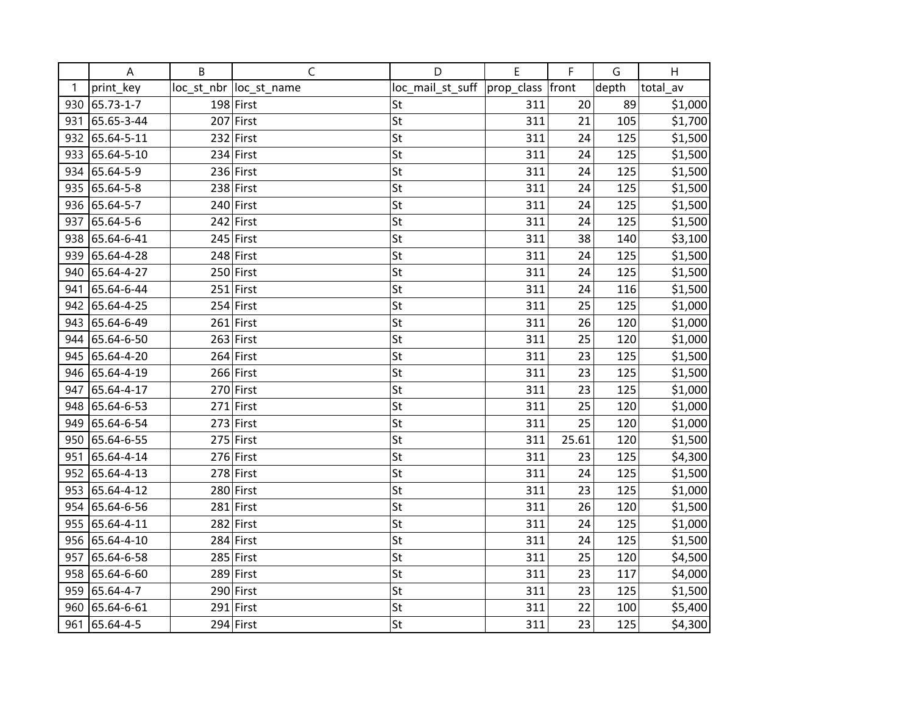|     | A              | B | $\mathsf{C}$            | D                | E          | F     | G     | H        |
|-----|----------------|---|-------------------------|------------------|------------|-------|-------|----------|
| 1   | print_key      |   | loc_st_nbr  loc_st_name | loc_mail_st_suff | prop_class | front | depth | total_av |
| 930 | 65.73-1-7      |   | 198 First               | St               | 311        | 20    | 89    | \$1,000  |
| 931 | 65.65-3-44     |   | 207 First               | St               | 311        | 21    | 105   | \$1,700  |
| 932 | 65.64-5-11     |   | $232$ First             | St               | 311        | 24    | 125   | \$1,500  |
| 933 | 65.64-5-10     |   | $234$ First             | St               | 311        | 24    | 125   | \$1,500  |
| 934 | 65.64-5-9      |   | $236$ First             | St               | 311        | 24    | 125   | \$1,500  |
| 935 | 65.64-5-8      |   | $238$ First             | St               | 311        | 24    | 125   | \$1,500  |
|     | 936 65.64-5-7  |   | $240$ First             | St               | 311        | 24    | 125   | \$1,500  |
| 937 | 65.64-5-6      |   | $242$ First             | St               | 311        | 24    | 125   | \$1,500  |
| 938 | 65.64-6-41     |   | 245 First               | St               | 311        | 38    | 140   | \$3,100  |
| 939 | 65.64-4-28     |   | 248 First               | St               | 311        | 24    | 125   | \$1,500  |
| 940 | 65.64-4-27     |   | $250$ First             | St               | 311        | 24    | 125   | \$1,500  |
| 941 | 65.64-6-44     |   | $251$ First             | St               | 311        | 24    | 116   | \$1,500  |
| 942 | 65.64-4-25     |   | 254 First               | St               | 311        | 25    | 125   | \$1,000  |
| 943 | 65.64-6-49     |   | $261$ First             | St               | 311        | 26    | 120   | \$1,000  |
| 944 | 65.64-6-50     |   | $263$ First             | St               | 311        | 25    | 120   | \$1,000  |
| 945 | 65.64-4-20     |   | $264$ First             | St               | 311        | 23    | 125   | \$1,500  |
|     | 946 65.64-4-19 |   | 266 First               | St               | 311        | 23    | 125   | \$1,500  |
| 947 | 65.64-4-17     |   | $270$ First             | St               | 311        | 23    | 125   | \$1,000  |
| 948 | 65.64-6-53     |   | $271$ First             | St               | 311        | 25    | 120   | \$1,000  |
| 949 | 65.64-6-54     |   | $273$ First             | St               | 311        | 25    | 120   | \$1,000  |
| 950 | 65.64-6-55     |   | $275$ First             | St               | 311        | 25.61 | 120   | \$1,500  |
| 951 | 65.64-4-14     |   | 276 First               | St               | 311        | 23    | 125   | \$4,300  |
| 952 | 65.64-4-13     |   | 278 First               | St               | 311        | 24    | 125   | \$1,500  |
| 953 | 65.64-4-12     |   | $280$ First             | St               | 311        | 23    | 125   | \$1,000  |
| 954 | 65.64-6-56     |   | $281$ First             | St               | 311        | 26    | 120   | \$1,500  |
| 955 | 65.64-4-11     |   | 282 First               | St               | 311        | 24    | 125   | \$1,000  |
| 956 | 65.64-4-10     |   | $284$ First             | St               | 311        | 24    | 125   | \$1,500  |
| 957 | 65.64-6-58     |   | 285 First               | St               | 311        | 25    | 120   | \$4,500  |
| 958 | 65.64-6-60     |   | 289 First               | St               | 311        | 23    | 117   | \$4,000  |
| 959 | 65.64-4-7      |   | 290 First               | St               | 311        | 23    | 125   | \$1,500  |
| 960 | 65.64-6-61     |   | $291$ First             | St               | 311        | 22    | 100   | \$5,400  |
| 961 | 65.64-4-5      |   | $294$ First             | St               | 311        | 23    | 125   | \$4,300  |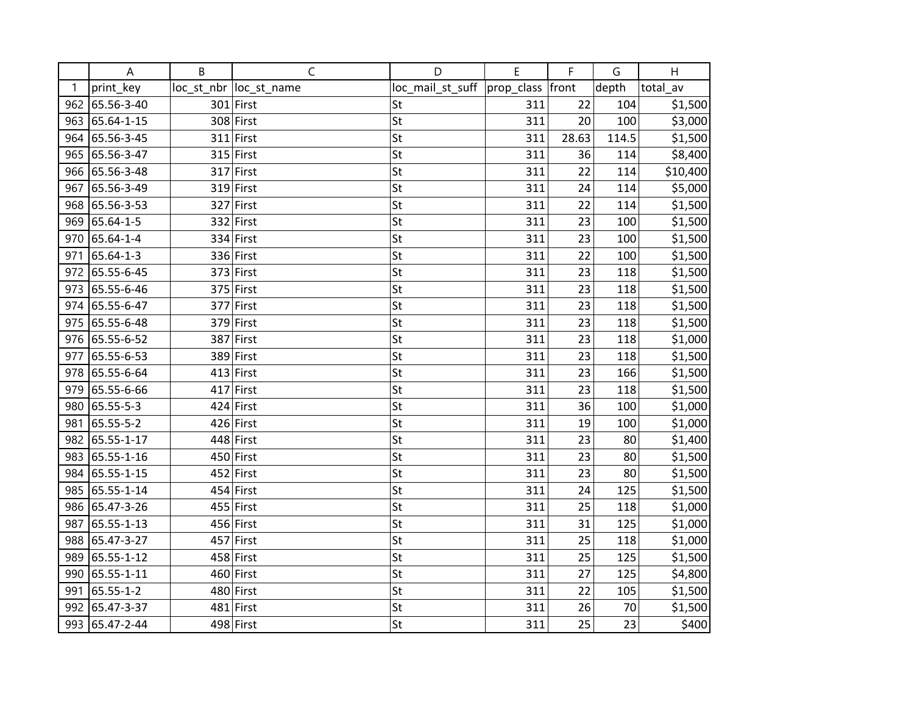|     | A          | B | $\mathsf{C}$            | D                            | E   | F     | G     | H        |
|-----|------------|---|-------------------------|------------------------------|-----|-------|-------|----------|
| 1   | print_key  |   | loc_st_nbr  loc_st_name | loc_mail_st_suff  prop_class |     | front | depth | total_av |
| 962 | 65.56-3-40 |   | $301$ First             | St                           | 311 | 22    | 104   | \$1,500  |
| 963 | 65.64-1-15 |   | 308 First               | St                           | 311 | 20    | 100   | \$3,000  |
| 964 | 65.56-3-45 |   | $311$ First             | St                           | 311 | 28.63 | 114.5 | \$1,500  |
| 965 | 65.56-3-47 |   | $315$ First             | St                           | 311 | 36    | 114   | \$8,400  |
| 966 | 65.56-3-48 |   | $317$ First             | St                           | 311 | 22    | 114   | \$10,400 |
| 967 | 65.56-3-49 |   | $319$ First             | St                           | 311 | 24    | 114   | \$5,000  |
| 968 | 65.56-3-53 |   | 327 First               | St                           | 311 | 22    | 114   | \$1,500  |
| 969 | 65.64-1-5  |   | $332$ First             | St                           | 311 | 23    | 100   | \$1,500  |
| 970 | 65.64-1-4  |   | $334$ First             | St                           | 311 | 23    | 100   | \$1,500  |
| 971 | 65.64-1-3  |   | 336 First               | St                           | 311 | 22    | 100   | \$1,500  |
| 972 | 65.55-6-45 |   | 373 First               | St                           | 311 | 23    | 118   | \$1,500  |
| 973 | 65.55-6-46 |   | 375 First               | St                           | 311 | 23    | 118   | \$1,500  |
| 974 | 65.55-6-47 |   | 377 First               | St                           | 311 | 23    | 118   | \$1,500  |
| 975 | 65.55-6-48 |   | $379$ First             | St                           | 311 | 23    | 118   | \$1,500  |
| 976 | 65.55-6-52 |   | 387 First               | St                           | 311 | 23    | 118   | \$1,000  |
| 977 | 65.55-6-53 |   | 389 First               | St                           | 311 | 23    | 118   | \$1,500  |
| 978 | 65.55-6-64 |   | $413$ First             | St                           | 311 | 23    | 166   | \$1,500  |
| 979 | 65.55-6-66 |   | 417 First               | St                           | 311 | 23    | 118   | \$1,500  |
| 980 | 65.55-5-3  |   | $424$ First             | St                           | 311 | 36    | 100   | \$1,000  |
| 981 | 65.55-5-2  |   | 426 First               | St                           | 311 | 19    | 100   | \$1,000  |
| 982 | 65.55-1-17 |   | 448 First               | St                           | 311 | 23    | 80    | \$1,400  |
| 983 | 65.55-1-16 |   | $450$ First             | St                           | 311 | 23    | 80    | \$1,500  |
| 984 | 65.55-1-15 |   | 452 First               | St                           | 311 | 23    | 80    | \$1,500  |
| 985 | 65.55-1-14 |   | $454$ First             | St                           | 311 | 24    | 125   | \$1,500  |
| 986 | 65.47-3-26 |   | 455 First               | St                           | 311 | 25    | 118   | \$1,000  |
| 987 | 65.55-1-13 |   | 456 First               | St                           | 311 | 31    | 125   | \$1,000  |
| 988 | 65.47-3-27 |   | 457 First               | St                           | 311 | 25    | 118   | \$1,000  |
| 989 | 65.55-1-12 |   | 458 First               | St                           | 311 | 25    | 125   | \$1,500  |
| 990 | 65.55-1-11 |   | 460 First               | St                           | 311 | 27    | 125   | \$4,800  |
| 991 | 65.55-1-2  |   | 480 First               | St                           | 311 | 22    | 105   | \$1,500  |
| 992 | 65.47-3-37 |   | $481$ First             | St                           | 311 | 26    | 70    | \$1,500  |
| 993 | 65.47-2-44 |   | $498$ First             | St                           | 311 | 25    | 23    | \$400    |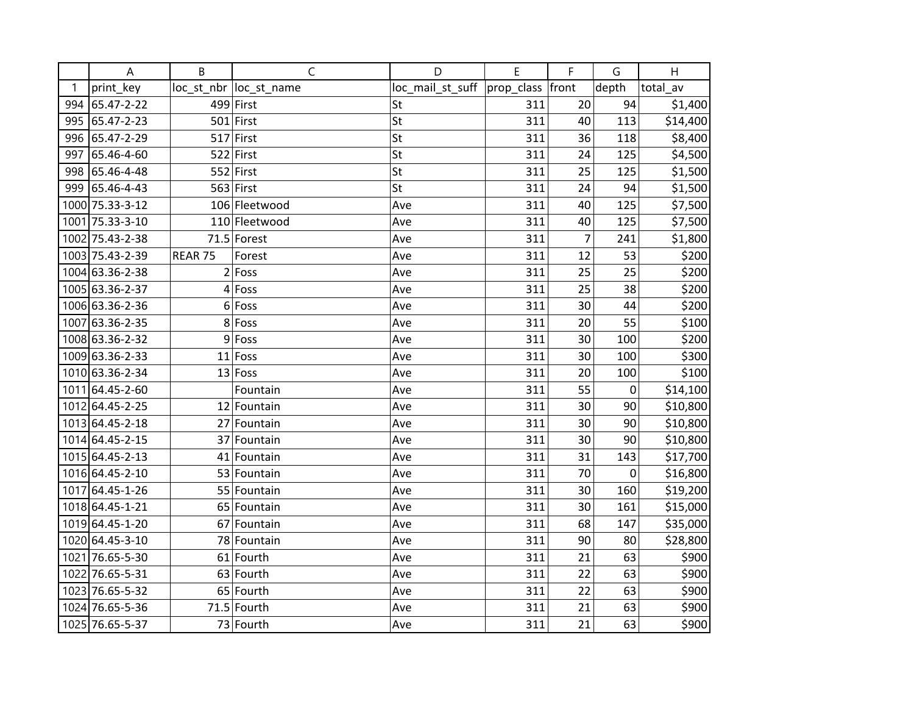|     | A               | B       | $\mathsf C$             | D                | E          | F              | G     | H        |
|-----|-----------------|---------|-------------------------|------------------|------------|----------------|-------|----------|
| 1   | print key       |         | loc_st_nbr  loc_st_name | loc_mail_st_suff | prop_class | front          | depth | total_av |
| 994 | 65.47-2-22      |         | 499 First               | St               | 311        | 20             | 94    | \$1,400  |
| 995 | 65.47-2-23      |         | 501 First               | St               | 311        | 40             | 113   | \$14,400 |
| 996 | 65.47-2-29      |         | $517$ First             | St               | 311        | 36             | 118   | \$8,400  |
| 997 | 65.46-4-60      |         | 522 First               | St               | 311        | 24             | 125   | \$4,500  |
| 998 | 65.46-4-48      |         | $552$ First             | St               | 311        | 25             | 125   | \$1,500  |
| 999 | 65.46-4-43      |         | 563 First               | St               | 311        | 24             | 94    | \$1,500  |
|     | 1000 75.33-3-12 |         | 106 Fleetwood           | Ave              | 311        | 40             | 125   | \$7,500  |
|     | 1001 75.33-3-10 |         | 110 Fleetwood           | Ave              | 311        | 40             | 125   | \$7,500  |
|     | 1002 75.43-2-38 |         | 71.5 Forest             | Ave              | 311        | $\overline{7}$ | 241   | \$1,800  |
|     | 1003 75.43-2-39 | REAR 75 | Forest                  | Ave              | 311        | 12             | 53    | \$200    |
|     | 1004 63.36-2-38 |         | $2$ Foss                | Ave              | 311        | 25             | 25    | \$200    |
|     | 1005 63.36-2-37 |         | $4$ Foss                | Ave              | 311        | 25             | 38    | \$200    |
|     | 1006 63.36-2-36 |         | $6$ Foss                | Ave              | 311        | 30             | 44    | \$200    |
|     | 1007 63.36-2-35 | 8       | Foss                    | Ave              | 311        | 20             | 55    | \$100    |
|     | 1008 63.36-2-32 | 9       | Foss                    | Ave              | 311        | 30             | 100   | \$200    |
|     | 1009 63.36-2-33 |         | $11$ Foss               | Ave              | 311        | 30             | 100   | \$300    |
|     | 1010 63.36-2-34 |         | $13$ Foss               | Ave              | 311        | 20             | 100   | \$100    |
|     | 1011 64.45-2-60 |         | Fountain                | Ave              | 311        | 55             | 0     | \$14,100 |
|     | 1012 64.45-2-25 |         | 12 Fountain             | Ave              | 311        | 30             | 90    | \$10,800 |
|     | 1013 64.45-2-18 |         | 27 Fountain             | Ave              | 311        | 30             | 90    | \$10,800 |
|     | 1014 64.45-2-15 |         | 37 Fountain             | Ave              | 311        | 30             | 90    | \$10,800 |
|     | 1015 64.45-2-13 |         | 41 Fountain             | Ave              | 311        | 31             | 143   | \$17,700 |
|     | 1016 64.45-2-10 |         | 53 Fountain             | Ave              | 311        | 70             | 0     | \$16,800 |
|     | 1017 64.45-1-26 |         | 55 Fountain             | Ave              | 311        | 30             | 160   | \$19,200 |
|     | 1018 64.45-1-21 |         | 65 Fountain             | Ave              | 311        | 30             | 161   | \$15,000 |
|     | 1019 64.45-1-20 |         | 67 Fountain             | Ave              | 311        | 68             | 147   | \$35,000 |
|     | 1020 64.45-3-10 |         | 78 Fountain             | Ave              | 311        | 90             | 80    | \$28,800 |
|     | 1021 76.65-5-30 |         | 61 Fourth               | Ave              | 311        | 21             | 63    | \$900    |
|     | 1022 76.65-5-31 |         | 63 Fourth               | Ave              | 311        | 22             | 63    | \$900    |
|     | 1023 76.65-5-32 |         | 65 Fourth               | Ave              | 311        | 22             | 63    | \$900    |
|     | 1024 76.65-5-36 |         | 71.5 Fourth             | Ave              | 311        | 21             | 63    | \$900    |
|     | 1025 76.65-5-37 |         | 73 Fourth               | Ave              | 311        | 21             | 63    | \$900    |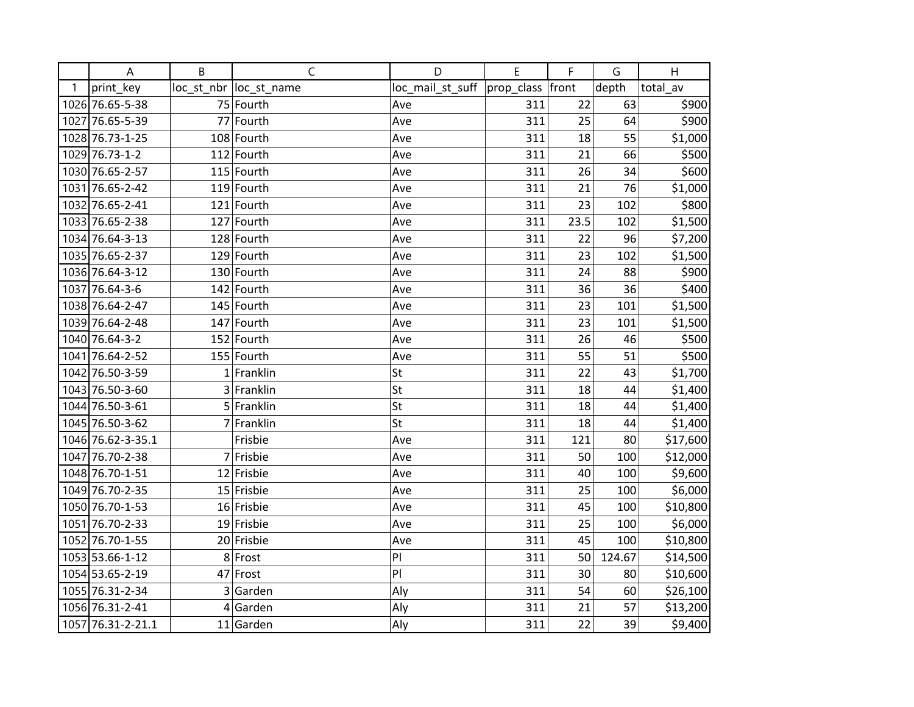|   | A                 | B | $\mathsf C$             | D                | E          | F     | G      | H        |
|---|-------------------|---|-------------------------|------------------|------------|-------|--------|----------|
| 1 | print_key         |   | loc_st_nbr  loc_st_name | loc_mail_st_suff | prop_class | front | depth  | total av |
|   | 1026 76.65-5-38   |   | 75 Fourth               | Ave              | 311        | 22    | 63     | \$900    |
|   | 1027 76.65-5-39   |   | 77 Fourth               | Ave              | 311        | 25    | 64     | \$900    |
|   | 1028 76.73-1-25   |   | 108 Fourth              | Ave              | 311        | 18    | 55     | \$1,000  |
|   | 1029 76.73-1-2    |   | $112$ Fourth            | Ave              | 311        | 21    | 66     | \$500    |
|   | 1030 76.65-2-57   |   | 115 Fourth              | Ave              | 311        | 26    | 34     | \$600    |
|   | 1031 76.65-2-42   |   | 119 Fourth              | Ave              | 311        | 21    | 76     | \$1,000  |
|   | 1032 76.65-2-41   |   | $121$ Fourth            | Ave              | 311        | 23    | 102    | \$800    |
|   | 1033 76.65-2-38   |   | $127$ Fourth            | Ave              | 311        | 23.5  | 102    | \$1,500  |
|   | 1034 76.64-3-13   |   | 128 Fourth              | Ave              | 311        | 22    | 96     | \$7,200  |
|   | 1035 76.65-2-37   |   | 129 Fourth              | Ave              | 311        | 23    | 102    | \$1,500  |
|   | 1036 76.64-3-12   |   | 130 Fourth              | Ave              | 311        | 24    | 88     | \$900    |
|   | 1037 76.64-3-6    |   | 142 Fourth              | Ave              | 311        | 36    | 36     | \$400    |
|   | 1038 76.64-2-47   |   | 145 Fourth              | Ave              | 311        | 23    | 101    | \$1,500  |
|   | 1039 76.64-2-48   |   | 147 Fourth              | Ave              | 311        | 23    | 101    | \$1,500  |
|   | 1040 76.64-3-2    |   | 152 Fourth              | Ave              | 311        | 26    | 46     | \$500    |
|   | 1041 76.64-2-52   |   | 155 Fourth              | Ave              | 311        | 55    | 51     | \$500    |
|   | 1042 76.50-3-59   |   | $1$ Franklin            | St               | 311        | 22    | 43     | \$1,700  |
|   | 1043 76.50-3-60   |   | 3 Franklin              | St               | 311        | 18    | 44     | \$1,400  |
|   | 1044 76.50-3-61   |   | 5 Franklin              | St               | 311        | 18    | 44     | \$1,400  |
|   | 1045 76.50-3-62   |   | 7 Franklin              | St               | 311        | 18    | 44     | \$1,400  |
|   | 1046 76.62-3-35.1 |   | Frisbie                 | Ave              | 311        | 121   | 80     | \$17,600 |
|   | 1047 76.70-2-38   |   | 7 Frisbie               | Ave              | 311        | 50    | 100    | \$12,000 |
|   | 1048 76.70-1-51   |   | 12 Frisbie              | Ave              | 311        | 40    | 100    | \$9,600  |
|   | 1049 76.70-2-35   |   | 15 Frisbie              | Ave              | 311        | 25    | 100    | \$6,000  |
|   | 1050 76.70-1-53   |   | 16 Frisbie              | Ave              | 311        | 45    | 100    | \$10,800 |
|   | 1051 76.70-2-33   |   | 19 Frisbie              | Ave              | 311        | 25    | 100    | \$6,000  |
|   | 1052 76.70-1-55   |   | 20 Frisbie              | Ave              | 311        | 45    | 100    | \$10,800 |
|   | 1053 53.66-1-12   |   | 8 Frost                 | PI               | 311        | 50    | 124.67 | \$14,500 |
|   | 1054 53.65-2-19   |   | 47 Frost                | PI               | 311        | 30    | 80     | \$10,600 |
|   | 1055 76.31-2-34   | 3 | Garden                  | Aly              | 311        | 54    | 60     | \$26,100 |
|   | 1056 76.31-2-41   |   | $4$ Garden              | Aly              | 311        | 21    | 57     | \$13,200 |
|   | 1057 76.31-2-21.1 |   | 11 Garden               | Aly              | 311        | 22    | 39     | \$9,400  |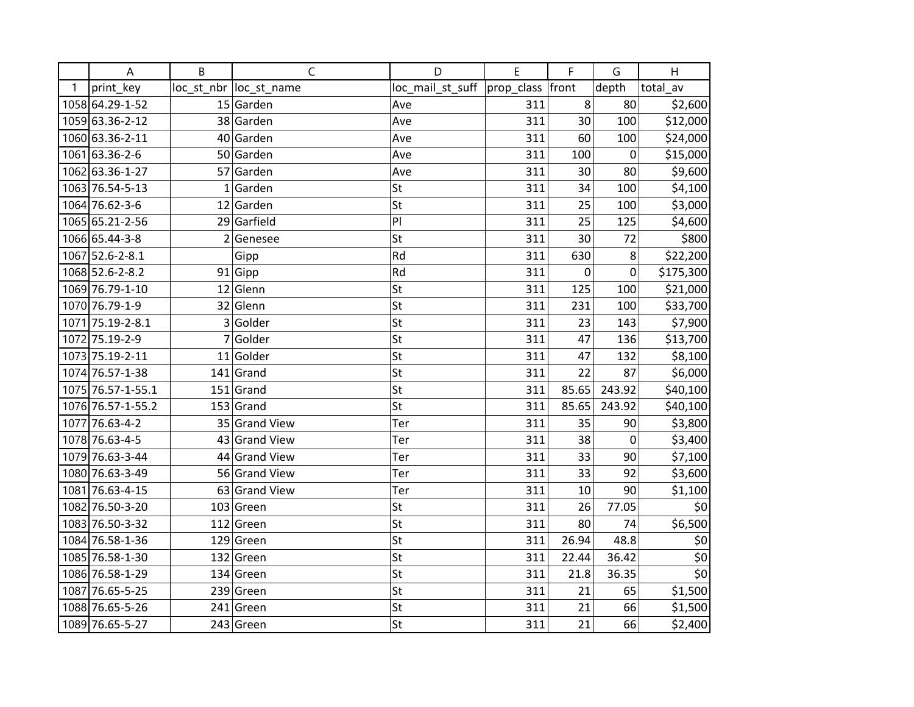|   | A                 | B              | $\mathsf C$             | D                                   | E   | F         | G                | H                         |
|---|-------------------|----------------|-------------------------|-------------------------------------|-----|-----------|------------------|---------------------------|
| 1 | print_key         |                | loc_st_nbr  loc_st_name | loc_mail_st_suff  prop_class  front |     |           | depth            | total_av                  |
|   | 1058 64.29-1-52   |                | 15 Garden               | Ave                                 | 311 | 8         | 80               | \$2,600                   |
|   | 1059 63.36-2-12   |                | 38 Garden               | Ave                                 | 311 | 30        | 100              | \$12,000                  |
|   | 1060 63.36-2-11   |                | 40 Garden               | Ave                                 | 311 | 60        | 100              | \$24,000                  |
|   | 1061 63.36-2-6    |                | 50 Garden               | Ave                                 | 311 | 100       | $\boldsymbol{0}$ | \$15,000                  |
|   | 1062 63.36-1-27   |                | 57 Garden               | Ave                                 | 311 | 30        | 80               | \$9,600                   |
|   | 1063 76.54-5-13   | $\mathbf{1}$   | Garden                  | St                                  | 311 | 34        | 100              | \$4,100                   |
|   | 1064 76.62-3-6    |                | 12 Garden               | St                                  | 311 | 25        | 100              | \$3,000                   |
|   | 1065 65.21-2-56   |                | 29 Garfield             | PI                                  | 311 | 25        | 125              | \$4,600                   |
|   | 1066 65.44-3-8    | $\overline{2}$ | Genesee                 | St                                  | 311 | 30        | 72               | \$800                     |
|   | 1067 52.6-2-8.1   |                | Gipp                    | Rd                                  | 311 | 630       | 8                | \$22,200                  |
|   | 1068 52.6-2-8.2   |                | 91 Gipp                 | Rd                                  | 311 | $\pmb{0}$ | $\pmb{0}$        | \$175,300                 |
|   | 1069 76.79-1-10   |                | $12$ Glenn              | St                                  | 311 | 125       | 100              | \$21,000                  |
|   | 1070 76.79-1-9    |                | 32 Glenn                | St                                  | 311 | 231       | 100              | \$33,700                  |
|   | 1071 75.19-2-8.1  | 3              | Golder                  | St                                  | 311 | 23        | 143              | \$7,900                   |
|   | 1072 75.19-2-9    | 7              | Golder                  | St                                  | 311 | 47        | 136              | \$13,700                  |
|   | 1073 75.19-2-11   |                | 11 Golder               | St                                  | 311 | 47        | 132              | \$8,100                   |
|   | 1074 76.57-1-38   |                | $141$ Grand             | St                                  | 311 | 22        | 87               | \$6,000                   |
|   | 1075 76.57-1-55.1 |                | $151$ Grand             | St                                  | 311 | 85.65     | 243.92           | \$40,100                  |
|   | 1076 76.57-1-55.2 |                | $153$ Grand             | St                                  | 311 | 85.65     | 243.92           | \$40,100                  |
|   | 1077 76.63-4-2    |                | 35 Grand View           | Ter                                 | 311 | 35        | 90               | \$3,800                   |
|   | 1078 76.63-4-5    |                | 43 Grand View           | Ter                                 | 311 | 38        | $\mathbf 0$      | \$3,400                   |
|   | 1079 76.63-3-44   |                | 44 Grand View           | Ter                                 | 311 | 33        | 90               | \$7,100                   |
|   | 1080 76.63-3-49   |                | 56 Grand View           | Ter                                 | 311 | 33        | 92               | \$3,600                   |
|   | 1081 76.63-4-15   |                | 63 Grand View           | Ter                                 | 311 | 10        | 90               | \$1,100                   |
|   | 1082 76.50-3-20   |                | $103$ Green             | St                                  | 311 | 26        | 77.05            | \$0                       |
|   | 1083 76.50-3-32   |                | $112$ Green             | St                                  | 311 | 80        | 74               | \$6,500                   |
|   | 1084 76.58-1-36   |                | $129$ Green             | St                                  | 311 | 26.94     | 48.8             | \$0                       |
|   | 1085 76.58-1-30   |                | $132$ Green             | St                                  | 311 | 22.44     | 36.42            | $\overline{\xi_0}$        |
|   | 1086 76.58-1-29   |                | $134$ Green             | St                                  | 311 | 21.8      | 36.35            | $\overline{\overline{6}}$ |
|   | 1087 76.65-5-25   |                | $239$ Green             | St                                  | 311 | 21        | 65               | \$1,500                   |
|   | 1088 76.65-5-26   |                | 241 Green               | St                                  | 311 | 21        | 66               | \$1,500                   |
|   | 1089 76.65-5-27   |                | 243 Green               | St                                  | 311 | 21        | 66               | \$2,400                   |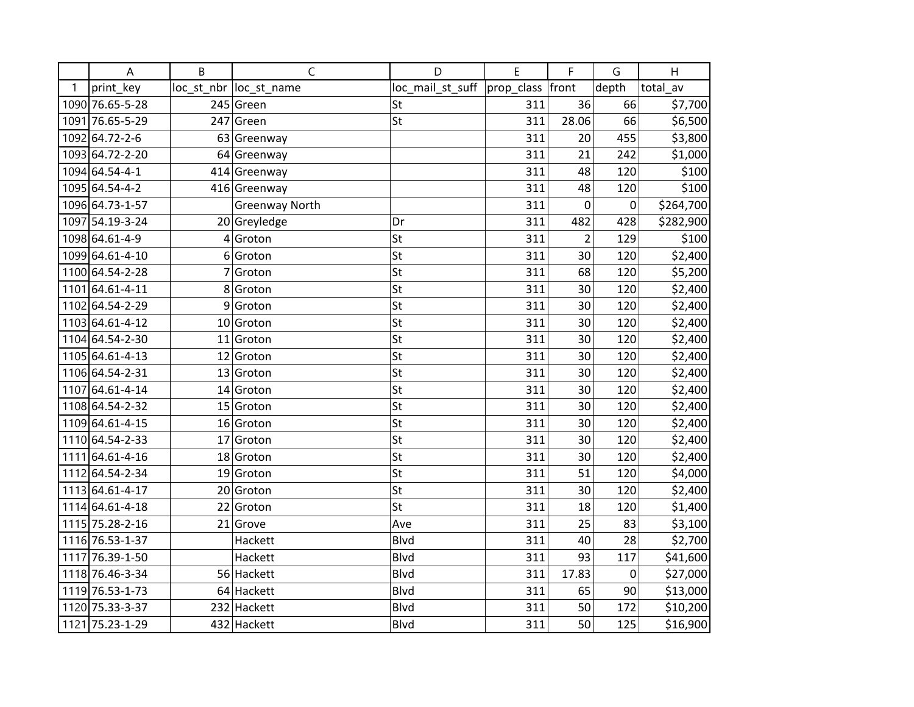|   | A               | B | $\mathsf C$             | D                | E                | F              | G         | H         |
|---|-----------------|---|-------------------------|------------------|------------------|----------------|-----------|-----------|
| 1 | print key       |   | loc_st_nbr  loc_st_name | loc_mail_st_suff | prop_class front |                | depth     | total_av  |
|   | 1090 76.65-5-28 |   | 245 Green               | St               | 311              | 36             | 66        | \$7,700   |
|   | 1091 76.65-5-29 |   | $247$ Green             | St               | 311              | 28.06          | 66        | \$6,500   |
|   | 1092 64.72-2-6  |   | 63 Greenway             |                  | 311              | 20             | 455       | \$3,800   |
|   | 1093 64.72-2-20 |   | 64 Greenway             |                  | 311              | 21             | 242       | \$1,000   |
|   | 1094 64.54-4-1  |   | 414 Greenway            |                  | 311              | 48             | 120       | \$100     |
|   | 1095 64.54-4-2  |   | 416 Greenway            |                  | 311              | 48             | 120       | \$100     |
|   | 1096 64.73-1-57 |   | Greenway North          |                  | 311              | $\pmb{0}$      | $\pmb{0}$ | \$264,700 |
|   | 1097 54.19-3-24 |   | 20 Greyledge            | Dr               | 311              | 482            | 428       | \$282,900 |
|   | 1098 64.61-4-9  |   | $4 $ Groton             | St               | 311              | $\overline{2}$ | 129       | \$100     |
|   | 1099 64.61-4-10 |   | 6 Groton                | St               | 311              | 30             | 120       | \$2,400   |
|   | 1100 64.54-2-28 |   | $7 $ Groton             | St               | 311              | 68             | 120       | \$5,200   |
|   | 1101 64.61-4-11 |   | 8 Groton                | St               | 311              | 30             | 120       | \$2,400   |
|   | 1102 64.54-2-29 |   | $9 $ Groton             | St               | 311              | 30             | 120       | \$2,400   |
|   | 1103 64.61-4-12 |   | 10 Groton               | St               | 311              | 30             | 120       | \$2,400   |
|   | 1104 64.54-2-30 |   | $11$ Groton             | St               | 311              | 30             | 120       | \$2,400   |
|   | 1105 64.61-4-13 |   | $12$ Groton             | St               | 311              | 30             | 120       | \$2,400   |
|   | 1106 64.54-2-31 |   | 13 Groton               | St               | 311              | 30             | 120       | \$2,400   |
|   | 1107 64.61-4-14 |   | 14 Groton               | St               | 311              | 30             | 120       | \$2,400   |
|   | 1108 64.54-2-32 |   | $15$ Groton             | St               | 311              | 30             | 120       | \$2,400   |
|   | 1109 64.61-4-15 |   | 16 Groton               | St               | 311              | 30             | 120       | \$2,400   |
|   | 1110 64.54-2-33 |   | $17$ Groton             | St               | 311              | 30             | 120       | \$2,400   |
|   | 1111 64.61-4-16 |   | 18 Groton               | St               | 311              | 30             | 120       | \$2,400   |
|   | 1112 64.54-2-34 |   | 19 Groton               | St               | 311              | 51             | 120       | \$4,000   |
|   | 1113 64.61-4-17 |   | 20 Groton               | St               | 311              | 30             | 120       | \$2,400   |
|   | 1114 64.61-4-18 |   | 22 Groton               | St               | 311              | 18             | 120       | \$1,400   |
|   | 1115 75.28-2-16 |   | $21$ Grove              | Ave              | 311              | 25             | 83        | \$3,100   |
|   | 1116 76.53-1-37 |   | Hackett                 | <b>Blvd</b>      | 311              | 40             | 28        | \$2,700   |
|   | 1117 76.39-1-50 |   | Hackett                 | <b>Blvd</b>      | 311              | 93             | 117       | \$41,600  |
|   | 1118 76.46-3-34 |   | 56 Hackett              | <b>Blvd</b>      | 311              | 17.83          | 0         | \$27,000  |
|   | 1119 76.53-1-73 |   | 64 Hackett              | <b>Blvd</b>      | 311              | 65             | 90        | \$13,000  |
|   | 1120 75.33-3-37 |   | 232 Hackett             | <b>Blvd</b>      | 311              | 50             | 172       | \$10,200  |
|   | 1121 75.23-1-29 |   | 432 Hackett             | <b>Blvd</b>      | 311              | 50             | 125       | \$16,900  |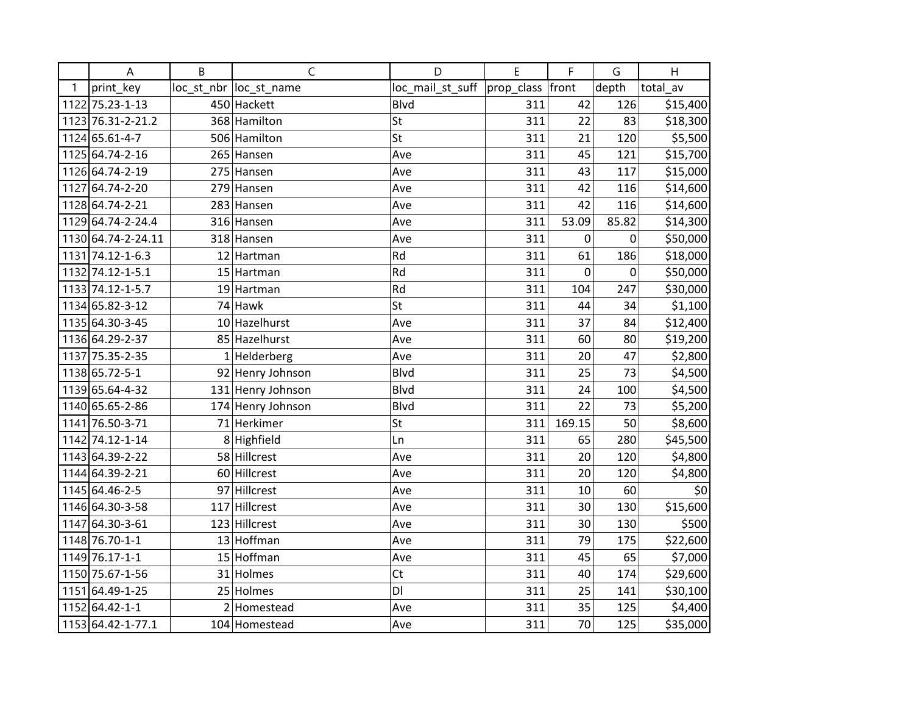|      | A                  | B   | $\mathsf{C}$            | D                | E          | F      | G           | H        |
|------|--------------------|-----|-------------------------|------------------|------------|--------|-------------|----------|
| 1    | print_key          |     | loc_st_nbr  loc_st_name | loc_mail_st_suff | prop_class | front  | depth       | total av |
|      | 1122 75.23-1-13    |     | 450 Hackett             | <b>Blvd</b>      | 311        | 42     | 126         | \$15,400 |
|      | 1123 76.31-2-21.2  |     | 368 Hamilton            | <b>St</b>        | 311        | 22     | 83          | \$18,300 |
|      | 1124 65.61-4-7     |     | 506 Hamilton            | St               | 311        | 21     | 120         | \$5,500  |
|      | 1125 64.74-2-16    |     | 265 Hansen              | Ave              | 311        | 45     | 121         | \$15,700 |
|      | 1126 64.74-2-19    |     | 275 Hansen              | Ave              | 311        | 43     | 117         | \$15,000 |
|      | 1127 64.74-2-20    |     | 279 Hansen              | Ave              | 311        | 42     | 116         | \$14,600 |
|      | 1128 64.74-2-21    |     | 283 Hansen              | Ave              | 311        | 42     | 116         | \$14,600 |
|      | 1129 64.74-2-24.4  |     | 316 Hansen              | Ave              | 311        | 53.09  | 85.82       | \$14,300 |
|      | 1130 64.74-2-24.11 |     | 318 Hansen              | Ave              | 311        | 0      | 0           | \$50,000 |
|      | 1131 74.12-1-6.3   |     | 12 Hartman              | Rd               | 311        | 61     | 186         | \$18,000 |
|      | 1132 74.12-1-5.1   |     | 15 Hartman              | Rd               | 311        | 0      | $\mathbf 0$ | \$50,000 |
|      | 1133 74.12-1-5.7   |     | 19 Hartman              | Rd               | 311        | 104    | 247         | \$30,000 |
|      | 1134 65.82-3-12    |     | $74$ Hawk               | St               | 311        | 44     | 34          | \$1,100  |
|      | 1135 64.30-3-45    |     | 10 Hazelhurst           | Ave              | 311        | 37     | 84          | \$12,400 |
|      | 1136 64.29-2-37    |     | 85 Hazelhurst           | Ave              | 311        | 60     | 80          | \$19,200 |
|      | 1137 75.35-2-35    |     | $1$ Helderberg          | Ave              | 311        | 20     | 47          | \$2,800  |
|      | 1138 65.72-5-1     |     | 92 Henry Johnson        | <b>Blvd</b>      | 311        | 25     | 73          | \$4,500  |
|      | 1139 65.64-4-32    |     | 131 Henry Johnson       | <b>Blvd</b>      | 311        | 24     | 100         | \$4,500  |
|      | 1140 65.65-2-86    |     | 174 Henry Johnson       | <b>Blvd</b>      | 311        | 22     | 73          | \$5,200  |
|      | 1141 76.50-3-71    |     | 71 Herkimer             | St               | 311        | 169.15 | 50          | \$8,600  |
|      | 1142 74.12-1-14    |     | 8 Highfield             | Ln               | 311        | 65     | 280         | \$45,500 |
|      | 1143 64.39-2-22    |     | 58 Hillcrest            | Ave              | 311        | 20     | 120         | \$4,800  |
|      | 1144 64.39-2-21    |     | 60 Hillcrest            | Ave              | 311        | 20     | 120         | \$4,800  |
|      | 1145 64.46-2-5     |     | 97 Hillcrest            | Ave              | 311        | 10     | 60          | \$0      |
|      | 1146 64.30-3-58    | 117 | Hillcrest               | Ave              | 311        | 30     | 130         | \$15,600 |
| 1147 | 64.30-3-61         |     | 123 Hillcrest           | Ave              | 311        | 30     | 130         | \$500    |
|      | 1148 76.70-1-1     |     | 13 Hoffman              | Ave              | 311        | 79     | 175         | \$22,600 |
|      | 1149 76.17-1-1     |     | 15 Hoffman              | Ave              | 311        | 45     | 65          | \$7,000  |
|      | 1150 75.67-1-56    |     | 31 Holmes               | Ct               | 311        | 40     | 174         | \$29,600 |
| 1151 | 64.49-1-25         |     | 25 Holmes               | DI               | 311        | 25     | 141         | \$30,100 |
|      | 1152 64.42-1-1     |     | 2 Homestead             | Ave              | 311        | 35     | 125         | \$4,400  |
|      | 1153 64.42-1-77.1  |     | 104 Homestead           | Ave              | 311        | 70     | 125         | \$35,000 |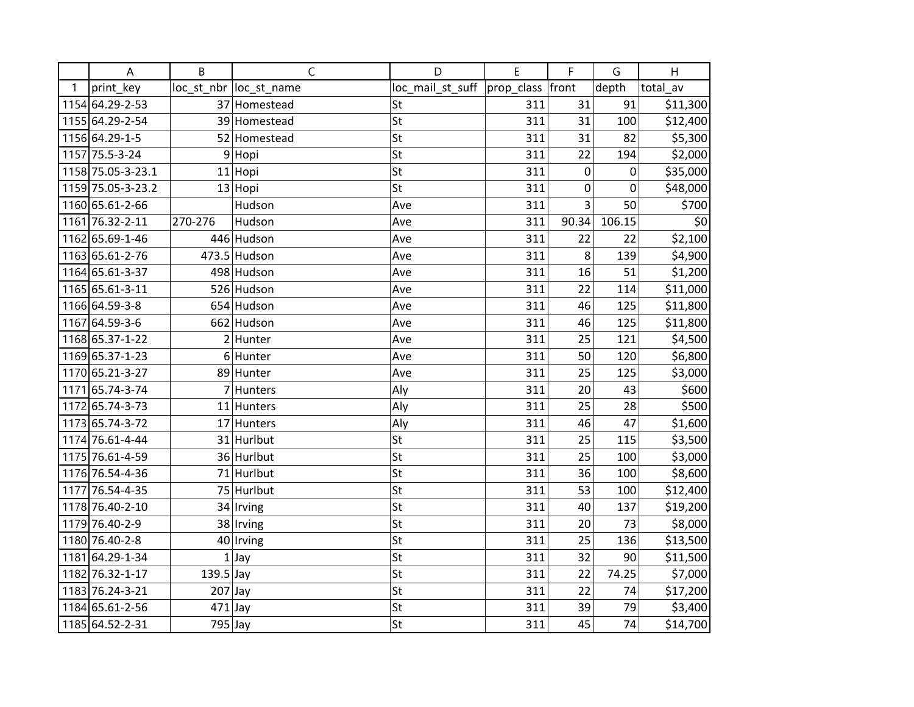|   | A                 | B                       | $\mathsf{C}$            | D                | E                | F         | G      | H        |
|---|-------------------|-------------------------|-------------------------|------------------|------------------|-----------|--------|----------|
| 1 | print_key         |                         | loc_st_nbr  loc_st_name | loc_mail_st_suff | prop_class front |           | depth  | total_av |
|   | 1154 64.29-2-53   |                         | 37 Homestead            | St               | 311              | 31        | 91     | \$11,300 |
|   | 1155 64.29-2-54   |                         | 39 Homestead            | St               | 311              | 31        | 100    | \$12,400 |
|   | 1156 64.29-1-5    |                         | 52 Homestead            | St               | 311              | 31        | 82     | \$5,300  |
|   | 1157 75.5-3-24    | 9                       | Hopi                    | St               | 311              | 22        | 194    | \$2,000  |
|   | 1158 75.05-3-23.1 |                         | 11 Hopi                 | St               | 311              | $\pmb{0}$ | 0      | \$35,000 |
|   | 1159 75.05-3-23.2 |                         | $13$ Hopi               | St               | 311              | 0         | 0      | \$48,000 |
|   | 1160 65.61-2-66   |                         | Hudson                  | Ave              | 311              | 3         | 50     | \$700    |
|   | 1161 76.32-2-11   | 270-276                 | Hudson                  | Ave              | 311              | 90.34     | 106.15 | \$0      |
|   | 1162 65.69-1-46   |                         | 446 Hudson              | Ave              | 311              | 22        | 22     | \$2,100  |
|   | 1163 65.61-2-76   |                         | 473.5 Hudson            | Ave              | 311              | 8         | 139    | \$4,900  |
|   | 1164 65.61-3-37   |                         | 498 Hudson              | Ave              | 311              | 16        | 51     | \$1,200  |
|   | 1165 65.61-3-11   |                         | 526 Hudson              | Ave              | 311              | 22        | 114    | \$11,000 |
|   | 1166 64.59-3-8    |                         | 654 Hudson              | Ave              | 311              | 46        | 125    | \$11,800 |
|   | 1167 64.59-3-6    |                         | 662 Hudson              | Ave              | 311              | 46        | 125    | \$11,800 |
|   | 1168 65.37-1-22   |                         | $2$ Hunter              | Ave              | 311              | 25        | 121    | \$4,500  |
|   | 1169 65.37-1-23   |                         | 6 Hunter                | Ave              | 311              | 50        | 120    | \$6,800  |
|   | 1170 65.21-3-27   |                         | 89 Hunter               | Ave              | 311              | 25        | 125    | \$3,000  |
|   | 1171 65.74-3-74   |                         | 7 Hunters               | Aly              | 311              | 20        | 43     | \$600    |
|   | 1172 65.74-3-73   |                         | 11 Hunters              | Aly              | 311              | 25        | 28     | \$500    |
|   | 1173 65.74-3-72   |                         | 17 Hunters              | Aly              | 311              | 46        | 47     | \$1,600  |
|   | 1174 76.61-4-44   |                         | 31 Hurlbut              | St               | 311              | 25        | 115    | \$3,500  |
|   | 1175 76.61-4-59   |                         | 36 Hurlbut              | St               | 311              | 25        | 100    | \$3,000  |
|   | 1176 76.54-4-36   |                         | 71 Hurlbut              | St               | 311              | 36        | 100    | \$8,600  |
|   | 1177 76.54-4-35   |                         | 75 Hurlbut              | St               | 311              | 53        | 100    | \$12,400 |
|   | 1178 76.40-2-10   |                         | 34 Irving               | St               | 311              | 40        | 137    | \$19,200 |
|   | 1179 76.40-2-9    |                         | 38 Irving               | St               | 311              | 20        | 73     | \$8,000  |
|   | 1180 76.40-2-8    |                         | 40 Irving               | St               | 311              | 25        | 136    | \$13,500 |
|   | 1181 64.29-1-34   |                         | $1$ Jay                 | St               | 311              | 32        | 90     | \$11,500 |
|   | 1182 76.32-1-17   | $\overline{1}$ 39.5 Jay |                         | St               | 311              | 22        | 74.25  | \$7,000  |
|   | 1183 76.24-3-21   | $207$ Jay               |                         | St               | 311              | 22        | 74     | \$17,200 |
|   | 1184 65.61-2-56   | $471$ Jay               |                         | St               | 311              | 39        | 79     | \$3,400  |
|   | 1185 64.52-2-31   | 795 Jay                 |                         | St               | 311              | 45        | 74     | \$14,700 |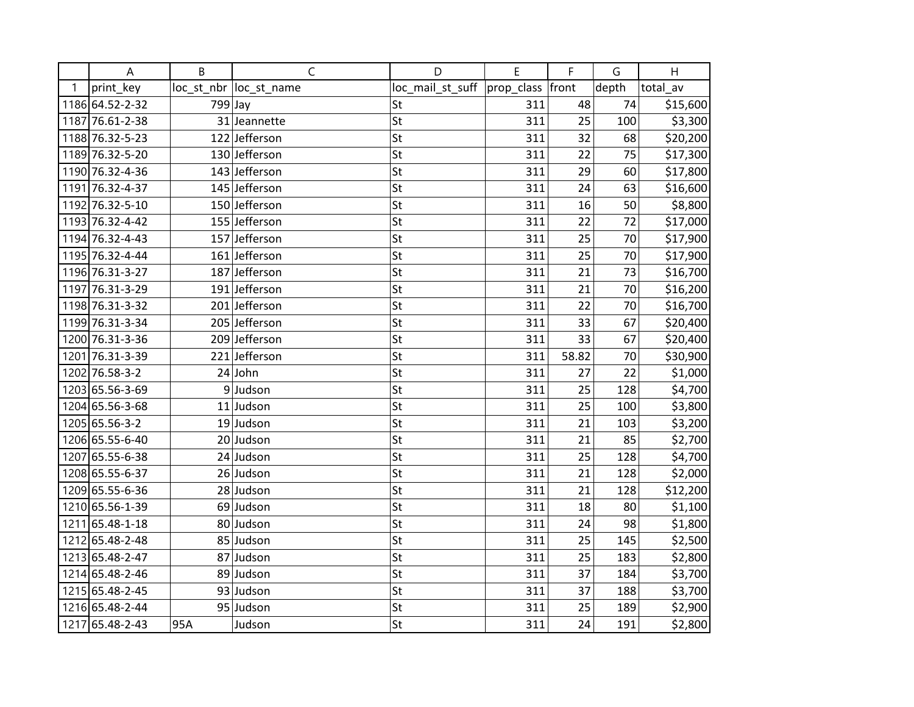|   | A               | B       | $\mathsf C$             | D                            | E   | F     | G     | H        |
|---|-----------------|---------|-------------------------|------------------------------|-----|-------|-------|----------|
| 1 | print_key       |         | loc_st_nbr  loc_st_name | loc_mail_st_suff  prop_class |     | front | depth | total_av |
|   | 1186 64.52-2-32 | 799 Jay |                         | St                           | 311 | 48    | 74    | \$15,600 |
|   | 1187 76.61-2-38 |         | 31 Jeannette            | St                           | 311 | 25    | 100   | \$3,300  |
|   | 1188 76.32-5-23 |         | 122 Jefferson           | St                           | 311 | 32    | 68    | \$20,200 |
|   | 1189 76.32-5-20 |         | 130 Jefferson           | St                           | 311 | 22    | 75    | \$17,300 |
|   | 1190 76.32-4-36 |         | 143 Jefferson           | St                           | 311 | 29    | 60    | \$17,800 |
|   | 1191 76.32-4-37 |         | 145 Jefferson           | St                           | 311 | 24    | 63    | \$16,600 |
|   | 1192 76.32-5-10 |         | 150 Jefferson           | St                           | 311 | 16    | 50    | \$8,800  |
|   | 1193 76.32-4-42 |         | 155 Jefferson           | St                           | 311 | 22    | 72    | \$17,000 |
|   | 1194 76.32-4-43 |         | 157 Jefferson           | St                           | 311 | 25    | 70    | \$17,900 |
|   | 1195 76.32-4-44 |         | 161 Jefferson           | St                           | 311 | 25    | 70    | \$17,900 |
|   | 1196 76.31-3-27 |         | 187 Jefferson           | St                           | 311 | 21    | 73    | \$16,700 |
|   | 1197 76.31-3-29 |         | 191 Jefferson           | St                           | 311 | 21    | 70    | \$16,200 |
|   | 1198 76.31-3-32 |         | 201 Jefferson           | St                           | 311 | 22    | 70    | \$16,700 |
|   | 1199 76.31-3-34 |         | 205 Jefferson           | St                           | 311 | 33    | 67    | \$20,400 |
|   | 1200 76.31-3-36 |         | 209 Jefferson           | St                           | 311 | 33    | 67    | \$20,400 |
|   | 1201 76.31-3-39 |         | 221 Jefferson           | St                           | 311 | 58.82 | 70    | \$30,900 |
|   | 1202 76.58-3-2  |         | $24$ John               | St                           | 311 | 27    | 22    | \$1,000  |
|   | 1203 65.56-3-69 |         | $9$ Judson              | St                           | 311 | 25    | 128   | \$4,700  |
|   | 1204 65.56-3-68 |         | $11$ Judson             | St                           | 311 | 25    | 100   | \$3,800  |
|   | 1205 65.56-3-2  |         | 19 Judson               | St                           | 311 | 21    | 103   | \$3,200  |
|   | 1206 65.55-6-40 |         | 20 Judson               | St                           | 311 | 21    | 85    | \$2,700  |
|   | 1207 65.55-6-38 |         | 24 Judson               | St                           | 311 | 25    | 128   | \$4,700  |
|   | 1208 65.55-6-37 |         | 26 Judson               | St                           | 311 | 21    | 128   | \$2,000  |
|   | 1209 65.55-6-36 |         | 28 Judson               | St                           | 311 | 21    | 128   | \$12,200 |
|   | 1210 65.56-1-39 |         | 69 Judson               | St                           | 311 | 18    | 80    | \$1,100  |
|   | 1211 65.48-1-18 |         | 80 Judson               | St                           | 311 | 24    | 98    | \$1,800  |
|   | 1212 65.48-2-48 |         | 85 Judson               | St                           | 311 | 25    | 145   | \$2,500  |
|   | 1213 65.48-2-47 |         | 87 Judson               | St                           | 311 | 25    | 183   | \$2,800  |
|   | 1214 65.48-2-46 |         | 89 Judson               | St                           | 311 | 37    | 184   | \$3,700  |
|   | 1215 65.48-2-45 |         | 93 Judson               | St                           | 311 | 37    | 188   | \$3,700  |
|   | 1216 65.48-2-44 |         | 95 Judson               | St                           | 311 | 25    | 189   | \$2,900  |
|   | 1217 65.48-2-43 | 95A     | Judson                  | St                           | 311 | 24    | 191   | \$2,800  |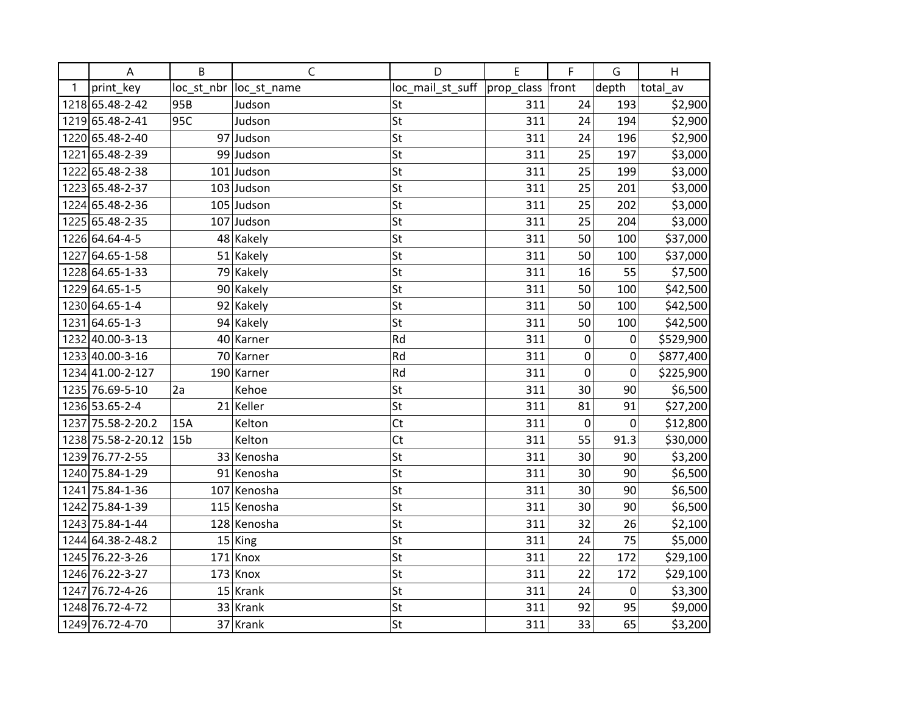|   | A                  | B               | $\mathsf{C}$            | D                                | E   | F         | G           | H         |
|---|--------------------|-----------------|-------------------------|----------------------------------|-----|-----------|-------------|-----------|
| 1 | print_key          |                 | loc_st_nbr  loc_st_name | $loc$ mail_st_suff $ prop$ class |     | front     | depth       | total_av  |
|   | 1218 65.48-2-42    | 95B             | Judson                  | St                               | 311 | 24        | 193         | \$2,900   |
|   | 1219 65.48-2-41    | 95C             | Judson                  | St                               | 311 | 24        | 194         | \$2,900   |
|   | 1220 65.48-2-40    |                 | 97 Judson               | St                               | 311 | 24        | 196         | \$2,900   |
|   | 1221 65.48-2-39    |                 | 99 Judson               | St                               | 311 | 25        | 197         | \$3,000   |
|   | 1222 65.48-2-38    |                 | $101$ Judson            | St                               | 311 | 25        | 199         | \$3,000   |
|   | 1223 65.48-2-37    |                 | $103$ Judson            | St                               | 311 | 25        | 201         | \$3,000   |
|   | 1224 65.48-2-36    |                 | $105$ Judson            | St                               | 311 | 25        | 202         | \$3,000   |
|   | 1225 65.48-2-35    |                 | $107$ Judson            | St                               | 311 | 25        | 204         | \$3,000   |
|   | 1226 64.64-4-5     |                 | 48 Kakely               | St                               | 311 | 50        | 100         | \$37,000  |
|   | 1227 64.65-1-58    |                 | 51 Kakely               | St                               | 311 | 50        | 100         | \$37,000  |
|   | 1228 64.65-1-33    |                 | 79 Kakely               | St                               | 311 | 16        | 55          | \$7,500   |
|   | 1229 64.65-1-5     |                 | 90 Kakely               | St                               | 311 | 50        | 100         | \$42,500  |
|   | 1230 64.65-1-4     |                 | 92 Kakely               | St                               | 311 | 50        | 100         | \$42,500  |
|   | 1231 64.65-1-3     |                 | 94 Kakely               | St                               | 311 | 50        | 100         | \$42,500  |
|   | 1232 40.00-3-13    |                 | 40 Karner               | Rd                               | 311 | $\pmb{0}$ | 0           | \$529,900 |
|   | 1233 40.00-3-16    |                 | 70 Karner               | Rd                               | 311 | 0         | 0           | \$877,400 |
|   | 1234 41.00-2-127   |                 | 190 Karner              | Rd                               | 311 | 0         | 0           | \$225,900 |
|   | 1235 76.69-5-10    | 2a              | Kehoe                   | St                               | 311 | 30        | 90          | \$6,500   |
|   | 1236 53.65-2-4     |                 | 21 Keller               | St                               | 311 | 81        | 91          | \$27,200  |
|   | 1237 75.58-2-20.2  | 15A             | Kelton                  | Ct                               | 311 | $\pmb{0}$ | $\mathbf 0$ | \$12,800  |
|   | 1238 75.58-2-20.12 | 15 <sub>b</sub> | Kelton                  | Ct                               | 311 | 55        | 91.3        | \$30,000  |
|   | 1239 76.77-2-55    |                 | 33 Kenosha              | St                               | 311 | 30        | 90          | \$3,200   |
|   | 1240 75.84-1-29    |                 | 91 Kenosha              | St                               | 311 | 30        | 90          | \$6,500   |
|   | 1241 75.84-1-36    |                 | 107 Kenosha             | St                               | 311 | 30        | 90          | \$6,500   |
|   | 1242 75.84-1-39    |                 | 115 Kenosha             | St                               | 311 | 30        | 90          | \$6,500   |
|   | 1243 75.84-1-44    |                 | 128 Kenosha             | St                               | 311 | 32        | 26          | \$2,100   |
|   | 1244 64.38-2-48.2  |                 | $15$ King               | St                               | 311 | 24        | 75          | \$5,000   |
|   | 1245 76.22-3-26    |                 | $171$ Knox              | St                               | 311 | 22        | 172         | \$29,100  |
|   | 1246 76.22-3-27    |                 | $173$ Knox              | St                               | 311 | 22        | 172         | \$29,100  |
|   | 1247 76.72-4-26    |                 | $15$ Krank              | St                               | 311 | 24        | 0           | \$3,300   |
|   | 1248 76.72-4-72    |                 | 33 Krank                | St                               | 311 | 92        | 95          | \$9,000   |
|   | 1249 76.72-4-70    |                 | 37 Krank                | St                               | 311 | 33        | 65          | \$3,200   |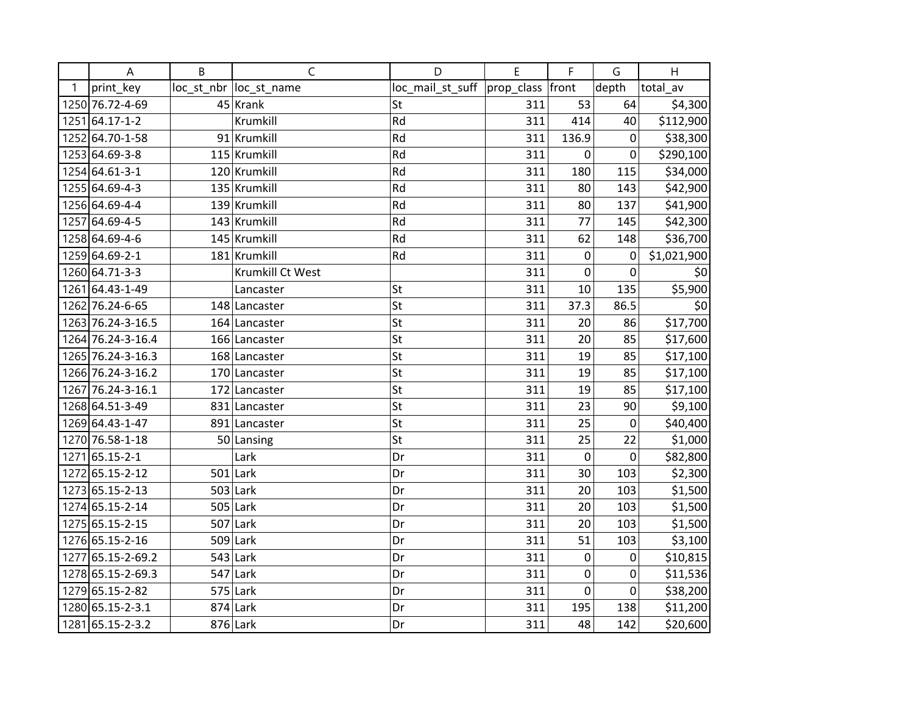|      | A                 | B | $\mathsf{C}$            | D                                   | E   | F                | G                | H           |
|------|-------------------|---|-------------------------|-------------------------------------|-----|------------------|------------------|-------------|
| 1    | print_key         |   | loc_st_nbr  loc_st_name | loc_mail_st_suff  prop_class  front |     |                  | depth            | total_av    |
|      | 1250 76.72-4-69   |   | $45$ Krank              | St                                  | 311 | 53               | 64               | \$4,300     |
|      | 1251 64.17-1-2    |   | Krumkill                | Rd                                  | 311 | 414              | 40               | \$112,900   |
|      | 1252 64.70-1-58   |   | 91 Krumkill             | Rd                                  | 311 | 136.9            | 0                | \$38,300    |
|      | 1253 64.69-3-8    |   | 115 Krumkill            | Rd                                  | 311 | $\boldsymbol{0}$ | $\boldsymbol{0}$ | \$290,100   |
|      | 1254 64.61-3-1    |   | 120 Krumkill            | Rd                                  | 311 | 180              | 115              | \$34,000    |
|      | 1255 64.69-4-3    |   | 135 Krumkill            | Rd                                  | 311 | 80               | 143              | \$42,900    |
|      | 1256 64.69-4-4    |   | 139 Krumkill            | Rd                                  | 311 | 80               | 137              | \$41,900    |
|      | 1257 64.69-4-5    |   | 143 Krumkill            | Rd                                  | 311 | 77               | 145              | \$42,300    |
|      | 1258 64.69-4-6    |   | 145 Krumkill            | Rd                                  | 311 | 62               | 148              | \$36,700    |
|      | 1259 64.69-2-1    |   | 181 Krumkill            | Rd                                  | 311 | 0                | 0                | \$1,021,900 |
|      | 1260 64.71-3-3    |   | Krumkill Ct West        |                                     | 311 | $\mathbf 0$      | $\pmb{0}$        | \$0         |
|      | 1261 64.43-1-49   |   | Lancaster               | St                                  | 311 | 10               | 135              | \$5,900     |
|      | 1262 76.24-6-65   |   | 148 Lancaster           | St                                  | 311 | 37.3             | 86.5             | \$0         |
|      | 1263 76.24-3-16.5 |   | 164 Lancaster           | St                                  | 311 | 20               | 86               | \$17,700    |
|      | 1264 76.24-3-16.4 |   | 166 Lancaster           | St                                  | 311 | 20               | 85               | \$17,600    |
|      | 1265 76.24-3-16.3 |   | 168 Lancaster           | St                                  | 311 | 19               | 85               | \$17,100    |
|      | 1266 76.24-3-16.2 |   | 170 Lancaster           | St                                  | 311 | 19               | 85               | \$17,100    |
|      | 1267 76.24-3-16.1 |   | 172 Lancaster           | St                                  | 311 | 19               | 85               | \$17,100    |
|      | 1268 64.51-3-49   |   | 831 Lancaster           | St                                  | 311 | 23               | 90               | \$9,100     |
|      | 1269 64.43-1-47   |   | 891 Lancaster           | St                                  | 311 | 25               | 0                | \$40,400    |
|      | 1270 76.58-1-18   |   | 50 Lansing              | St                                  | 311 | 25               | 22               | \$1,000     |
| 1271 | 65.15-2-1         |   | Lark                    | Dr                                  | 311 | $\mathbf 0$      | $\mathbf 0$      | \$82,800    |
|      | 1272 65.15-2-12   |   | $501$ Lark              | Dr                                  | 311 | 30               | 103              | \$2,300     |
|      | 1273 65.15-2-13   |   | $503$ Lark              | Dr                                  | 311 | 20               | 103              | \$1,500     |
|      | 1274 65.15-2-14   |   | $505$ Lark              | Dr                                  | 311 | 20               | 103              | \$1,500     |
|      | 1275 65.15-2-15   |   | $507$ Lark              | Dr                                  | 311 | 20               | 103              | \$1,500     |
|      | 1276 65.15-2-16   |   | 509 Lark                | Dr                                  | 311 | 51               | 103              | \$3,100     |
|      | 1277 65.15-2-69.2 |   | $543$ Lark              | Dr                                  | 311 | $\boldsymbol{0}$ | 0                | \$10,815    |
|      | 1278 65.15-2-69.3 |   | $547$ Lark              | Dr                                  | 311 | $\pmb{0}$        | 0                | \$11,536    |
|      | 1279 65.15-2-82   |   | 575 Lark                | Dr                                  | 311 | $\pmb{0}$        | $\boldsymbol{0}$ | \$38,200    |
|      | 1280 65.15-2-3.1  |   | $874$ Lark              | Dr                                  | 311 | 195              | 138              | \$11,200    |
|      | 1281 65.15-2-3.2  |   | 876 Lark                | Dr                                  | 311 | 48               | 142              | \$20,600    |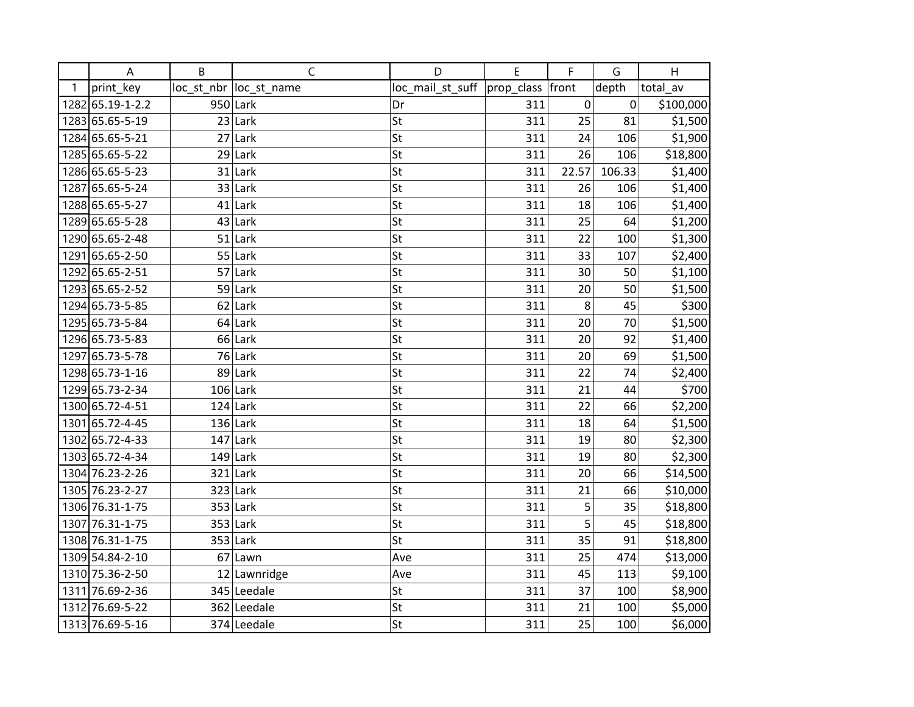|      | A                | B  | $\mathsf{C}$            | D                | E          | F       | G      | H         |
|------|------------------|----|-------------------------|------------------|------------|---------|--------|-----------|
| 1    | print_key        |    | loc_st_nbr  loc_st_name | loc_mail_st_suff | prop_class | front   | depth  | total_av  |
|      | 1282 65.19-1-2.2 |    | 950 Lark                | Dr               | 311        | 0       | 0      | \$100,000 |
|      | 1283 65.65-5-19  |    | $23$ Lark               | St               | 311        | 25      | 81     | \$1,500   |
|      | 1284 65.65-5-21  |    | $27$ Lark               | St               | 311        | 24      | 106    | \$1,900   |
|      | 1285 65.65-5-22  |    | $29$ Lark               | St               | 311        | 26      | 106    | \$18,800  |
|      | 1286 65.65-5-23  | 31 | Lark                    | St               | 311        | 22.57   | 106.33 | \$1,400   |
| 1287 | 65.65-5-24       |    | 33 Lark                 | St               | 311        | 26      | 106    | \$1,400   |
|      | 1288 65.65-5-27  |    | $41$ Lark               | St               | 311        | 18      | 106    | \$1,400   |
|      | 1289 65.65-5-28  |    | $43$ Lark               | St               | 311        | 25      | 64     | \$1,200   |
|      | 1290 65.65-2-48  |    | $51$ Lark               | St               | 311        | 22      | 100    | \$1,300   |
|      | 1291 65.65-2-50  |    | $55$ Lark               | St               | 311        | 33      | 107    | \$2,400   |
|      | 1292 65.65-2-51  |    | $57$ Lark               | St               | 311        | 30      | 50     | \$1,100   |
|      | 1293 65.65-2-52  |    | 59 Lark                 | St               | 311        | 20      | 50     | \$1,500   |
|      | 1294 65.73-5-85  |    | $62$ Lark               | St               | 311        | $\,8\,$ | 45     | \$300     |
|      | 1295 65.73-5-84  |    | $64$ Lark               | St               | 311        | 20      | 70     | \$1,500   |
|      | 1296 65.73-5-83  |    | $66$ Lark               | St               | 311        | 20      | 92     | \$1,400   |
| 1297 | 65.73-5-78       |    | $76$ Lark               | St               | 311        | 20      | 69     | \$1,500   |
|      | 1298 65.73-1-16  |    | 89 Lark                 | St               | 311        | 22      | 74     | \$2,400   |
|      | 1299 65.73-2-34  |    | $106$ Lark              | St               | 311        | 21      | 44     | \$700     |
|      | 1300 65.72-4-51  |    | $124$ Lark              | St               | 311        | 22      | 66     | \$2,200   |
|      | 1301 65.72-4-45  |    | $136$ Lark              | St               | 311        | 18      | 64     | \$1,500   |
|      | 1302 65.72-4-33  |    | $147$ Lark              | St               | 311        | 19      | 80     | \$2,300   |
|      | 1303 65.72-4-34  |    | $149$ Lark              | St               | 311        | 19      | 80     | \$2,300   |
|      | 1304 76.23-2-26  |    | $321$ Lark              | St               | 311        | 20      | 66     | \$14,500  |
|      | 1305 76.23-2-27  |    | $323$ Lark              | St               | 311        | 21      | 66     | \$10,000  |
|      | 1306 76.31-1-75  |    | $353$ Lark              | St               | 311        | 5       | 35     | \$18,800  |
|      | 1307 76.31-1-75  |    | $353$ Lark              | St               | 311        | 5       | 45     | \$18,800  |
|      | 1308 76.31-1-75  |    | $353$ Lark              | St               | 311        | 35      | 91     | \$18,800  |
|      | 1309 54.84-2-10  |    | $67$  Lawn              | Ave              | 311        | 25      | 474    | \$13,000  |
|      | 1310 75.36-2-50  |    | 12 Lawnridge            | Ave              | 311        | 45      | 113    | \$9,100   |
|      | 1311 76.69-2-36  |    | 345 Leedale             | St               | 311        | 37      | 100    | \$8,900   |
|      | 1312 76.69-5-22  |    | 362 Leedale             | St               | 311        | 21      | 100    | \$5,000   |
|      | 1313 76.69-5-16  |    | 374 Leedale             | St               | 311        | 25      | 100    | \$6,000   |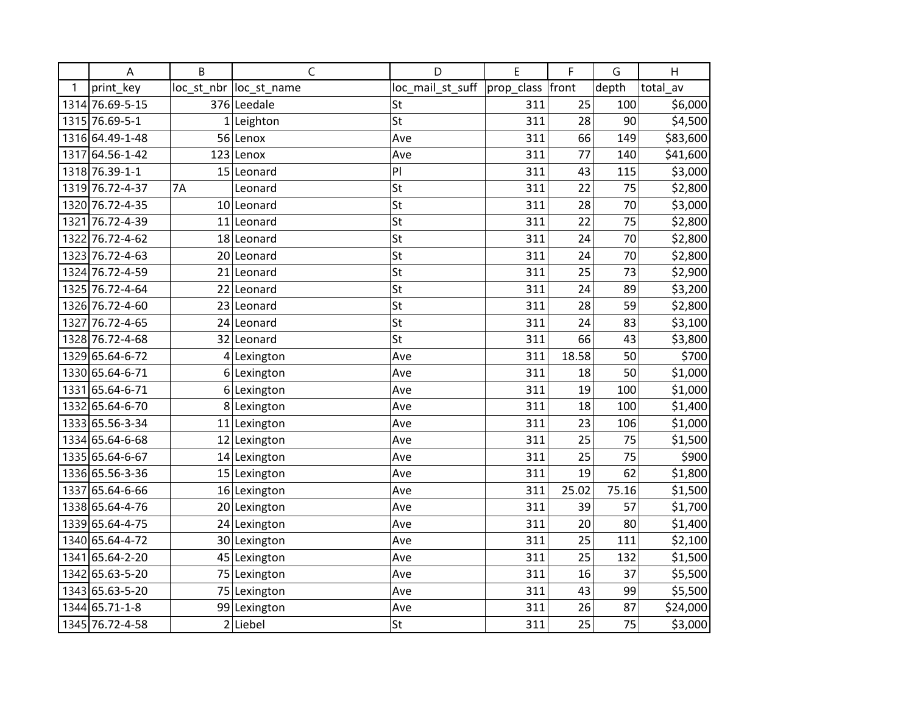|      | A               | B         | C                       | D                | E                  | F     | G     | H        |
|------|-----------------|-----------|-------------------------|------------------|--------------------|-------|-------|----------|
| 1    | print key       |           | loc_st_nbr  loc_st_name | loc_mail_st_suff | prop_class   front |       | depth | total av |
|      | 1314 76.69-5-15 |           | 376 Leedale             | St               | 311                | 25    | 100   | \$6,000  |
|      | 1315 76.69-5-1  |           | $1$  Leighton           | St               | 311                | 28    | 90    | \$4,500  |
|      | 1316 64.49-1-48 |           | 56 Lenox                | Ave              | 311                | 66    | 149   | \$83,600 |
| 1317 | 64.56-1-42      | 123       | Lenox                   | Ave              | 311                | 77    | 140   | \$41,600 |
|      | 1318 76.39-1-1  |           | 15 Leonard              | PI               | 311                | 43    | 115   | \$3,000  |
|      | 1319 76.72-4-37 | <b>7A</b> | Leonard                 | St               | 311                | 22    | 75    | \$2,800  |
|      | 1320 76.72-4-35 |           | 10 Leonard              | St               | 311                | 28    | 70    | \$3,000  |
| 1321 | 76.72-4-39      |           | 11 Leonard              | St               | 311                | 22    | 75    | \$2,800  |
|      | 1322 76.72-4-62 |           | 18 Leonard              | St               | 311                | 24    | 70    | \$2,800  |
|      | 1323 76.72-4-63 |           | 20 Leonard              | St               | 311                | 24    | 70    | \$2,800  |
|      | 1324 76.72-4-59 |           | 21 Leonard              | St               | 311                | 25    | 73    | \$2,900  |
|      | 1325 76.72-4-64 |           | 22 Leonard              | St               | 311                | 24    | 89    | \$3,200  |
|      | 1326 76.72-4-60 |           | 23 Leonard              | St               | 311                | 28    | 59    | \$2,800  |
| 1327 | 76.72-4-65      |           | 24 Leonard              | St               | 311                | 24    | 83    | \$3,100  |
|      | 1328 76.72-4-68 |           | 32 Leonard              | St               | 311                | 66    | 43    | \$3,800  |
|      | 1329 65.64-6-72 |           | 4 Lexington             | Ave              | 311                | 18.58 | 50    | \$700    |
|      | 1330 65.64-6-71 |           | 6 Lexington             | Ave              | 311                | 18    | 50    | \$1,000  |
| 1331 | 65.64-6-71      |           | 6 Lexington             | Ave              | 311                | 19    | 100   | \$1,000  |
|      | 1332 65.64-6-70 |           | 8 Lexington             | Ave              | 311                | 18    | 100   | \$1,400  |
|      | 1333 65.56-3-34 |           | $11$  Lexington         | Ave              | 311                | 23    | 106   | \$1,000  |
|      | 1334 65.64-6-68 |           | 12 Lexington            | Ave              | 311                | 25    | 75    | \$1,500  |
|      | 1335 65.64-6-67 |           | $14$ Lexington          | Ave              | 311                | 25    | 75    | \$900    |
|      | 1336 65.56-3-36 |           | $15$  Lexington         | Ave              | 311                | 19    | 62    | \$1,800  |
| 1337 | 65.64-6-66      |           | 16 Lexington            | Ave              | 311                | 25.02 | 75.16 | \$1,500  |
|      | 1338 65.64-4-76 |           | 20 Lexington            | Ave              | 311                | 39    | 57    | \$1,700  |
|      | 1339 65.64-4-75 |           | 24 Lexington            | Ave              | 311                | 20    | 80    | \$1,400  |
|      | 1340 65.64-4-72 |           | 30 Lexington            | Ave              | 311                | 25    | 111   | \$2,100  |
|      | 1341 65.64-2-20 |           | 45 Lexington            | Ave              | 311                | 25    | 132   | \$1,500  |
|      | 1342 65.63-5-20 |           | 75 Lexington            | Ave              | 311                | 16    | 37    | \$5,500  |
|      | 1343 65.63-5-20 |           | 75 Lexington            | Ave              | 311                | 43    | 99    | \$5,500  |
|      | 1344 65.71-1-8  |           | 99 Lexington            | Ave              | 311                | 26    | 87    | \$24,000 |
|      | 1345 76.72-4-58 |           | $2$ Liebel              | St               | 311                | 25    | 75    | \$3,000  |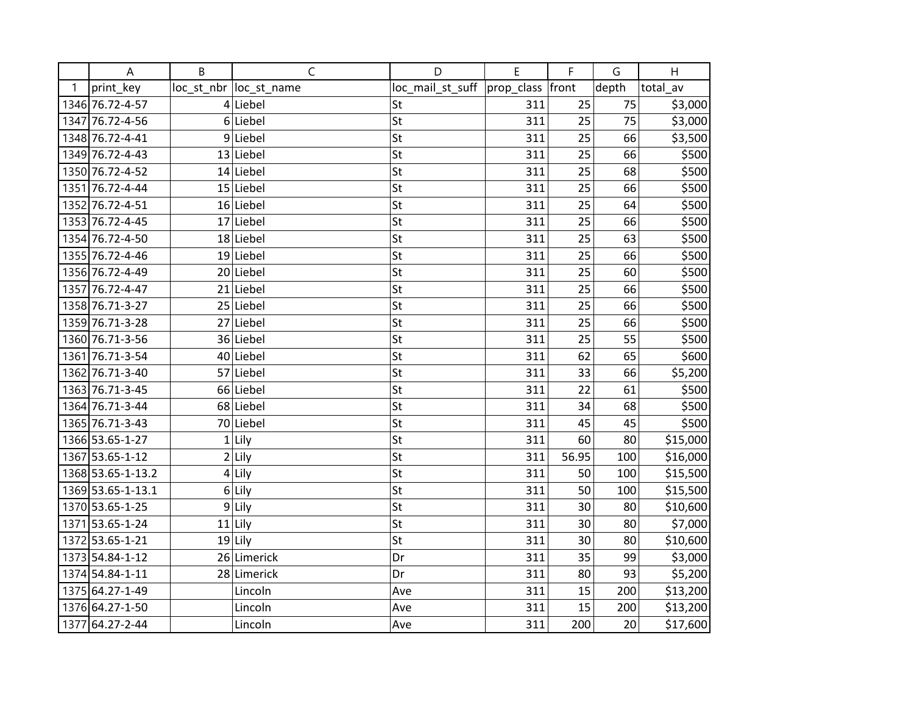|      | A                 | B | C                       | D                | E                | F     | G     | H        |
|------|-------------------|---|-------------------------|------------------|------------------|-------|-------|----------|
| 1    | print_key         |   | loc_st_nbr  loc_st_name | loc_mail_st_suff | prop_class front |       | depth | total av |
|      | 1346 76.72-4-57   |   | 4 Liebel                | St               | 311              | 25    | 75    | \$3,000  |
|      | 1347 76.72-4-56   |   | $6$ Liebel              | St               | 311              | 25    | 75    | \$3,000  |
|      | 1348 76.72-4-41   |   | $9$  Liebel             | St               | 311              | 25    | 66    | \$3,500  |
|      | 1349 76.72-4-43   |   | 13 Liebel               | St               | 311              | 25    | 66    | \$500    |
|      | 1350 76.72-4-52   |   | 14 Liebel               | St               | 311              | 25    | 68    | \$500    |
|      | 1351 76.72-4-44   |   | $15$ Liebel             | St               | 311              | 25    | 66    | \$500    |
|      | 1352 76.72-4-51   |   | $16$ Liebel             | St               | 311              | 25    | 64    | \$500    |
|      | 1353 76.72-4-45   |   | 17 Liebel               | St               | 311              | 25    | 66    | \$500    |
|      | 1354 76.72-4-50   |   | 18 Liebel               | St               | 311              | 25    | 63    | \$500    |
|      | 1355 76.72-4-46   |   | $19$ Liebel             | St               | 311              | 25    | 66    | \$500    |
|      | 1356 76.72-4-49   |   | 20 Liebel               | St               | 311              | 25    | 60    | \$500    |
|      | 1357 76.72-4-47   |   | $21$ Liebel             | St               | 311              | 25    | 66    | \$500    |
|      | 1358 76.71-3-27   |   | 25 Liebel               | St               | 311              | 25    | 66    | \$500    |
|      | 1359 76.71-3-28   |   | 27 Liebel               | St               | 311              | 25    | 66    | \$500    |
|      | 1360 76.71-3-56   |   | 36 Liebel               | St               | 311              | 25    | 55    | \$500    |
| 1361 | 76.71-3-54        |   | 40 Liebel               | St               | 311              | 62    | 65    | \$600    |
|      | 1362 76.71-3-40   |   | 57 Liebel               | St               | 311              | 33    | 66    | \$5,200  |
|      | 1363 76.71-3-45   |   | 66 Liebel               | St               | 311              | 22    | 61    | \$500    |
|      | 1364 76.71-3-44   |   | 68 Liebel               | St               | 311              | 34    | 68    | \$500    |
|      | 1365 76.71-3-43   |   | 70 Liebel               | St               | 311              | 45    | 45    | \$500    |
|      | 1366 53.65-1-27   |   | $1$ Lily                | St               | 311              | 60    | 80    | \$15,000 |
|      | 1367 53.65-1-12   |   | $2$ Lily                | St               | 311              | 56.95 | 100   | \$16,000 |
|      | 1368 53.65-1-13.2 |   | $4$ Lily                | St               | 311              | 50    | 100   | \$15,500 |
|      | 1369 53.65-1-13.1 |   | $6$ Lily                | St               | 311              | 50    | 100   | \$15,500 |
|      | 1370 53.65-1-25   | 9 | Lily                    | St               | 311              | 30    | 80    | \$10,600 |
|      | 1371 53.65-1-24   |   | $11$ Lily               | St               | 311              | 30    | 80    | \$7,000  |
|      | 1372 53.65-1-21   |   | $19$ Lily               | St               | 311              | 30    | 80    | \$10,600 |
|      | 1373 54.84-1-12   |   | 26 Limerick             | Dr               | 311              | 35    | 99    | \$3,000  |
|      | 1374 54.84-1-11   |   | 28 Limerick             | Dr               | 311              | 80    | 93    | \$5,200  |
|      | 1375 64.27-1-49   |   | Lincoln                 | Ave              | 311              | 15    | 200   | \$13,200 |
|      | 1376 64.27-1-50   |   | Lincoln                 | Ave              | 311              | 15    | 200   | \$13,200 |
|      | 1377 64.27-2-44   |   | Lincoln                 | Ave              | 311              | 200   | 20    | \$17,600 |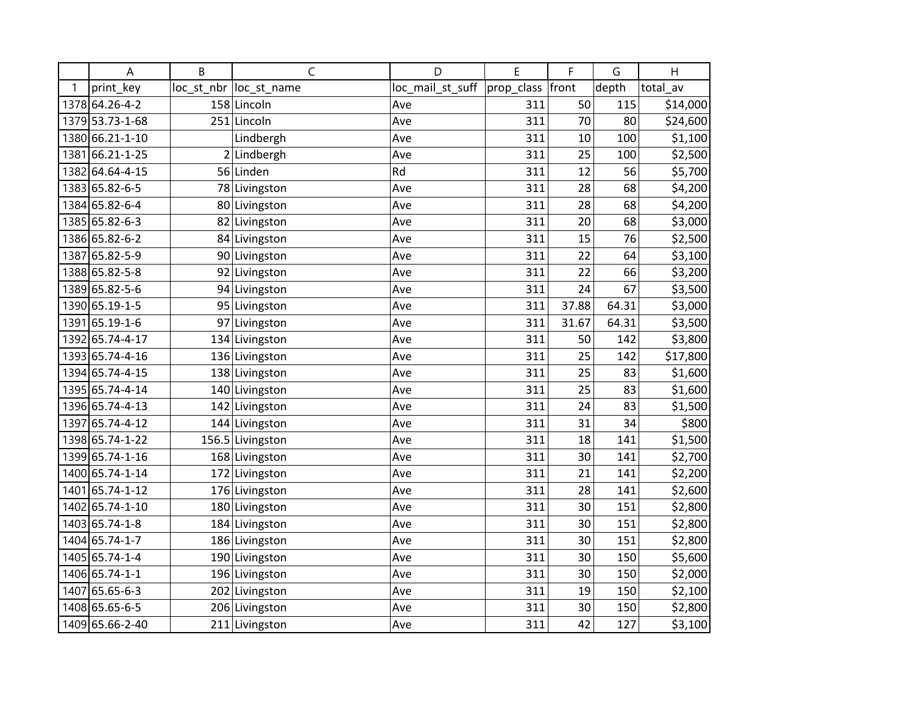|      | Α               | B | C                       | D                | E          | F     | G     | H        |
|------|-----------------|---|-------------------------|------------------|------------|-------|-------|----------|
| 1    | print_key       |   | loc_st_nbr  loc_st_name | loc_mail_st_suff | prop_class | front | depth | total av |
|      | 1378 64.26-4-2  |   | 158 Lincoln             | Ave              | 311        | 50    | 115   | \$14,000 |
|      | 1379 53.73-1-68 |   | 251 Lincoln             | Ave              | 311        | 70    | 80    | \$24,600 |
|      | 1380 66.21-1-10 |   | Lindbergh               | Ave              | 311        | 10    | 100   | \$1,100  |
| 1381 | 66.21-1-25      | 2 | Lindbergh               | Ave              | 311        | 25    | 100   | \$2,500  |
|      | 1382 64.64-4-15 |   | 56 Linden               | Rd               | 311        | 12    | 56    | \$5,700  |
|      | 1383 65.82-6-5  |   | 78 Livingston           | Ave              | 311        | 28    | 68    | \$4,200  |
|      | 1384 65.82-6-4  |   | 80 Livingston           | Ave              | 311        | 28    | 68    | \$4,200  |
|      | 1385 65.82-6-3  |   | 82 Livingston           | Ave              | 311        | 20    | 68    | \$3,000  |
|      | 1386 65.82-6-2  |   | 84 Livingston           | Ave              | 311        | 15    | 76    | \$2,500  |
| 1387 | 65.82-5-9       |   | 90 Livingston           | Ave              | 311        | 22    | 64    | \$3,100  |
|      | 1388 65.82-5-8  |   | 92 Livingston           | Ave              | 311        | 22    | 66    | \$3,200  |
|      | 1389 65.82-5-6  |   | 94 Livingston           | Ave              | 311        | 24    | 67    | \$3,500  |
|      | 1390 65.19-1-5  |   | 95 Livingston           | Ave              | 311        | 37.88 | 64.31 | \$3,000  |
|      | 1391 65.19-1-6  |   | 97 Livingston           | Ave              | 311        | 31.67 | 64.31 | \$3,500  |
|      | 1392 65.74-4-17 |   | 134 Livingston          | Ave              | 311        | 50    | 142   | \$3,800  |
|      | 1393 65.74-4-16 |   | 136 Livingston          | Ave              | 311        | 25    | 142   | \$17,800 |
|      | 1394 65.74-4-15 |   | 138 Livingston          | Ave              | 311        | 25    | 83    | \$1,600  |
|      | 1395 65.74-4-14 |   | 140 Livingston          | Ave              | 311        | 25    | 83    | \$1,600  |
|      | 1396 65.74-4-13 |   | 142 Livingston          | Ave              | 311        | 24    | 83    | \$1,500  |
|      | 1397 65.74-4-12 |   | 144 Livingston          | Ave              | 311        | 31    | 34    | \$800    |
|      | 1398 65.74-1-22 |   | 156.5 Livingston        | Ave              | 311        | 18    | 141   | \$1,500  |
|      | 1399 65.74-1-16 |   | 168 Livingston          | Ave              | 311        | 30    | 141   | \$2,700  |
|      | 1400 65.74-1-14 |   | 172 Livingston          | Ave              | 311        | 21    | 141   | \$2,200  |
| 1401 | 65.74-1-12      |   | 176 Livingston          | Ave              | 311        | 28    | 141   | \$2,600  |
|      | 1402 65.74-1-10 |   | 180 Livingston          | Ave              | 311        | 30    | 151   | \$2,800  |
|      | 1403 65.74-1-8  |   | 184 Livingston          | Ave              | 311        | 30    | 151   | \$2,800  |
|      | 1404 65.74-1-7  |   | 186 Livingston          | Ave              | 311        | 30    | 151   | \$2,800  |
|      | 1405 65.74-1-4  |   | 190 Livingston          | Ave              | 311        | 30    | 150   | \$5,600  |
|      | 1406 65.74-1-1  |   | 196 Livingston          | Ave              | 311        | 30    | 150   | \$2,000  |
| 1407 | 65.65-6-3       |   | 202 Livingston          | Ave              | 311        | 19    | 150   | \$2,100  |
|      | 1408 65.65-6-5  |   | 206 Livingston          | Ave              | 311        | 30    | 150   | \$2,800  |
|      | 1409 65.66-2-40 |   | 211 Livingston          | Ave              | 311        | 42    | 127   | \$3,100  |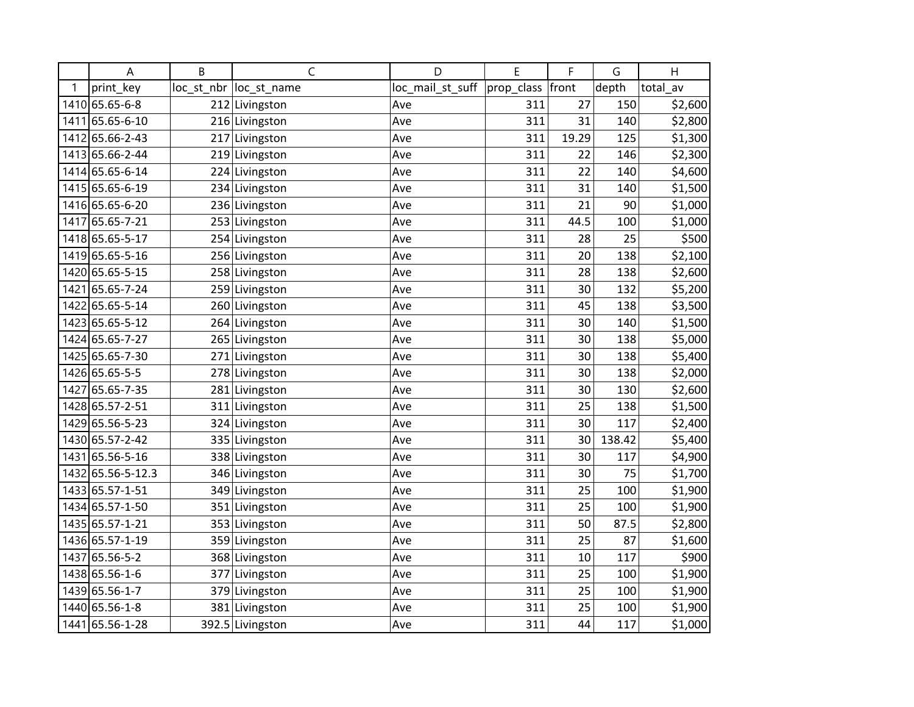|      | Α                 | B | Ċ                       | D                | E          | F     | G      | H        |
|------|-------------------|---|-------------------------|------------------|------------|-------|--------|----------|
| 1    | print_key         |   | loc_st_nbr  loc_st_name | loc_mail_st_suff | prop class | front | depth  | total av |
|      | 1410 65.65-6-8    |   | 212 Livingston          | Ave              | 311        | 27    | 150    | \$2,600  |
|      | 1411 65.65-6-10   |   | 216 Livingston          | Ave              | 311        | 31    | 140    | \$2,800  |
|      | 1412 65.66-2-43   |   | 217 Livingston          | Ave              | 311        | 19.29 | 125    | \$1,300  |
|      | 1413 65.66-2-44   |   | 219 Livingston          | Ave              | 311        | 22    | 146    | \$2,300  |
|      | 1414 65.65-6-14   |   | 224 Livingston          | Ave              | 311        | 22    | 140    | \$4,600  |
|      | 1415 65.65-6-19   |   | 234 Livingston          | Ave              | 311        | 31    | 140    | \$1,500  |
|      | 1416 65.65-6-20   |   | 236 Livingston          | Ave              | 311        | 21    | 90     | \$1,000  |
| 1417 | 65.65-7-21        |   | 253 Livingston          | Ave              | 311        | 44.5  | 100    | \$1,000  |
|      | 1418 65.65-5-17   |   | 254 Livingston          | Ave              | 311        | 28    | 25     | \$500    |
|      | 1419 65.65-5-16   |   | 256 Livingston          | Ave              | 311        | 20    | 138    | \$2,100  |
|      | 1420 65.65-5-15   |   | 258 Livingston          | Ave              | 311        | 28    | 138    | \$2,600  |
| 1421 | 65.65-7-24        |   | 259 Livingston          | Ave              | 311        | 30    | 132    | \$5,200  |
|      | 1422 65.65-5-14   |   | 260 Livingston          | Ave              | 311        | 45    | 138    | \$3,500  |
|      | 1423 65.65-5-12   |   | 264 Livingston          | Ave              | 311        | 30    | 140    | \$1,500  |
|      | 1424 65.65-7-27   |   | 265 Livingston          | Ave              | 311        | 30    | 138    | \$5,000  |
|      | 1425 65.65-7-30   |   | 271 Livingston          | Ave              | 311        | 30    | 138    | \$5,400  |
|      | 1426 65.65-5-5    |   | 278 Livingston          | Ave              | 311        | 30    | 138    | \$2,000  |
| 1427 | 65.65-7-35        |   | 281 Livingston          | Ave              | 311        | 30    | 130    | \$2,600  |
|      | 1428 65.57-2-51   |   | 311 Livingston          | Ave              | 311        | 25    | 138    | \$1,500  |
|      | 1429 65.56-5-23   |   | 324 Livingston          | Ave              | 311        | 30    | 117    | \$2,400  |
|      | 1430 65.57-2-42   |   | 335 Livingston          | Ave              | 311        | 30    | 138.42 | \$5,400  |
| 1431 | 65.56-5-16        |   | 338 Livingston          | Ave              | 311        | 30    | 117    | \$4,900  |
|      | 1432 65.56-5-12.3 |   | 346 Livingston          | Ave              | 311        | 30    | 75     | \$1,700  |
|      | 1433 65.57-1-51   |   | 349 Livingston          | Ave              | 311        | 25    | 100    | \$1,900  |
|      | 1434 65.57-1-50   |   | 351 Livingston          | Ave              | 311        | 25    | 100    | \$1,900  |
|      | 1435 65.57-1-21   |   | 353 Livingston          | Ave              | 311        | 50    | 87.5   | \$2,800  |
|      | 1436 65.57-1-19   |   | 359 Livingston          | Ave              | 311        | 25    | 87     | \$1,600  |
| 1437 | 65.56-5-2         |   | 368 Livingston          | Ave              | 311        | 10    | 117    | \$900    |
|      | 1438 65.56-1-6    |   | 377 Livingston          | Ave              | 311        | 25    | 100    | \$1,900  |
|      | 1439 65.56-1-7    |   | 379 Livingston          | Ave              | 311        | 25    | 100    | \$1,900  |
|      | 1440 65.56-1-8    |   | 381 Livingston          | Ave              | 311        | 25    | 100    | \$1,900  |
|      | 1441 65.56-1-28   |   | 392.5 Livingston        | Ave              | 311        | 44    | 117    | \$1,000  |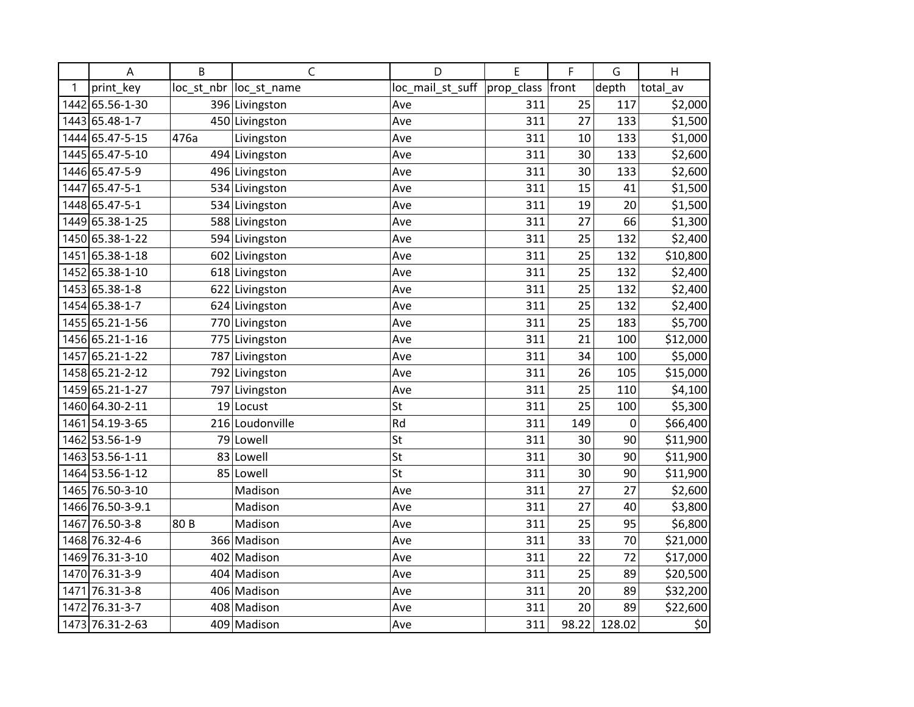|      | A                | B    | $\mathsf{C}$            | D                | E          | F     | G      | H        |
|------|------------------|------|-------------------------|------------------|------------|-------|--------|----------|
| 1    | print key        |      | loc_st_nbr  loc_st_name | loc_mail_st_suff | prop_class | front | depth  | total_av |
|      | 1442 65.56-1-30  |      | 396 Livingston          | Ave              | 311        | 25    | 117    | \$2,000  |
|      | 1443 65.48-1-7   |      | 450 Livingston          | Ave              | 311        | 27    | 133    | \$1,500  |
|      | 1444 65.47-5-15  | 476a | Livingston              | Ave              | 311        | 10    | 133    | \$1,000  |
|      | 1445 65.47-5-10  |      | 494 Livingston          | Ave              | 311        | 30    | 133    | \$2,600  |
|      | 1446 65.47-5-9   |      | 496 Livingston          | Ave              | 311        | 30    | 133    | \$2,600  |
| 1447 | 65.47-5-1        |      | 534 Livingston          | Ave              | 311        | 15    | 41     | \$1,500  |
|      | 1448 65.47-5-1   |      | 534 Livingston          | Ave              | 311        | 19    | 20     | \$1,500  |
|      | 1449 65.38-1-25  |      | 588 Livingston          | Ave              | 311        | 27    | 66     | \$1,300  |
|      | 1450 65.38-1-22  |      | 594 Livingston          | Ave              | 311        | 25    | 132    | \$2,400  |
| 1451 | 65.38-1-18       |      | 602 Livingston          | Ave              | 311        | 25    | 132    | \$10,800 |
|      | 1452 65.38-1-10  |      | 618 Livingston          | Ave              | 311        | 25    | 132    | \$2,400  |
|      | 1453 65.38-1-8   |      | 622 Livingston          | Ave              | 311        | 25    | 132    | \$2,400  |
|      | 1454 65.38-1-7   |      | 624 Livingston          | Ave              | 311        | 25    | 132    | \$2,400  |
|      | 1455 65.21-1-56  |      | 770 Livingston          | Ave              | 311        | 25    | 183    | \$5,700  |
|      | 1456 65.21-1-16  |      | 775 Livingston          | Ave              | 311        | 21    | 100    | \$12,000 |
| 1457 | 65.21-1-22       |      | 787 Livingston          | Ave              | 311        | 34    | 100    | \$5,000  |
|      | 1458 65.21-2-12  |      | 792 Livingston          | Ave              | 311        | 26    | 105    | \$15,000 |
|      | 1459 65.21-1-27  |      | 797 Livingston          | Ave              | 311        | 25    | 110    | \$4,100  |
|      | 1460 64.30-2-11  |      | 19 Locust               | St               | 311        | 25    | 100    | \$5,300  |
| 1461 | 54.19-3-65       |      | 216 Loudonville         | Rd               | 311        | 149   | 0      | \$66,400 |
|      | 1462 53.56-1-9   |      | 79 Lowell               | St               | 311        | 30    | 90     | \$11,900 |
|      | 1463 53.56-1-11  |      | 83 Lowell               | St               | 311        | 30    | 90     | \$11,900 |
|      | 1464 53.56-1-12  |      | 85 Lowell               | St               | 311        | 30    | 90     | \$11,900 |
|      | 1465 76.50-3-10  |      | Madison                 | Ave              | 311        | 27    | 27     | \$2,600  |
|      | 1466 76.50-3-9.1 |      | Madison                 | Ave              | 311        | 27    | 40     | \$3,800  |
| 1467 | 76.50-3-8        | 80 B | Madison                 | Ave              | 311        | 25    | 95     | \$6,800  |
|      | 1468 76.32-4-6   |      | 366 Madison             | Ave              | 311        | 33    | 70     | \$21,000 |
|      | 1469 76.31-3-10  |      | 402 Madison             | Ave              | 311        | 22    | 72     | \$17,000 |
|      | 1470 76.31-3-9   |      | 404 Madison             | Ave              | 311        | 25    | 89     | \$20,500 |
| 1471 | 76.31-3-8        |      | 406 Madison             | Ave              | 311        | 20    | 89     | \$32,200 |
|      | 1472 76.31-3-7   |      | 408 Madison             | Ave              | 311        | 20    | 89     | \$22,600 |
|      | 1473 76.31-2-63  |      | 409 Madison             | Ave              | 311        | 98.22 | 128.02 | \$0      |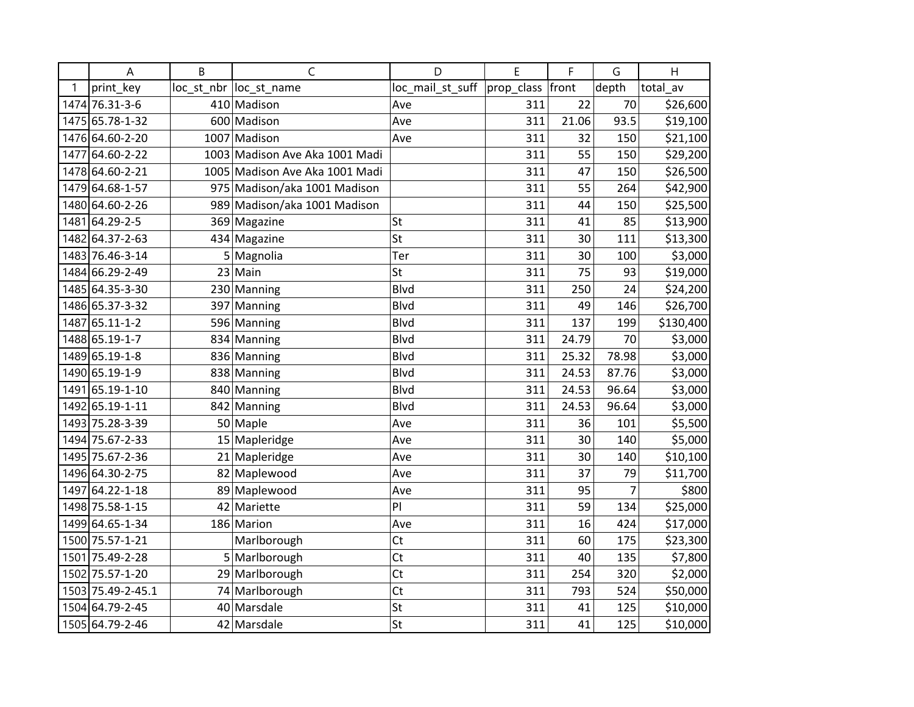|      | A                 | B  | $\mathsf C$                    | D                | E                | F     | G              | Н         |
|------|-------------------|----|--------------------------------|------------------|------------------|-------|----------------|-----------|
| 1    | print_key         |    | loc_st_nbr  loc_st_name        | loc_mail_st_suff | prop_class front |       | depth          | total av  |
|      | 1474 76.31-3-6    |    | 410 Madison                    | Ave              | 311              | 22    | 70             | \$26,600  |
|      | 1475 65.78-1-32   |    | 600 Madison                    | Ave              | 311              | 21.06 | 93.5           | \$19,100  |
|      | 1476 64.60-2-20   |    | 1007 Madison                   | Ave              | 311              | 32    | 150            | \$21,100  |
| 1477 | 64.60-2-22        |    | 1003 Madison Ave Aka 1001 Madi |                  | 311              | 55    | 150            | \$29,200  |
|      | 1478 64.60-2-21   |    | 1005 Madison Ave Aka 1001 Madi |                  | 311              | 47    | 150            | \$26,500  |
|      | 1479 64.68-1-57   |    | 975 Madison/aka 1001 Madison   |                  | 311              | 55    | 264            | \$42,900  |
|      | 1480 64.60-2-26   |    | 989 Madison/aka 1001 Madison   |                  | 311              | 44    | 150            | \$25,500  |
|      | 1481 64.29-2-5    |    | 369 Magazine                   | <b>St</b>        | 311              | 41    | 85             | \$13,900  |
|      | 1482 64.37-2-63   |    | 434 Magazine                   | St               | 311              | 30    | 111            | \$13,300  |
|      | 1483 76.46-3-14   |    | 5 Magnolia                     | Ter              | 311              | 30    | 100            | \$3,000   |
|      | 1484 66.29-2-49   |    | $23$ Main                      | St               | 311              | 75    | 93             | \$19,000  |
|      | 1485 64.35-3-30   |    | 230 Manning                    | <b>Blvd</b>      | 311              | 250   | 24             | \$24,200  |
|      | 1486 65.37-3-32   |    | 397 Manning                    | Blvd             | 311              | 49    | 146            | \$26,700  |
| 1487 | 65.11-1-2         |    | 596 Manning                    | Blvd             | 311              | 137   | 199            | \$130,400 |
|      | 1488 65.19-1-7    |    | 834 Manning                    | <b>Blvd</b>      | 311              | 24.79 | 70             | \$3,000   |
|      | 1489 65.19-1-8    |    | 836 Manning                    | <b>Blvd</b>      | 311              | 25.32 | 78.98          | \$3,000   |
|      | 1490 65.19-1-9    |    | 838 Manning                    | <b>Blvd</b>      | 311              | 24.53 | 87.76          | \$3,000   |
| 1491 | 65.19-1-10        |    | 840 Manning                    | <b>Blvd</b>      | 311              | 24.53 | 96.64          | \$3,000   |
|      | 1492 65.19-1-11   |    | 842 Manning                    | Blvd             | 311              | 24.53 | 96.64          | \$3,000   |
|      | 1493 75.28-3-39   |    | 50 Maple                       | Ave              | 311              | 36    | 101            | \$5,500   |
|      | 1494 75.67-2-33   |    | 15 Mapleridge                  | Ave              | 311              | 30    | 140            | \$5,000   |
|      | 1495 75.67-2-36   |    | 21 Mapleridge                  | Ave              | 311              | 30    | 140            | \$10,100  |
|      | 1496 64.30-2-75   |    | 82 Maplewood                   | Ave              | 311              | 37    | 79             | \$11,700  |
|      | 1497 64.22-1-18   |    | 89 Maplewood                   | Ave              | 311              | 95    | $\overline{7}$ | \$800     |
|      | 1498 75.58-1-15   | 42 | Mariette                       | PI               | 311              | 59    | 134            | \$25,000  |
|      | 1499 64.65-1-34   |    | 186 Marion                     | Ave              | 311              | 16    | 424            | \$17,000  |
|      | 1500 75.57-1-21   |    | Marlborough                    | Ct               | 311              | 60    | 175            | \$23,300  |
|      | 1501 75.49-2-28   |    | 5 Marlborough                  | Ct               | 311              | 40    | 135            | \$7,800   |
|      | 1502 75.57-1-20   |    | 29 Marlborough                 | Ct               | 311              | 254   | 320            | \$2,000   |
|      | 1503 75.49-2-45.1 |    | 74 Marlborough                 | Ct               | 311              | 793   | 524            | \$50,000  |
|      | 1504 64.79-2-45   |    | 40 Marsdale                    | St               | 311              | 41    | 125            | \$10,000  |
|      | 1505 64.79-2-46   |    | 42 Marsdale                    | St               | 311              | 41    | 125            | \$10,000  |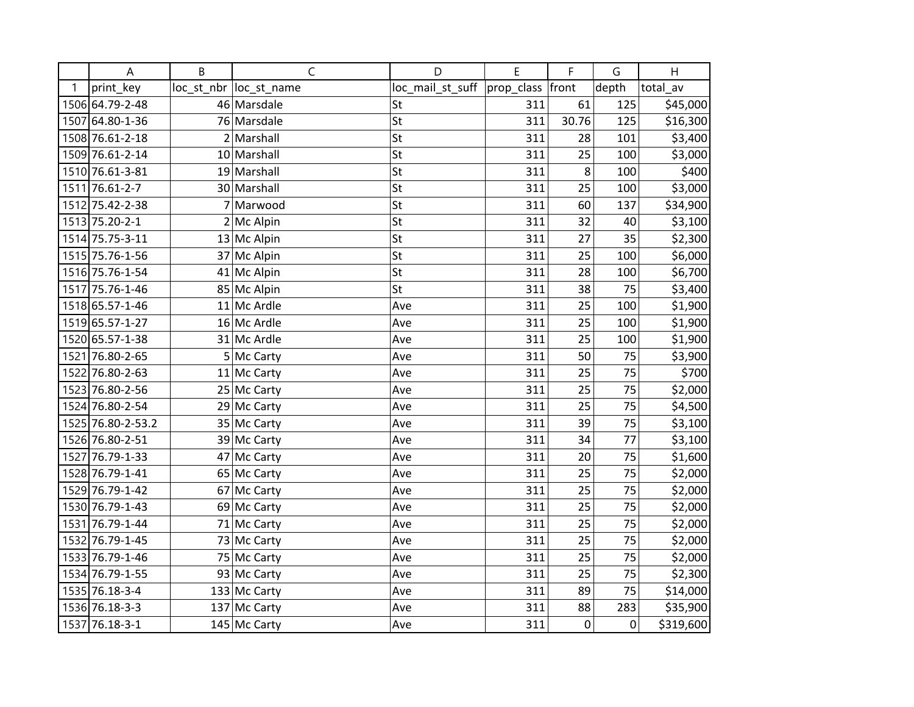|   | A                 | B | $\mathsf{C}$           | D                | E          | F           | G           | H         |
|---|-------------------|---|------------------------|------------------|------------|-------------|-------------|-----------|
| 1 | print key         |   | loc st nbr loc st name | loc_mail_st_suff | prop_class | front       | depth       | total av  |
|   | 1506 64.79-2-48   |   | 46 Marsdale            | St               | 311        | 61          | 125         | \$45,000  |
|   | 1507 64.80-1-36   |   | 76 Marsdale            | St               | 311        | 30.76       | 125         | \$16,300  |
|   | 1508 76.61-2-18   |   | 2 Marshall             | St               | 311        | 28          | 101         | \$3,400   |
|   | 1509 76.61-2-14   |   | 10 Marshall            | St               | 311        | 25          | 100         | \$3,000   |
|   | 1510 76.61-3-81   |   | 19 Marshall            | St               | 311        | $\bf 8$     | 100         | \$400     |
|   | 1511 76.61-2-7    |   | 30 Marshall            | St               | 311        | 25          | 100         | \$3,000   |
|   | 1512 75.42-2-38   |   | 7 Marwood              | St               | 311        | 60          | 137         | \$34,900  |
|   | 1513 75.20-2-1    |   | $2$ Mc Alpin           | St               | 311        | 32          | 40          | \$3,100   |
|   | 1514 75.75-3-11   |   | 13 Mc Alpin            | St               | 311        | 27          | 35          | \$2,300   |
|   | 1515 75.76-1-56   |   | 37 Mc Alpin            | St               | 311        | 25          | 100         | \$6,000   |
|   | 1516 75.76-1-54   |   | 41 Mc Alpin            | St               | 311        | 28          | 100         | \$6,700   |
|   | 1517 75.76-1-46   |   | 85 Mc Alpin            | St               | 311        | 38          | 75          | \$3,400   |
|   | 1518 65.57-1-46   |   | $11$ Mc Ardle          | Ave              | 311        | 25          | 100         | \$1,900   |
|   | 1519 65.57-1-27   |   | 16 Mc Ardle            | Ave              | 311        | 25          | 100         | \$1,900   |
|   | 1520 65.57-1-38   |   | 31 Mc Ardle            | Ave              | 311        | 25          | 100         | \$1,900   |
|   | 1521 76.80-2-65   |   | 5 Mc Carty             | Ave              | 311        | 50          | 75          | \$3,900   |
|   | 1522 76.80-2-63   |   | $11$ Mc Carty          | Ave              | 311        | 25          | 75          | \$700     |
|   | 1523 76.80-2-56   |   | 25 Mc Carty            | Ave              | 311        | 25          | 75          | \$2,000   |
|   | 1524 76.80-2-54   |   | 29 Mc Carty            | Ave              | 311        | 25          | 75          | \$4,500   |
|   | 1525 76.80-2-53.2 |   | 35 Mc Carty            | Ave              | 311        | 39          | 75          | \$3,100   |
|   | 1526 76.80-2-51   |   | 39 Mc Carty            | Ave              | 311        | 34          | 77          | \$3,100   |
|   | 1527 76.79-1-33   |   | 47 Mc Carty            | Ave              | 311        | 20          | 75          | \$1,600   |
|   | 1528 76.79-1-41   |   | 65 Mc Carty            | Ave              | 311        | 25          | 75          | \$2,000   |
|   | 1529 76.79-1-42   |   | 67 Mc Carty            | Ave              | 311        | 25          | 75          | \$2,000   |
|   | 1530 76.79-1-43   |   | 69 Mc Carty            | Ave              | 311        | 25          | 75          | \$2,000   |
|   | 1531 76.79-1-44   |   | 71 Mc Carty            | Ave              | 311        | 25          | 75          | \$2,000   |
|   | 1532 76.79-1-45   |   | 73 Mc Carty            | Ave              | 311        | 25          | 75          | \$2,000   |
|   | 1533 76.79-1-46   |   | 75 Mc Carty            | Ave              | 311        | 25          | 75          | \$2,000   |
|   | 1534 76.79-1-55   |   | 93 Mc Carty            | Ave              | 311        | 25          | 75          | \$2,300   |
|   | 1535 76.18-3-4    |   | 133 Mc Carty           | Ave              | 311        | 89          | 75          | \$14,000  |
|   | 1536 76.18-3-3    |   | 137 Mc Carty           | Ave              | 311        | 88          | 283         | \$35,900  |
|   | 1537 76.18-3-1    |   | 145 Mc Carty           | Ave              | 311        | $\mathbf 0$ | $\mathbf 0$ | \$319,600 |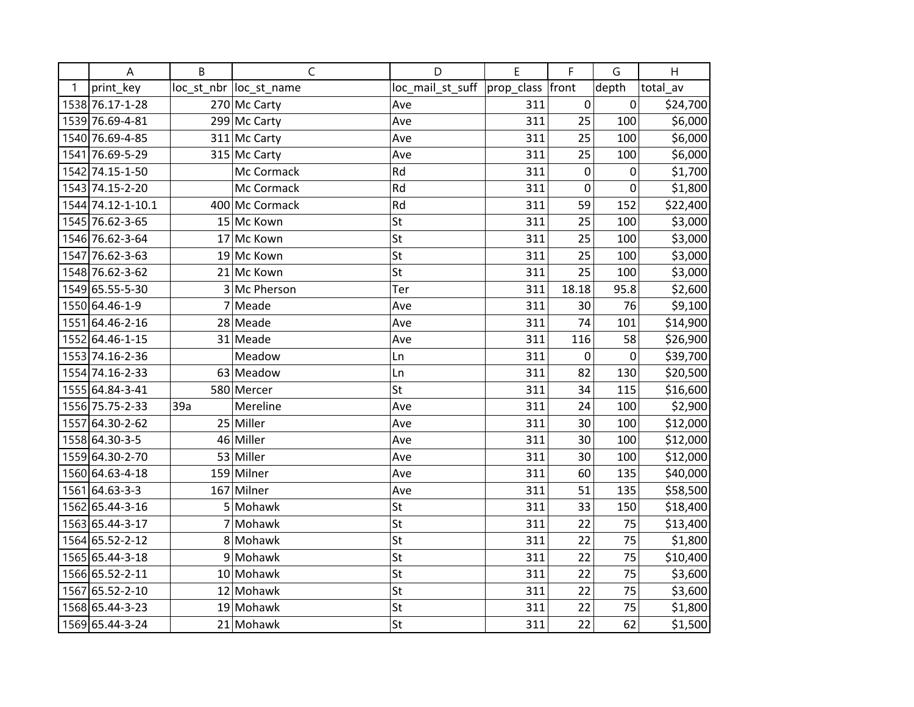|   | A                 | B   | $\mathsf{C}$            | D                            | E   | F         | G     | H        |
|---|-------------------|-----|-------------------------|------------------------------|-----|-----------|-------|----------|
| 1 | print_key         |     | loc_st_nbr  loc_st_name | loc_mail_st_suff  prop_class |     | front     | depth | total_av |
|   | 1538 76.17-1-28   |     | 270 Mc Carty            | Ave                          | 311 | 0         | 0     | \$24,700 |
|   | 1539 76.69-4-81   |     | 299 Mc Carty            | Ave                          | 311 | 25        | 100   | \$6,000  |
|   | 1540 76.69-4-85   |     | 311 Mc Carty            | Ave                          | 311 | 25        | 100   | \$6,000  |
|   | 1541 76.69-5-29   |     | 315 Mc Carty            | Ave                          | 311 | 25        | 100   | \$6,000  |
|   | 1542 74.15-1-50   |     | Mc Cormack              | Rd                           | 311 | $\pmb{0}$ | 0     | \$1,700  |
|   | 1543 74.15-2-20   |     | Mc Cormack              | Rd                           | 311 | 0         | 0     | \$1,800  |
|   | 1544 74.12-1-10.1 |     | 400 Mc Cormack          | Rd                           | 311 | 59        | 152   | \$22,400 |
|   | 1545 76.62-3-65   |     | 15 Mc Kown              | St                           | 311 | 25        | 100   | \$3,000  |
|   | 1546 76.62-3-64   |     | 17 Mc Kown              | St                           | 311 | 25        | 100   | \$3,000  |
|   | 1547 76.62-3-63   |     | 19 Mc Kown              | St                           | 311 | 25        | 100   | \$3,000  |
|   | 1548 76.62-3-62   |     | 21 Mc Kown              | St                           | 311 | 25        | 100   | \$3,000  |
|   | 1549 65.55-5-30   |     | 3 Mc Pherson            | Ter                          | 311 | 18.18     | 95.8  | \$2,600  |
|   | 1550 64.46-1-9    |     | 7 Meade                 | Ave                          | 311 | 30        | 76    | \$9,100  |
|   | 1551 64.46-2-16   |     | 28 Meade                | Ave                          | 311 | 74        | 101   | \$14,900 |
|   | 1552 64.46-1-15   |     | 31 Meade                | Ave                          | 311 | 116       | 58    | \$26,900 |
|   | 1553 74.16-2-36   |     | Meadow                  | Ln                           | 311 | 0         | 0     | \$39,700 |
|   | 1554 74.16-2-33   |     | 63 Meadow               | Ln                           | 311 | 82        | 130   | \$20,500 |
|   | 1555 64.84-3-41   |     | 580 Mercer              | St                           | 311 | 34        | 115   | \$16,600 |
|   | 1556 75.75-2-33   | 39a | Mereline                | Ave                          | 311 | 24        | 100   | \$2,900  |
|   | 1557 64.30-2-62   |     | 25 Miller               | Ave                          | 311 | 30        | 100   | \$12,000 |
|   | 1558 64.30-3-5    |     | 46 Miller               | Ave                          | 311 | 30        | 100   | \$12,000 |
|   | 1559 64.30-2-70   |     | 53 Miller               | Ave                          | 311 | 30        | 100   | \$12,000 |
|   | 1560 64.63-4-18   |     | 159 Milner              | Ave                          | 311 | 60        | 135   | \$40,000 |
|   | 1561 64.63-3-3    |     | 167 Milner              | Ave                          | 311 | 51        | 135   | \$58,500 |
|   | 1562 65.44-3-16   | 5   | Mohawk                  | <b>St</b>                    | 311 | 33        | 150   | \$18,400 |
|   | 1563 65.44-3-17   |     | 7 Mohawk                | St                           | 311 | 22        | 75    | \$13,400 |
|   | 1564 65.52-2-12   |     | 8 Mohawk                | St                           | 311 | 22        | 75    | \$1,800  |
|   | 1565 65.44-3-18   |     | 9 Mohawk                | St                           | 311 | 22        | 75    | \$10,400 |
|   | 1566 65.52-2-11   |     | 10 Mohawk               | St                           | 311 | 22        | 75    | \$3,600  |
|   | 1567 65.52-2-10   |     | 12 Mohawk               | St                           | 311 | 22        | 75    | \$3,600  |
|   | 1568 65.44-3-23   |     | 19 Mohawk               | St                           | 311 | 22        | 75    | \$1,800  |
|   | 1569 65.44-3-24   |     | 21 Mohawk               | St                           | 311 | 22        | 62    | \$1,500  |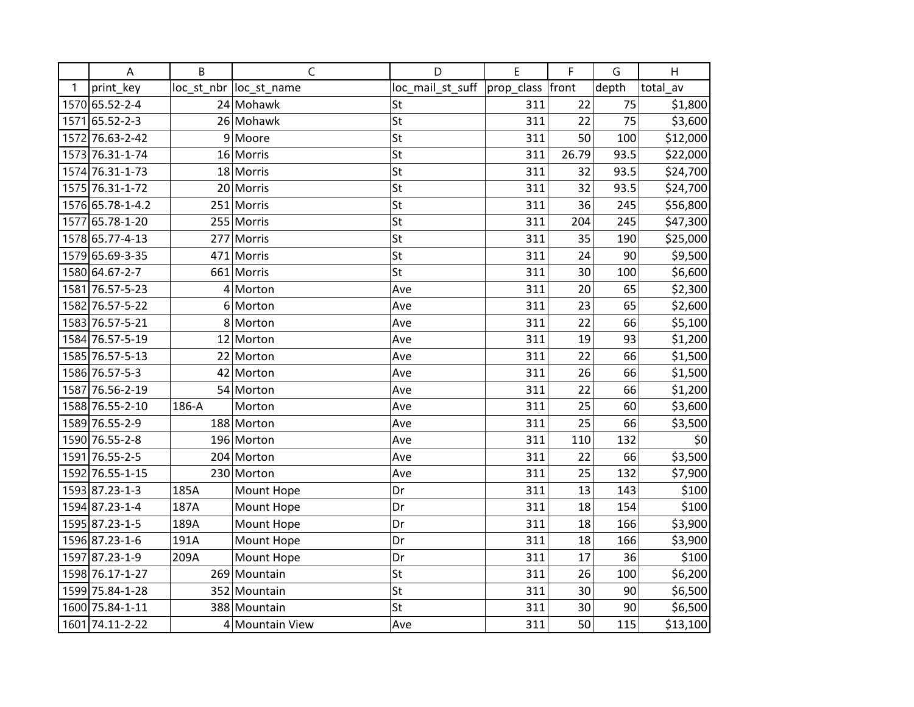|   | A                | B     | $\mathsf{C}$            | D                | E          | F     | G     | H        |
|---|------------------|-------|-------------------------|------------------|------------|-------|-------|----------|
| 1 | print_key        |       | loc_st_nbr  loc_st_name | loc_mail_st_suff | prop_class | front | depth | total_av |
|   | 1570 65.52-2-4   |       | 24 Mohawk               | St               | 311        | 22    | 75    | \$1,800  |
|   | 1571 65.52-2-3   |       | 26 Mohawk               | St               | 311        | 22    | 75    | \$3,600  |
|   | 1572 76.63-2-42  | 9     | Moore                   | St               | 311        | 50    | 100   | \$12,000 |
|   | 1573 76.31-1-74  |       | 16 Morris               | St               | 311        | 26.79 | 93.5  | \$22,000 |
|   | 1574 76.31-1-73  |       | 18 Morris               | St               | 311        | 32    | 93.5  | \$24,700 |
|   | 1575 76.31-1-72  |       | 20 Morris               | St               | 311        | 32    | 93.5  | \$24,700 |
|   | 1576 65.78-1-4.2 |       | 251 Morris              | St               | 311        | 36    | 245   | \$56,800 |
|   | 1577 65.78-1-20  |       | 255 Morris              | St               | 311        | 204   | 245   | \$47,300 |
|   | 1578 65.77-4-13  | 277   | Morris                  | St               | 311        | 35    | 190   | \$25,000 |
|   | 1579 65.69-3-35  |       | 471 Morris              | St               | 311        | 24    | 90    | \$9,500  |
|   | 1580 64.67-2-7   |       | 661 Morris              | St               | 311        | 30    | 100   | \$6,600  |
|   | 1581 76.57-5-23  |       | $4$ Morton              | Ave              | 311        | 20    | 65    | \$2,300  |
|   | 1582 76.57-5-22  |       | 6 Morton                | Ave              | 311        | 23    | 65    | \$2,600  |
|   | 1583 76.57-5-21  | 8     | Morton                  | Ave              | 311        | 22    | 66    | \$5,100  |
|   | 1584 76.57-5-19  |       | 12 Morton               | Ave              | 311        | 19    | 93    | \$1,200  |
|   | 1585 76.57-5-13  |       | 22 Morton               | Ave              | 311        | 22    | 66    | \$1,500  |
|   | 1586 76.57-5-3   |       | 42 Morton               | Ave              | 311        | 26    | 66    | \$1,500  |
|   | 1587 76.56-2-19  |       | 54 Morton               | Ave              | 311        | 22    | 66    | \$1,200  |
|   | 1588 76.55-2-10  | 186-A | Morton                  | Ave              | 311        | 25    | 60    | \$3,600  |
|   | 1589 76.55-2-9   |       | 188 Morton              | Ave              | 311        | 25    | 66    | \$3,500  |
|   | 1590 76.55-2-8   |       | 196 Morton              | Ave              | 311        | 110   | 132   | \$0      |
|   | 1591 76.55-2-5   |       | 204 Morton              | Ave              | 311        | 22    | 66    | \$3,500  |
|   | 1592 76.55-1-15  |       | 230 Morton              | Ave              | 311        | 25    | 132   | \$7,900  |
|   | 1593 87.23-1-3   | 185A  | Mount Hope              | Dr               | 311        | 13    | 143   | \$100    |
|   | 1594 87.23-1-4   | 187A  | Mount Hope              | Dr               | 311        | 18    | 154   | \$100    |
|   | 1595 87.23-1-5   | 189A  | Mount Hope              | Dr               | 311        | 18    | 166   | \$3,900  |
|   | 1596 87.23-1-6   | 191A  | Mount Hope              | Dr               | 311        | 18    | 166   | \$3,900  |
|   | 1597 87.23-1-9   | 209A  | Mount Hope              | Dr               | 311        | 17    | 36    | \$100    |
|   | 1598 76.17-1-27  |       | 269 Mountain            | St               | 311        | 26    | 100   | \$6,200  |
|   | 1599 75.84-1-28  |       | 352 Mountain            | St               | 311        | 30    | 90    | \$6,500  |
|   | 1600 75.84-1-11  |       | 388 Mountain            | St               | 311        | 30    | 90    | \$6,500  |
|   | 1601 74.11-2-22  |       | 4 Mountain View         | Ave              | 311        | 50    | 115   | \$13,100 |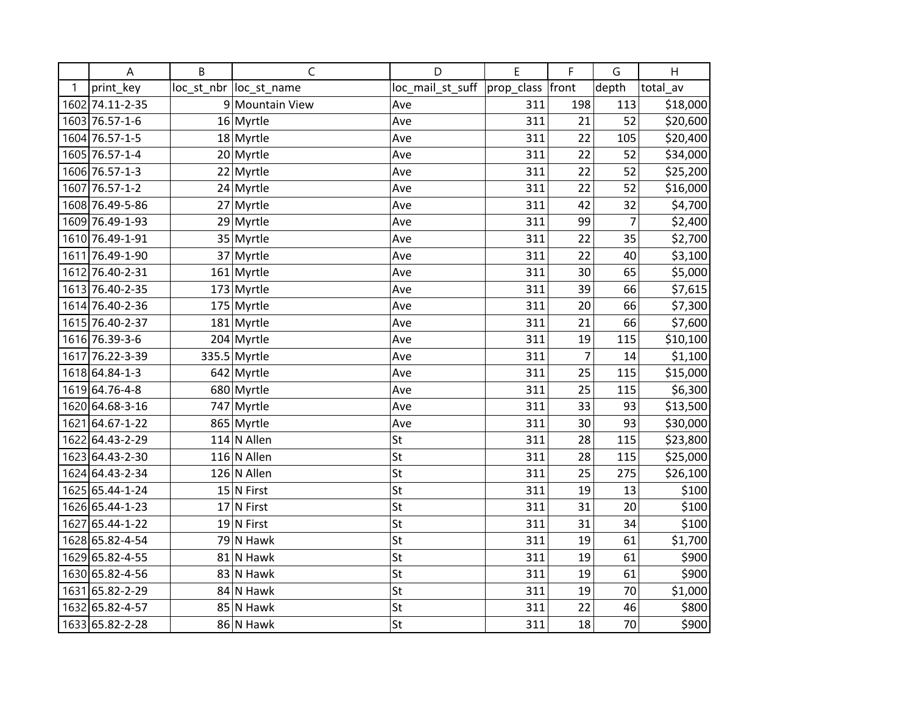|      | A               | B  | $\mathsf{C}$           | D                | E          | F              | G              | H        |
|------|-----------------|----|------------------------|------------------|------------|----------------|----------------|----------|
| 1    | print_key       |    | loc st nbr loc st name | loc_mail_st_suff | prop_class | front          | depth          | total av |
|      | 1602 74.11-2-35 |    | 9 Mountain View        | Ave              | 311        | 198            | 113            | \$18,000 |
|      | 1603 76.57-1-6  |    | 16 Myrtle              | Ave              | 311        | 21             | 52             | \$20,600 |
|      | 1604 76.57-1-5  |    | 18 Myrtle              | Ave              | 311        | 22             | 105            | \$20,400 |
|      | 1605 76.57-1-4  |    | 20 Myrtle              | Ave              | 311        | 22             | 52             | \$34,000 |
|      | 1606 76.57-1-3  |    | 22 Myrtle              | Ave              | 311        | 22             | 52             | \$25,200 |
|      | 1607 76.57-1-2  |    | 24 Myrtle              | Ave              | 311        | 22             | 52             | \$16,000 |
|      | 1608 76.49-5-86 |    | 27 Myrtle              | Ave              | 311        | 42             | 32             | \$4,700  |
|      | 1609 76.49-1-93 |    | 29 Myrtle              | Ave              | 311        | 99             | $\overline{7}$ | \$2,400  |
|      | 1610 76.49-1-91 |    | 35 Myrtle              | Ave              | 311        | 22             | 35             | \$2,700  |
|      | 1611 76.49-1-90 |    | 37 Myrtle              | Ave              | 311        | 22             | 40             | \$3,100  |
|      | 1612 76.40-2-31 |    | $161$ Myrtle           | Ave              | 311        | 30             | 65             | \$5,000  |
|      | 1613 76.40-2-35 |    | $173$ Myrtle           | Ave              | 311        | 39             | 66             | \$7,615  |
|      | 1614 76.40-2-36 |    | $175$ Myrtle           | Ave              | 311        | 20             | 66             | \$7,300  |
|      | 1615 76.40-2-37 |    | $181$ Myrtle           | Ave              | 311        | 21             | 66             | \$7,600  |
|      | 1616 76.39-3-6  |    | 204 Myrtle             | Ave              | 311        | 19             | 115            | \$10,100 |
|      | 1617 76.22-3-39 |    | 335.5 Myrtle           | Ave              | 311        | $\overline{7}$ | 14             | \$1,100  |
|      | 1618 64.84-1-3  |    | $642$ Myrtle           | Ave              | 311        | 25             | 115            | \$15,000 |
|      | 1619 64.76-4-8  |    | 680 Myrtle             | Ave              | 311        | 25             | 115            | \$6,300  |
|      | 1620 64.68-3-16 |    | 747 Myrtle             | Ave              | 311        | 33             | 93             | \$13,500 |
| 1621 | 64.67-1-22      |    | 865 Myrtle             | Ave              | 311        | 30             | 93             | \$30,000 |
|      | 1622 64.43-2-29 |    | $114$ N Allen          | St               | 311        | 28             | 115            | \$23,800 |
|      | 1623 64.43-2-30 |    | $116$ N Allen          | St               | 311        | 28             | 115            | \$25,000 |
|      | 1624 64.43-2-34 |    | $126$ N Allen          | St               | 311        | 25             | 275            | \$26,100 |
|      | 1625 65.44-1-24 |    | 15 N First             | St               | 311        | 19             | 13             | \$100    |
|      | 1626 65.44-1-23 | 17 | N First                | St               | 311        | 31             | 20             | \$100    |
|      | 1627 65.44-1-22 |    | 19 N First             | St               | 311        | 31             | 34             | \$100    |
|      | 1628 65.82-4-54 |    | 79 N Hawk              | St               | 311        | 19             | 61             | \$1,700  |
|      | 1629 65.82-4-55 |    | 81 N Hawk              | St               | 311        | 19             | 61             | \$900    |
|      | 1630 65.82-4-56 |    | 83 N Hawk              | St               | 311        | 19             | 61             | \$900    |
|      | 1631 65.82-2-29 |    | 84 N Hawk              | St               | 311        | 19             | 70             | \$1,000  |
|      | 1632 65.82-4-57 |    | 85 N Hawk              | St               | 311        | 22             | 46             | \$800    |
|      | 1633 65.82-2-28 |    | 86 N Hawk              | St               | 311        | 18             | 70             | \$900    |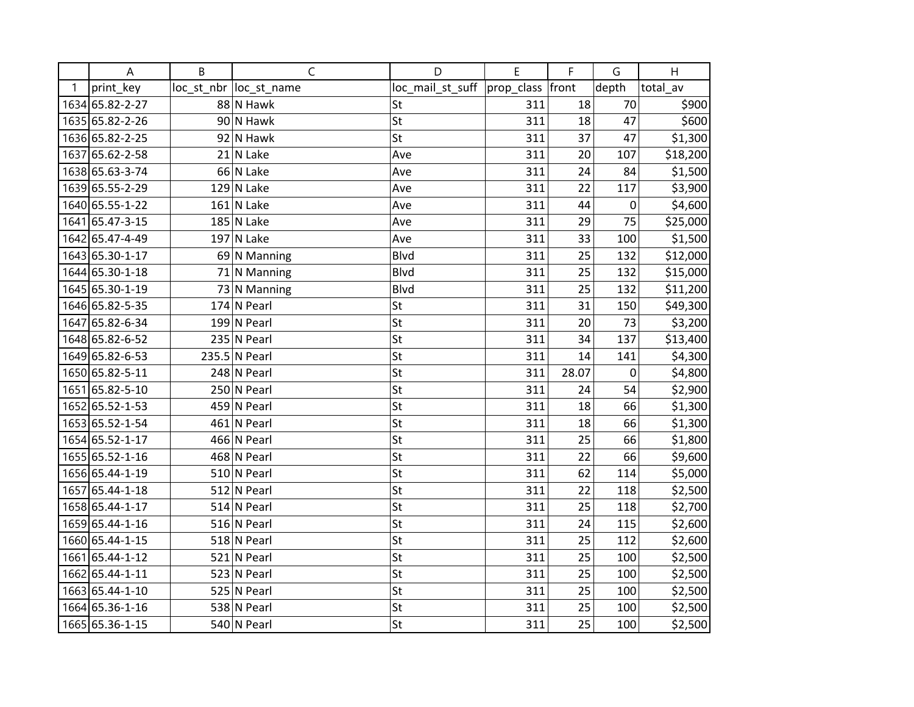|   | A               | B | $\mathsf C$             | D                | E          | F     | G           | H        |
|---|-----------------|---|-------------------------|------------------|------------|-------|-------------|----------|
| 1 | print_key       |   | loc_st_nbr  loc_st_name | loc_mail_st_suff | prop_class | front | depth       | total av |
|   | 1634 65.82-2-27 |   | 88 N Hawk               | St               | 311        | 18    | 70          | \$900    |
|   | 1635 65.82-2-26 |   | 90 N Hawk               | St               | 311        | 18    | 47          | \$600    |
|   | 1636 65.82-2-25 |   | 92 N Hawk               | St               | 311        | 37    | 47          | \$1,300  |
|   | 1637 65.62-2-58 |   | 21 N Lake               | Ave              | 311        | 20    | 107         | \$18,200 |
|   | 1638 65.63-3-74 |   | 66 N Lake               | Ave              | 311        | 24    | 84          | \$1,500  |
|   | 1639 65.55-2-29 |   | $129$ N Lake            | Ave              | 311        | 22    | 117         | \$3,900  |
|   | 1640 65.55-1-22 |   | $161$ N Lake            | Ave              | 311        | 44    | 0           | \$4,600  |
|   | 1641 65.47-3-15 |   | $185$ N Lake            | Ave              | 311        | 29    | 75          | \$25,000 |
|   | 1642 65.47-4-49 |   | $197$ N Lake            | Ave              | 311        | 33    | 100         | \$1,500  |
|   | 1643 65.30-1-17 |   | 69 N Manning            | <b>Blvd</b>      | 311        | 25    | 132         | \$12,000 |
|   | 1644 65.30-1-18 |   | $71$ N Manning          | <b>Blvd</b>      | 311        | 25    | 132         | \$15,000 |
|   | 1645 65.30-1-19 |   | 73 N Manning            | <b>Blvd</b>      | 311        | 25    | 132         | \$11,200 |
|   | 1646 65.82-5-35 |   | $174$ N Pearl           | St               | 311        | 31    | 150         | \$49,300 |
|   | 1647 65.82-6-34 |   | $199$ N Pearl           | St               | 311        | 20    | 73          | \$3,200  |
|   | 1648 65.82-6-52 |   | 235 N Pearl             | St               | 311        | 34    | 137         | \$13,400 |
|   | 1649 65.82-6-53 |   | 235.5 N Pearl           | St               | 311        | 14    | 141         | \$4,300  |
|   | 1650 65.82-5-11 |   | 248 N Pearl             | St               | 311        | 28.07 | $\mathbf 0$ | \$4,800  |
|   | 1651 65.82-5-10 |   | 250 N Pearl             | St               | 311        | 24    | 54          | \$2,900  |
|   | 1652 65.52-1-53 |   | 459 N Pearl             | St               | 311        | 18    | 66          | \$1,300  |
|   | 1653 65.52-1-54 |   | 461 N Pearl             | St               | 311        | 18    | 66          | \$1,300  |
|   | 1654 65.52-1-17 |   | 466 N Pearl             | St               | 311        | 25    | 66          | \$1,800  |
|   | 1655 65.52-1-16 |   | 468 N Pearl             | St               | 311        | 22    | 66          | \$9,600  |
|   | 1656 65.44-1-19 |   | $510$ N Pearl           | St               | 311        | 62    | 114         | \$5,000  |
|   | 1657 65.44-1-18 |   | $512$ N Pearl           | St               | 311        | 22    | 118         | \$2,500  |
|   | 1658 65.44-1-17 |   | $514$ N Pearl           | St               | 311        | 25    | 118         | \$2,700  |
|   | 1659 65.44-1-16 |   | 516 N Pearl             | St               | 311        | 24    | 115         | \$2,600  |
|   | 1660 65.44-1-15 |   | $518$ N Pearl           | St               | 311        | 25    | 112         | \$2,600  |
|   | 1661 65.44-1-12 |   | $521$ N Pearl           | St               | 311        | 25    | 100         | \$2,500  |
|   | 1662 65.44-1-11 |   | $523$ N Pearl           | St               | 311        | 25    | 100         | \$2,500  |
|   | 1663 65.44-1-10 |   | 525 N Pearl             | St               | 311        | 25    | 100         | \$2,500  |
|   | 1664 65.36-1-16 |   | 538 N Pearl             | St               | 311        | 25    | 100         | \$2,500  |
|   | 1665 65.36-1-15 |   | 540 N Pearl             | St               | 311        | 25    | 100         | \$2,500  |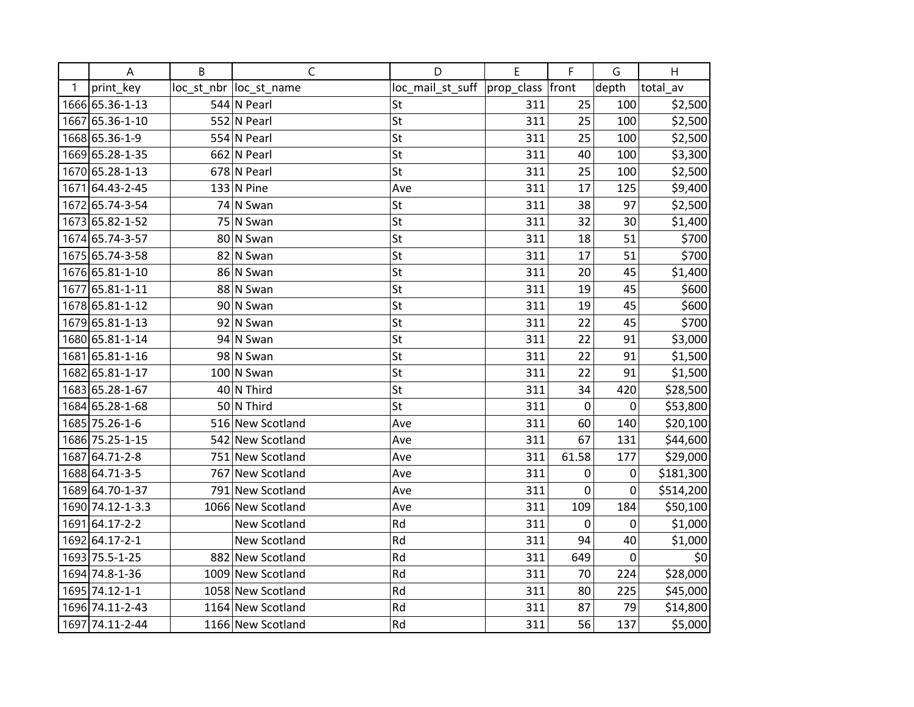|      | A                | B | $\mathsf C$             | D                | E          | F           | G           | Н         |
|------|------------------|---|-------------------------|------------------|------------|-------------|-------------|-----------|
| 1    | print_key        |   | loc_st_nbr  loc_st_name | loc_mail_st_suff | prop_class | front       | depth       | total_av  |
|      | 1666 65.36-1-13  |   | 544 N Pearl             | St               | 311        | 25          | 100         | \$2,500   |
|      | 1667 65.36-1-10  |   | 552 N Pearl             | St               | 311        | 25          | 100         | \$2,500   |
|      | 1668 65.36-1-9   |   | 554 N Pearl             | St               | 311        | 25          | 100         | \$2,500   |
|      | 1669 65.28-1-35  |   | $662$ N Pearl           | St               | 311        | 40          | 100         | \$3,300   |
|      | 1670 65.28-1-13  |   | 678 N Pearl             | St               | 311        | 25          | 100         | \$2,500   |
| 1671 | 64.43-2-45       |   | $133$ N Pine            | Ave              | 311        | 17          | 125         | \$9,400   |
|      | 1672 65.74-3-54  |   | 74 N Swan               | St               | 311        | 38          | 97          | \$2,500   |
|      | 1673 65.82-1-52  |   | 75 N Swan               | St               | 311        | 32          | 30          | \$1,400   |
|      | 1674 65.74-3-57  |   | 80 N Swan               | St               | 311        | 18          | 51          | \$700     |
|      | 1675 65.74-3-58  |   | 82 N Swan               | St               | 311        | 17          | 51          | \$700     |
|      | 1676 65.81-1-10  |   | 86 N Swan               | St               | 311        | 20          | 45          | \$1,400   |
|      | 1677 65.81-1-11  |   | 88 N Swan               | St               | 311        | 19          | 45          | \$600     |
|      | 1678 65.81-1-12  |   | 90 N Swan               | St               | 311        | 19          | 45          | \$600     |
| 1679 | 65.81-1-13       |   | 92 N Swan               | St               | 311        | 22          | 45          | \$700     |
|      | 1680 65.81-1-14  |   | 94 N Swan               | St               | 311        | 22          | 91          | \$3,000   |
| 1681 | 65.81-1-16       |   | 98 N Swan               | St               | 311        | 22          | 91          | \$1,500   |
| 1682 | 65.81-1-17       |   | $100$ N Swan            | St               | 311        | 22          | 91          | \$1,500   |
|      | 1683 65.28-1-67  |   | $40$ N Third            | St               | 311        | 34          | 420         | \$28,500  |
|      | 1684 65.28-1-68  |   | 50 N Third              | St               | 311        | $\mathbf 0$ | $\pmb{0}$   | \$53,800  |
|      | 1685 75.26-1-6   |   | 516 New Scotland        | Ave              | 311        | 60          | 140         | \$20,100  |
|      | 1686 75.25-1-15  |   | 542 New Scotland        | Ave              | 311        | 67          | 131         | \$44,600  |
|      | 1687 64.71-2-8   |   | 751 New Scotland        | Ave              | 311        | 61.58       | 177         | \$29,000  |
|      | 1688 64.71-3-5   |   | 767 New Scotland        | Ave              | 311        | 0           | 0           | \$181,300 |
|      | 1689 64.70-1-37  |   | 791 New Scotland        | Ave              | 311        | $\mathbf 0$ | 0           | \$514,200 |
|      | 1690 74.12-1-3.3 |   | 1066 New Scotland       | Ave              | 311        | 109         | 184         | \$50,100  |
| 1691 | $64.17 - 2 - 2$  |   | New Scotland            | Rd               | 311        | $\mathbf 0$ | 0           | \$1,000   |
|      | 1692 64.17-2-1   |   | New Scotland            | Rd               | 311        | 94          | 40          | \$1,000   |
|      | 1693 75.5-1-25   |   | 882 New Scotland        | Rd               | 311        | 649         | $\mathbf 0$ | \$0       |
|      | 1694 74.8-1-36   |   | 1009 New Scotland       | Rd               | 311        | 70          | 224         | \$28,000  |
|      | 1695 74.12-1-1   |   | 1058 New Scotland       | Rd               | 311        | 80          | 225         | \$45,000  |
|      | 1696 74.11-2-43  |   | 1164 New Scotland       | Rd               | 311        | 87          | 79          | \$14,800  |
|      | 1697 74.11-2-44  |   | 1166 New Scotland       | Rd               | 311        | 56          | 137         | \$5,000   |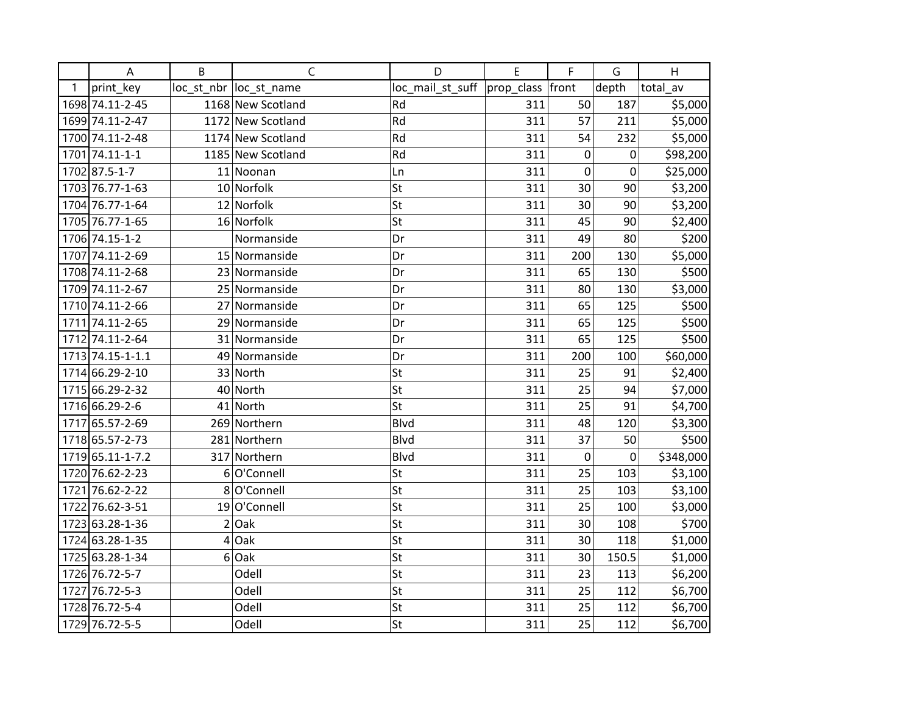|   | A                | B              | $\mathsf{C}$            | D                        | E                | F           | G           | H         |
|---|------------------|----------------|-------------------------|--------------------------|------------------|-------------|-------------|-----------|
| 1 | print_key        |                | loc_st_nbr  loc_st_name | loc_mail_st_suff         | prop_class front |             | depth       | total_av  |
|   | 1698 74.11-2-45  |                | 1168 New Scotland       | Rd                       | 311              | 50          | 187         | \$5,000   |
|   | 1699 74.11-2-47  |                | 1172 New Scotland       | Rd                       | 311              | 57          | 211         | \$5,000   |
|   | 1700 74.11-2-48  |                | 1174 New Scotland       | Rd                       | 311              | 54          | 232         | \$5,000   |
|   | 1701 74.11-1-1   |                | 1185 New Scotland       | Rd                       | 311              | $\pmb{0}$   | 0           | \$98,200  |
|   | 1702 87.5-1-7    |                | 11 Noonan               | Ln                       | 311              | 0           | 0           | \$25,000  |
|   | 1703 76.77-1-63  |                | 10 Norfolk              | St                       | 311              | 30          | 90          | \$3,200   |
|   | 1704 76.77-1-64  |                | 12 Norfolk              | St                       | 311              | 30          | 90          | \$3,200   |
|   | 1705 76.77-1-65  |                | 16 Norfolk              | St                       | 311              | 45          | 90          | \$2,400   |
|   | 1706 74.15-1-2   |                | Normanside              | Dr                       | 311              | 49          | 80          | \$200     |
|   | 1707 74.11-2-69  |                | 15 Normanside           | Dr                       | 311              | 200         | 130         | \$5,000   |
|   | 1708 74.11-2-68  |                | 23 Normanside           | Dr                       | 311              | 65          | 130         | \$500     |
|   | 1709 74.11-2-67  |                | 25 Normanside           | Dr                       | 311              | 80          | 130         | \$3,000   |
|   | 1710 74.11-2-66  |                | 27 Normanside           | Dr                       | 311              | 65          | 125         | \$500     |
|   | 1711 74.11-2-65  |                | 29 Normanside           | Dr                       | 311              | 65          | 125         | \$500     |
|   | 1712 74.11-2-64  |                | 31 Normanside           | Dr                       | 311              | 65          | 125         | \$500     |
|   | 1713 74.15-1-1.1 |                | 49 Normanside           | Dr                       | 311              | 200         | 100         | \$60,000  |
|   | 1714 66.29-2-10  |                | 33 North                | St                       | 311              | 25          | 91          | \$2,400   |
|   | 1715 66.29-2-32  |                | 40 North                | St                       | 311              | 25          | 94          | \$7,000   |
|   | 1716 66.29-2-6   |                | 41 North                | $\overline{\mathsf{St}}$ | 311              | 25          | 91          | \$4,700   |
|   | 1717 65.57-2-69  |                | 269 Northern            | <b>Blvd</b>              | 311              | 48          | 120         | \$3,300   |
|   | 1718 65.57-2-73  |                | 281 Northern            | <b>Blvd</b>              | 311              | 37          | 50          | \$500     |
|   | 1719 65.11-1-7.2 |                | 317 Northern            | <b>Blvd</b>              | 311              | $\mathbf 0$ | $\mathbf 0$ | \$348,000 |
|   | 1720 76.62-2-23  |                | 6 O'Connell             | St                       | 311              | 25          | 103         | \$3,100   |
|   | 1721 76.62-2-22  |                | 8 O'Connell             | St                       | 311              | 25          | 103         | \$3,100   |
|   | 1722 76.62-3-51  |                | 19 O'Connell            | St                       | 311              | 25          | 100         | \$3,000   |
|   | 1723 63.28-1-36  |                | $2$ Oak                 | St                       | 311              | 30          | 108         | \$700     |
|   | 1724 63.28-1-35  | 4              | Oak                     | St                       | 311              | 30          | 118         | \$1,000   |
|   | 1725 63.28-1-34  | 6 <sup>1</sup> | Oak                     | St                       | 311              | 30          | 150.5       | \$1,000   |
|   | 1726 76.72-5-7   |                | Odell                   | St                       | 311              | 23          | 113         | \$6,200   |
|   | 1727 76.72-5-3   |                | Odell                   | St                       | 311              | 25          | 112         | \$6,700   |
|   | 1728 76.72-5-4   |                | Odell                   | St                       | 311              | 25          | 112         | \$6,700   |
|   | 1729 76.72-5-5   |                | Odell                   | St                       | 311              | 25          | 112         | \$6,700   |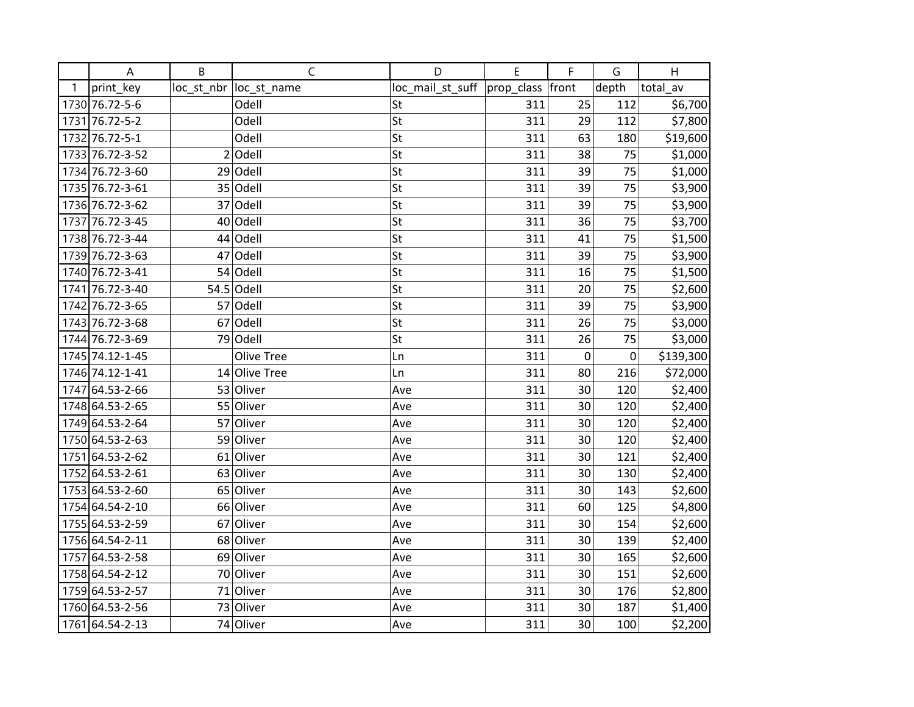|   | A               | B | $\mathsf{C}$            | D                            | E   | F                | G     | H         |
|---|-----------------|---|-------------------------|------------------------------|-----|------------------|-------|-----------|
| 1 | print_key       |   | loc_st_nbr  loc_st_name | loc_mail_st_suff  prop_class |     | front            | depth | total_av  |
|   | 1730 76.72-5-6  |   | Odell                   | St                           | 311 | 25               | 112   | \$6,700   |
|   | 1731 76.72-5-2  |   | Odell                   | St                           | 311 | 29               | 112   | \$7,800   |
|   | 1732 76.72-5-1  |   | Odell                   | St                           | 311 | 63               | 180   | \$19,600  |
|   | 1733 76.72-3-52 |   | $2$ Odell               | St                           | 311 | 38               | 75    | \$1,000   |
|   | 1734 76.72-3-60 |   | $29$ Odell              | St                           | 311 | 39               | 75    | \$1,000   |
|   | 1735 76.72-3-61 |   | 35 Odell                | St                           | 311 | 39               | 75    | \$3,900   |
|   | 1736 76.72-3-62 |   | 37 Odell                | St                           | 311 | 39               | 75    | \$3,900   |
|   | 1737 76.72-3-45 |   | 40 Odell                | St                           | 311 | 36               | 75    | \$3,700   |
|   | 1738 76.72-3-44 |   | 44 Odell                | St                           | 311 | 41               | 75    | \$1,500   |
|   | 1739 76.72-3-63 |   | $47$ Odell              | St                           | 311 | 39               | 75    | \$3,900   |
|   | 1740 76.72-3-41 |   | $54$ Odell              | St                           | 311 | 16               | 75    | \$1,500   |
|   | 1741 76.72-3-40 |   | $54.5$ Odell            | St                           | 311 | 20               | 75    | \$2,600   |
|   | 1742 76.72-3-65 |   | 57 Odell                | St                           | 311 | 39               | 75    | \$3,900   |
|   | 1743 76.72-3-68 |   | $67$ Odell              | St                           | 311 | 26               | 75    | \$3,000   |
|   | 1744 76.72-3-69 |   | 79 Odell                | St                           | 311 | 26               | 75    | \$3,000   |
|   | 1745 74.12-1-45 |   | <b>Olive Tree</b>       | Ln                           | 311 | $\boldsymbol{0}$ | 0     | \$139,300 |
|   | 1746 74.12-1-41 |   | 14 Olive Tree           | Ln                           | 311 | 80               | 216   | \$72,000  |
|   | 1747 64.53-2-66 |   | 53 Oliver               | Ave                          | 311 | 30               | 120   | \$2,400   |
|   | 1748 64.53-2-65 |   | 55 Oliver               | Ave                          | 311 | 30               | 120   | \$2,400   |
|   | 1749 64.53-2-64 |   | 57 Oliver               | Ave                          | 311 | 30               | 120   | \$2,400   |
|   | 1750 64.53-2-63 |   | 59 Oliver               | Ave                          | 311 | 30               | 120   | \$2,400   |
|   | 1751 64.53-2-62 |   | 61 Oliver               | Ave                          | 311 | 30               | 121   | \$2,400   |
|   | 1752 64.53-2-61 |   | 63 Oliver               | Ave                          | 311 | 30               | 130   | \$2,400   |
|   | 1753 64.53-2-60 |   | 65 Oliver               | Ave                          | 311 | 30               | 143   | \$2,600   |
|   | 1754 64.54-2-10 |   | 66 Oliver               | Ave                          | 311 | 60               | 125   | \$4,800   |
|   | 1755 64.53-2-59 |   | 67 Oliver               | Ave                          | 311 | 30               | 154   | \$2,600   |
|   | 1756 64.54-2-11 |   | 68 Oliver               | Ave                          | 311 | 30               | 139   | \$2,400   |
|   | 1757 64.53-2-58 |   | 69 Oliver               | Ave                          | 311 | 30               | 165   | \$2,600   |
|   | 1758 64.54-2-12 |   | 70 Oliver               | Ave                          | 311 | 30               | 151   | \$2,600   |
|   | 1759 64.53-2-57 |   | 71 Oliver               | Ave                          | 311 | 30               | 176   | \$2,800   |
|   | 1760 64.53-2-56 |   | 73 Oliver               | Ave                          | 311 | 30               | 187   | \$1,400   |
|   | 1761 64.54-2-13 |   | 74 Oliver               | Ave                          | 311 | 30               | 100   | \$2,200   |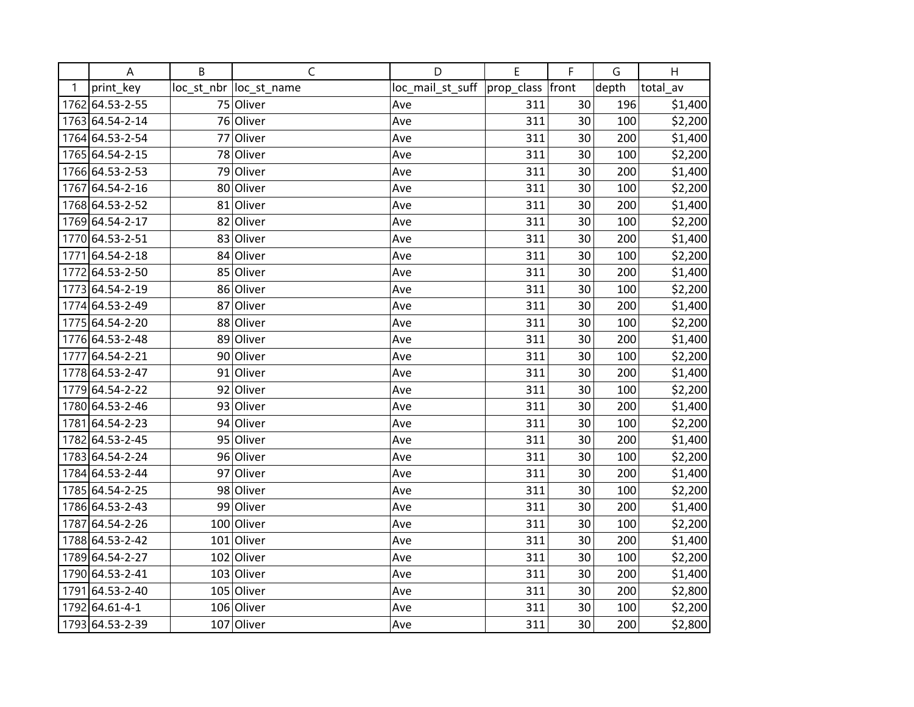|      | A               | B | $\mathsf C$             | D                | E          | F     | G     | H        |
|------|-----------------|---|-------------------------|------------------|------------|-------|-------|----------|
| 1    | print_key       |   | loc_st_nbr  loc_st_name | loc_mail_st_suff | prop_class | front | depth | total_av |
|      | 1762 64.53-2-55 |   | 75 Oliver               | Ave              | 311        | 30    | 196   | \$1,400  |
|      | 1763 64.54-2-14 |   | 76 Oliver               | Ave              | 311        | 30    | 100   | \$2,200  |
|      | 1764 64.53-2-54 |   | 77 Oliver               | Ave              | 311        | 30    | 200   | \$1,400  |
|      | 1765 64.54-2-15 |   | 78 Oliver               | Ave              | 311        | 30    | 100   | \$2,200  |
|      | 1766 64.53-2-53 |   | 79 Oliver               | Ave              | 311        | 30    | 200   | \$1,400  |
|      | 1767 64.54-2-16 |   | 80 Oliver               | Ave              | 311        | 30    | 100   | \$2,200  |
|      | 1768 64.53-2-52 |   | 81 Oliver               | Ave              | 311        | 30    | 200   | \$1,400  |
|      | 1769 64.54-2-17 |   | 82 Oliver               | Ave              | 311        | 30    | 100   | \$2,200  |
|      | 1770 64.53-2-51 |   | 83 Oliver               | Ave              | 311        | 30    | 200   | \$1,400  |
| 1771 | 64.54-2-18      |   | 84 Oliver               | Ave              | 311        | 30    | 100   | \$2,200  |
|      | 1772 64.53-2-50 |   | 85 Oliver               | Ave              | 311        | 30    | 200   | \$1,400  |
|      | 1773 64.54-2-19 |   | 86 Oliver               | Ave              | 311        | 30    | 100   | \$2,200  |
|      | 1774 64.53-2-49 |   | 87 Oliver               | Ave              | 311        | 30    | 200   | \$1,400  |
|      | 1775 64.54-2-20 |   | 88 Oliver               | Ave              | 311        | 30    | 100   | \$2,200  |
|      | 1776 64.53-2-48 |   | 89 Oliver               | Ave              | 311        | 30    | 200   | \$1,400  |
| 1777 | 64.54-2-21      |   | 90 Oliver               | Ave              | 311        | 30    | 100   | \$2,200  |
|      | 1778 64.53-2-47 |   | 91 Oliver               | Ave              | 311        | 30    | 200   | \$1,400  |
|      | 1779 64.54-2-22 |   | 92 Oliver               | Ave              | 311        | 30    | 100   | \$2,200  |
|      | 1780 64.53-2-46 |   | 93 Oliver               | Ave              | 311        | 30    | 200   | \$1,400  |
|      | 1781 64.54-2-23 |   | 94 Oliver               | Ave              | 311        | 30    | 100   | \$2,200  |
|      | 1782 64.53-2-45 |   | 95 Oliver               | Ave              | 311        | 30    | 200   | \$1,400  |
|      | 1783 64.54-2-24 |   | 96 Oliver               | Ave              | 311        | 30    | 100   | \$2,200  |
|      | 1784 64.53-2-44 |   | 97 Oliver               | Ave              | 311        | 30    | 200   | \$1,400  |
|      | 1785 64.54-2-25 |   | 98 Oliver               | Ave              | 311        | 30    | 100   | \$2,200  |
|      | 1786 64.53-2-43 |   | 99 Oliver               | Ave              | 311        | 30    | 200   | \$1,400  |
| 1787 | 64.54-2-26      |   | 100 Oliver              | Ave              | 311        | 30    | 100   | \$2,200  |
|      | 1788 64.53-2-42 |   | 101 Oliver              | Ave              | 311        | 30    | 200   | \$1,400  |
|      | 1789 64.54-2-27 |   | 102 Oliver              | Ave              | 311        | 30    | 100   | \$2,200  |
|      | 1790 64.53-2-41 |   | 103 Oliver              | Ave              | 311        | 30    | 200   | \$1,400  |
| 1791 | 64.53-2-40      |   | 105 Oliver              | Ave              | 311        | 30    | 200   | \$2,800  |
|      | 1792 64.61-4-1  |   | 106 Oliver              | Ave              | 311        | 30    | 100   | \$2,200  |
|      | 1793 64.53-2-39 |   | 107 Oliver              | Ave              | 311        | 30    | 200   | \$2,800  |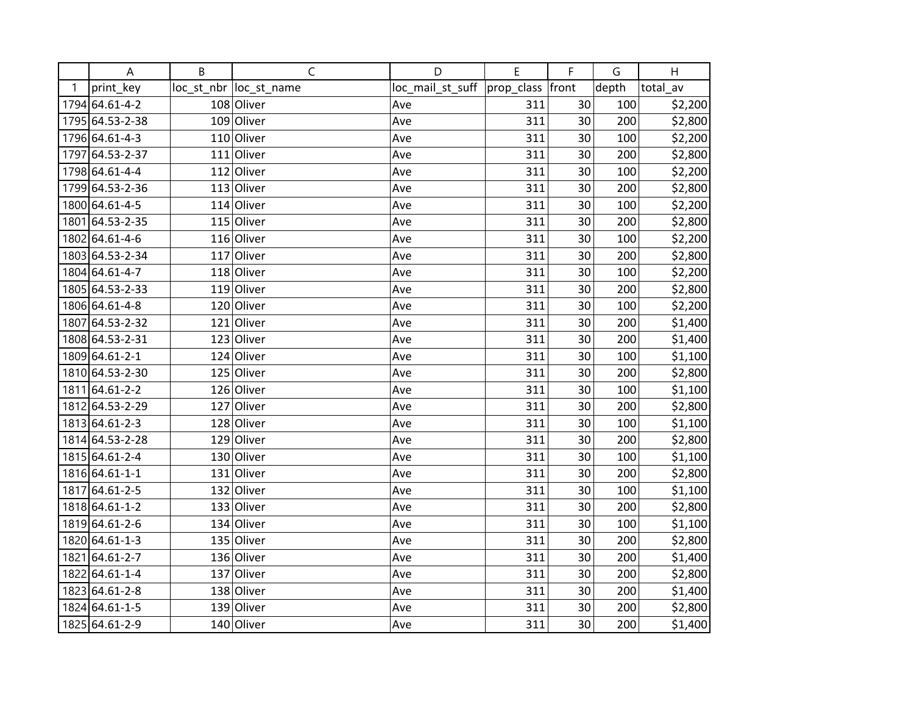|      | A               | B | $\mathsf C$             | D                | E          | F     | G     | H        |
|------|-----------------|---|-------------------------|------------------|------------|-------|-------|----------|
| 1    | print_key       |   | loc_st_nbr  loc_st_name | loc_mail_st_suff | prop_class | front | depth | total_av |
|      | 1794 64.61-4-2  |   | 108 Oliver              | Ave              | 311        | 30    | 100   | \$2,200  |
|      | 1795 64.53-2-38 |   | 109 Oliver              | Ave              | 311        | 30    | 200   | \$2,800  |
|      | 1796 64.61-4-3  |   | 110 Oliver              | Ave              | 311        | 30    | 100   | \$2,200  |
| 1797 | 64.53-2-37      |   | $111$ Oliver            | Ave              | 311        | 30    | 200   | \$2,800  |
|      | 1798 64.61-4-4  |   | 112 Oliver              | Ave              | 311        | 30    | 100   | \$2,200  |
|      | 1799 64.53-2-36 |   | 113 Oliver              | Ave              | 311        | 30    | 200   | \$2,800  |
|      | 1800 64.61-4-5  |   | $114$ Oliver            | Ave              | 311        | 30    | 100   | \$2,200  |
|      | 1801 64.53-2-35 |   | 115 Oliver              | Ave              | 311        | 30    | 200   | \$2,800  |
|      | 1802 64.61-4-6  |   | 116 Oliver              | Ave              | 311        | 30    | 100   | \$2,200  |
|      | 1803 64.53-2-34 |   | 117 Oliver              | Ave              | 311        | 30    | 200   | \$2,800  |
|      | 1804 64.61-4-7  |   | 118 Oliver              | Ave              | 311        | 30    | 100   | \$2,200  |
|      | 1805 64.53-2-33 |   | 119 Oliver              | Ave              | 311        | 30    | 200   | \$2,800  |
|      | 1806 64.61-4-8  |   | 120 Oliver              | Ave              | 311        | 30    | 100   | \$2,200  |
|      | 1807 64.53-2-32 |   | $121$ Oliver            | Ave              | 311        | 30    | 200   | \$1,400  |
|      | 1808 64.53-2-31 |   | 123 Oliver              | Ave              | 311        | 30    | 200   | \$1,400  |
|      | 1809 64.61-2-1  |   | 124 Oliver              | Ave              | 311        | 30    | 100   | \$1,100  |
|      | 1810 64.53-2-30 |   | 125 Oliver              | Ave              | 311        | 30    | 200   | \$2,800  |
|      | 1811 64.61-2-2  |   | 126 Oliver              | Ave              | 311        | 30    | 100   | \$1,100  |
|      | 1812 64.53-2-29 |   | 127 Oliver              | Ave              | 311        | 30    | 200   | \$2,800  |
|      | 1813 64.61-2-3  |   | 128 Oliver              | Ave              | 311        | 30    | 100   | \$1,100  |
|      | 1814 64.53-2-28 |   | 129 Oliver              | Ave              | 311        | 30    | 200   | \$2,800  |
|      | 1815 64.61-2-4  |   | 130 Oliver              | Ave              | 311        | 30    | 100   | \$1,100  |
|      | 1816 64.61-1-1  |   | 131 Oliver              | Ave              | 311        | 30    | 200   | \$2,800  |
|      | 1817 64.61-2-5  |   | 132 Oliver              | Ave              | 311        | 30    | 100   | \$1,100  |
|      | 1818 64.61-1-2  |   | 133 Oliver              | Ave              | 311        | 30    | 200   | \$2,800  |
|      | 1819 64.61-2-6  |   | 134 Oliver              | Ave              | 311        | 30    | 100   | \$1,100  |
|      | 1820 64.61-1-3  |   | 135 Oliver              | Ave              | 311        | 30    | 200   | \$2,800  |
|      | 1821 64.61-2-7  |   | 136 Oliver              | Ave              | 311        | 30    | 200   | \$1,400  |
|      | 1822 64.61-1-4  |   | 137 Oliver              | Ave              | 311        | 30    | 200   | \$2,800  |
|      | 1823 64.61-2-8  |   | 138 Oliver              | Ave              | 311        | 30    | 200   | \$1,400  |
|      | 1824 64.61-1-5  |   | 139 Oliver              | Ave              | 311        | 30    | 200   | \$2,800  |
|      | 1825 64.61-2-9  |   | 140 Oliver              | Ave              | 311        | 30    | 200   | \$1,400  |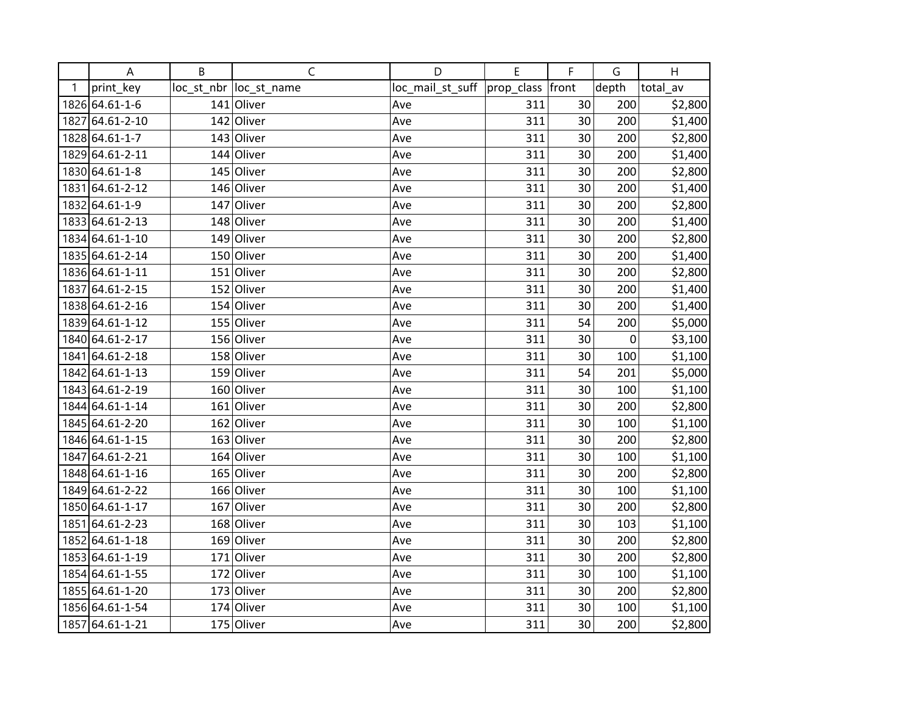|      | Α               | B   | C                       | D                | E                | F  | G     | H        |
|------|-----------------|-----|-------------------------|------------------|------------------|----|-------|----------|
| 1    | print_key       |     | loc_st_nbr  loc_st_name | loc_mail_st_suff | prop_class front |    | depth | total av |
|      | 1826 64.61-1-6  |     | 141 Oliver              | Ave              | 311              | 30 | 200   | \$2,800  |
| 1827 | 64.61-2-10      |     | 142 Oliver              | Ave              | 311              | 30 | 200   | \$1,400  |
|      | 1828 64.61-1-7  |     | 143 Oliver              | Ave              | 311              | 30 | 200   | \$2,800  |
|      | 1829 64.61-2-11 |     | 144 Oliver              | Ave              | 311              | 30 | 200   | \$1,400  |
|      | 1830 64.61-1-8  |     | 145 Oliver              | Ave              | 311              | 30 | 200   | \$2,800  |
| 1831 | 64.61-2-12      |     | 146 Oliver              | Ave              | 311              | 30 | 200   | \$1,400  |
|      | 1832 64.61-1-9  |     | 147 Oliver              | Ave              | 311              | 30 | 200   | \$2,800  |
|      | 1833 64.61-2-13 |     | 148 Oliver              | Ave              | 311              | 30 | 200   | \$1,400  |
|      | 1834 64.61-1-10 |     | 149 Oliver              | Ave              | 311              | 30 | 200   | \$2,800  |
|      | 1835 64.61-2-14 |     | 150 Oliver              | Ave              | 311              | 30 | 200   | \$1,400  |
|      | 1836 64.61-1-11 |     | 151 Oliver              | Ave              | 311              | 30 | 200   | \$2,800  |
|      | 1837 64.61-2-15 |     | 152 Oliver              | Ave              | 311              | 30 | 200   | \$1,400  |
|      | 1838 64.61-2-16 |     | 154 Oliver              | Ave              | 311              | 30 | 200   | \$1,400  |
|      | 1839 64.61-1-12 |     | 155 Oliver              | Ave              | 311              | 54 | 200   | \$5,000  |
|      | 1840 64.61-2-17 |     | 156 Oliver              | Ave              | 311              | 30 | 0     | \$3,100  |
| 1841 | 64.61-2-18      |     | 158 Oliver              | Ave              | 311              | 30 | 100   | \$1,100  |
|      | 1842 64.61-1-13 |     | 159 Oliver              | Ave              | 311              | 54 | 201   | \$5,000  |
|      | 1843 64.61-2-19 |     | 160 Oliver              | Ave              | 311              | 30 | 100   | \$1,100  |
|      | 1844 64.61-1-14 |     | 161 Oliver              | Ave              | 311              | 30 | 200   | \$2,800  |
|      | 1845 64.61-2-20 |     | 162 Oliver              | Ave              | 311              | 30 | 100   | \$1,100  |
|      | 1846 64.61-1-15 |     | 163 Oliver              | Ave              | 311              | 30 | 200   | \$2,800  |
|      | 1847 64.61-2-21 |     | 164 Oliver              | Ave              | 311              | 30 | 100   | \$1,100  |
|      | 1848 64.61-1-16 |     | 165 Oliver              | Ave              | 311              | 30 | 200   | \$2,800  |
|      | 1849 64.61-2-22 |     | 166 Oliver              | Ave              | 311              | 30 | 100   | \$1,100  |
|      | 1850 64.61-1-17 | 167 | Oliver                  | Ave              | 311              | 30 | 200   | \$2,800  |
| 1851 | 64.61-2-23      |     | 168 Oliver              | Ave              | 311              | 30 | 103   | \$1,100  |
| 1852 | 64.61-1-18      |     | 169 Oliver              | Ave              | 311              | 30 | 200   | \$2,800  |
|      | 1853 64.61-1-19 |     | 171 Oliver              | Ave              | 311              | 30 | 200   | \$2,800  |
|      | 1854 64.61-1-55 |     | 172 Oliver              | Ave              | 311              | 30 | 100   | \$1,100  |
|      | 1855 64.61-1-20 |     | 173 Oliver              | Ave              | 311              | 30 | 200   | \$2,800  |
|      | 1856 64.61-1-54 |     | 174 Oliver              | Ave              | 311              | 30 | 100   | \$1,100  |
|      | 1857 64.61-1-21 |     | 175 Oliver              | Ave              | 311              | 30 | 200   | \$2,800  |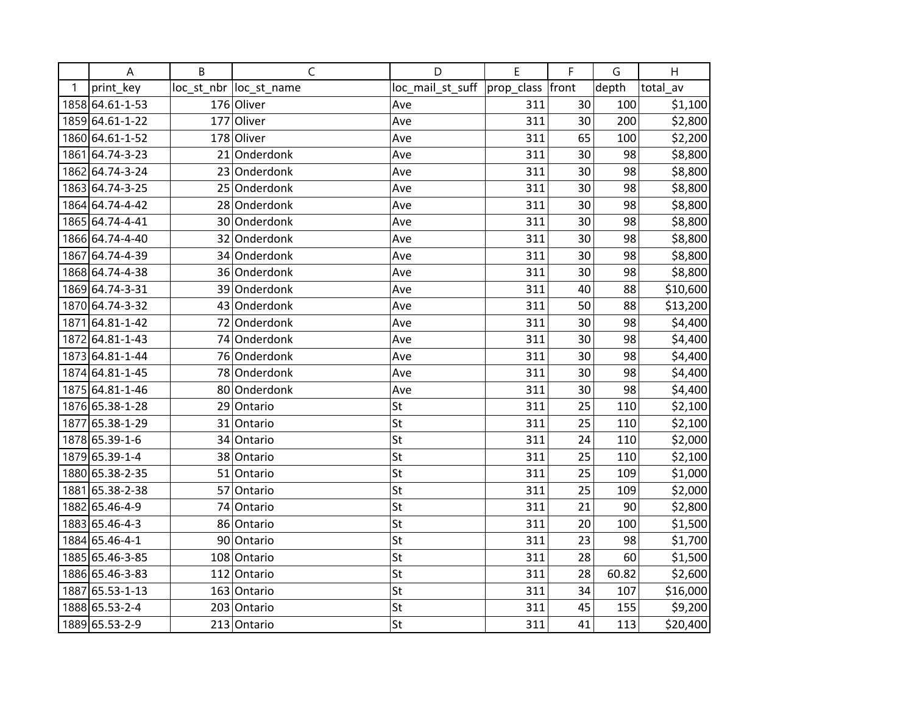|      | A               | B | $\mathsf C$             | D                | E          | F     | G     | H        |
|------|-----------------|---|-------------------------|------------------|------------|-------|-------|----------|
| 1    | print_key       |   | loc_st_nbr  loc_st_name | loc_mail_st_suff | prop_class | front | depth | total av |
|      | 1858 64.61-1-53 |   | 176 Oliver              | Ave              | 311        | 30    | 100   | \$1,100  |
|      | 1859 64.61-1-22 |   | 177 Oliver              | Ave              | 311        | 30    | 200   | \$2,800  |
|      | 1860 64.61-1-52 |   | 178 Oliver              | Ave              | 311        | 65    | 100   | \$2,200  |
| 1861 | 64.74-3-23      |   | 21 Onderdonk            | Ave              | 311        | 30    | 98    | \$8,800  |
|      | 1862 64.74-3-24 |   | 23 Onderdonk            | Ave              | 311        | 30    | 98    | \$8,800  |
|      | 1863 64.74-3-25 |   | 25 Onderdonk            | Ave              | 311        | 30    | 98    | \$8,800  |
|      | 1864 64.74-4-42 |   | 28 Onderdonk            | Ave              | 311        | 30    | 98    | \$8,800  |
|      | 1865 64.74-4-41 |   | 30 Onderdonk            | Ave              | 311        | 30    | 98    | \$8,800  |
|      | 1866 64.74-4-40 |   | 32 Onderdonk            | Ave              | 311        | 30    | 98    | \$8,800  |
| 1867 | 64.74-4-39      |   | 34 Onderdonk            | Ave              | 311        | 30    | 98    | \$8,800  |
|      | 1868 64.74-4-38 |   | 36 Onderdonk            | Ave              | 311        | 30    | 98    | \$8,800  |
|      | 1869 64.74-3-31 |   | 39 Onderdonk            | Ave              | 311        | 40    | 88    | \$10,600 |
|      | 1870 64.74-3-32 |   | 43 Onderdonk            | Ave              | 311        | 50    | 88    | \$13,200 |
| 1871 | 64.81-1-42      |   | 72 Onderdonk            | Ave              | 311        | 30    | 98    | \$4,400  |
|      | 1872 64.81-1-43 |   | 74 Onderdonk            | Ave              | 311        | 30    | 98    | \$4,400  |
|      | 1873 64.81-1-44 |   | 76 Onderdonk            | Ave              | 311        | 30    | 98    | \$4,400  |
|      | 1874 64.81-1-45 |   | 78 Onderdonk            | Ave              | 311        | 30    | 98    | \$4,400  |
|      | 1875 64.81-1-46 |   | 80 Onderdonk            | Ave              | 311        | 30    | 98    | \$4,400  |
|      | 1876 65.38-1-28 |   | 29 Ontario              | St               | 311        | 25    | 110   | \$2,100  |
| 1877 | 65.38-1-29      |   | 31 Ontario              | St               | 311        | 25    | 110   | \$2,100  |
|      | 1878 65.39-1-6  |   | 34 Ontario              | St               | 311        | 24    | 110   | \$2,000  |
|      | 1879 65.39-1-4  |   | 38 Ontario              | St               | 311        | 25    | 110   | \$2,100  |
|      | 1880 65.38-2-35 |   | 51 Ontario              | St               | 311        | 25    | 109   | \$1,000  |
| 1881 | 65.38-2-38      |   | 57 Ontario              | St               | 311        | 25    | 109   | \$2,000  |
|      | 1882 65.46-4-9  |   | 74 Ontario              | St               | 311        | 21    | 90    | \$2,800  |
|      | 1883 65.46-4-3  |   | 86 Ontario              | St               | 311        | 20    | 100   | \$1,500  |
|      | 1884 65.46-4-1  |   | 90 Ontario              | St               | 311        | 23    | 98    | \$1,700  |
|      | 1885 65.46-3-85 |   | 108 Ontario             | St               | 311        | 28    | 60    | \$1,500  |
|      | 1886 65.46-3-83 |   | 112 Ontario             | St               | 311        | 28    | 60.82 | \$2,600  |
|      | 1887 65.53-1-13 |   | 163 Ontario             | St               | 311        | 34    | 107   | \$16,000 |
|      | 1888 65.53-2-4  |   | 203 Ontario             | St               | 311        | 45    | 155   | \$9,200  |
|      | 1889 65.53-2-9  |   | 213 Ontario             | St               | 311        | 41    | 113   | \$20,400 |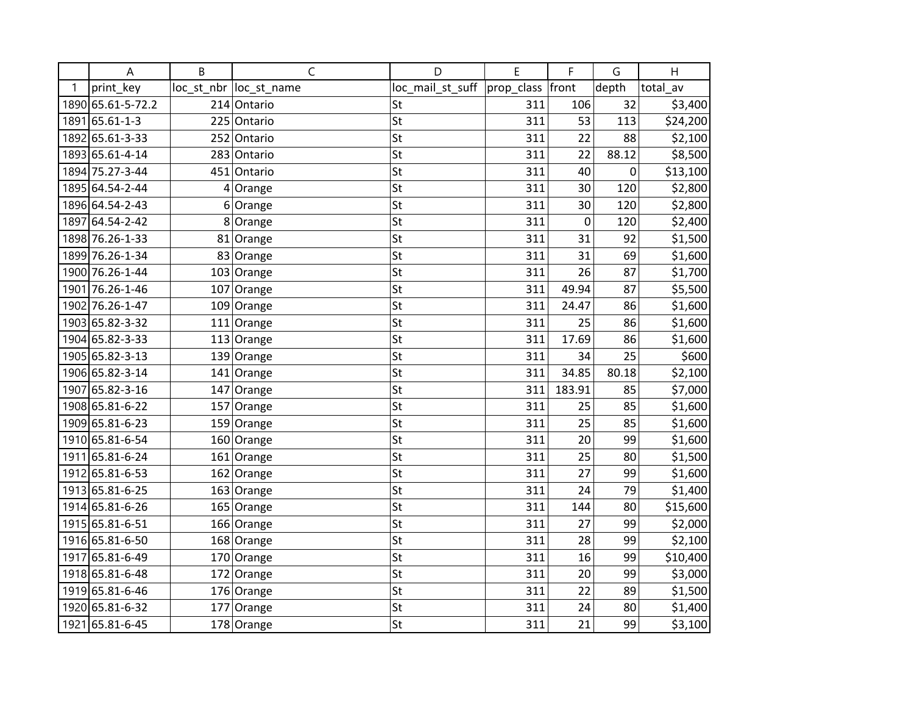|      | A                 | B | $\mathsf{C}$            | D                | E          | F           | G     | H        |
|------|-------------------|---|-------------------------|------------------|------------|-------------|-------|----------|
| 1    | print key         |   | loc_st_nbr  loc_st_name | loc_mail_st_suff | prop_class | front       | depth | total_av |
|      | 1890 65.61-5-72.2 |   | 214 Ontario             | St               | 311        | 106         | 32    | \$3,400  |
| 1891 | 65.61-1-3         |   | 225 Ontario             | St               | 311        | 53          | 113   | \$24,200 |
|      | 1892 65.61-3-33   |   | 252 Ontario             | St               | 311        | 22          | 88    | \$2,100  |
|      | 1893 65.61-4-14   |   | 283 Ontario             | St               | 311        | 22          | 88.12 | \$8,500  |
|      | 1894 75.27-3-44   |   | 451 Ontario             | St               | 311        | 40          | 0     | \$13,100 |
|      | 1895 64.54-2-44   |   | $4$ Orange              | St               | 311        | 30          | 120   | \$2,800  |
|      | 1896 64.54-2-43   | 6 | Orange                  | St               | 311        | 30          | 120   | \$2,800  |
| 1897 | 64.54-2-42        |   | 8 Orange                | St               | 311        | $\mathbf 0$ | 120   | \$2,400  |
|      | 1898 76.26-1-33   |   | 81 Orange               | St               | 311        | 31          | 92    | \$1,500  |
|      | 1899 76.26-1-34   |   | 83 Orange               | St               | 311        | 31          | 69    | \$1,600  |
|      | 1900 76.26-1-44   |   | 103 Orange              | St               | 311        | 26          | 87    | \$1,700  |
| 1901 | 76.26-1-46        |   | 107 Orange              | St               | 311        | 49.94       | 87    | \$5,500  |
|      | 1902 76.26-1-47   |   | 109 Orange              | St               | 311        | 24.47       | 86    | \$1,600  |
|      | 1903 65.82-3-32   |   | 111 Orange              | St               | 311        | 25          | 86    | \$1,600  |
|      | 1904 65.82-3-33   |   | 113 Orange              | St               | 311        | 17.69       | 86    | \$1,600  |
|      | 1905 65.82-3-13   |   | 139 Orange              | St               | 311        | 34          | 25    | \$600    |
|      | 1906 65.82-3-14   |   | 141 Orange              | St               | 311        | 34.85       | 80.18 | \$2,100  |
| 1907 | 65.82-3-16        |   | 147 Orange              | St               | 311        | 183.91      | 85    | \$7,000  |
|      | 1908 65.81-6-22   |   | 157 Orange              | St               | 311        | 25          | 85    | \$1,600  |
|      | 1909 65.81-6-23   |   | 159 Orange              | St               | 311        | 25          | 85    | \$1,600  |
|      | 1910 65.81-6-54   |   | 160 Orange              | St               | 311        | 20          | 99    | \$1,600  |
|      | 1911 65.81-6-24   |   | $161$ Orange            | St               | 311        | 25          | 80    | \$1,500  |
|      | 1912 65.81-6-53   |   | 162 Orange              | St               | 311        | 27          | 99    | \$1,600  |
|      | 1913 65.81-6-25   |   | 163 Orange              | St               | 311        | 24          | 79    | \$1,400  |
|      | 1914 65.81-6-26   |   | 165 Orange              | St               | 311        | 144         | 80    | \$15,600 |
|      | 1915 65.81-6-51   |   | 166 Orange              | St               | 311        | 27          | 99    | \$2,000  |
|      | 1916 65.81-6-50   |   | 168 Orange              | St               | 311        | 28          | 99    | \$2,100  |
|      | 1917 65.81-6-49   |   | 170 Orange              | St               | 311        | 16          | 99    | \$10,400 |
|      | 1918 65.81-6-48   |   | 172 Orange              | St               | 311        | 20          | 99    | \$3,000  |
|      | 1919 65.81-6-46   |   | 176 Orange              | St               | 311        | 22          | 89    | \$1,500  |
|      | 1920 65.81-6-32   |   | 177 Orange              | St               | 311        | 24          | 80    | \$1,400  |
|      | 1921 65.81-6-45   |   | 178 Orange              | St               | 311        | 21          | 99    | \$3,100  |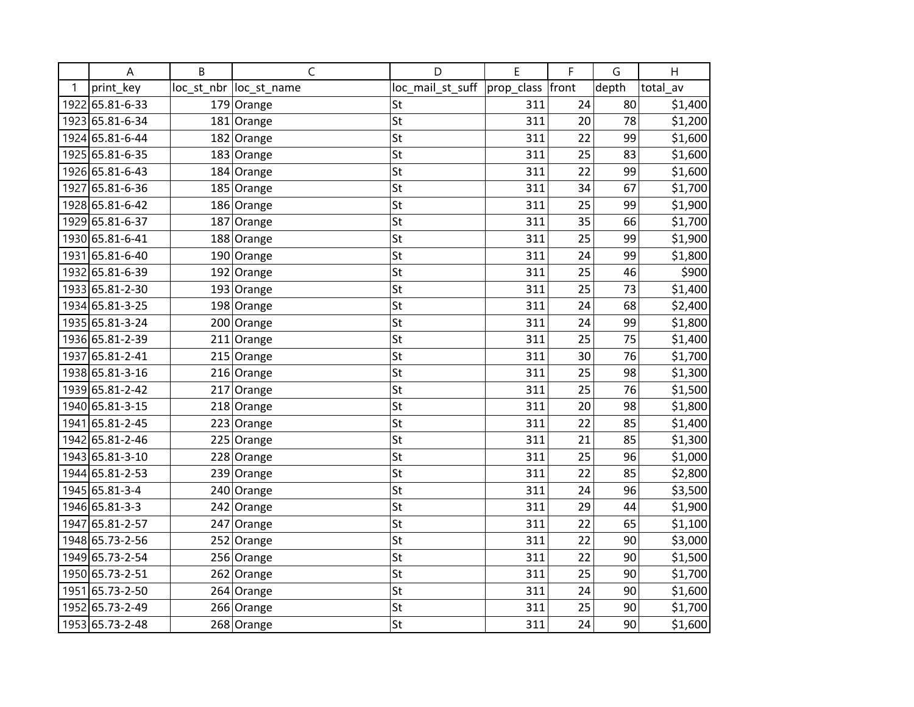|      | A               | B | Ċ                       | D                | E          | F     | G     | H        |
|------|-----------------|---|-------------------------|------------------|------------|-------|-------|----------|
| 1    | print_key       |   | loc_st_nbr  loc_st_name | loc_mail_st_suff | prop_class | front | depth | total av |
| 1922 | 65.81-6-33      |   | 179 Orange              | St               | 311        | 24    | 80    | \$1,400  |
|      | 1923 65.81-6-34 |   | 181 Orange              | St               | 311        | 20    | 78    | \$1,200  |
|      | 1924 65.81-6-44 |   | 182 Orange              | St               | 311        | 22    | 99    | \$1,600  |
|      | 1925 65.81-6-35 |   | 183 Orange              | St               | 311        | 25    | 83    | \$1,600  |
|      | 1926 65.81-6-43 |   | 184 Orange              | St               | 311        | 22    | 99    | \$1,600  |
| 1927 | 65.81-6-36      |   | 185 Orange              | St               | 311        | 34    | 67    | \$1,700  |
|      | 1928 65.81-6-42 |   | 186 Orange              | St               | 311        | 25    | 99    | \$1,900  |
|      | 1929 65.81-6-37 |   | 187 Orange              | St               | 311        | 35    | 66    | \$1,700  |
|      | 1930 65.81-6-41 |   | 188 Orange              | St               | 311        | 25    | 99    | \$1,900  |
| 1931 | 65.81-6-40      |   | 190 Orange              | St               | 311        | 24    | 99    | \$1,800  |
|      | 1932 65.81-6-39 |   | $192$ Orange            | St               | 311        | 25    | 46    | \$900    |
|      | 1933 65.81-2-30 |   | 193 Orange              | St               | 311        | 25    | 73    | \$1,400  |
|      | 1934 65.81-3-25 |   | 198 Orange              | St               | 311        | 24    | 68    | \$2,400  |
|      | 1935 65.81-3-24 |   | 200 Orange              | St               | 311        | 24    | 99    | \$1,800  |
|      | 1936 65.81-2-39 |   | $211$ Orange            | St               | 311        | 25    | 75    | \$1,400  |
| 1937 | 65.81-2-41      |   | 215 Orange              | St               | 311        | 30    | 76    | \$1,700  |
|      | 1938 65.81-3-16 |   | 216 Orange              | St               | 311        | 25    | 98    | \$1,300  |
|      | 1939 65.81-2-42 |   | 217 Orange              | St               | 311        | 25    | 76    | \$1,500  |
|      | 1940 65.81-3-15 |   | 218 Orange              | St               | 311        | 20    | 98    | \$1,800  |
| 1941 | 65.81-2-45      |   | 223 Orange              | St               | 311        | 22    | 85    | \$1,400  |
|      | 1942 65.81-2-46 |   | 225 Orange              | St               | 311        | 21    | 85    | \$1,300  |
|      | 1943 65.81-3-10 |   | 228 Orange              | St               | 311        | 25    | 96    | \$1,000  |
|      | 1944 65.81-2-53 |   | 239 Orange              | St               | 311        | 22    | 85    | \$2,800  |
|      | 1945 65.81-3-4  |   | 240 Orange              | St               | 311        | 24    | 96    | \$3,500  |
|      | 1946 65.81-3-3  |   | 242 Orange              | St               | 311        | 29    | 44    | \$1,900  |
| 1947 | 65.81-2-57      |   | 247 Orange              | St               | 311        | 22    | 65    | \$1,100  |
|      | 1948 65.73-2-56 |   | 252 Orange              | St               | 311        | 22    | 90    | \$3,000  |
|      | 1949 65.73-2-54 |   | 256 Orange              | St               | 311        | 22    | 90    | \$1,500  |
|      | 1950 65.73-2-51 |   | 262 Orange              | St               | 311        | 25    | 90    | \$1,700  |
| 1951 | 65.73-2-50      |   | 264 Orange              | St               | 311        | 24    | 90    | \$1,600  |
| 1952 | 65.73-2-49      |   | 266 Orange              | St               | 311        | 25    | 90    | \$1,700  |
|      | 1953 65.73-2-48 |   | 268 Orange              | St               | 311        | 24    | 90    | \$1,600  |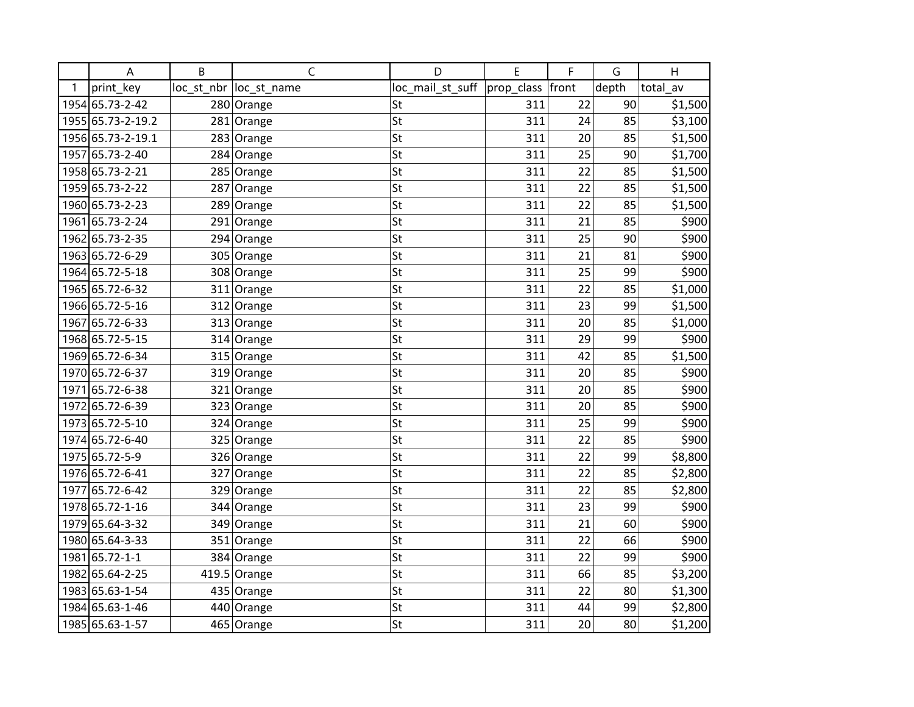|      | A                 | B   | C                       | D                | E          | F     | G     | H        |
|------|-------------------|-----|-------------------------|------------------|------------|-------|-------|----------|
| 1    | print key         |     | loc_st_nbr  loc_st_name | loc_mail_st_suff | prop_class | front | depth | total av |
|      | 1954 65.73-2-42   |     | 280 Orange              | St               | 311        | 22    | 90    | \$1,500  |
|      | 1955 65.73-2-19.2 |     | 281 Orange              | St               | 311        | 24    | 85    | \$3,100  |
|      | 1956 65.73-2-19.1 |     | 283 Orange              | St               | 311        | 20    | 85    | \$1,500  |
|      | 1957 65.73-2-40   |     | 284 Orange              | St               | 311        | 25    | 90    | \$1,700  |
|      | 1958 65.73-2-21   | 285 | Orange                  | St               | 311        | 22    | 85    | \$1,500  |
|      | 1959 65.73-2-22   | 287 | Orange                  | St               | 311        | 22    | 85    | \$1,500  |
|      | 1960 65.73-2-23   | 289 | Orange                  | St               | 311        | 22    | 85    | \$1,500  |
| 1961 | 65.73-2-24        |     | 291 Orange              | St               | 311        | 21    | 85    | \$900    |
| 1962 | 65.73-2-35        |     | 294 Orange              | St               | 311        | 25    | 90    | \$900    |
|      | 1963 65.72-6-29   |     | 305 Orange              | St               | 311        | 21    | 81    | \$900    |
|      | 1964 65.72-5-18   |     | 308 Orange              | St               | 311        | 25    | 99    | \$900    |
|      | 1965 65.72-6-32   |     | 311 Orange              | St               | 311        | 22    | 85    | \$1,000  |
|      | 1966 65.72-5-16   |     | 312 Orange              | St               | 311        | 23    | 99    | \$1,500  |
| 1967 | 65.72-6-33        |     | 313 Orange              | St               | 311        | 20    | 85    | \$1,000  |
|      | 1968 65.72-5-15   |     | 314 Orange              | St               | 311        | 29    | 99    | \$900    |
|      | 1969 65.72-6-34   |     | 315 Orange              | St               | 311        | 42    | 85    | \$1,500  |
|      | 1970 65.72-6-37   |     | 319 Orange              | St               | 311        | 20    | 85    | \$900    |
| 1971 | 65.72-6-38        |     | 321 Orange              | St               | 311        | 20    | 85    | \$900    |
|      | 1972 65.72-6-39   |     | 323 Orange              | St               | 311        | 20    | 85    | \$900    |
| 1973 | 65.72-5-10        |     | 324 Orange              | St               | 311        | 25    | 99    | \$900    |
| 1974 | 65.72-6-40        |     | 325 Orange              | St               | 311        | 22    | 85    | \$900    |
|      | 1975 65.72-5-9    |     | 326 Orange              | St               | 311        | 22    | 99    | \$8,800  |
|      | 1976 65.72-6-41   |     | 327 Orange              | St               | 311        | 22    | 85    | \$2,800  |
| 1977 | 65.72-6-42        |     | 329 Orange              | St               | 311        | 22    | 85    | \$2,800  |
|      | 1978 65.72-1-16   |     | 344 Orange              | St               | 311        | 23    | 99    | \$900    |
| 1979 | 65.64-3-32        |     | 349 Orange              | St               | 311        | 21    | 60    | \$900    |
|      | 1980 65.64-3-33   | 351 | Orange                  | St               | 311        | 22    | 66    | \$900    |
| 1981 | $65.72 - 1 - 1$   |     | 384 Orange              | St               | 311        | 22    | 99    | \$900    |
| 1982 | 65.64-2-25        |     | $419.5$ Orange          | St               | 311        | 66    | 85    | \$3,200  |
|      | 1983 65.63-1-54   |     | 435 Orange              | St               | 311        | 22    | 80    | \$1,300  |
|      | 1984 65.63-1-46   |     | 440 Orange              | St               | 311        | 44    | 99    | \$2,800  |
|      | 1985 65.63-1-57   |     | 465 Orange              | St               | 311        | 20    | 80    | \$1,200  |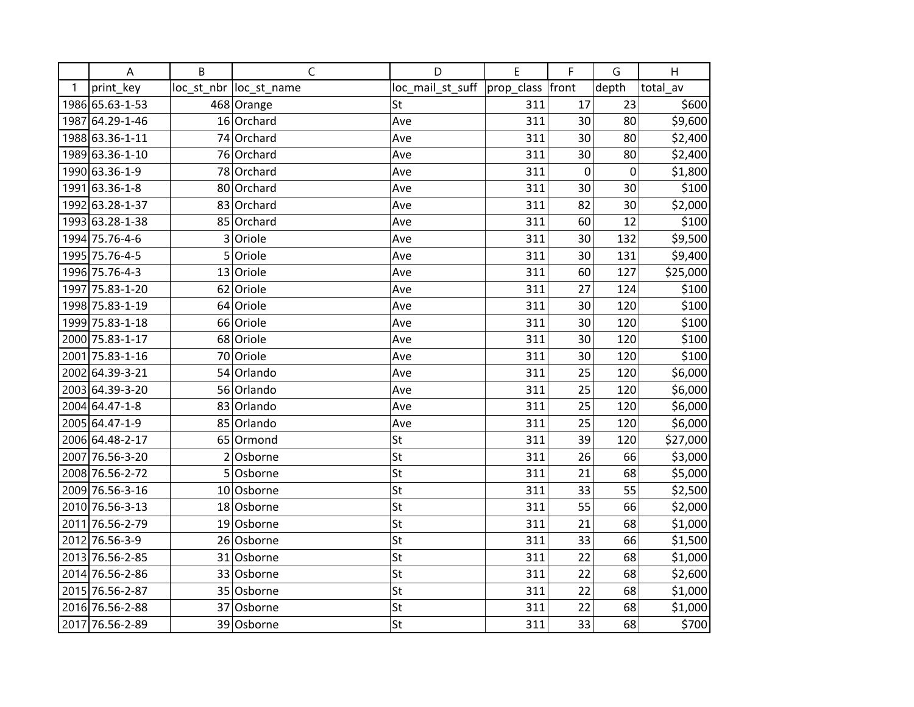|   | A               | B | $\mathsf C$             | D                | E          | F         | G     | H        |
|---|-----------------|---|-------------------------|------------------|------------|-----------|-------|----------|
| 1 | print_key       |   | loc_st_nbr  loc_st_name | loc_mail_st_suff | prop_class | front     | depth | total av |
|   | 1986 65.63-1-53 |   | 468 Orange              | St               | 311        | 17        | 23    | \$600    |
|   | 1987 64.29-1-46 |   | 16 Orchard              | Ave              | 311        | 30        | 80    | \$9,600  |
|   | 1988 63.36-1-11 |   | 74 Orchard              | Ave              | 311        | 30        | 80    | \$2,400  |
|   | 1989 63.36-1-10 |   | 76 Orchard              | Ave              | 311        | 30        | 80    | \$2,400  |
|   | 1990 63.36-1-9  |   | 78 Orchard              | Ave              | 311        | $\pmb{0}$ | 0     | \$1,800  |
|   | 1991 63.36-1-8  |   | 80 Orchard              | Ave              | 311        | 30        | 30    | \$100    |
|   | 1992 63.28-1-37 |   | 83 Orchard              | Ave              | 311        | 82        | 30    | \$2,000  |
|   | 1993 63.28-1-38 |   | 85 Orchard              | Ave              | 311        | 60        | 12    | \$100    |
|   | 1994 75.76-4-6  | 3 | Oriole                  | Ave              | 311        | 30        | 132   | \$9,500  |
|   | 1995 75.76-4-5  | 5 | Oriole                  | Ave              | 311        | 30        | 131   | \$9,400  |
|   | 1996 75.76-4-3  |   | 13 Oriole               | Ave              | 311        | 60        | 127   | \$25,000 |
|   | 1997 75.83-1-20 |   | 62 Oriole               | Ave              | 311        | 27        | 124   | \$100    |
|   | 1998 75.83-1-19 |   | 64 Oriole               | Ave              | 311        | 30        | 120   | \$100    |
|   | 1999 75.83-1-18 |   | 66 Oriole               | Ave              | 311        | 30        | 120   | \$100    |
|   | 2000 75.83-1-17 |   | 68 Oriole               | Ave              | 311        | 30        | 120   | \$100    |
|   | 2001 75.83-1-16 |   | 70 Oriole               | Ave              | 311        | 30        | 120   | \$100    |
|   | 2002 64.39-3-21 |   | 54 Orlando              | Ave              | 311        | 25        | 120   | \$6,000  |
|   | 2003 64.39-3-20 |   | 56 Orlando              | Ave              | 311        | 25        | 120   | \$6,000  |
|   | 2004 64.47-1-8  |   | 83 Orlando              | Ave              | 311        | 25        | 120   | \$6,000  |
|   | 2005 64.47-1-9  |   | 85 Orlando              | Ave              | 311        | 25        | 120   | \$6,000  |
|   | 2006 64.48-2-17 |   | 65 Ormond               | St               | 311        | 39        | 120   | \$27,000 |
|   | 2007 76.56-3-20 |   | $2$ Osborne             | St               | 311        | 26        | 66    | \$3,000  |
|   | 2008 76.56-2-72 |   | 5 Osborne               | St               | 311        | 21        | 68    | \$5,000  |
|   | 2009 76.56-3-16 |   | 10 Osborne              | St               | 311        | 33        | 55    | \$2,500  |
|   | 2010 76.56-3-13 |   | 18 Osborne              | St               | 311        | 55        | 66    | \$2,000  |
|   | 2011 76.56-2-79 |   | 19 Osborne              | St               | 311        | 21        | 68    | \$1,000  |
|   | 2012 76.56-3-9  |   | 26 Osborne              | St               | 311        | 33        | 66    | \$1,500  |
|   | 2013 76.56-2-85 |   | 31 Osborne              | St               | 311        | 22        | 68    | \$1,000  |
|   | 2014 76.56-2-86 |   | 33 Osborne              | St               | 311        | 22        | 68    | \$2,600  |
|   | 2015 76.56-2-87 |   | 35 Osborne              | St               | 311        | 22        | 68    | \$1,000  |
|   | 2016 76.56-2-88 |   | 37 Osborne              | St               | 311        | 22        | 68    | \$1,000  |
|   | 2017 76.56-2-89 |   | 39 Osborne              | St               | 311        | 33        | 68    | \$700    |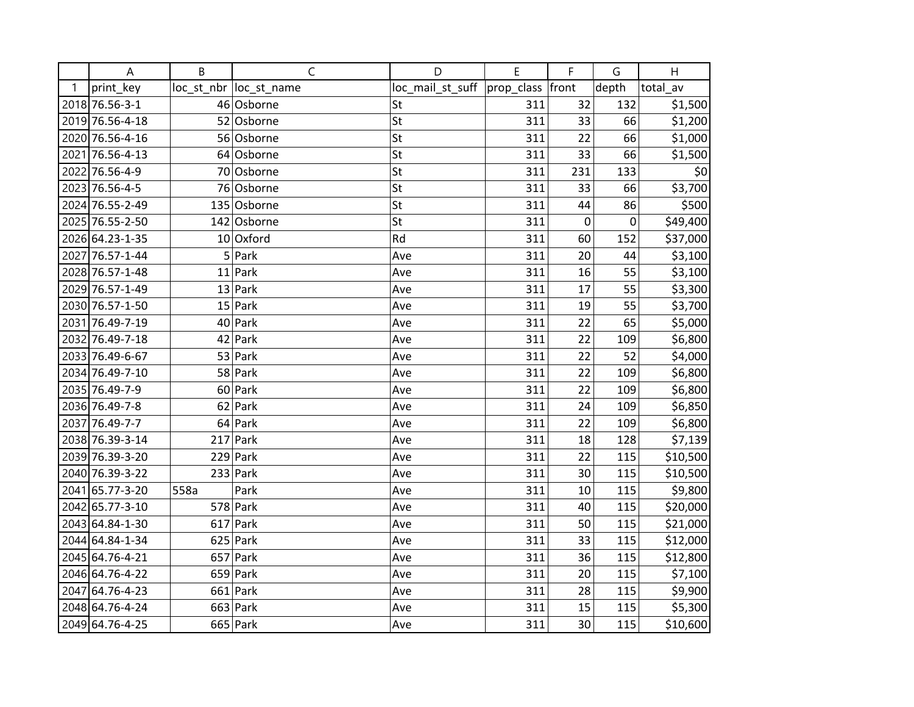|    | A               | B    | $\mathsf C$             | D                | E          | F         | G         | H        |
|----|-----------------|------|-------------------------|------------------|------------|-----------|-----------|----------|
| -1 | print_key       |      | loc_st_nbr  loc_st_name | loc_mail_st_suff | prop_class | front     | depth     | total_av |
|    | 2018 76.56-3-1  |      | 46 Osborne              | St               | 311        | 32        | 132       | \$1,500  |
|    | 2019 76.56-4-18 |      | 52 Osborne              | St               | 311        | 33        | 66        | \$1,200  |
|    | 2020 76.56-4-16 |      | 56 Osborne              | St               | 311        | 22        | 66        | \$1,000  |
|    | 2021 76.56-4-13 |      | 64 Osborne              | St               | 311        | 33        | 66        | \$1,500  |
|    | 2022 76.56-4-9  |      | 70 Osborne              | St               | 311        | 231       | 133       | \$0      |
|    | 2023 76.56-4-5  |      | 76 Osborne              | St               | 311        | 33        | 66        | \$3,700  |
|    | 2024 76.55-2-49 |      | 135 Osborne             | St               | 311        | 44        | 86        | \$500    |
|    | 2025 76.55-2-50 |      | 142 Osborne             | St               | 311        | $\pmb{0}$ | $\pmb{0}$ | \$49,400 |
|    | 2026 64.23-1-35 |      | 10 Oxford               | Rd               | 311        | 60        | 152       | \$37,000 |
|    | 2027 76.57-1-44 |      | $5$ Park                | Ave              | 311        | 20        | 44        | \$3,100  |
|    | 2028 76.57-1-48 |      | $11$ Park               | Ave              | 311        | 16        | 55        | \$3,100  |
|    | 2029 76.57-1-49 |      | $13$ Park               | Ave              | 311        | 17        | 55        | \$3,300  |
|    | 2030 76.57-1-50 |      | $15$ Park               | Ave              | 311        | 19        | 55        | \$3,700  |
|    | 2031 76.49-7-19 |      | $40$ Park               | Ave              | 311        | 22        | 65        | \$5,000  |
|    | 2032 76.49-7-18 |      | 42 Park                 | Ave              | 311        | 22        | 109       | \$6,800  |
|    | 2033 76.49-6-67 |      | $53$ Park               | Ave              | 311        | 22        | 52        | \$4,000  |
|    | 2034 76.49-7-10 |      | $58$ Park               | Ave              | 311        | 22        | 109       | \$6,800  |
|    | 2035 76.49-7-9  |      | $60$ Park               | Ave              | 311        | 22        | 109       | \$6,800  |
|    | 2036 76.49-7-8  |      | $62$ Park               | Ave              | 311        | 24        | 109       | \$6,850  |
|    | 2037 76.49-7-7  |      | 64 Park                 | Ave              | 311        | 22        | 109       | \$6,800  |
|    | 2038 76.39-3-14 |      | $217$ Park              | Ave              | 311        | 18        | 128       | \$7,139  |
|    | 2039 76.39-3-20 |      | $229$ Park              | Ave              | 311        | 22        | 115       | \$10,500 |
|    | 2040 76.39-3-22 |      | $233$ Park              | Ave              | 311        | 30        | 115       | \$10,500 |
|    | 2041 65.77-3-20 | 558a | Park                    | Ave              | 311        | 10        | 115       | \$9,800  |
|    | 2042 65.77-3-10 |      | $578$ Park              | Ave              | 311        | 40        | 115       | \$20,000 |
|    | 2043 64.84-1-30 |      | $617$ Park              | Ave              | 311        | 50        | 115       | \$21,000 |
|    | 2044 64.84-1-34 |      | $625$ Park              | Ave              | 311        | 33        | 115       | \$12,000 |
|    | 2045 64.76-4-21 |      | $657$ Park              | Ave              | 311        | 36        | 115       | \$12,800 |
|    | 2046 64.76-4-22 |      | $659$ Park              | Ave              | 311        | 20        | 115       | \$7,100  |
|    | 2047 64.76-4-23 |      | $661$ Park              | Ave              | 311        | 28        | 115       | \$9,900  |
|    | 2048 64.76-4-24 |      | $663$ Park              | Ave              | 311        | 15        | 115       | \$5,300  |
|    | 2049 64.76-4-25 |      | $665$ Park              | Ave              | 311        | 30        | 115       | \$10,600 |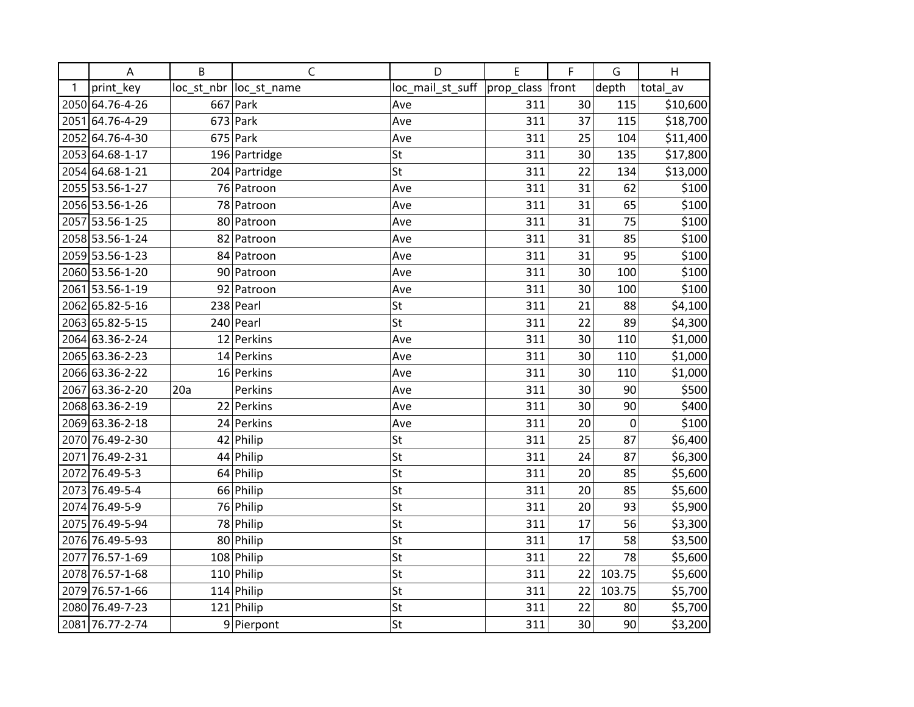|   | A               | B   | $\mathsf C$             | D                | E          | F     | G           | H        |
|---|-----------------|-----|-------------------------|------------------|------------|-------|-------------|----------|
| 1 | print key       |     | loc_st_nbr  loc_st_name | loc_mail_st_suff | prop_class | front | depth       | total av |
|   | 2050 64.76-4-26 |     | $667$ Park              | Ave              | 311        | 30    | 115         | \$10,600 |
|   | 2051 64.76-4-29 |     | $673$ Park              | Ave              | 311        | 37    | 115         | \$18,700 |
|   | 2052 64.76-4-30 |     | $675$ Park              | Ave              | 311        | 25    | 104         | \$11,400 |
|   | 2053 64.68-1-17 |     | 196 Partridge           | St               | 311        | 30    | 135         | \$17,800 |
|   | 2054 64.68-1-21 |     | 204 Partridge           | St               | 311        | 22    | 134         | \$13,000 |
|   | 2055 53.56-1-27 |     | 76 Patroon              | Ave              | 311        | 31    | 62          | \$100    |
|   | 2056 53.56-1-26 |     | 78 Patroon              | Ave              | 311        | 31    | 65          | \$100    |
|   | 2057 53.56-1-25 |     | 80 Patroon              | Ave              | 311        | 31    | 75          | \$100    |
|   | 2058 53.56-1-24 |     | 82 Patroon              | Ave              | 311        | 31    | 85          | \$100    |
|   | 2059 53.56-1-23 |     | 84 Patroon              | Ave              | 311        | 31    | 95          | \$100    |
|   | 2060 53.56-1-20 |     | 90 Patroon              | Ave              | 311        | 30    | 100         | \$100    |
|   | 2061 53.56-1-19 |     | 92 Patroon              | Ave              | 311        | 30    | 100         | \$100    |
|   | 2062 65.82-5-16 |     | $238$ Pearl             | St               | 311        | 21    | 88          | \$4,100  |
|   | 2063 65.82-5-15 |     | $240$ Pearl             | St               | 311        | 22    | 89          | \$4,300  |
|   | 2064 63.36-2-24 |     | 12 Perkins              | Ave              | 311        | 30    | 110         | \$1,000  |
|   | 2065 63.36-2-23 |     | 14 Perkins              | Ave              | 311        | 30    | 110         | \$1,000  |
|   | 2066 63.36-2-22 |     | 16 Perkins              | Ave              | 311        | 30    | 110         | \$1,000  |
|   | 2067 63.36-2-20 | 20a | Perkins                 | Ave              | 311        | 30    | 90          | \$500    |
|   | 2068 63.36-2-19 |     | 22 Perkins              | Ave              | 311        | 30    | 90          | \$400    |
|   | 2069 63.36-2-18 |     | 24 Perkins              | Ave              | 311        | 20    | $\mathbf 0$ | \$100    |
|   | 2070 76.49-2-30 |     | $42$ Philip             | St               | 311        | 25    | 87          | \$6,400  |
|   | 2071 76.49-2-31 |     | 44 Philip               | St               | 311        | 24    | 87          | \$6,300  |
|   | 2072 76.49-5-3  |     | 64 Philip               | St               | 311        | 20    | 85          | \$5,600  |
|   | 2073 76.49-5-4  |     | 66 Philip               | St               | 311        | 20    | 85          | \$5,600  |
|   | 2074 76.49-5-9  |     | 76 Philip               | St               | 311        | 20    | 93          | \$5,900  |
|   | 2075 76.49-5-94 |     | 78 Philip               | St               | 311        | 17    | 56          | \$3,300  |
|   | 2076 76.49-5-93 |     | 80 Philip               | St               | 311        | 17    | 58          | \$3,500  |
|   | 2077 76.57-1-69 |     | 108 Philip              | St               | 311        | 22    | 78          | \$5,600  |
|   | 2078 76.57-1-68 |     | $110$ Philip            | St               | 311        | 22    | 103.75      | \$5,600  |
|   | 2079 76.57-1-66 |     | $114$ Philip            | St               | 311        | 22    | 103.75      | \$5,700  |
|   | 2080 76.49-7-23 |     | $121$ Philip            | St               | 311        | 22    | 80          | \$5,700  |
|   | 2081 76.77-2-74 |     | 9 Pierpont              | St               | 311        | 30    | 90          | \$3,200  |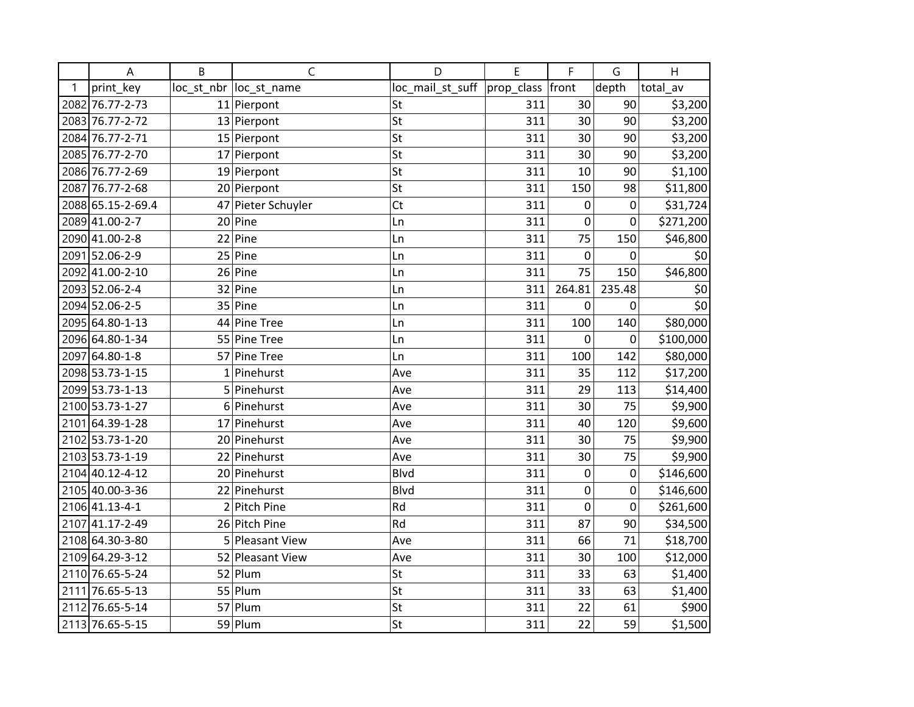|   | A                 | B  | C                      | D                | E          | F      | G           | H         |
|---|-------------------|----|------------------------|------------------|------------|--------|-------------|-----------|
| 1 | print key         |    | loc st nbr loc st name | loc_mail_st_suff | prop_class | front  | depth       | total av  |
|   | 2082 76.77-2-73   |    | 11 Pierpont            | St               | 311        | 30     | 90          | \$3,200   |
|   | 2083 76.77-2-72   |    | 13 Pierpont            | St               | 311        | 30     | 90          | \$3,200   |
|   | 2084 76.77-2-71   |    | 15 Pierpont            | St               | 311        | 30     | 90          | \$3,200   |
|   | 2085 76.77-2-70   |    | 17 Pierpont            | St               | 311        | 30     | 90          | \$3,200   |
|   | 2086 76.77-2-69   |    | $19$ Pierpont          | St               | 311        | 10     | 90          | \$1,100   |
|   | 2087 76.77-2-68   |    | 20 Pierpont            | St               | 311        | 150    | 98          | \$11,800  |
|   | 2088 65.15-2-69.4 |    | 47 Pieter Schuyler     | Ct               | 311        | 0      | 0           | \$31,724  |
|   | 2089 41.00-2-7    |    | $20$ Pine              | Ln               | 311        | 0      | $\mathbf 0$ | \$271,200 |
|   | 2090 41.00-2-8    | 22 | Pine                   | Ln               | 311        | 75     | 150         | \$46,800  |
|   | 2091 52.06-2-9    |    | $25$ Pine              | Ln               | 311        | 0      | 0           | \$0       |
|   | 2092 41.00-2-10   |    | $26$ Pine              | Ln               | 311        | 75     | 150         | \$46,800  |
|   | 2093 52.06-2-4    |    | 32 Pine                | Ln               | 311        | 264.81 | 235.48      | \$0       |
|   | 2094 52.06-2-5    |    | 35 Pine                | Ln               | 311        | 0      | 0           | \$0       |
|   | 2095 64.80-1-13   |    | 44 Pine Tree           | Ln               | 311        | 100    | 140         | \$80,000  |
|   | 2096 64.80-1-34   |    | 55 Pine Tree           | Ln               | 311        | 0      | 0           | \$100,000 |
|   | 2097 64.80-1-8    |    | 57 Pine Tree           | Ln               | 311        | 100    | 142         | \$80,000  |
|   | 2098 53.73-1-15   |    | $1$ Pinehurst          | Ave              | 311        | 35     | 112         | \$17,200  |
|   | 2099 53.73-1-13   |    | 5 Pinehurst            | Ave              | 311        | 29     | 113         | \$14,400  |
|   | 2100 53.73-1-27   |    | 6 Pinehurst            | Ave              | 311        | 30     | 75          | \$9,900   |
|   | 2101 64.39-1-28   |    | 17 Pinehurst           | Ave              | 311        | 40     | 120         | \$9,600   |
|   | 2102 53.73-1-20   |    | 20 Pinehurst           | Ave              | 311        | 30     | 75          | \$9,900   |
|   | 2103 53.73-1-19   |    | 22 Pinehurst           | Ave              | 311        | 30     | 75          | \$9,900   |
|   | 2104 40.12-4-12   |    | 20 Pinehurst           | <b>Blvd</b>      | 311        | 0      | $\mathbf 0$ | \$146,600 |
|   | 2105 40.00-3-36   |    | 22 Pinehurst           | <b>Blvd</b>      | 311        | 0      | 0           | \$146,600 |
|   | 2106 41.13-4-1    | 2  | Pitch Pine             | Rd               | 311        | 0      | 0           | \$261,600 |
|   | 2107 41.17-2-49   |    | 26 Pitch Pine          | Rd               | 311        | 87     | 90          | \$34,500  |
|   | 2108 64.30-3-80   |    | 5 Pleasant View        | Ave              | 311        | 66     | 71          | \$18,700  |
|   | 2109 64.29-3-12   |    | 52 Pleasant View       | Ave              | 311        | 30     | 100         | \$12,000  |
|   | 2110 76.65-5-24   |    | $52$ Plum              | St               | 311        | 33     | 63          | \$1,400   |
|   | 2111 76.65-5-13   |    | $55 $ Plum             | St               | 311        | 33     | 63          | \$1,400   |
|   | 2112 76.65-5-14   |    | $57$ Plum              | St               | 311        | 22     | 61          | \$900     |
|   | 2113 76.65-5-15   |    | 59 Plum                | St               | 311        | 22     | 59          | \$1,500   |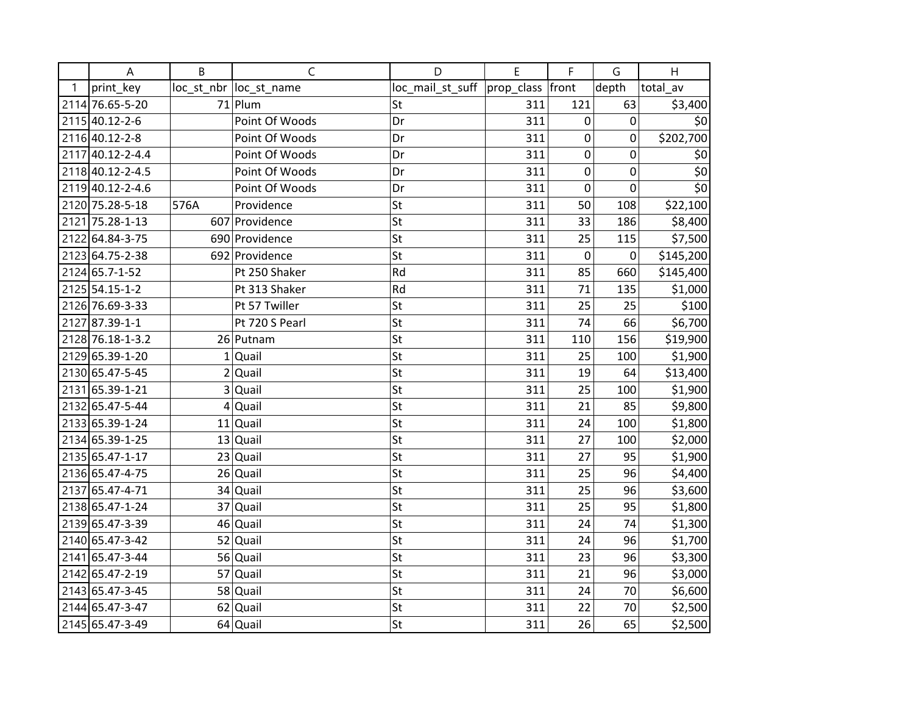|              | A                | B    | $\mathsf{C}$           | D                                   | E   | F           | G           | H             |
|--------------|------------------|------|------------------------|-------------------------------------|-----|-------------|-------------|---------------|
| $\mathbf{1}$ | print key        |      | loc st nbr loc st name | loc_mail_st_suff  prop_class  front |     |             | depth       | total av      |
|              | 2114 76.65-5-20  |      | $71$ Plum              | St                                  | 311 | 121         | 63          | \$3,400       |
|              | 2115 40.12-2-6   |      | Point Of Woods         | Dr                                  | 311 | 0           | 0           | \$0           |
|              | 2116 40.12-2-8   |      | Point Of Woods         | Dr                                  | 311 | 0           | 0           | \$202,700     |
|              | 2117 40.12-2-4.4 |      | Point Of Woods         | Dr                                  | 311 | 0           | $\mathbf 0$ | \$0           |
|              | 2118 40.12-2-4.5 |      | Point Of Woods         | Dr                                  | 311 | 0           | 0           | $rac{50}{50}$ |
|              | 2119 40.12-2-4.6 |      | Point Of Woods         | Dr                                  | 311 | 0           | 0           |               |
|              | 2120 75.28-5-18  | 576A | Providence             | St                                  | 311 | 50          | 108         | \$22,100      |
|              | 2121 75.28-1-13  |      | 607 Providence         | St                                  | 311 | 33          | 186         | \$8,400       |
|              | 2122 64.84-3-75  |      | 690 Providence         | St                                  | 311 | 25          | 115         | \$7,500       |
|              | 2123 64.75-2-38  |      | 692 Providence         | St                                  | 311 | $\mathbf 0$ | 0           | \$145,200     |
|              | 2124 65.7-1-52   |      | Pt 250 Shaker          | Rd                                  | 311 | 85          | 660         | \$145,400     |
|              | 2125 54.15-1-2   |      | Pt 313 Shaker          | Rd                                  | 311 | 71          | 135         | \$1,000       |
|              | 2126 76.69-3-33  |      | Pt 57 Twiller          | St                                  | 311 | 25          | 25          | \$100         |
|              | 2127 87.39-1-1   |      | Pt 720 S Pearl         | St                                  | 311 | 74          | 66          | \$6,700       |
|              | 2128 76.18-1-3.2 |      | 26 Putnam              | St                                  | 311 | 110         | 156         | \$19,900      |
|              | 2129 65.39-1-20  |      | $1$ Quail              | St                                  | 311 | 25          | 100         | \$1,900       |
|              | 2130 65.47-5-45  |      | $2$ Quail              | St                                  | 311 | 19          | 64          | \$13,400      |
|              | 2131 65.39-1-21  |      | 3 Quail                | St                                  | 311 | 25          | 100         | \$1,900       |
|              | 2132 65.47-5-44  |      | $4$ Quail              | St                                  | 311 | 21          | 85          | \$9,800       |
|              | 2133 65.39-1-24  |      | $11$ Quail             | St                                  | 311 | 24          | 100         | \$1,800       |
|              | 2134 65.39-1-25  |      | $13$ Quail             | St                                  | 311 | 27          | 100         | \$2,000       |
|              | 2135 65.47-1-17  |      | 23 Quail               | St                                  | 311 | 27          | 95          | \$1,900       |
|              | 2136 65.47-4-75  |      | $26$ Quail             | St                                  | 311 | 25          | 96          | \$4,400       |
|              | 2137 65.47-4-71  |      | 34 Quail               | St                                  | 311 | 25          | 96          | \$3,600       |
|              | 2138 65.47-1-24  |      | 37 Quail               | St                                  | 311 | 25          | 95          | \$1,800       |
|              | 2139 65.47-3-39  |      | 46 Quail               | St                                  | 311 | 24          | 74          | \$1,300       |
|              | 2140 65.47-3-42  |      | 52 Quail               | St                                  | 311 | 24          | 96          | \$1,700       |
|              | 2141 65.47-3-44  |      | 56 Quail               | St                                  | 311 | 23          | 96          | \$3,300       |
|              | 2142 65.47-2-19  |      | 57 Quail               | St                                  | 311 | 21          | 96          | \$3,000       |
|              | 2143 65.47-3-45  |      | 58 Quail               | St                                  | 311 | 24          | 70          | \$6,600       |
|              | 2144 65.47-3-47  |      | $62$ Quail             | St                                  | 311 | 22          | 70          | \$2,500       |
|              | 2145 65.47-3-49  |      | $64$ Quail             | St                                  | 311 | 26          | 65          | \$2,500       |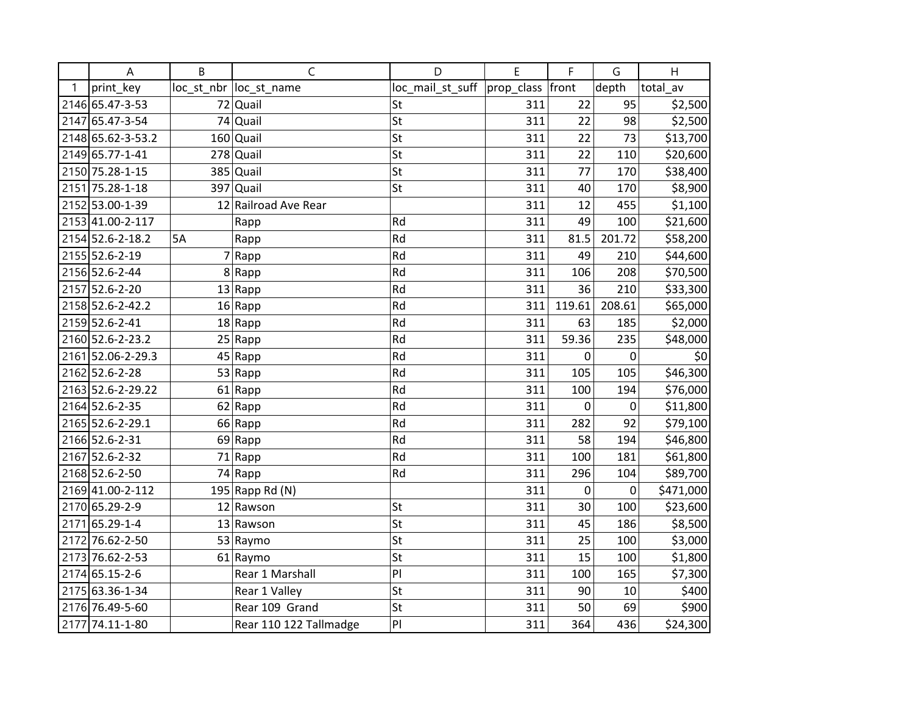|      | A                 | B  | $\mathsf C$             | D                | E          | F           | G      | H         |
|------|-------------------|----|-------------------------|------------------|------------|-------------|--------|-----------|
| 1    | print key         |    | loc_st_nbr  loc_st_name | loc_mail_st_suff | prop_class | front       | depth  | total av  |
|      | 2146 65.47-3-53   |    | 72 Quail                | St               | 311        | 22          | 95     | \$2,500   |
|      | 2147 65.47-3-54   |    | 74 Quail                | St               | 311        | 22          | 98     | \$2,500   |
|      | 2148 65.62-3-53.2 |    | $160$ Quail             | St               | 311        | 22          | 73     | \$13,700  |
|      | 2149 65.77-1-41   |    | $278$ Quail             | St               | 311        | 22          | 110    | \$20,600  |
|      | 2150 75.28-1-15   |    | $385$ Quail             | St               | 311        | 77          | 170    | \$38,400  |
|      | 2151 75.28-1-18   |    | $397$ Quail             | St               | 311        | 40          | 170    | \$8,900   |
|      | 2152 53.00-1-39   |    | 12 Railroad Ave Rear    |                  | 311        | 12          | 455    | \$1,100   |
|      | 2153 41.00-2-117  |    | Rapp                    | Rd               | 311        | 49          | 100    | \$21,600  |
|      | 2154 52.6-2-18.2  | 5A | Rapp                    | Rd               | 311        | 81.5        | 201.72 | \$58,200  |
|      | 2155 52.6-2-19    |    | 7 Rapp                  | Rd               | 311        | 49          | 210    | \$44,600  |
|      | 2156 52.6-2-44    |    | 8 Rapp                  | Rd               | 311        | 106         | 208    | \$70,500  |
|      | 2157 52.6-2-20    |    | $13  $ Rapp             | Rd               | 311        | 36          | 210    | \$33,300  |
|      | 2158 52.6-2-42.2  |    | 16 Rapp                 | Rd               | 311        | 119.61      | 208.61 | \$65,000  |
|      | 2159 52.6-2-41    |    | 18 Rapp                 | Rd               | 311        | 63          | 185    | \$2,000   |
|      | 2160 52.6-2-23.2  |    | 25 Rapp                 | Rd               | 311        | 59.36       | 235    | \$48,000  |
|      | 2161 52.06-2-29.3 |    | 45 Rapp                 | Rd               | 311        | 0           | 0      | \$0       |
|      | 2162 52.6-2-28    |    | 53 Rapp                 | Rd               | 311        | 105         | 105    | \$46,300  |
|      | 2163 52.6-2-29.22 |    | 61 Rapp                 | Rd               | 311        | 100         | 194    | \$76,000  |
|      | 2164 52.6-2-35    |    | 62 Rapp                 | Rd               | 311        | $\mathbf 0$ | 0      | \$11,800  |
|      | 2165 52.6-2-29.1  |    | 66 Rapp                 | Rd               | 311        | 282         | 92     | \$79,100  |
|      | 2166 52.6-2-31    |    | 69 Rapp                 | Rd               | 311        | 58          | 194    | \$46,800  |
|      | 2167 52.6-2-32    |    | 71 Rapp                 | Rd               | 311        | 100         | 181    | \$61,800  |
|      | 2168 52.6-2-50    |    | 74 Rapp                 | Rd               | 311        | 296         | 104    | \$89,700  |
|      | 2169 41.00-2-112  |    | 195 Rapp Rd (N)         |                  | 311        | 0           | 0      | \$471,000 |
|      | 2170 65.29-2-9    |    | 12 Rawson               | St               | 311        | 30          | 100    | \$23,600  |
| 2171 | 65.29-1-4         |    | 13 Rawson               | St               | 311        | 45          | 186    | \$8,500   |
|      | 2172 76.62-2-50   |    | 53 Raymo                | St               | 311        | 25          | 100    | \$3,000   |
|      | 2173 76.62-2-53   |    | 61 Raymo                | St               | 311        | 15          | 100    | \$1,800   |
|      | 2174 65.15-2-6    |    | Rear 1 Marshall         | PI               | 311        | 100         | 165    | \$7,300   |
|      | 2175 63.36-1-34   |    | Rear 1 Valley           | St               | 311        | 90          | $10\,$ | \$400     |
|      | 2176 76.49-5-60   |    | Rear 109 Grand          | St               | 311        | 50          | 69     | \$900     |
|      | 2177 74.11-1-80   |    | Rear 110 122 Tallmadge  | PI               | 311        | 364         | 436    | \$24,300  |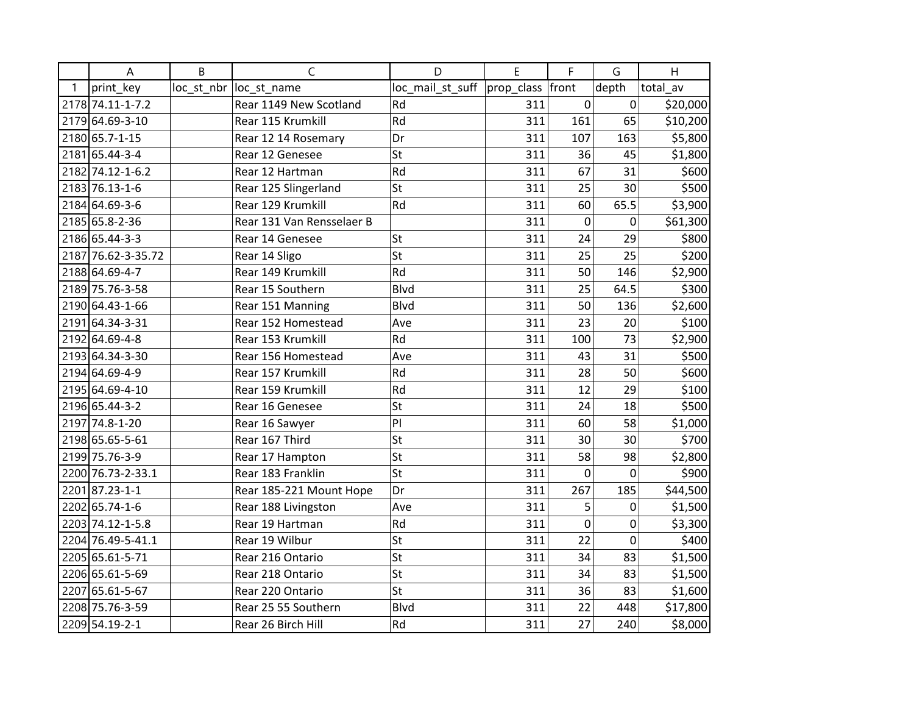|      | A                  | B | C                         | D                | E                | F              | G              | H        |
|------|--------------------|---|---------------------------|------------------|------------------|----------------|----------------|----------|
| 1    | print key          |   | loc_st_nbr  loc_st_name   | loc_mail_st_suff | prop_class front |                | depth          | total av |
|      | 2178 74.11-1-7.2   |   | Rear 1149 New Scotland    | Rd               | 311              | 0              | $\mathbf 0$    | \$20,000 |
|      | 2179 64.69-3-10    |   | Rear 115 Krumkill         | Rd               | 311              | 161            | 65             | \$10,200 |
|      | 2180 65.7-1-15     |   | Rear 12 14 Rosemary       | Dr               | 311              | 107            | 163            | \$5,800  |
| 2181 | 65.44-3-4          |   | Rear 12 Genesee           | St               | 311              | 36             | 45             | \$1,800  |
|      | 2182 74.12-1-6.2   |   | Rear 12 Hartman           | Rd               | 311              | 67             | 31             | \$600    |
|      | 2183 76.13-1-6     |   | Rear 125 Slingerland      | St               | 311              | 25             | 30             | \$500    |
|      | 2184 64.69-3-6     |   | Rear 129 Krumkill         | Rd               | 311              | 60             | 65.5           | \$3,900  |
|      | 2185 65.8-2-36     |   | Rear 131 Van Rensselaer B |                  | 311              | $\mathbf 0$    | 0              | \$61,300 |
|      | 2186 65.44-3-3     |   | Rear 14 Genesee           | St               | 311              | 24             | 29             | \$800    |
|      | 2187 76.62-3-35.72 |   | Rear 14 Sligo             | St               | 311              | 25             | 25             | \$200    |
|      | 2188 64.69-4-7     |   | Rear 149 Krumkill         | Rd               | 311              | 50             | 146            | \$2,900  |
|      | 2189 75.76-3-58    |   | Rear 15 Southern          | <b>Blvd</b>      | 311              | 25             | 64.5           | \$300    |
|      | 2190 64.43-1-66    |   | Rear 151 Manning          | <b>Blvd</b>      | 311              | 50             | 136            | \$2,600  |
| 2191 | 64.34-3-31         |   | Rear 152 Homestead        | Ave              | 311              | 23             | 20             | \$100    |
|      | 2192 64.69-4-8     |   | Rear 153 Krumkill         | Rd               | 311              | 100            | 73             | \$2,900  |
|      | 2193 64.34-3-30    |   | Rear 156 Homestead        | Ave              | 311              | 43             | 31             | \$500    |
|      | 2194 64.69-4-9     |   | Rear 157 Krumkill         | Rd               | 311              | 28             | 50             | \$600    |
|      | 2195 64.69-4-10    |   | Rear 159 Krumkill         | Rd               | 311              | 12             | 29             | \$100    |
|      | 2196 65.44-3-2     |   | Rear 16 Genesee           | St               | 311              | 24             | 18             | \$500    |
|      | 2197 74.8-1-20     |   | Rear 16 Sawyer            | PI               | 311              | 60             | 58             | \$1,000  |
|      | 2198 65.65-5-61    |   | Rear 167 Third            | St               | 311              | 30             | 30             | \$700    |
|      | 2199 75.76-3-9     |   | Rear 17 Hampton           | St               | 311              | 58             | 98             | \$2,800  |
|      | 2200 76.73-2-33.1  |   | Rear 183 Franklin         | St               | 311              | $\overline{0}$ | $\overline{0}$ | \$900    |
|      | 2201 87.23-1-1     |   | Rear 185-221 Mount Hope   | Dr               | 311              | 267            | 185            | \$44,500 |
|      | 2202 65.74-1-6     |   | Rear 188 Livingston       | Ave              | 311              | 5              | 0              | \$1,500  |
|      | 2203 74.12-1-5.8   |   | Rear 19 Hartman           | Rd               | 311              | $\mathbf 0$    | 0              | \$3,300  |
|      | 2204 76.49-5-41.1  |   | Rear 19 Wilbur            | St               | 311              | 22             | $\mathbf 0$    | \$400    |
|      | 2205 65.61-5-71    |   | Rear 216 Ontario          | St               | 311              | 34             | 83             | \$1,500  |
|      | 2206 65.61-5-69    |   | Rear 218 Ontario          | St               | 311              | 34             | 83             | \$1,500  |
| 2207 | 65.61-5-67         |   | Rear 220 Ontario          | St               | 311              | 36             | 83             | \$1,600  |
|      | 2208 75.76-3-59    |   | Rear 25 55 Southern       | <b>Blvd</b>      | 311              | 22             | 448            | \$17,800 |
|      | 2209 54.19-2-1     |   | Rear 26 Birch Hill        | Rd               | 311              | 27             | 240            | \$8,000  |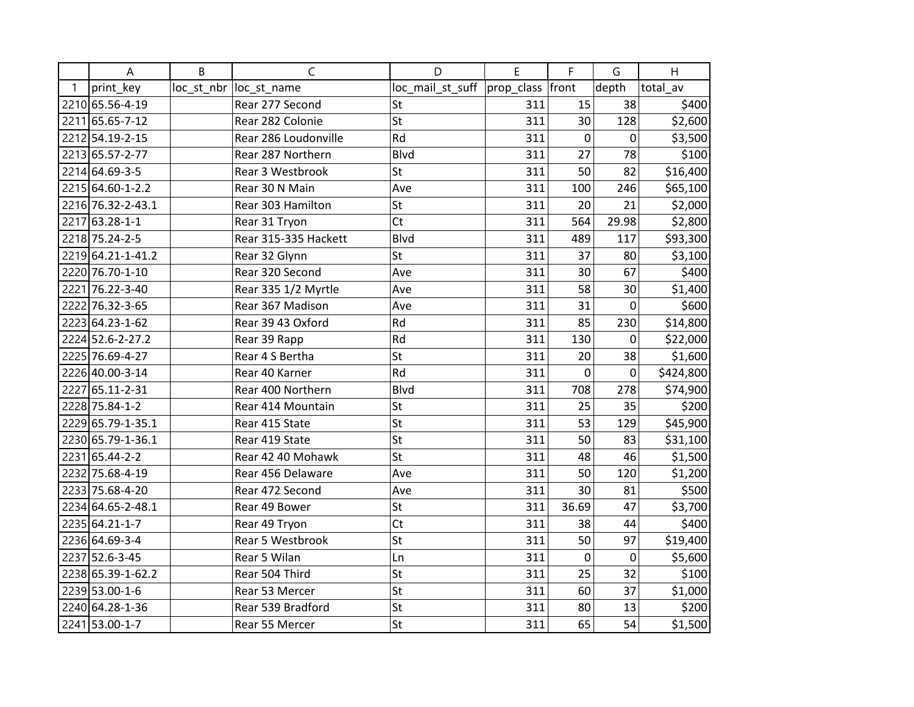|              | A                 | B | C                       | D                            | E   | F     | G              | H         |
|--------------|-------------------|---|-------------------------|------------------------------|-----|-------|----------------|-----------|
| $\mathbf{1}$ | print key         |   | loc_st_nbr  loc_st_name | loc_mail_st_suff  prop_class |     | front | depth          | total_av  |
|              | 2210 65.56-4-19   |   | Rear 277 Second         | St                           | 311 | 15    | 38             | \$400     |
|              | 2211 65.65-7-12   |   | Rear 282 Colonie        | St                           | 311 | 30    | 128            | \$2,600   |
|              | 2212 54.19-2-15   |   | Rear 286 Loudonville    | Rd                           | 311 | 0     | 0              | \$3,500   |
|              | 2213 65.57-2-77   |   | Rear 287 Northern       | <b>Blvd</b>                  | 311 | 27    | 78             | \$100     |
|              | 2214 64.69-3-5    |   | Rear 3 Westbrook        | St                           | 311 | 50    | 82             | \$16,400  |
|              | 2215 64.60-1-2.2  |   | Rear 30 N Main          | Ave                          | 311 | 100   | 246            | \$65,100  |
|              | 2216 76.32-2-43.1 |   | Rear 303 Hamilton       | St                           | 311 | 20    | 21             | \$2,000   |
|              | 2217 63.28-1-1    |   | Rear 31 Tryon           | <b>Ct</b>                    | 311 | 564   | 29.98          | \$2,800   |
|              | 2218 75.24-2-5    |   | Rear 315-335 Hackett    | <b>Blvd</b>                  | 311 | 489   | 117            | \$93,300  |
|              | 2219 64.21-1-41.2 |   | Rear 32 Glynn           | St                           | 311 | 37    | 80             | \$3,100   |
|              | 2220 76.70-1-10   |   | Rear 320 Second         | Ave                          | 311 | 30    | 67             | \$400     |
|              | 2221 76.22-3-40   |   | Rear 335 1/2 Myrtle     | Ave                          | 311 | 58    | 30             | \$1,400   |
|              | 2222 76.32-3-65   |   | Rear 367 Madison        | Ave                          | 311 | 31    | $\overline{0}$ | \$600     |
|              | 2223 64.23-1-62   |   | Rear 39 43 Oxford       | Rd                           | 311 | 85    | 230            | \$14,800  |
|              | 2224 52.6-2-27.2  |   | Rear 39 Rapp            | Rd                           | 311 | 130   | $\Omega$       | \$22,000  |
|              | 2225 76.69-4-27   |   | Rear 4 S Bertha         | St                           | 311 | 20    | 38             | \$1,600   |
|              | 2226 40.00-3-14   |   | Rear 40 Karner          | Rd                           | 311 | 0     | 0              | \$424,800 |
|              | 2227 65.11-2-31   |   | Rear 400 Northern       | <b>Blvd</b>                  | 311 | 708   | 278            | \$74,900  |
|              | 2228 75.84-1-2    |   | Rear 414 Mountain       | St                           | 311 | 25    | 35             | \$200     |
|              | 2229 65.79-1-35.1 |   | Rear 415 State          | St                           | 311 | 53    | 129            | \$45,900  |
|              | 2230 65.79-1-36.1 |   | Rear 419 State          | St                           | 311 | 50    | 83             | \$31,100  |
|              | 2231 65.44-2-2    |   | Rear 42 40 Mohawk       | St                           | 311 | 48    | 46             | \$1,500   |
|              | 2232 75.68-4-19   |   | Rear 456 Delaware       | Ave                          | 311 | 50    | 120            | \$1,200   |
|              | 2233 75.68-4-20   |   | Rear 472 Second         | Ave                          | 311 | 30    | 81             | \$500     |
|              | 2234 64.65-2-48.1 |   | Rear 49 Bower           | St                           | 311 | 36.69 | 47             | \$3,700   |
|              | 2235 64.21-1-7    |   | Rear 49 Tryon           | Ct                           | 311 | 38    | 44             | \$400     |
|              | 2236 64.69-3-4    |   | Rear 5 Westbrook        | St                           | 311 | 50    | 97             | \$19,400  |
|              | 2237 52.6-3-45    |   | Rear 5 Wilan            | Ln                           | 311 | 0     | 0              | \$5,600   |
|              | 2238 65.39-1-62.2 |   | Rear 504 Third          | St                           | 311 | 25    | 32             | \$100     |
|              | 2239 53.00-1-6    |   | Rear 53 Mercer          | St                           | 311 | 60    | 37             | \$1,000   |
|              | 2240 64.28-1-36   |   | Rear 539 Bradford       | St                           | 311 | 80    | 13             | \$200     |
|              | 2241 53.00-1-7    |   | Rear 55 Mercer          | St                           | 311 | 65    | 54             | \$1,500   |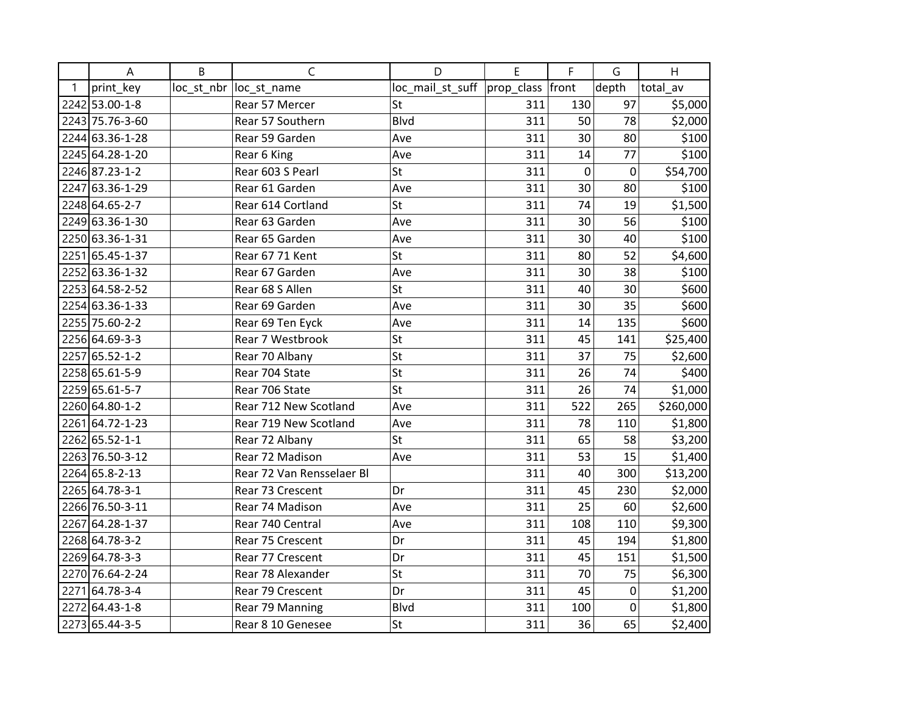|      | A               | B | $\mathsf{C}$              | D                                   | E   | F           | G     | H         |
|------|-----------------|---|---------------------------|-------------------------------------|-----|-------------|-------|-----------|
| 1    | print_key       |   | loc_st_nbr  loc_st_name   | loc_mail_st_suff  prop_class  front |     |             | depth | total av  |
|      | 2242 53.00-1-8  |   | Rear 57 Mercer            | St                                  | 311 | 130         | 97    | \$5,000   |
|      | 2243 75.76-3-60 |   | Rear 57 Southern          | <b>Blvd</b>                         | 311 | 50          | 78    | \$2,000   |
|      | 2244 63.36-1-28 |   | Rear 59 Garden            | Ave                                 | 311 | 30          | 80    | \$100     |
|      | 2245 64.28-1-20 |   | Rear 6 King               | Ave                                 | 311 | 14          | 77    | \$100     |
|      | 2246 87.23-1-2  |   | Rear 603 S Pearl          | St                                  | 311 | $\mathbf 0$ | 0     | \$54,700  |
|      | 2247 63.36-1-29 |   | Rear 61 Garden            | Ave                                 | 311 | 30          | 80    | \$100     |
|      | 2248 64.65-2-7  |   | Rear 614 Cortland         | <b>St</b>                           | 311 | 74          | 19    | \$1,500   |
|      | 2249 63.36-1-30 |   | Rear 63 Garden            | Ave                                 | 311 | 30          | 56    | \$100     |
|      | 2250 63.36-1-31 |   | Rear 65 Garden            | Ave                                 | 311 | 30          | 40    | \$100     |
|      | 2251 65.45-1-37 |   | Rear 67 71 Kent           | St                                  | 311 | 80          | 52    | \$4,600   |
|      | 2252 63.36-1-32 |   | Rear 67 Garden            | Ave                                 | 311 | 30          | 38    | \$100     |
|      | 2253 64.58-2-52 |   | Rear 68 S Allen           | <b>St</b>                           | 311 | 40          | 30    | \$600     |
|      | 2254 63.36-1-33 |   | Rear 69 Garden            | Ave                                 | 311 | 30          | 35    | \$600     |
|      | 2255 75.60-2-2  |   | Rear 69 Ten Eyck          | Ave                                 | 311 | 14          | 135   | \$600     |
|      | 2256 64.69-3-3  |   | Rear 7 Westbrook          | St                                  | 311 | 45          | 141   | \$25,400  |
| 2257 | $65.52 - 1 - 2$ |   | Rear 70 Albany            | St                                  | 311 | 37          | 75    | \$2,600   |
|      | 2258 65.61-5-9  |   | Rear 704 State            | St                                  | 311 | 26          | 74    | \$400     |
|      | 2259 65.61-5-7  |   | Rear 706 State            | St                                  | 311 | 26          | 74    | \$1,000   |
|      | 2260 64.80-1-2  |   | Rear 712 New Scotland     | Ave                                 | 311 | 522         | 265   | \$260,000 |
|      | 2261 64.72-1-23 |   | Rear 719 New Scotland     | Ave                                 | 311 | 78          | 110   | \$1,800   |
|      | 2262 65.52-1-1  |   | Rear 72 Albany            | <b>St</b>                           | 311 | 65          | 58    | \$3,200   |
|      | 2263 76.50-3-12 |   | Rear 72 Madison           | Ave                                 | 311 | 53          | 15    | \$1,400   |
|      | 2264 65.8-2-13  |   | Rear 72 Van Rensselaer Bl |                                     | 311 | 40          | 300   | \$13,200  |
|      | 2265 64.78-3-1  |   | Rear 73 Crescent          | Dr                                  | 311 | 45          | 230   | \$2,000   |
|      | 2266 76.50-3-11 |   | Rear 74 Madison           | Ave                                 | 311 | 25          | 60    | \$2,600   |
| 2267 | 64.28-1-37      |   | Rear 740 Central          | Ave                                 | 311 | 108         | 110   | \$9,300   |
|      | 2268 64.78-3-2  |   | Rear 75 Crescent          | Dr                                  | 311 | 45          | 194   | \$1,800   |
|      | 2269 64.78-3-3  |   | Rear 77 Crescent          | Dr                                  | 311 | 45          | 151   | \$1,500   |
|      | 2270 76.64-2-24 |   | Rear 78 Alexander         | St                                  | 311 | 70          | 75    | \$6,300   |
| 2271 | 64.78-3-4       |   | Rear 79 Crescent          | Dr                                  | 311 | 45          | 0     | \$1,200   |
|      | 2272 64.43-1-8  |   | Rear 79 Manning           | <b>Blvd</b>                         | 311 | 100         | 0     | \$1,800   |
|      | 2273 65.44-3-5  |   | Rear 8 10 Genesee         | St                                  | 311 | 36          | 65    | \$2,400   |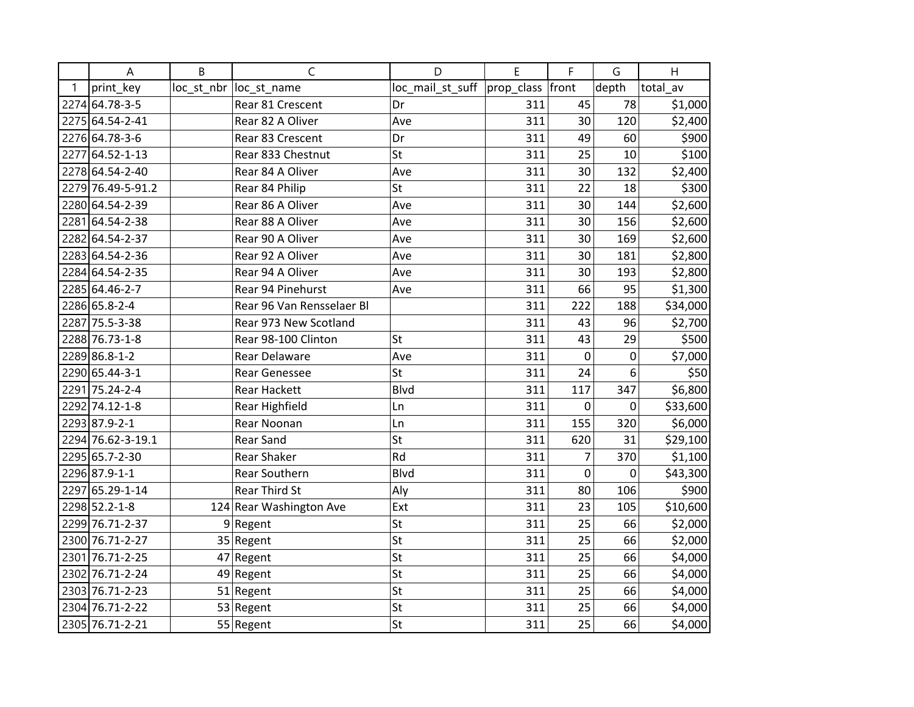|      | Α                 | B | C                         | D                | E              | F              | G     | H        |
|------|-------------------|---|---------------------------|------------------|----------------|----------------|-------|----------|
| 1    | print_key         |   | loc_st_nbr  loc_st_name   | loc_mail_st_suff | $ $ prop class | front          | depth | total av |
|      | 2274 64.78-3-5    |   | Rear 81 Crescent          | Dr               | 311            | 45             | 78    | \$1,000  |
|      | 2275 64.54-2-41   |   | Rear 82 A Oliver          | Ave              | 311            | 30             | 120   | \$2,400  |
|      | 2276 64.78-3-6    |   | Rear 83 Crescent          | Dr               | 311            | 49             | 60    | \$900    |
| 2277 | 64.52-1-13        |   | Rear 833 Chestnut         | St               | 311            | 25             | 10    | \$100    |
|      | 2278 64.54-2-40   |   | Rear 84 A Oliver          | Ave              | 311            | 30             | 132   | \$2,400  |
|      | 2279 76.49-5-91.2 |   | Rear 84 Philip            | St               | 311            | 22             | 18    | \$300    |
|      | 2280 64.54-2-39   |   | Rear 86 A Oliver          | Ave              | 311            | 30             | 144   | \$2,600  |
|      | 2281 64.54-2-38   |   | Rear 88 A Oliver          | Ave              | 311            | 30             | 156   | \$2,600  |
|      | 2282 64.54-2-37   |   | Rear 90 A Oliver          | Ave              | 311            | 30             | 169   | \$2,600  |
|      | 2283 64.54-2-36   |   | Rear 92 A Oliver          | Ave              | 311            | 30             | 181   | \$2,800  |
|      | 2284 64.54-2-35   |   | Rear 94 A Oliver          | Ave              | 311            | 30             | 193   | \$2,800  |
|      | 2285 64.46-2-7    |   | Rear 94 Pinehurst         | Ave              | 311            | 66             | 95    | \$1,300  |
|      | 2286 65.8-2-4     |   | Rear 96 Van Rensselaer Bl |                  | 311            | 222            | 188   | \$34,000 |
|      | 2287 75.5-3-38    |   | Rear 973 New Scotland     |                  | 311            | 43             | 96    | \$2,700  |
|      | 2288 76.73-1-8    |   | Rear 98-100 Clinton       | St               | 311            | 43             | 29    | \$500    |
|      | 2289 86.8-1-2     |   | Rear Delaware             | Ave              | 311            | 0              | 0     | \$7,000  |
|      | 2290 65.44-3-1    |   | <b>Rear Genessee</b>      | St               | 311            | 24             | 6     | \$50     |
|      | 2291 75.24-2-4    |   | <b>Rear Hackett</b>       | <b>Blvd</b>      | 311            | 117            | 347   | \$6,800  |
|      | 2292 74.12-1-8    |   | <b>Rear Highfield</b>     | Ln               | 311            | 0              | 0     | \$33,600 |
|      | 2293 87.9-2-1     |   | Rear Noonan               | Ln               | 311            | 155            | 320   | \$6,000  |
|      | 2294 76.62-3-19.1 |   | <b>Rear Sand</b>          | St               | 311            | 620            | 31    | \$29,100 |
|      | 2295 65.7-2-30    |   | <b>Rear Shaker</b>        | Rd               | 311            | $\overline{7}$ | 370   | \$1,100  |
|      | 2296 87.9-1-1     |   | Rear Southern             | <b>Blvd</b>      | 311            | $\mathbf 0$    | 0     | \$43,300 |
| 2297 | 65.29-1-14        |   | <b>Rear Third St</b>      | Aly              | 311            | 80             | 106   | \$900    |
|      | 2298 52.2-1-8     |   | 124 Rear Washington Ave   | Ext              | 311            | 23             | 105   | \$10,600 |
|      | 2299 76.71-2-37   |   | $9$ Regent                | St               | 311            | 25             | 66    | \$2,000  |
|      | 2300 76.71-2-27   |   | 35 Regent                 | St               | 311            | 25             | 66    | \$2,000  |
| 2301 | 76.71-2-25        |   | 47 Regent                 | St               | 311            | 25             | 66    | \$4,000  |
|      | 2302 76.71-2-24   |   | 49 Regent                 | St               | 311            | 25             | 66    | \$4,000  |
|      | 2303 76.71-2-23   |   | 51 Regent                 | St               | 311            | 25             | 66    | \$4,000  |
|      | 2304 76.71-2-22   |   | 53 Regent                 | St               | 311            | 25             | 66    | \$4,000  |
|      | 2305 76.71-2-21   |   | 55 Regent                 | St               | 311            | 25             | 66    | \$4,000  |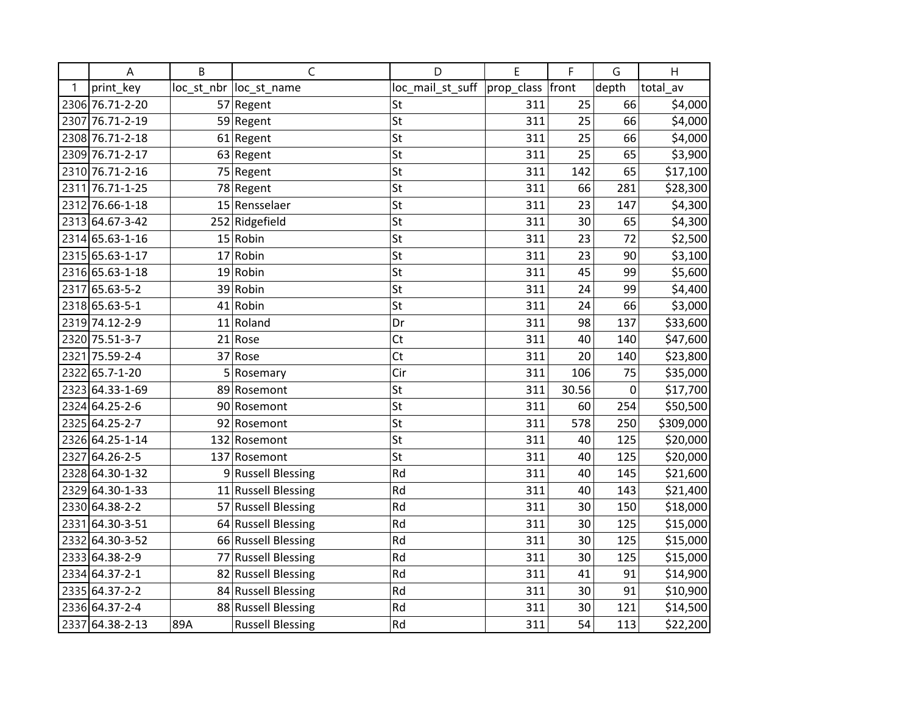|      | A               | B   | C                       | D                | E          | F     | G                | H         |
|------|-----------------|-----|-------------------------|------------------|------------|-------|------------------|-----------|
| 1    | print_key       |     | loc_st_nbr  loc_st_name | loc_mail_st_suff | prop_class | front | depth            | total_av  |
|      | 2306 76.71-2-20 |     | 57 Regent               | St               | 311        | 25    | 66               | \$4,000   |
| 2307 | 76.71-2-19      |     | 59 Regent               | St               | 311        | 25    | 66               | \$4,000   |
|      | 2308 76.71-2-18 |     | 61 Regent               | St               | 311        | 25    | 66               | \$4,000   |
|      | 2309 76.71-2-17 |     | 63 Regent               | St               | 311        | 25    | 65               | \$3,900   |
|      | 2310 76.71-2-16 |     | 75 Regent               | St               | 311        | 142   | 65               | \$17,100  |
| 2311 | 76.71-1-25      |     | 78 Regent               | St               | 311        | 66    | 281              | \$28,300  |
|      | 2312 76.66-1-18 |     | 15 Rensselaer           | St               | 311        | 23    | 147              | \$4,300   |
|      | 2313 64.67-3-42 |     | 252 Ridgefield          | St               | 311        | 30    | 65               | \$4,300   |
|      | 2314 65.63-1-16 |     | 15 Robin                | St               | 311        | 23    | 72               | \$2,500   |
|      | 2315 65.63-1-17 |     | $17 R$ obin             | St               | 311        | 23    | 90               | \$3,100   |
|      | 2316 65.63-1-18 |     | 19 Robin                | St               | 311        | 45    | 99               | \$5,600   |
|      | 2317 65.63-5-2  |     | 39 Robin                | St               | 311        | 24    | 99               | \$4,400   |
|      | 2318 65.63-5-1  |     | $41$ Robin              | St               | 311        | 24    | 66               | \$3,000   |
|      | 2319 74.12-2-9  |     | 11 Roland               | Dr               | 311        | 98    | 137              | \$33,600  |
|      | 2320 75.51-3-7  | 21  | Rose                    | Ct               | 311        | 40    | 140              | \$47,600  |
|      | 2321 75.59-2-4  |     | 37 Rose                 | <b>Ct</b>        | 311        | 20    | 140              | \$23,800  |
| 2322 | 65.7-1-20       |     | 5 Rosemary              | Cir              | 311        | 106   | 75               | \$35,000  |
|      | 2323 64.33-1-69 |     | 89 Rosemont             | St               | 311        | 30.56 | $\boldsymbol{0}$ | \$17,700  |
|      | 2324 64.25-2-6  |     | 90 Rosemont             | St               | 311        | 60    | 254              | \$50,500  |
|      | 2325 64.25-2-7  |     | 92 Rosemont             | St               | 311        | 578   | 250              | \$309,000 |
|      | 2326 64.25-1-14 |     | 132 Rosemont            | St               | 311        | 40    | 125              | \$20,000  |
| 2327 | 64.26-2-5       |     | 137 Rosemont            | St               | 311        | 40    | 125              | \$20,000  |
|      | 2328 64.30-1-32 |     | 9 Russell Blessing      | Rd               | 311        | 40    | 145              | \$21,600  |
|      | 2329 64.30-1-33 |     | 11 Russell Blessing     | Rd               | 311        | 40    | 143              | \$21,400  |
|      | 2330 64.38-2-2  |     | 57 Russell Blessing     | Rd               | 311        | 30    | 150              | \$18,000  |
| 2331 | 64.30-3-51      |     | 64 Russell Blessing     | Rd               | 311        | 30    | 125              | \$15,000  |
|      | 2332 64.30-3-52 |     | 66 Russell Blessing     | Rd               | 311        | 30    | 125              | \$15,000  |
|      | 2333 64.38-2-9  |     | 77 Russell Blessing     | Rd               | 311        | 30    | 125              | \$15,000  |
|      | 2334 64.37-2-1  |     | 82 Russell Blessing     | Rd               | 311        | 41    | 91               | \$14,900  |
|      | 2335 64.37-2-2  |     | 84 Russell Blessing     | Rd               | 311        | 30    | 91               | \$10,900  |
|      | 2336 64.37-2-4  |     | 88 Russell Blessing     | Rd               | 311        | 30    | 121              | \$14,500  |
|      | 2337 64.38-2-13 | 89A | <b>Russell Blessing</b> | Rd               | 311        | 54    | 113              | \$22,200  |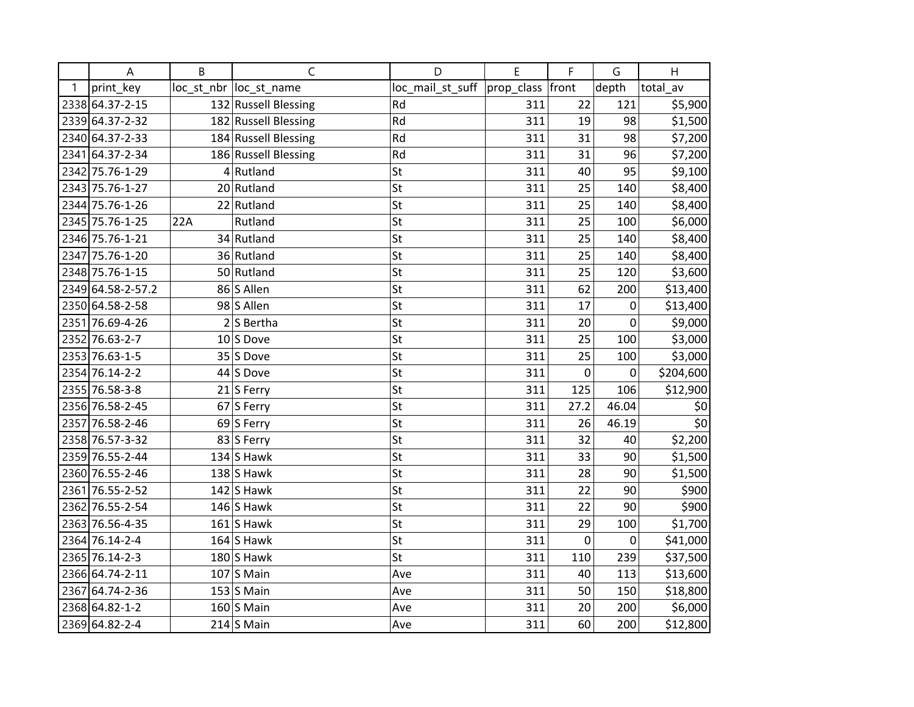|   | A                 | B   | $\mathsf C$             | D                | E          | F     | G     | H                  |
|---|-------------------|-----|-------------------------|------------------|------------|-------|-------|--------------------|
| 1 | print_key         |     | loc_st_nbr  loc_st_name | loc_mail_st_suff | prop_class | front | depth | total av           |
|   | 2338 64.37-2-15   |     | 132 Russell Blessing    | Rd               | 311        | 22    | 121   | \$5,900            |
|   | 2339 64.37-2-32   |     | 182 Russell Blessing    | Rd               | 311        | 19    | 98    | \$1,500            |
|   | 2340 64.37-2-33   |     | 184 Russell Blessing    | Rd               | 311        | 31    | 98    | \$7,200            |
|   | 2341 64.37-2-34   |     | 186 Russell Blessing    | Rd               | 311        | 31    | 96    | \$7,200            |
|   | 2342 75.76-1-29   |     | $4$ Rutland             | St               | 311        | 40    | 95    | \$9,100            |
|   | 2343 75.76-1-27   |     | 20 Rutland              | St               | 311        | 25    | 140   | \$8,400            |
|   | 2344 75.76-1-26   |     | 22 Rutland              | St               | 311        | 25    | 140   | \$8,400            |
|   | 2345 75.76-1-25   | 22A | Rutland                 | St               | 311        | 25    | 100   | \$6,000            |
|   | 2346 75.76-1-21   |     | 34 Rutland              | St               | 311        | 25    | 140   | \$8,400            |
|   | 2347 75.76-1-20   |     | 36 Rutland              | St               | 311        | 25    | 140   | \$8,400            |
|   | 2348 75.76-1-15   |     | 50 Rutland              | St               | 311        | 25    | 120   | \$3,600            |
|   | 2349 64.58-2-57.2 |     | 86 S Allen              | St               | 311        | 62    | 200   | \$13,400           |
|   | 2350 64.58-2-58   |     | 98 S Allen              | St               | 311        | 17    | 0     | \$13,400           |
|   | 2351 76.69-4-26   |     | $2 S$ Bertha            | St               | 311        | 20    | 0     | \$9,000            |
|   | 2352 76.63-2-7    |     | $10$ S Dove             | St               | 311        | 25    | 100   | \$3,000            |
|   | 2353 76.63-1-5    |     | 35 S Dove               | St               | 311        | 25    | 100   | \$3,000            |
|   | 2354 76.14-2-2    |     | 44 S Dove               | St               | 311        | 0     | 0     | \$204,600          |
|   | 2355 76.58-3-8    |     | 21 S Ferry              | St               | 311        | 125   | 106   | \$12,900           |
|   | 2356 76.58-2-45   |     | 67 S Ferry              | St               | 311        | 27.2  | 46.04 | \$0                |
|   | 2357 76.58-2-46   |     | 69 S Ferry              | St               | 311        | 26    | 46.19 | $\overline{\xi_0}$ |
|   | 2358 76.57-3-32   |     | 83 S Ferry              | St               | 311        | 32    | 40    | \$2,200            |
|   | 2359 76.55-2-44   |     | $134$ S Hawk            | St               | 311        | 33    | 90    | \$1,500            |
|   | 2360 76.55-2-46   |     | $138$ S Hawk            | St               | 311        | 28    | 90    | \$1,500            |
|   | 2361 76.55-2-52   |     | $142$ S Hawk            | St               | 311        | 22    | 90    | \$900              |
|   | 2362 76.55-2-54   |     | $146$ S Hawk            | St               | 311        | 22    | 90    | \$900              |
|   | 2363 76.56-4-35   |     | $161$ S Hawk            | St               | 311        | 29    | 100   | \$1,700            |
|   | 2364 76.14-2-4    |     | $164$ S Hawk            | St               | 311        | 0     | 0     | \$41,000           |
|   | 2365 76.14-2-3    |     | $180$ S Hawk            | St               | 311        | 110   | 239   | \$37,500           |
|   | 2366 64.74-2-11   |     | $107$ S Main            | Ave              | 311        | 40    | 113   | \$13,600           |
|   | 2367 64.74-2-36   |     | $153$ S Main            | Ave              | 311        | 50    | 150   | \$18,800           |
|   | 2368 64.82-1-2    |     | $160$ S Main            | Ave              | 311        | 20    | 200   | \$6,000            |
|   | 2369 64.82-2-4    |     | $214$ S Main            | Ave              | 311        | 60    | 200   | \$12,800           |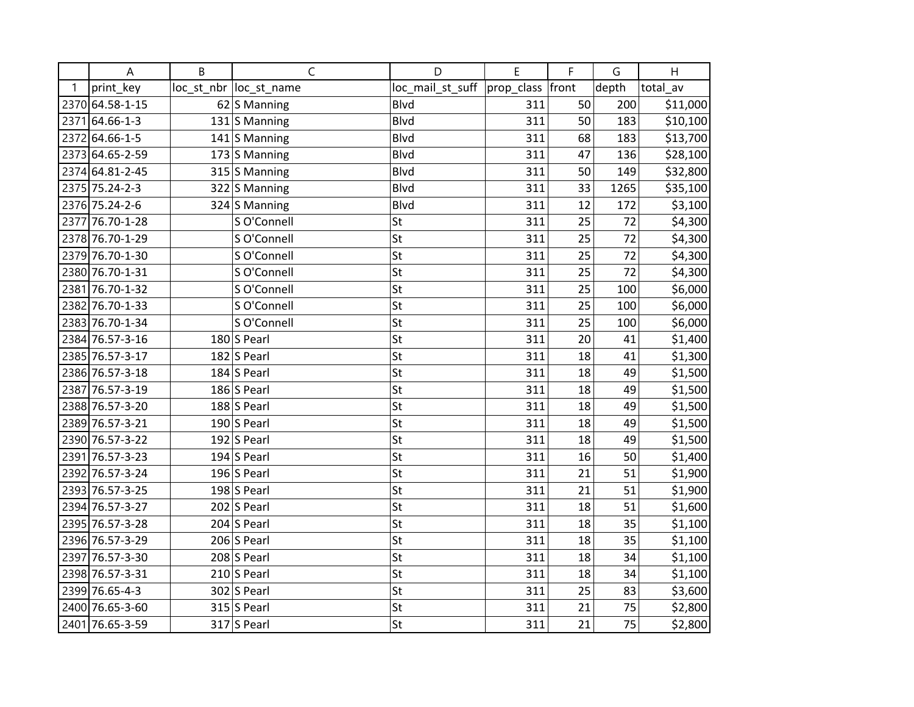|              | A               | B | $\mathsf{C}$            | D                | E          | F     | G     | H        |
|--------------|-----------------|---|-------------------------|------------------|------------|-------|-------|----------|
| $\mathbf{1}$ | print_key       |   | loc_st_nbr  loc_st_name | loc_mail_st_suff | prop_class | front | depth | total av |
|              | 2370 64.58-1-15 |   | $62$ S Manning          | <b>Blvd</b>      | 311        | 50    | 200   | \$11,000 |
| 2371         | 64.66-1-3       |   | 131 S Manning           | <b>Blvd</b>      | 311        | 50    | 183   | \$10,100 |
|              | 2372 64.66-1-5  |   | 141 S Manning           | <b>Blvd</b>      | 311        | 68    | 183   | \$13,700 |
|              | 2373 64.65-2-59 |   | $173$ S Manning         | <b>Blvd</b>      | 311        | 47    | 136   | \$28,100 |
|              | 2374 64.81-2-45 |   | $315$ S Manning         | <b>Blvd</b>      | 311        | 50    | 149   | \$32,800 |
|              | 2375 75.24-2-3  |   | 322 S Manning           | <b>Blvd</b>      | 311        | 33    | 1265  | \$35,100 |
|              | 2376 75.24-2-6  |   | 324 S Manning           | <b>Blvd</b>      | 311        | 12    | 172   | \$3,100  |
|              | 2377 76.70-1-28 |   | S O'Connell             | St               | 311        | 25    | 72    | \$4,300  |
|              | 2378 76.70-1-29 |   | S O'Connell             | St               | 311        | 25    | 72    | \$4,300  |
|              | 2379 76.70-1-30 |   | S O'Connell             | St               | 311        | 25    | 72    | \$4,300  |
|              | 2380 76.70-1-31 |   | S O'Connell             | St               | 311        | 25    | 72    | \$4,300  |
|              | 2381 76.70-1-32 |   | S O'Connell             | St               | 311        | 25    | 100   | \$6,000  |
|              | 2382 76.70-1-33 |   | S O'Connell             | St               | 311        | 25    | 100   | \$6,000  |
|              | 2383 76.70-1-34 |   | S O'Connell             | St               | 311        | 25    | 100   | \$6,000  |
|              | 2384 76.57-3-16 |   | $180$ S Pearl           | St               | 311        | 20    | 41    | \$1,400  |
|              | 2385 76.57-3-17 |   | $182$ S Pearl           | St               | 311        | 18    | 41    | \$1,300  |
|              | 2386 76.57-3-18 |   | 184 S Pearl             | St               | 311        | 18    | 49    | \$1,500  |
|              | 2387 76.57-3-19 |   | $186$ S Pearl           | St               | 311        | 18    | 49    | \$1,500  |
|              | 2388 76.57-3-20 |   | $188$ S Pearl           | St               | 311        | 18    | 49    | \$1,500  |
|              | 2389 76.57-3-21 |   | 190 S Pearl             | St               | 311        | 18    | 49    | \$1,500  |
|              | 2390 76.57-3-22 |   | 192 S Pearl             | St               | 311        | 18    | 49    | \$1,500  |
|              | 2391 76.57-3-23 |   | 194 S Pearl             | St               | 311        | 16    | 50    | \$1,400  |
|              | 2392 76.57-3-24 |   | $196$ S Pearl           | St               | 311        | 21    | 51    | \$1,900  |
|              | 2393 76.57-3-25 |   | $198$ S Pearl           | St               | 311        | 21    | 51    | \$1,900  |
|              | 2394 76.57-3-27 |   | $202$ S Pearl           | St               | 311        | 18    | 51    | \$1,600  |
|              | 2395 76.57-3-28 |   | $204$ S Pearl           | St               | 311        | 18    | 35    | \$1,100  |
|              | 2396 76.57-3-29 |   | $206$ S Pearl           | St               | 311        | 18    | 35    | \$1,100  |
|              | 2397 76.57-3-30 |   | $208$ S Pearl           | St               | 311        | 18    | 34    | \$1,100  |
|              | 2398 76.57-3-31 |   | $210$ S Pearl           | St               | 311        | 18    | 34    | \$1,100  |
|              | 2399 76.65-4-3  |   | $302$ S Pearl           | St               | 311        | 25    | 83    | \$3,600  |
|              | 2400 76.65-3-60 |   | $315$ S Pearl           | St               | 311        | 21    | 75    | \$2,800  |
|              | 2401 76.65-3-59 |   | $317$ S Pearl           | St               | 311        | 21    | 75    | \$2,800  |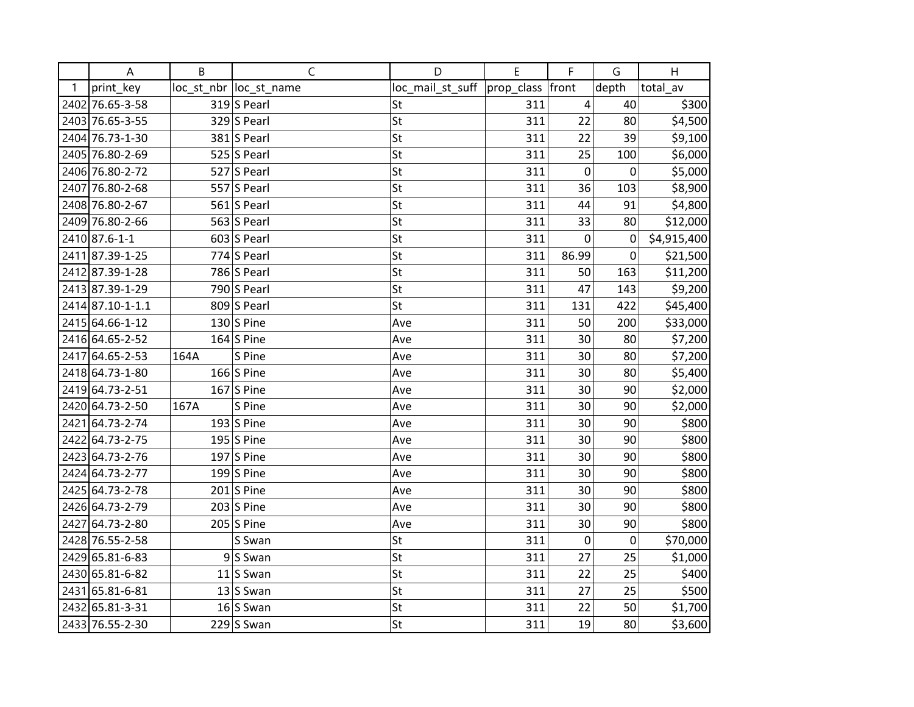|      | A                | B    | $\mathsf{C}$            | D                | E                | F           | G           | H           |
|------|------------------|------|-------------------------|------------------|------------------|-------------|-------------|-------------|
| 1    | print_key        |      | loc_st_nbr  loc_st_name | loc_mail_st_suff | prop_class front |             | depth       | total_av    |
|      | 2402 76.65-3-58  |      | 319 S Pearl             | St               | 311              | 4           | 40          | \$300       |
|      | 2403 76.65-3-55  |      | $329$ S Pearl           | St               | 311              | 22          | 80          | \$4,500     |
|      | 2404 76.73-1-30  |      | $381$ S Pearl           | St               | 311              | 22          | 39          | \$9,100     |
|      | 2405 76.80-2-69  |      | 525 $ S$ Pearl          | St               | 311              | 25          | 100         | \$6,000     |
|      | 2406 76.80-2-72  |      | 527 S Pearl             | St               | 311              | $\pmb{0}$   | 0           | \$5,000     |
|      | 2407 76.80-2-68  |      | 557 S Pearl             | St               | 311              | 36          | 103         | \$8,900     |
|      | 2408 76.80-2-67  |      | 561 S Pearl             | St               | 311              | 44          | 91          | \$4,800     |
|      | 2409 76.80-2-66  |      | 563 S Pearl             | St               | 311              | 33          | 80          | \$12,000    |
|      | 2410 87.6-1-1    |      | $603$ S Pearl           | St               | 311              | $\pmb{0}$   | $\mathbf 0$ | \$4,915,400 |
|      | 2411 87.39-1-25  |      | $774$ S Pearl           | St               | 311              | 86.99       | 0           | \$21,500    |
|      | 2412 87.39-1-28  |      | 786 $S$ Pearl           | St               | 311              | 50          | 163         | \$11,200    |
|      | 2413 87.39-1-29  |      | 790 $ S$ Pearl          | St               | 311              | 47          | 143         | \$9,200     |
|      | 2414 87.10-1-1.1 |      | 809 S Pearl             | St               | 311              | 131         | 422         | \$45,400    |
|      | 2415 64.66-1-12  |      | 130 $ S $ Pine          | Ave              | 311              | 50          | 200         | \$33,000    |
|      | 2416 64.65-2-52  |      | 164 S Pine              | Ave              | 311              | 30          | 80          | \$7,200     |
|      | 2417 64.65-2-53  | 164A | S Pine                  | Ave              | 311              | 30          | 80          | \$7,200     |
|      | 2418 64.73-1-80  |      | $166$ S Pine            | Ave              | 311              | 30          | 80          | \$5,400     |
|      | 2419 64.73-2-51  |      | $167$ S Pine            | Ave              | 311              | 30          | 90          | \$2,000     |
|      | 2420 64.73-2-50  | 167A | S Pine                  | Ave              | 311              | 30          | 90          | \$2,000     |
|      | 2421 64.73-2-74  |      | 193 S Pine              | Ave              | 311              | 30          | 90          | \$800       |
|      | 2422 64.73-2-75  |      | 195 $ S $ Pine          | Ave              | 311              | 30          | 90          | \$800       |
|      | 2423 64.73-2-76  |      | 197 S Pine              | Ave              | 311              | 30          | 90          | \$800       |
|      | 2424 64.73-2-77  |      | 199 $ S $ Pine          | Ave              | 311              | 30          | 90          | \$800       |
|      | 2425 64.73-2-78  |      | $201$ S Pine            | Ave              | 311              | 30          | 90          | \$800       |
|      | 2426 64.73-2-79  |      | $203$ S Pine            | Ave              | 311              | 30          | 90          | \$800       |
| 2427 | 64.73-2-80       |      | $205$ S Pine            | Ave              | 311              | 30          | 90          | \$800       |
|      | 2428 76.55-2-58  |      | S Swan                  | St               | 311              | $\mathbf 0$ | $\mathbf 0$ | \$70,000    |
|      | 2429 65.81-6-83  |      | $9 S$ Swan              | St               | 311              | 27          | 25          | \$1,000     |
|      | 2430 65.81-6-82  |      | $11$ S Swan             | St               | 311              | 22          | 25          | \$400       |
|      | 2431 65.81-6-81  |      | $13$ S Swan             | St               | 311              | 27          | 25          | \$500       |
|      | 2432 65.81-3-31  |      | $16$ Swan               | St               | 311              | 22          | 50          | \$1,700     |
|      | 2433 76.55-2-30  |      | $229$ S Swan            | St               | 311              | 19          | 80          | \$3,600     |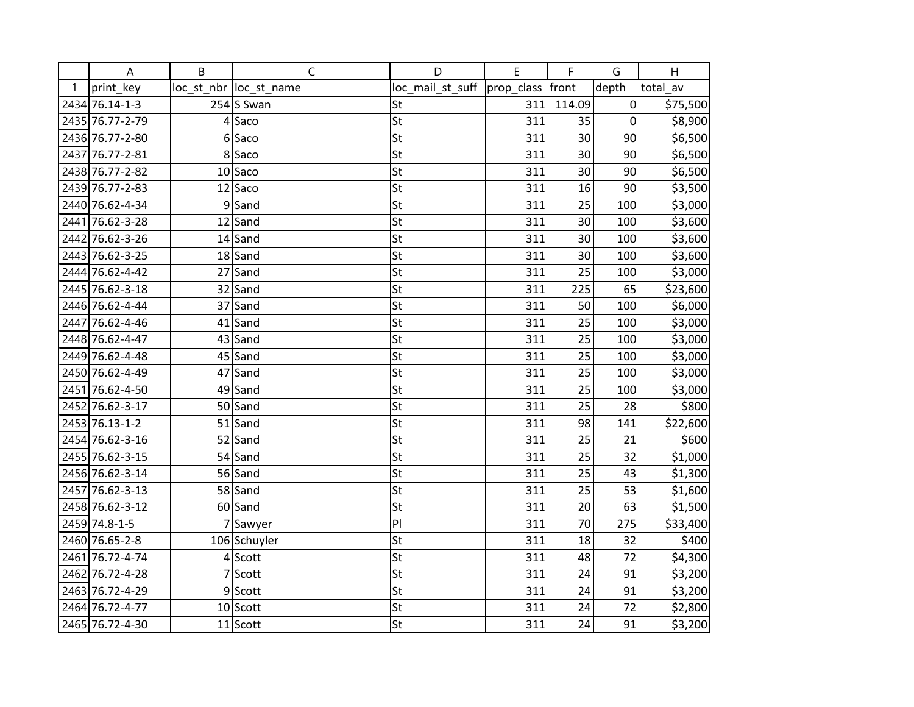|   | A               | B | $\mathsf{C}$            | D                | E          | F      | G     | $\boldsymbol{\mathsf{H}}$ |
|---|-----------------|---|-------------------------|------------------|------------|--------|-------|---------------------------|
| 1 | print key       |   | loc_st_nbr  loc_st_name | loc_mail_st_suff | prop_class | front  | depth | total av                  |
|   | 2434 76.14-1-3  |   | $254$ Swan              | St               | 311        | 114.09 | 0     | \$75,500                  |
|   | 2435 76.77-2-79 |   | 4 Saco                  | St               | 311        | 35     | 0     | \$8,900                   |
|   | 2436 76.77-2-80 |   | 6 Sacc                  | St               | 311        | 30     | 90    | \$6,500                   |
|   | 2437 76.77-2-81 |   | 8 Saco                  | St               | 311        | 30     | 90    | \$6,500                   |
|   | 2438 76.77-2-82 |   | $10$ Saco               | St               | 311        | 30     | 90    | \$6,500                   |
|   | 2439 76.77-2-83 |   | $12$ Saco               | St               | 311        | 16     | 90    | \$3,500                   |
|   | 2440 76.62-4-34 |   | $9$ Sand                | St               | 311        | 25     | 100   | \$3,000                   |
|   | 2441 76.62-3-28 |   | $12$ Sand               | St               | 311        | 30     | 100   | \$3,600                   |
|   | 2442 76.62-3-26 |   | $14$ Sand               | St               | 311        | 30     | 100   | \$3,600                   |
|   | 2443 76.62-3-25 |   | $18$ Sand               | St               | 311        | 30     | 100   | \$3,600                   |
|   | 2444 76.62-4-42 |   | $27$ Sand               | St               | 311        | 25     | 100   | \$3,000                   |
|   | 2445 76.62-3-18 |   | $32$ Sand               | St               | 311        | 225    | 65    | \$23,600                  |
|   | 2446 76.62-4-44 |   | 37 Sand                 | St               | 311        | 50     | 100   | \$6,000                   |
|   | 2447 76.62-4-46 |   | $41$ Sand               | St               | 311        | 25     | 100   | \$3,000                   |
|   | 2448 76.62-4-47 |   | $43$ Sand               | St               | 311        | 25     | 100   | \$3,000                   |
|   | 2449 76.62-4-48 |   | $45$ Sand               | St               | 311        | 25     | 100   | \$3,000                   |
|   | 2450 76.62-4-49 |   | 47 Sand                 | St               | 311        | 25     | 100   | \$3,000                   |
|   | 2451 76.62-4-50 |   | $49$ Sand               | St               | 311        | 25     | 100   | \$3,000                   |
|   | 2452 76.62-3-17 |   | $50$ Sand               | St               | 311        | 25     | 28    | \$800                     |
|   | 2453 76.13-1-2  |   | $51$ Sand               | St               | 311        | 98     | 141   | \$22,600                  |
|   | 2454 76.62-3-16 |   | $52$ Sand               | St               | 311        | 25     | 21    | \$600                     |
|   | 2455 76.62-3-15 |   | 54 Sand                 | St               | 311        | 25     | 32    | \$1,000                   |
|   | 2456 76.62-3-14 |   | 56 Sand                 | St               | 311        | 25     | 43    | \$1,300                   |
|   | 2457 76.62-3-13 |   | 58 Sand                 | St               | 311        | 25     | 53    | \$1,600                   |
|   | 2458 76.62-3-12 |   | $60$ Sand               | St               | 311        | 20     | 63    | \$1,500                   |
|   | 2459 74.8-1-5   |   | 7 Sawyer                | PI               | 311        | 70     | 275   | \$33,400                  |
|   | 2460 76.65-2-8  |   | 106 Schuyler            | St               | 311        | 18     | 32    | \$400                     |
|   | 2461 76.72-4-74 |   | $4$ Scott               | St               | 311        | 48     | 72    | \$4,300                   |
|   | 2462 76.72-4-28 |   | 7 Scott                 | St               | 311        | 24     | 91    | \$3,200                   |
|   | 2463 76.72-4-29 |   | $9$ Scott               | St               | 311        | 24     | 91    | \$3,200                   |
|   | 2464 76.72-4-77 |   | $10$ Scott              | St               | 311        | 24     | 72    | \$2,800                   |
|   | 2465 76.72-4-30 |   | $11$ Scott              | St               | 311        | 24     | 91    | \$3,200                   |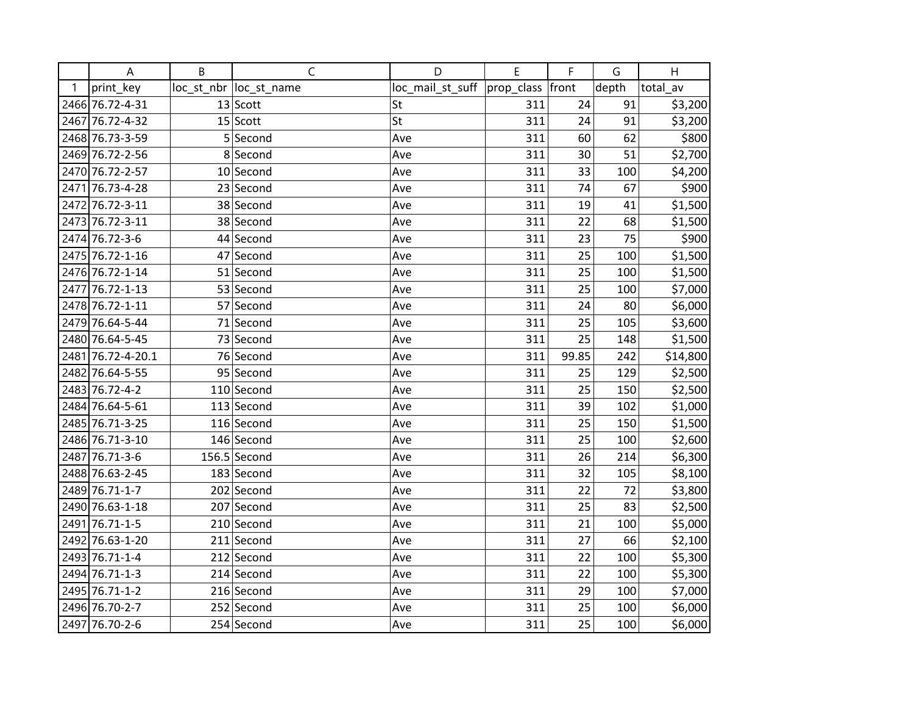|   | Α                 | B | $\mathsf C$             | D                | E                  | F     | G     | H        |
|---|-------------------|---|-------------------------|------------------|--------------------|-------|-------|----------|
| 1 | print_key         |   | loc_st_nbr  loc_st_name | loc_mail_st_suff | prop_class   front |       | depth | total_av |
|   | 2466 76.72-4-31   |   | $13$ Scott              | St               | 311                | 24    | 91    | \$3,200  |
|   | 2467 76.72-4-32   |   | $15$ Scott              | St               | 311                | 24    | 91    | \$3,200  |
|   | 2468 76.73-3-59   |   | 5 Second                | Ave              | 311                | 60    | 62    | \$800    |
|   | 2469 76.72-2-56   |   | 8 Second                | Ave              | 311                | 30    | 51    | \$2,700  |
|   | 2470 76.72-2-57   |   | 10 Second               | Ave              | 311                | 33    | 100   | \$4,200  |
|   | 2471 76.73-4-28   |   | 23 Second               | Ave              | 311                | 74    | 67    | \$900    |
|   | 2472 76.72-3-11   |   | 38 Second               | Ave              | 311                | 19    | 41    | \$1,500  |
|   | 2473 76.72-3-11   |   | 38 Second               | Ave              | 311                | 22    | 68    | \$1,500  |
|   | 2474 76.72-3-6    |   | 44 Second               | Ave              | 311                | 23    | 75    | \$900    |
|   | 2475 76.72-1-16   |   | 47 Second               | Ave              | 311                | 25    | 100   | \$1,500  |
|   | 2476 76.72-1-14   |   | 51 Second               | Ave              | 311                | 25    | 100   | \$1,500  |
|   | 2477 76.72-1-13   |   | 53 Second               | Ave              | 311                | 25    | 100   | \$7,000  |
|   | 2478 76.72-1-11   |   | 57 Second               | Ave              | 311                | 24    | 80    | \$6,000  |
|   | 2479 76.64-5-44   |   | 71 Second               | Ave              | 311                | 25    | 105   | \$3,600  |
|   | 2480 76.64-5-45   |   | 73 Second               | Ave              | 311                | 25    | 148   | \$1,500  |
|   | 2481 76.72-4-20.1 |   | 76 Second               | Ave              | 311                | 99.85 | 242   | \$14,800 |
|   | 2482 76.64-5-55   |   | 95 Second               | Ave              | 311                | 25    | 129   | \$2,500  |
|   | 2483 76.72-4-2    |   | $110$ Second            | Ave              | 311                | 25    | 150   | \$2,500  |
|   | 2484 76.64-5-61   |   | 113 Second              | Ave              | 311                | 39    | 102   | \$1,000  |
|   | 2485 76.71-3-25   |   | 116 Second              | Ave              | 311                | 25    | 150   | \$1,500  |
|   | 2486 76.71-3-10   |   | 146 Second              | Ave              | 311                | 25    | 100   | \$2,600  |
|   | 2487 76.71-3-6    |   | $156.5$ Second          | Ave              | 311                | 26    | 214   | \$6,300  |
|   | 2488 76.63-2-45   |   | 183 Second              | Ave              | 311                | 32    | 105   | \$8,100  |
|   | 2489 76.71-1-7    |   | 202 Second              | Ave              | 311                | 22    | 72    | \$3,800  |
|   | 2490 76.63-1-18   |   | 207 Second              | Ave              | 311                | 25    | 83    | \$2,500  |
|   | 2491 76.71-1-5    |   | 210 Second              | Ave              | 311                | 21    | 100   | \$5,000  |
|   | 2492 76.63-1-20   |   | 211 Second              | Ave              | 311                | 27    | 66    | \$2,100  |
|   | 2493 76.71-1-4    |   | 212 Second              | Ave              | 311                | 22    | 100   | \$5,300  |
|   | 2494 76.71-1-3    |   | $214$ Second            | Ave              | 311                | 22    | 100   | \$5,300  |
|   | 2495 76.71-1-2    |   | 216 Second              | Ave              | 311                | 29    | 100   | \$7,000  |
|   | 2496 76.70-2-7    |   | 252 Second              | Ave              | 311                | 25    | 100   | \$6,000  |
|   | 2497 76.70-2-6    |   | 254 Second              | Ave              | 311                | 25    | 100   | \$6,000  |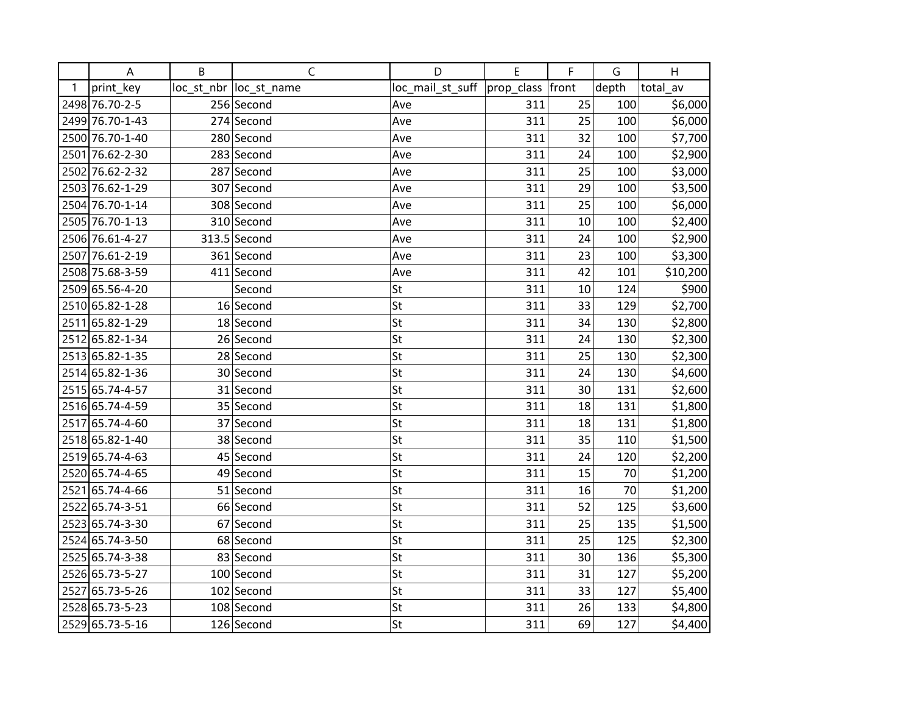|      | A               | B | $\mathsf C$             | D                | E          | F     | G     | H        |
|------|-----------------|---|-------------------------|------------------|------------|-------|-------|----------|
| 1    | print_key       |   | loc_st_nbr  loc_st_name | loc_mail_st_suff | prop_class | front | depth | total av |
|      | 2498 76.70-2-5  |   | 256 Second              | Ave              | 311        | 25    | 100   | \$6,000  |
|      | 2499 76.70-1-43 |   | 274 Second              | Ave              | 311        | 25    | 100   | \$6,000  |
|      | 2500 76.70-1-40 |   | 280 Second              | Ave              | 311        | 32    | 100   | \$7,700  |
|      | 2501 76.62-2-30 |   | 283 Second              | Ave              | 311        | 24    | 100   | \$2,900  |
|      | 2502 76.62-2-32 |   | 287 Second              | Ave              | 311        | 25    | 100   | \$3,000  |
|      | 2503 76.62-1-29 |   | 307 Second              | Ave              | 311        | 29    | 100   | \$3,500  |
|      | 2504 76.70-1-14 |   | 308 Second              | Ave              | 311        | 25    | 100   | \$6,000  |
|      | 2505 76.70-1-13 |   | 310 Second              | Ave              | 311        | 10    | 100   | \$2,400  |
|      | 2506 76.61-4-27 |   | 313.5 Second            | Ave              | 311        | 24    | 100   | \$2,900  |
|      | 2507 76.61-2-19 |   | 361 Second              | Ave              | 311        | 23    | 100   | \$3,300  |
|      | 2508 75.68-3-59 |   | 411 Second              | Ave              | 311        | 42    | 101   | \$10,200 |
|      | 2509 65.56-4-20 |   | Second                  | St               | 311        | 10    | 124   | \$900    |
|      | 2510 65.82-1-28 |   | 16 Second               | St               | 311        | 33    | 129   | \$2,700  |
|      | 2511 65.82-1-29 |   | 18 Second               | St               | 311        | 34    | 130   | \$2,800  |
|      | 2512 65.82-1-34 |   | 26 Second               | St               | 311        | 24    | 130   | \$2,300  |
|      | 2513 65.82-1-35 |   | 28 Second               | St               | 311        | 25    | 130   | \$2,300  |
|      | 2514 65.82-1-36 |   | 30 Second               | St               | 311        | 24    | 130   | \$4,600  |
|      | 2515 65.74-4-57 |   | 31 Second               | St               | 311        | 30    | 131   | \$2,600  |
|      | 2516 65.74-4-59 |   | 35 Second               | St               | 311        | 18    | 131   | \$1,800  |
|      | 2517 65.74-4-60 |   | 37 Second               | St               | 311        | 18    | 131   | \$1,800  |
|      | 2518 65.82-1-40 |   | 38 Second               | St               | 311        | 35    | 110   | \$1,500  |
|      | 2519 65.74-4-63 |   | 45 Second               | St               | 311        | 24    | 120   | \$2,200  |
|      | 2520 65.74-4-65 |   | 49 Second               | St               | 311        | 15    | 70    | \$1,200  |
|      | 2521 65.74-4-66 |   | 51 Second               | St               | 311        | 16    | 70    | \$1,200  |
|      | 2522 65.74-3-51 |   | 66 Second               | St               | 311        | 52    | 125   | \$3,600  |
|      | 2523 65.74-3-30 |   | 67 Second               | St               | 311        | 25    | 135   | \$1,500  |
|      | 2524 65.74-3-50 |   | 68 Second               | St               | 311        | 25    | 125   | \$2,300  |
|      | 2525 65.74-3-38 |   | 83 Second               | St               | 311        | 30    | 136   | \$5,300  |
|      | 2526 65.73-5-27 |   | 100 Second              | St               | 311        | 31    | 127   | \$5,200  |
| 2527 | 65.73-5-26      |   | 102 Second              | St               | 311        | 33    | 127   | \$5,400  |
|      | 2528 65.73-5-23 |   | 108 Second              | St               | 311        | 26    | 133   | \$4,800  |
|      | 2529 65.73-5-16 |   | 126 Second              | St               | 311        | 69    | 127   | \$4,400  |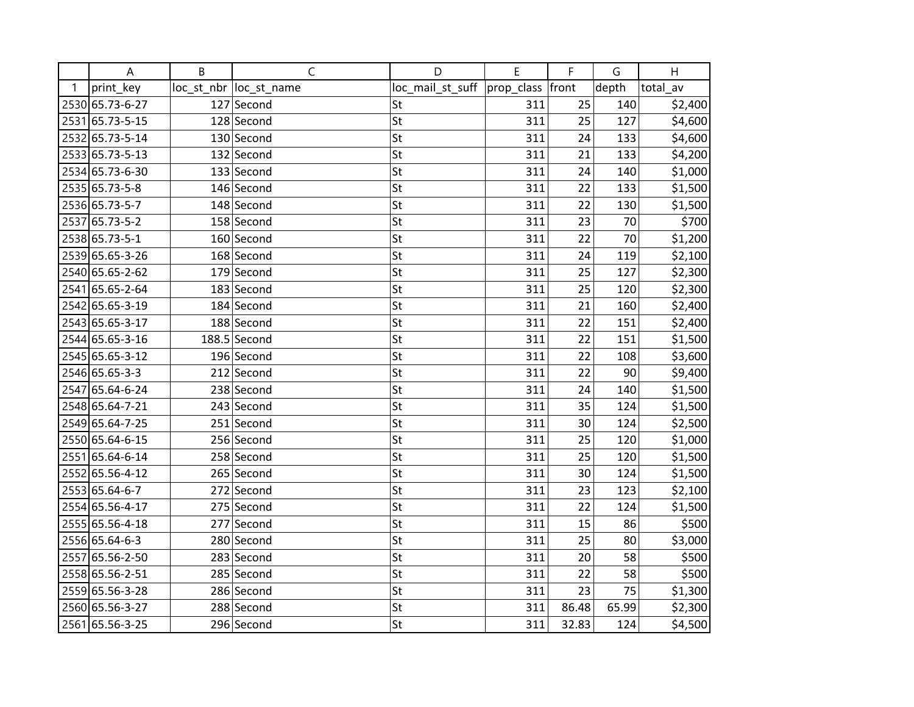|              | Α               | B | $\mathsf C$             | D                | E                | F     | G     | H        |
|--------------|-----------------|---|-------------------------|------------------|------------------|-------|-------|----------|
| $\mathbf{1}$ | print_key       |   | loc_st_nbr  loc_st_name | loc_mail_st_suff | prop_class front |       | depth | total_av |
|              | 2530 65.73-6-27 |   | 127 Second              | St               | 311              | 25    | 140   | \$2,400  |
|              | 2531 65.73-5-15 |   | 128 Second              | St               | 311              | 25    | 127   | \$4,600  |
|              | 2532 65.73-5-14 |   | 130 Second              | St               | 311              | 24    | 133   | \$4,600  |
|              | 2533 65.73-5-13 |   | 132 Second              | St               | 311              | 21    | 133   | \$4,200  |
|              | 2534 65.73-6-30 |   | 133 Second              | St               | 311              | 24    | 140   | \$1,000  |
|              | 2535 65.73-5-8  |   | 146 Second              | St               | 311              | 22    | 133   | \$1,500  |
|              | 2536 65.73-5-7  |   | 148 Second              | St               | 311              | 22    | 130   | \$1,500  |
| 2537         | 65.73-5-2       |   | 158 Second              | St               | 311              | 23    | 70    | \$700    |
|              | 2538 65.73-5-1  |   | 160 Second              | St               | 311              | 22    | 70    | \$1,200  |
|              | 2539 65.65-3-26 |   | 168 Second              | St               | 311              | 24    | 119   | \$2,100  |
|              | 2540 65.65-2-62 |   | 179 Second              | St               | 311              | 25    | 127   | \$2,300  |
|              | 2541 65.65-2-64 |   | 183 Second              | St               | 311              | 25    | 120   | \$2,300  |
|              | 2542 65.65-3-19 |   | 184 Second              | St               | 311              | 21    | 160   | \$2,400  |
|              | 2543 65.65-3-17 |   | 188 Second              | St               | 311              | 22    | 151   | \$2,400  |
|              | 2544 65.65-3-16 |   | $188.5$ Second          | St               | 311              | 22    | 151   | \$1,500  |
|              | 2545 65.65-3-12 |   | 196 Second              | St               | 311              | 22    | 108   | \$3,600  |
|              | 2546 65.65-3-3  |   | 212 Second              | St               | 311              | 22    | 90    | \$9,400  |
|              | 2547 65.64-6-24 |   | 238 Second              | St               | 311              | 24    | 140   | \$1,500  |
|              | 2548 65.64-7-21 |   | 243 Second              | St               | 311              | 35    | 124   | \$1,500  |
|              | 2549 65.64-7-25 |   | 251 Second              | St               | 311              | 30    | 124   | \$2,500  |
|              | 2550 65.64-6-15 |   | 256 Second              | St               | 311              | 25    | 120   | \$1,000  |
|              | 2551 65.64-6-14 |   | 258 Second              | St               | 311              | 25    | 120   | \$1,500  |
|              | 2552 65.56-4-12 |   | 265 Second              | St               | 311              | 30    | 124   | \$1,500  |
|              | 2553 65.64-6-7  |   | 272 Second              | St               | 311              | 23    | 123   | \$2,100  |
|              | 2554 65.56-4-17 |   | 275 Second              | St               | 311              | 22    | 124   | \$1,500  |
|              | 2555 65.56-4-18 |   | 277 Second              | St               | 311              | 15    | 86    | \$500    |
|              | 2556 65.64-6-3  |   | 280 Second              | St               | 311              | 25    | 80    | \$3,000  |
|              | 2557 65.56-2-50 |   | 283 Second              | St               | 311              | 20    | 58    | \$500    |
|              | 2558 65.56-2-51 |   | 285 Second              | St               | 311              | 22    | 58    | \$500    |
|              | 2559 65.56-3-28 |   | 286 Second              | St               | 311              | 23    | 75    | \$1,300  |
|              | 2560 65.56-3-27 |   | 288 Second              | St               | 311              | 86.48 | 65.99 | \$2,300  |
|              | 2561 65.56-3-25 |   | 296 Second              | St               | 311              | 32.83 | 124   | \$4,500  |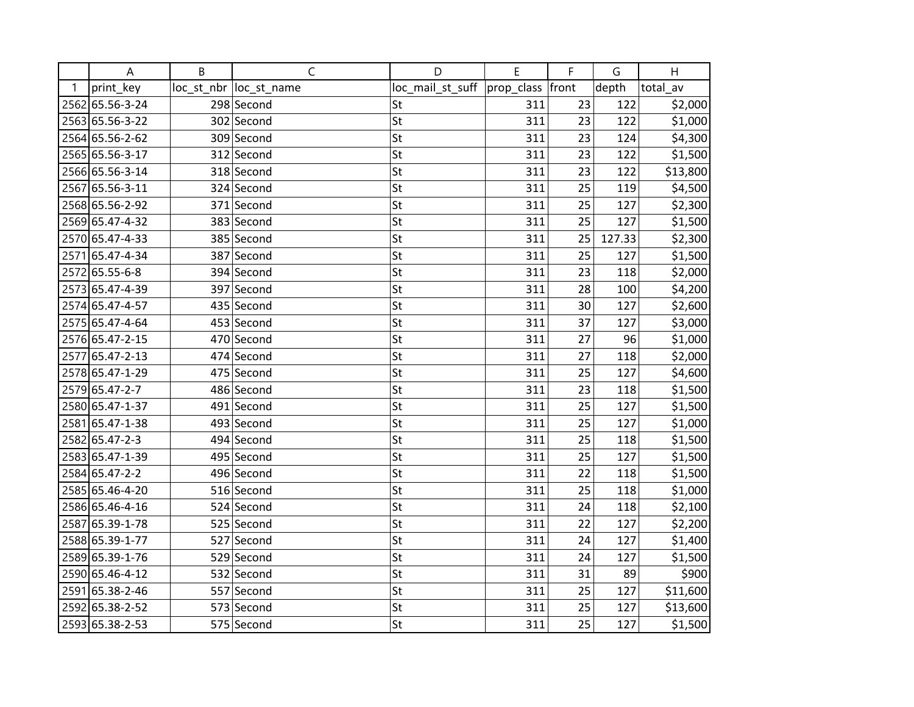|      | A               | B | $\mathsf C$             | D                | E          | F     | G      | H        |
|------|-----------------|---|-------------------------|------------------|------------|-------|--------|----------|
| 1    | print_key       |   | loc_st_nbr  loc_st_name | loc_mail_st_suff | prop_class | front | depth  | total av |
|      | 2562 65.56-3-24 |   | 298 Second              | St               | 311        | 23    | 122    | \$2,000  |
|      | 2563 65.56-3-22 |   | 302 Second              | St               | 311        | 23    | 122    | \$1,000  |
|      | 2564 65.56-2-62 |   | 309 Second              | St               | 311        | 23    | 124    | \$4,300  |
|      | 2565 65.56-3-17 |   | 312 Second              | St               | 311        | 23    | 122    | \$1,500  |
|      | 2566 65.56-3-14 |   | 318 Second              | St               | 311        | 23    | 122    | \$13,800 |
|      | 2567 65.56-3-11 |   | 324 Second              | St               | 311        | 25    | 119    | \$4,500  |
|      | 2568 65.56-2-92 |   | 371 Second              | St               | 311        | 25    | 127    | \$2,300  |
|      | 2569 65.47-4-32 |   | 383 Second              | St               | 311        | 25    | 127    | \$1,500  |
|      | 2570 65.47-4-33 |   | 385 Second              | St               | 311        | 25    | 127.33 | \$2,300  |
|      | 2571 65.47-4-34 |   | 387 Second              | St               | 311        | 25    | 127    | \$1,500  |
|      | 2572 65.55-6-8  |   | 394 Second              | St               | 311        | 23    | 118    | \$2,000  |
|      | 2573 65.47-4-39 |   | 397 Second              | St               | 311        | 28    | 100    | \$4,200  |
|      | 2574 65.47-4-57 |   | 435 Second              | St               | 311        | 30    | 127    | \$2,600  |
|      | 2575 65.47-4-64 |   | 453 Second              | St               | 311        | 37    | 127    | \$3,000  |
|      | 2576 65.47-2-15 |   | 470 Second              | St               | 311        | 27    | 96     | \$1,000  |
| 2577 | 65.47-2-13      |   | 474 Second              | St               | 311        | 27    | 118    | \$2,000  |
|      | 2578 65.47-1-29 |   | 475 Second              | St               | 311        | 25    | 127    | \$4,600  |
|      | 2579 65.47-2-7  |   | 486 Second              | St               | 311        | 23    | 118    | \$1,500  |
|      | 2580 65.47-1-37 |   | 491 Second              | St               | 311        | 25    | 127    | \$1,500  |
|      | 2581 65.47-1-38 |   | 493 Second              | St               | 311        | 25    | 127    | \$1,000  |
|      | 2582 65.47-2-3  |   | 494 Second              | St               | 311        | 25    | 118    | \$1,500  |
|      | 2583 65.47-1-39 |   | 495 Second              | St               | 311        | 25    | 127    | \$1,500  |
|      | 2584 65.47-2-2  |   | 496 Second              | St               | 311        | 22    | 118    | \$1,500  |
|      | 2585 65.46-4-20 |   | 516 Second              | St               | 311        | 25    | 118    | \$1,000  |
|      | 2586 65.46-4-16 |   | 524 Second              | St               | 311        | 24    | 118    | \$2,100  |
|      | 2587 65.39-1-78 |   | 525 Second              | St               | 311        | 22    | 127    | \$2,200  |
|      | 2588 65.39-1-77 |   | 527 Second              | St               | 311        | 24    | 127    | \$1,400  |
|      | 2589 65.39-1-76 |   | 529 Second              | St               | 311        | 24    | 127    | \$1,500  |
|      | 2590 65.46-4-12 |   | 532 Second              | St               | 311        | 31    | 89     | \$900    |
|      | 2591 65.38-2-46 |   | 557 Second              | St               | 311        | 25    | 127    | \$11,600 |
|      | 2592 65.38-2-52 |   | 573 Second              | St               | 311        | 25    | 127    | \$13,600 |
|      | 2593 65.38-2-53 |   | 575 Second              | St               | 311        | 25    | 127    | \$1,500  |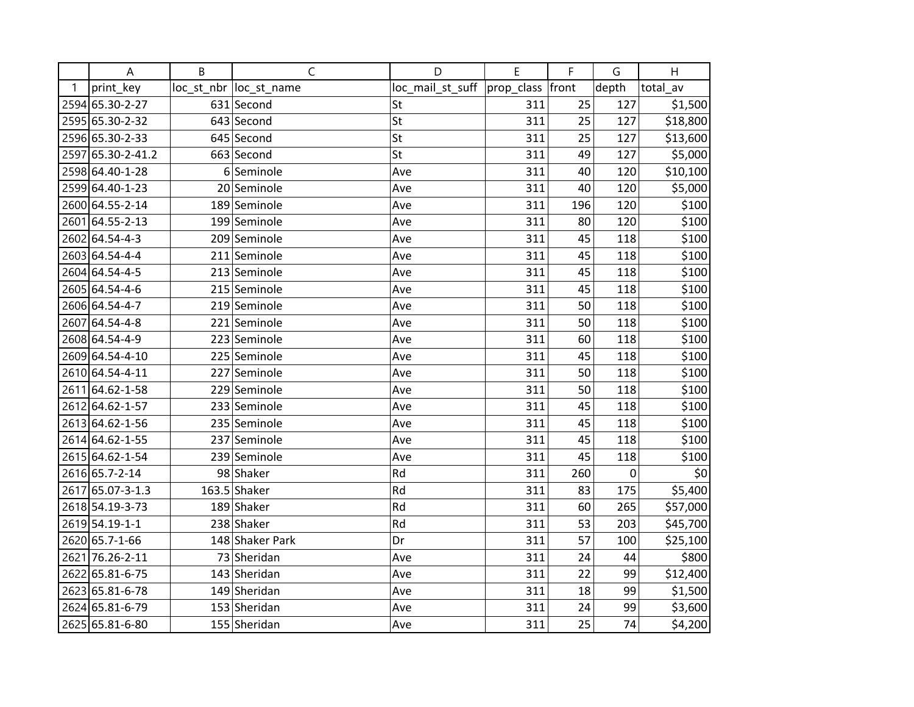|   | A                 | B | $\mathsf{C}$            | D                | E                | F   | G     | H        |
|---|-------------------|---|-------------------------|------------------|------------------|-----|-------|----------|
| 1 | print_key         |   | loc_st_nbr  loc_st_name | loc_mail_st_suff | prop_class front |     | depth | total_av |
|   | 2594 65.30-2-27   |   | 631 Second              | St               | 311              | 25  | 127   | \$1,500  |
|   | 2595 65.30-2-32   |   | 643 Second              | St               | 311              | 25  | 127   | \$18,800 |
|   | 2596 65.30-2-33   |   | 645 Second              | St               | 311              | 25  | 127   | \$13,600 |
|   | 2597 65.30-2-41.2 |   | 663 Second              | St               | 311              | 49  | 127   | \$5,000  |
|   | 2598 64.40-1-28   |   | 6 Seminole              | Ave              | 311              | 40  | 120   | \$10,100 |
|   | 2599 64.40-1-23   |   | 20 Seminole             | Ave              | 311              | 40  | 120   | \$5,000  |
|   | 2600 64.55-2-14   |   | 189 Seminole            | Ave              | 311              | 196 | 120   | \$100    |
|   | 2601 64.55-2-13   |   | 199 Seminole            | Ave              | 311              | 80  | 120   | \$100    |
|   | 2602 64.54-4-3    |   | 209 Seminole            | Ave              | 311              | 45  | 118   | \$100    |
|   | 2603 64.54-4-4    |   | 211 Seminole            | Ave              | 311              | 45  | 118   | \$100    |
|   | 2604 64.54-4-5    |   | 213 Seminole            | Ave              | 311              | 45  | 118   | \$100    |
|   | 2605 64.54-4-6    |   | 215 Seminole            | Ave              | 311              | 45  | 118   | \$100    |
|   | 2606 64.54-4-7    |   | 219 Seminole            | Ave              | 311              | 50  | 118   | \$100    |
|   | 2607 64.54-4-8    |   | 221 Seminole            | Ave              | 311              | 50  | 118   | \$100    |
|   | 2608 64.54-4-9    |   | 223 Seminole            | Ave              | 311              | 60  | 118   | \$100    |
|   | 2609 64.54-4-10   |   | 225 Seminole            | Ave              | 311              | 45  | 118   | \$100    |
|   | 2610 64.54-4-11   |   | 227 Seminole            | Ave              | 311              | 50  | 118   | \$100    |
|   | 2611 64.62-1-58   |   | 229 Seminole            | Ave              | 311              | 50  | 118   | \$100    |
|   | 2612 64.62-1-57   |   | 233 Seminole            | Ave              | 311              | 45  | 118   | \$100    |
|   | 2613 64.62-1-56   |   | 235 Seminole            | Ave              | 311              | 45  | 118   | \$100    |
|   | 2614 64.62-1-55   |   | 237 Seminole            | Ave              | 311              | 45  | 118   | \$100    |
|   | 2615 64.62-1-54   |   | 239 Seminole            | Ave              | 311              | 45  | 118   | \$100    |
|   | 2616 65.7-2-14    |   | 98 Shaker               | Rd               | 311              | 260 | 0     | \$0      |
|   | 2617 65.07-3-1.3  |   | $163.5$ Shaker          | Rd               | 311              | 83  | 175   | \$5,400  |
|   | 2618 54.19-3-73   |   | 189 Shaker              | Rd               | 311              | 60  | 265   | \$57,000 |
|   | 2619 54.19-1-1    |   | 238 Shaker              | Rd               | 311              | 53  | 203   | \$45,700 |
|   | 2620 65.7-1-66    |   | 148 Shaker Park         | Dr               | 311              | 57  | 100   | \$25,100 |
|   | 2621 76.26-2-11   |   | 73 Sheridan             | Ave              | 311              | 24  | 44    | \$800    |
|   | 2622 65.81-6-75   |   | 143 Sheridan            | Ave              | 311              | 22  | 99    | \$12,400 |
|   | 2623 65.81-6-78   |   | 149 Sheridan            | Ave              | 311              | 18  | 99    | \$1,500  |
|   | 2624 65.81-6-79   |   | 153 Sheridan            | Ave              | 311              | 24  | 99    | \$3,600  |
|   | 2625 65.81-6-80   |   | 155 Sheridan            | Ave              | 311              | 25  | 74    | \$4,200  |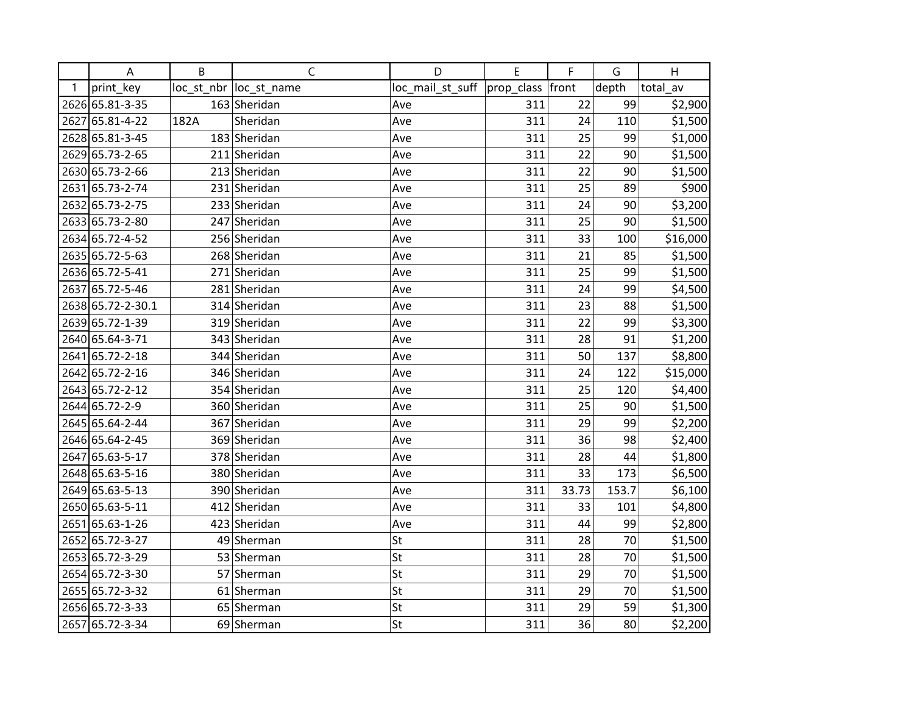|      | A                 | B    | C                       | D                | E                | F     | G     | H        |
|------|-------------------|------|-------------------------|------------------|------------------|-------|-------|----------|
| 1    | print_key         |      | loc_st_nbr  loc_st_name | loc_mail_st_suff | prop_class front |       | depth | total_av |
|      | 2626 65.81-3-35   |      | 163 Sheridan            | Ave              | 311              | 22    | 99    | \$2,900  |
| 2627 | 65.81-4-22        | 182A | Sheridan                | Ave              | 311              | 24    | 110   | \$1,500  |
|      | 2628 65.81-3-45   |      | 183 Sheridan            | Ave              | 311              | 25    | 99    | \$1,000  |
|      | 2629 65.73-2-65   |      | 211 Sheridan            | Ave              | 311              | 22    | 90    | \$1,500  |
|      | 2630 65.73-2-66   |      | 213 Sheridan            | Ave              | 311              | 22    | 90    | \$1,500  |
| 2631 | 65.73-2-74        |      | 231 Sheridan            | Ave              | 311              | 25    | 89    | \$900    |
|      | 2632 65.73-2-75   |      | 233 Sheridan            | Ave              | 311              | 24    | 90    | \$3,200  |
|      | 2633 65.73-2-80   |      | 247 Sheridan            | Ave              | 311              | 25    | 90    | \$1,500  |
|      | 2634 65.72-4-52   |      | 256 Sheridan            | Ave              | 311              | 33    | 100   | \$16,000 |
|      | 2635 65.72-5-63   |      | 268 Sheridan            | Ave              | 311              | 21    | 85    | \$1,500  |
|      | 2636 65.72-5-41   |      | 271 Sheridan            | Ave              | 311              | 25    | 99    | \$1,500  |
|      | 2637 65.72-5-46   |      | 281 Sheridan            | Ave              | 311              | 24    | 99    | \$4,500  |
|      | 2638 65.72-2-30.1 |      | 314 Sheridan            | Ave              | 311              | 23    | 88    | \$1,500  |
|      | 2639 65.72-1-39   |      | 319 Sheridan            | Ave              | 311              | 22    | 99    | \$3,300  |
|      | 2640 65.64-3-71   |      | 343 Sheridan            | Ave              | 311              | 28    | 91    | \$1,200  |
| 2641 | 65.72-2-18        |      | 344 Sheridan            | Ave              | 311              | 50    | 137   | \$8,800  |
|      | 2642 65.72-2-16   |      | 346 Sheridan            | Ave              | 311              | 24    | 122   | \$15,000 |
|      | 2643 65.72-2-12   |      | 354 Sheridan            | Ave              | 311              | 25    | 120   | \$4,400  |
|      | 2644 65.72-2-9    |      | 360 Sheridan            | Ave              | 311              | 25    | 90    | \$1,500  |
|      | 2645 65.64-2-44   |      | 367 Sheridan            | Ave              | 311              | 29    | 99    | \$2,200  |
|      | 2646 65.64-2-45   |      | 369 Sheridan            | Ave              | 311              | 36    | 98    | \$2,400  |
|      | 2647 65.63-5-17   |      | 378 Sheridan            | Ave              | 311              | 28    | 44    | \$1,800  |
|      | 2648 65.63-5-16   |      | 380 Sheridan            | Ave              | 311              | 33    | 173   | \$6,500  |
|      | 2649 65.63-5-13   |      | 390 Sheridan            | Ave              | 311              | 33.73 | 153.7 | \$6,100  |
|      | 2650 65.63-5-11   |      | 412 Sheridan            | Ave              | 311              | 33    | 101   | \$4,800  |
|      | 2651 65.63-1-26   |      | 423 Sheridan            | Ave              | 311              | 44    | 99    | \$2,800  |
|      | 2652 65.72-3-27   |      | 49 Sherman              | St               | 311              | 28    | 70    | \$1,500  |
|      | 2653 65.72-3-29   |      | 53 Sherman              | St               | 311              | 28    | 70    | \$1,500  |
| 2654 | 65.72-3-30        |      | 57 Sherman              | St               | 311              | 29    | 70    | \$1,500  |
|      | 2655 65.72-3-32   |      | 61 Sherman              | St               | 311              | 29    | 70    | \$1,500  |
|      | 2656 65.72-3-33   |      | 65 Sherman              | St               | 311              | 29    | 59    | \$1,300  |
|      | 2657 65.72-3-34   |      | 69 Sherman              | St               | 311              | 36    | 80    | \$2,200  |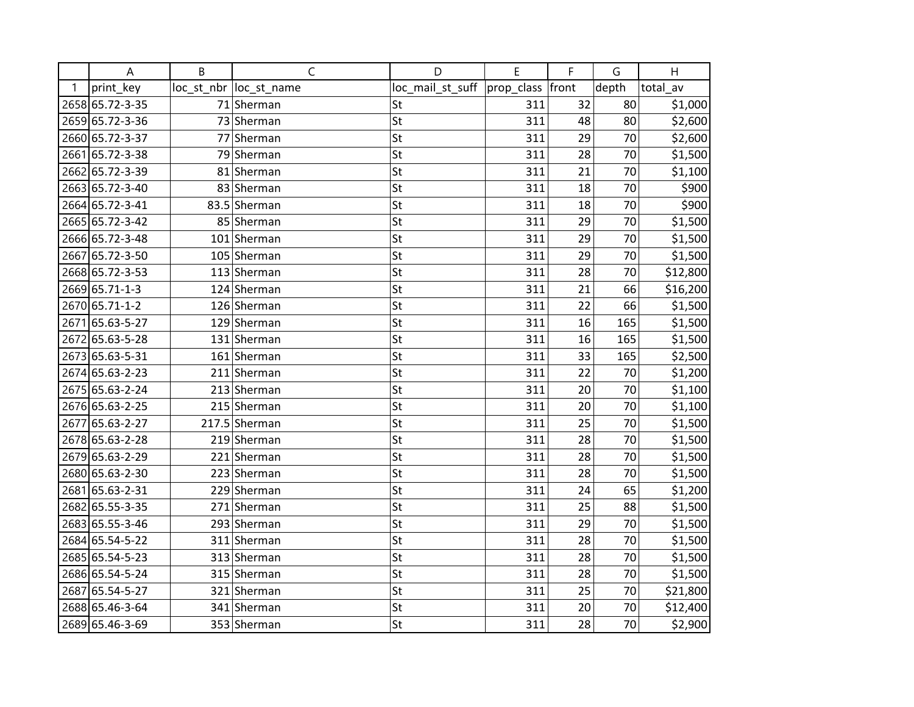|      | A               | B | C                       | D                | E                | F  | G     | H        |
|------|-----------------|---|-------------------------|------------------|------------------|----|-------|----------|
| 1    | print_key       |   | loc_st_nbr  loc_st_name | loc_mail_st_suff | prop_class front |    | depth | total_av |
|      | 2658 65.72-3-35 |   | 71 Sherman              | St               | 311              | 32 | 80    | \$1,000  |
|      | 2659 65.72-3-36 |   | 73 Sherman              | St               | 311              | 48 | 80    | \$2,600  |
|      | 2660 65.72-3-37 |   | 77 Sherman              | St               | 311              | 29 | 70    | \$2,600  |
| 2661 | 65.72-3-38      |   | 79 Sherman              | St               | 311              | 28 | 70    | \$1,500  |
| 2662 | 65.72-3-39      |   | 81 Sherman              | St               | 311              | 21 | 70    | \$1,100  |
|      | 2663 65.72-3-40 |   | 83 Sherman              | St               | 311              | 18 | 70    | \$900    |
|      | 2664 65.72-3-41 |   | 83.5 Sherman            | St               | 311              | 18 | 70    | \$900    |
|      | 2665 65.72-3-42 |   | 85 Sherman              | St               | 311              | 29 | 70    | \$1,500  |
|      | 2666 65.72-3-48 |   | 101 Sherman             | St               | 311              | 29 | 70    | \$1,500  |
| 2667 | 65.72-3-50      |   | 105 Sherman             | St               | 311              | 29 | 70    | \$1,500  |
|      | 2668 65.72-3-53 |   | 113 Sherman             | St               | 311              | 28 | 70    | \$12,800 |
|      | 2669 65.71-1-3  |   | 124 Sherman             | St               | 311              | 21 | 66    | \$16,200 |
|      | 2670 65.71-1-2  |   | 126 Sherman             | St               | 311              | 22 | 66    | \$1,500  |
| 2671 | 65.63-5-27      |   | 129 Sherman             | St               | 311              | 16 | 165   | \$1,500  |
|      | 2672 65.63-5-28 |   | 131 Sherman             | St               | 311              | 16 | 165   | \$1,500  |
|      | 2673 65.63-5-31 |   | 161 Sherman             | St               | 311              | 33 | 165   | \$2,500  |
|      | 2674 65.63-2-23 |   | 211 Sherman             | St               | 311              | 22 | 70    | \$1,200  |
|      | 2675 65.63-2-24 |   | 213 Sherman             | St               | 311              | 20 | 70    | \$1,100  |
|      | 2676 65.63-2-25 |   | 215 Sherman             | St               | 311              | 20 | 70    | \$1,100  |
| 2677 | 65.63-2-27      |   | 217.5 Sherman           | St               | 311              | 25 | 70    | \$1,500  |
|      | 2678 65.63-2-28 |   | 219 Sherman             | St               | 311              | 28 | 70    | \$1,500  |
|      | 2679 65.63-2-29 |   | 221 Sherman             | St               | 311              | 28 | 70    | \$1,500  |
|      | 2680 65.63-2-30 |   | 223 Sherman             | St               | 311              | 28 | 70    | \$1,500  |
| 2681 | 65.63-2-31      |   | 229 Sherman             | St               | 311              | 24 | 65    | \$1,200  |
| 2682 | 65.55-3-35      |   | 271 Sherman             | St               | 311              | 25 | 88    | \$1,500  |
|      | 2683 65.55-3-46 |   | 293 Sherman             | St               | 311              | 29 | 70    | \$1,500  |
|      | 2684 65.54-5-22 |   | 311 Sherman             | St               | 311              | 28 | 70    | \$1,500  |
|      | 2685 65.54-5-23 |   | 313 Sherman             | St               | 311              | 28 | 70    | \$1,500  |
|      | 2686 65.54-5-24 |   | 315 Sherman             | St               | 311              | 28 | 70    | \$1,500  |
| 2687 | 65.54-5-27      |   | 321 Sherman             | St               | 311              | 25 | 70    | \$21,800 |
|      | 2688 65.46-3-64 |   | 341 Sherman             | St               | 311              | 20 | 70    | \$12,400 |
|      | 2689 65.46-3-69 |   | 353 Sherman             | St               | 311              | 28 | 70    | \$2,900  |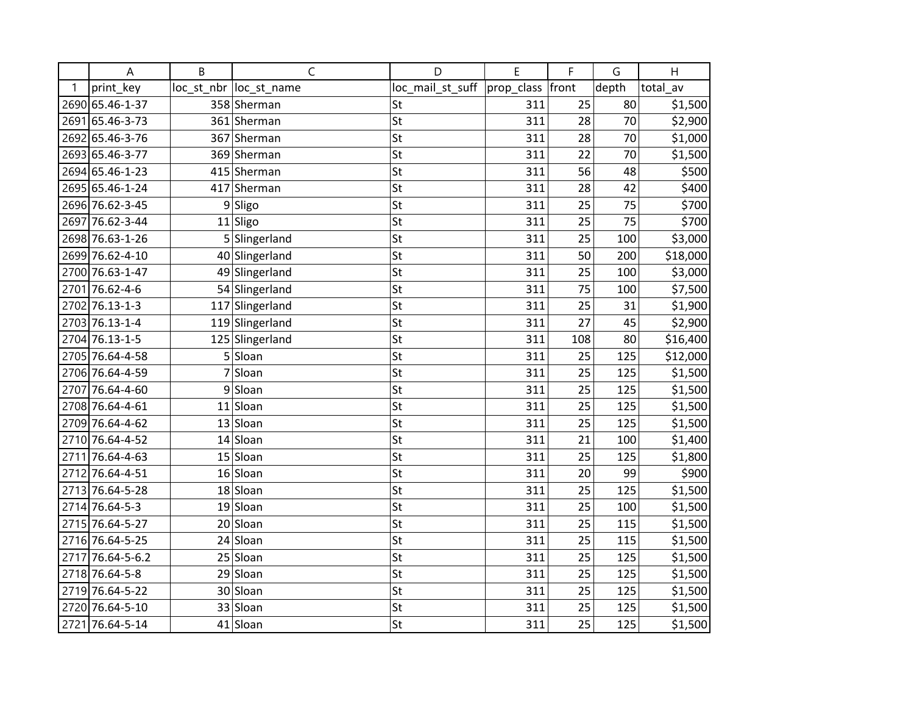|      | A                | B  | $\mathsf{C}$            | D                | E          | F     | G     | H        |
|------|------------------|----|-------------------------|------------------|------------|-------|-------|----------|
| 1    | print key        |    | loc_st_nbr  loc_st_name | loc_mail_st_suff | prop_class | front | depth | total_av |
|      | 2690 65.46-1-37  |    | 358 Sherman             | St               | 311        | 25    | 80    | \$1,500  |
|      | 2691 65.46-3-73  |    | 361 Sherman             | St               | 311        | 28    | 70    | \$2,900  |
|      | 2692 65.46-3-76  |    | 367 Sherman             | St               | 311        | 28    | 70    | \$1,000  |
|      | 2693 65.46-3-77  |    | 369 Sherman             | St               | 311        | 22    | 70    | \$1,500  |
|      | 2694 65.46-1-23  |    | 415 Sherman             | St               | 311        | 56    | 48    | \$500    |
|      | 2695 65.46-1-24  |    | 417 Sherman             | St               | 311        | 28    | 42    | \$400    |
|      | 2696 76.62-3-45  |    | 9Sligo                  | St               | 311        | 25    | 75    | \$700    |
| 2697 | 76.62-3-44       |    | $11$ Sligo              | St               | 311        | 25    | 75    | \$700    |
|      | 2698 76.63-1-26  |    | 5 Slingerland           | St               | 311        | 25    | 100   | \$3,000  |
|      | 2699 76.62-4-10  |    | 40 Slingerland          | St               | 311        | 50    | 200   | \$18,000 |
|      | 2700 76.63-1-47  |    | 49 Slingerland          | St               | 311        | 25    | 100   | \$3,000  |
|      | 2701 76.62-4-6   |    | 54 Slingerland          | St               | 311        | 75    | 100   | \$7,500  |
|      | 2702 76.13-1-3   |    | 117 Slingerland         | St               | 311        | 25    | 31    | \$1,900  |
|      | 2703 76.13-1-4   |    | 119 Slingerland         | St               | 311        | 27    | 45    | \$2,900  |
|      | 2704 76.13-1-5   |    | 125 Slingerland         | St               | 311        | 108   | 80    | \$16,400 |
|      | 2705 76.64-4-58  |    | 5 Sloan                 | St               | 311        | 25    | 125   | \$12,000 |
|      | 2706 76.64-4-59  | 7  | Sloan                   | St               | 311        | 25    | 125   | \$1,500  |
| 2707 | 76.64-4-60       |    | 9Sloan                  | St               | 311        | 25    | 125   | \$1,500  |
|      | 2708 76.64-4-61  |    | 11 Sloan                | St               | 311        | 25    | 125   | \$1,500  |
|      | 2709 76.64-4-62  |    | 13 Sloan                | St               | 311        | 25    | 125   | \$1,500  |
|      | 2710 76.64-4-52  |    | $14$ Sloan              | St               | 311        | 21    | 100   | \$1,400  |
|      | 2711 76.64-4-63  |    | 15 Sloan                | St               | 311        | 25    | 125   | \$1,800  |
|      | 2712 76.64-4-51  |    | $16$ Sloan              | St               | 311        | 20    | 99    | \$900    |
|      | 2713 76.64-5-28  |    | 18 Sloan                | St               | 311        | 25    | 125   | \$1,500  |
|      | 2714 76.64-5-3   | 19 | Sloan                   | St               | 311        | 25    | 100   | \$1,500  |
|      | 2715 76.64-5-27  |    | 20 Sloan                | St               | 311        | 25    | 115   | \$1,500  |
|      | 2716 76.64-5-25  |    | 24 Sloan                | St               | 311        | 25    | 115   | \$1,500  |
|      | 2717 76.64-5-6.2 |    | 25 Sloan                | St               | 311        | 25    | 125   | \$1,500  |
|      | 2718 76.64-5-8   |    | 29 Sloan                | St               | 311        | 25    | 125   | \$1,500  |
|      | 2719 76.64-5-22  |    | 30 Sloan                | St               | 311        | 25    | 125   | \$1,500  |
|      | 2720 76.64-5-10  |    | 33 Sloan                | St               | 311        | 25    | 125   | \$1,500  |
|      | 2721 76.64-5-14  |    | 41 Sloan                | St               | 311        | 25    | 125   | \$1,500  |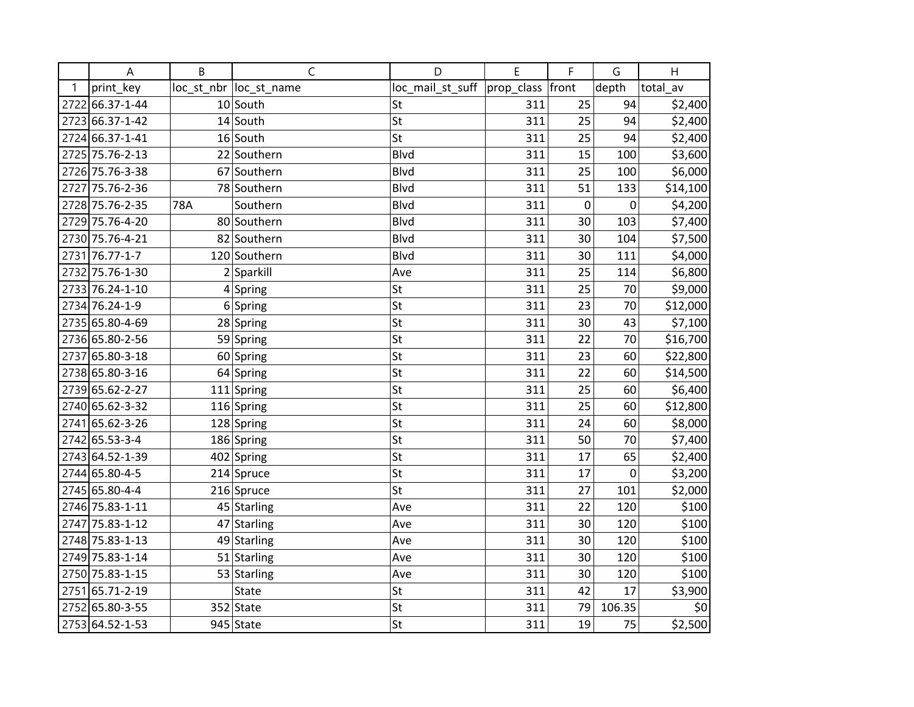|      | A               | B   | $\mathsf C$             | D                | E          | F     | G                | H        |
|------|-----------------|-----|-------------------------|------------------|------------|-------|------------------|----------|
| 1    | print_key       |     | loc_st_nbr  loc_st_name | loc_mail_st_suff | prop_class | front | depth            | total_av |
| 2722 | 66.37-1-44      |     | $10$ South              | St               | 311        | 25    | 94               | \$2,400  |
|      | 2723 66.37-1-42 |     | 14 South                | St               | 311        | 25    | 94               | \$2,400  |
|      | 2724 66.37-1-41 |     | 16 South                | St               | 311        | 25    | 94               | \$2,400  |
|      | 2725 75.76-2-13 |     | 22 Southern             | <b>Blvd</b>      | 311        | 15    | 100              | \$3,600  |
|      | 2726 75.76-3-38 |     | 67 Southern             | <b>Blvd</b>      | 311        | 25    | 100              | \$6,000  |
|      | 2727 75.76-2-36 |     | 78 Southern             | <b>Blvd</b>      | 311        | 51    | 133              | \$14,100 |
|      | 2728 75.76-2-35 | 78A | Southern                | <b>Blvd</b>      | 311        | 0     | $\mathbf 0$      | \$4,200  |
|      | 2729 75.76-4-20 |     | 80 Southern             | <b>Blvd</b>      | 311        | 30    | 103              | \$7,400  |
|      | 2730 75.76-4-21 |     | 82 Southern             | <b>Blvd</b>      | 311        | 30    | 104              | \$7,500  |
|      | 2731 76.77-1-7  |     | 120 Southern            | <b>Blvd</b>      | 311        | 30    | 111              | \$4,000  |
|      | 2732 75.76-1-30 |     | $2$ Sparkill            | Ave              | 311        | 25    | 114              | \$6,800  |
|      | 2733 76.24-1-10 |     | $4$ Spring              | St               | 311        | 25    | 70               | \$9,000  |
|      | 2734 76.24-1-9  |     | $6$ Spring              | St               | 311        | 23    | 70               | \$12,000 |
|      | 2735 65.80-4-69 |     | 28 Spring               | St               | 311        | 30    | 43               | \$7,100  |
|      | 2736 65.80-2-56 |     | 59 Spring               | St               | 311        | 22    | 70               | \$16,700 |
| 2737 | 65.80-3-18      |     | 60 Spring               | St               | 311        | 23    | 60               | \$22,800 |
|      | 2738 65.80-3-16 |     | 64 Spring               | St               | 311        | 22    | 60               | \$14,500 |
|      | 2739 65.62-2-27 |     | 111 Spring              | St               | 311        | 25    | 60               | \$6,400  |
|      | 2740 65.62-3-32 |     | 116 Spring              | St               | 311        | 25    | 60               | \$12,800 |
|      | 2741 65.62-3-26 |     | 128 Spring              | St               | 311        | 24    | 60               | \$8,000  |
|      | 2742 65.53-3-4  |     | 186 Spring              | St               | 311        | 50    | 70               | \$7,400  |
|      | 2743 64.52-1-39 |     | 402 Spring              | St               | 311        | 17    | 65               | \$2,400  |
|      | 2744 65.80-4-5  |     | $214$ Spruce            | St               | 311        | 17    | $\boldsymbol{0}$ | \$3,200  |
|      | 2745 65.80-4-4  |     | 216 Spruce              | St               | 311        | 27    | 101              | \$2,000  |
|      | 2746 75.83-1-11 |     | 45 Starling             | Ave              | 311        | 22    | 120              | \$100    |
|      | 2747 75.83-1-12 |     | 47 Starling             | Ave              | 311        | 30    | 120              | \$100    |
|      | 2748 75.83-1-13 |     | 49 Starling             | Ave              | 311        | 30    | 120              | \$100    |
|      | 2749 75.83-1-14 |     | 51 Starling             | Ave              | 311        | 30    | 120              | \$100    |
|      | 2750 75.83-1-15 |     | 53 Starling             | Ave              | 311        | 30    | 120              | \$100    |
| 2751 | 65.71-2-19      |     | State                   | St               | 311        | 42    | 17               | \$3,900  |
|      | 2752 65.80-3-55 |     | $352$ State             | St               | 311        | 79    | 106.35           | \$0      |
|      | 2753 64.52-1-53 |     | 945 State               | St               | 311        | 19    | 75               | \$2,500  |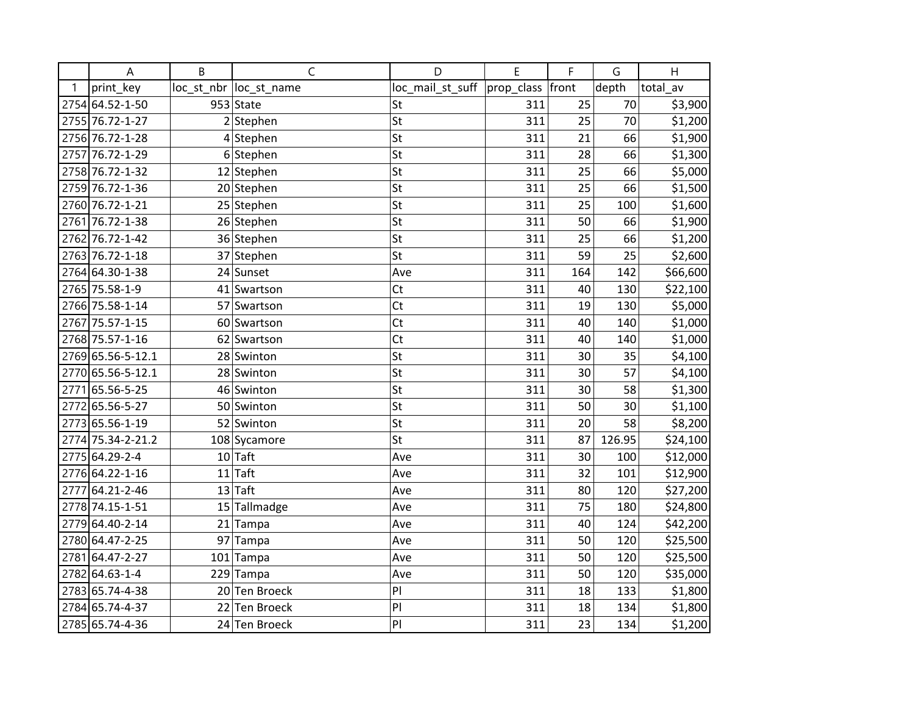|      | A                 | B  | C                       | D                | E                | F   | G      | H        |
|------|-------------------|----|-------------------------|------------------|------------------|-----|--------|----------|
| 1    | print_key         |    | loc_st_nbr  loc_st_name | loc_mail_st_suff | prop_class front |     | depth  | total_av |
|      | 2754 64.52-1-50   |    | 953 State               | St               | 311              | 25  | 70     | \$3,900  |
|      | 2755 76.72-1-27   |    | $2$ Stephen             | St               | 311              | 25  | 70     | \$1,200  |
|      | 2756 76.72-1-28   |    | 4 Stephen               | St               | 311              | 21  | 66     | \$1,900  |
| 2757 | 76.72-1-29        |    | 6 Stephen               | St               | 311              | 28  | 66     | \$1,300  |
|      | 2758 76.72-1-32   |    | 12 Stephen              | St               | 311              | 25  | 66     | \$5,000  |
|      | 2759 76.72-1-36   |    | 20 Stephen              | St               | 311              | 25  | 66     | \$1,500  |
|      | 2760 76.72-1-21   |    | 25 Stephen              | St               | 311              | 25  | 100    | \$1,600  |
| 2761 | 76.72-1-38        |    | 26 Stephen              | St               | 311              | 50  | 66     | \$1,900  |
|      | 2762 76.72-1-42   |    | 36 Stephen              | St               | 311              | 25  | 66     | \$1,200  |
|      | 2763 76.72-1-18   |    | 37 Stephen              | St               | 311              | 59  | 25     | \$2,600  |
|      | 2764 64.30-1-38   |    | 24 Sunset               | Ave              | 311              | 164 | 142    | \$66,600 |
|      | 2765 75.58-1-9    |    | 41 Swartson             | <b>Ct</b>        | 311              | 40  | 130    | \$22,100 |
|      | 2766 75.58-1-14   |    | 57 Swartson             | C <sub>t</sub>   | 311              | 19  | 130    | \$5,000  |
| 2767 | 75.57-1-15        |    | 60 Swartson             | Ct               | 311              | 40  | 140    | \$1,000  |
|      | 2768 75.57-1-16   |    | 62 Swartson             | Ct               | 311              | 40  | 140    | \$1,000  |
|      | 2769 65.56-5-12.1 |    | 28 Swinton              | St               | 311              | 30  | 35     | \$4,100  |
|      | 2770 65.56-5-12.1 |    | 28 Swinton              | St               | 311              | 30  | 57     | \$4,100  |
| 2771 | 65.56-5-25        |    | 46 Swinton              | St               | 311              | 30  | 58     | \$1,300  |
|      | 2772 65.56-5-27   |    | 50 Swinton              | St               | 311              | 50  | 30     | \$1,100  |
|      | 2773 65.56-1-19   |    | 52 Swinton              | St               | 311              | 20  | 58     | \$8,200  |
|      | 2774 75.34-2-21.2 |    | 108 Sycamore            | St               | 311              | 87  | 126.95 | \$24,100 |
|      | 2775 64.29-2-4    |    | $10$ Taft               | Ave              | 311              | 30  | 100    | \$12,000 |
|      | 2776 64.22-1-16   |    | $11$ Taft               | Ave              | 311              | 32  | 101    | \$12,900 |
| 2777 | 64.21-2-46        |    | $13$ Taft               | Ave              | 311              | 80  | 120    | \$27,200 |
|      | 2778 74.15-1-51   | 15 | Tallmadge               | Ave              | 311              | 75  | 180    | \$24,800 |
|      | 2779 64.40-2-14   |    | 21 Tampa                | Ave              | 311              | 40  | 124    | \$42,200 |
|      | 2780 64.47-2-25   |    | 97 Tampa                | Ave              | 311              | 50  | 120    | \$25,500 |
| 2781 | 64.47-2-27        |    | 101 Tampa               | Ave              | 311              | 50  | 120    | \$25,500 |
|      | 2782 64.63-1-4    |    | 229 Tampa               | Ave              | 311              | 50  | 120    | \$35,000 |
|      | 2783 65.74-4-38   |    | 20 Ten Broeck           | PI               | 311              | 18  | 133    | \$1,800  |
|      | 2784 65.74-4-37   |    | 22 Ten Broeck           | PI               | 311              | 18  | 134    | \$1,800  |
|      | 2785 65.74-4-36   |    | 24 Ten Broeck           | PI               | 311              | 23  | 134    | \$1,200  |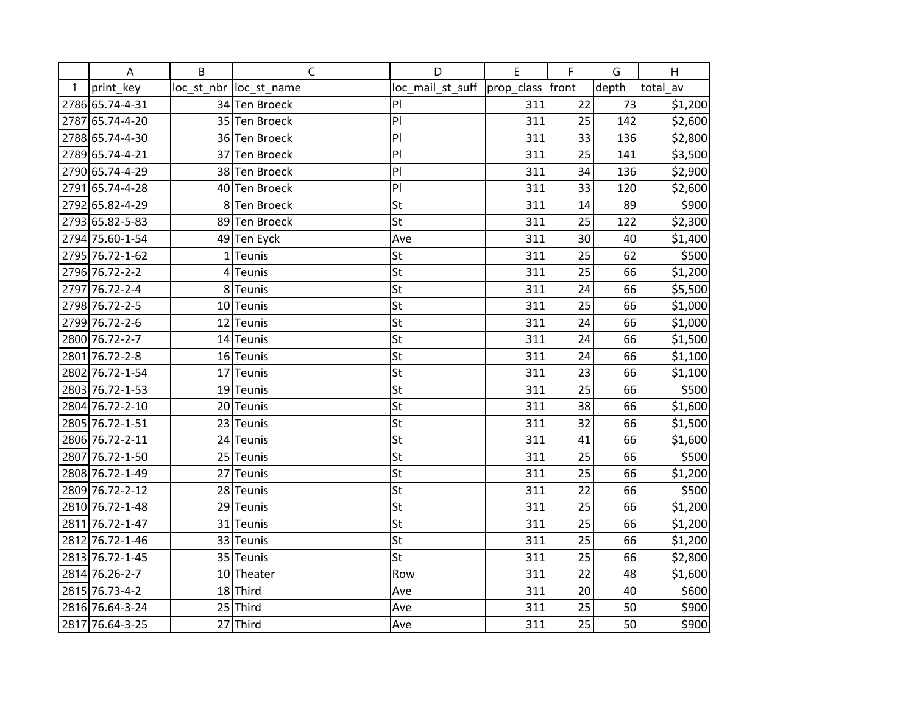|      | A               | B | C                       | D                                   | E   | F  | G     | H        |
|------|-----------------|---|-------------------------|-------------------------------------|-----|----|-------|----------|
| 1    | print_key       |   | loc_st_nbr  loc_st_name | loc_mail_st_suff  prop_class  front |     |    | depth | total_av |
|      | 2786 65.74-4-31 |   | 34 Ten Broeck           | PI                                  | 311 | 22 | 73    | \$1,200  |
|      | 2787 65.74-4-20 |   | 35 Ten Broeck           | P                                   | 311 | 25 | 142   | \$2,600  |
|      | 2788 65.74-4-30 |   | 36 Ten Broeck           | P                                   | 311 | 33 | 136   | \$2,800  |
|      | 2789 65.74-4-21 |   | 37 Ten Broeck           | PI                                  | 311 | 25 | 141   | \$3,500  |
|      | 2790 65.74-4-29 |   | 38 Ten Broeck           | PI                                  | 311 | 34 | 136   | \$2,900  |
|      | 2791 65.74-4-28 |   | 40 Ten Broeck           | PI                                  | 311 | 33 | 120   | \$2,600  |
|      | 2792 65.82-4-29 |   | 8 Ten Broeck            | St                                  | 311 | 14 | 89    | \$900    |
|      | 2793 65.82-5-83 |   | 89 Ten Broeck           | St                                  | 311 | 25 | 122   | \$2,300  |
|      | 2794 75.60-1-54 |   | 49 Ten Eyck             | Ave                                 | 311 | 30 | 40    | \$1,400  |
|      | 2795 76.72-1-62 |   | $1$ Teunis              | St                                  | 311 | 25 | 62    | \$500    |
|      | 2796 76.72-2-2  |   | $4$ Teunis              | St                                  | 311 | 25 | 66    | \$1,200  |
|      | 2797 76.72-2-4  |   | 8 Teunis                | St                                  | 311 | 24 | 66    | \$5,500  |
|      | 2798 76.72-2-5  |   | 10 Teunis               | St                                  | 311 | 25 | 66    | \$1,000  |
|      | 2799 76.72-2-6  |   | 12 Teunis               | St                                  | 311 | 24 | 66    | \$1,000  |
|      | 2800 76.72-2-7  |   | $14$ Teunis             | St                                  | 311 | 24 | 66    | \$1,500  |
| 2801 | 76.72-2-8       |   | 16 Teunis               | St                                  | 311 | 24 | 66    | \$1,100  |
|      | 2802 76.72-1-54 |   | 17 Teunis               | St                                  | 311 | 23 | 66    | \$1,100  |
|      | 2803 76.72-1-53 |   | 19 Teunis               | St                                  | 311 | 25 | 66    | \$500    |
|      | 2804 76.72-2-10 |   | 20 Teunis               | St                                  | 311 | 38 | 66    | \$1,600  |
|      | 2805 76.72-1-51 |   | 23 Teunis               | St                                  | 311 | 32 | 66    | \$1,500  |
|      | 2806 76.72-2-11 |   | 24 Teunis               | St                                  | 311 | 41 | 66    | \$1,600  |
|      | 2807 76.72-1-50 |   | 25 Teunis               | St                                  | 311 | 25 | 66    | \$500    |
|      | 2808 76.72-1-49 |   | 27 Teunis               | St                                  | 311 | 25 | 66    | \$1,200  |
|      | 2809 76.72-2-12 |   | 28 Teunis               | St                                  | 311 | 22 | 66    | \$500    |
|      | 2810 76.72-1-48 |   | 29 Teunis               | St                                  | 311 | 25 | 66    | \$1,200  |
|      | 2811 76.72-1-47 |   | 31 Teunis               | St                                  | 311 | 25 | 66    | \$1,200  |
|      | 2812 76.72-1-46 |   | 33 Teunis               | St                                  | 311 | 25 | 66    | \$1,200  |
|      | 2813 76.72-1-45 |   | 35 Teunis               | St                                  | 311 | 25 | 66    | \$2,800  |
|      | 2814 76.26-2-7  |   | 10 Theater              | Row                                 | 311 | 22 | 48    | \$1,600  |
|      | 2815 76.73-4-2  |   | 18 Third                | Ave                                 | 311 | 20 | 40    | \$600    |
|      | 2816 76.64-3-24 |   | $25$ Third              | Ave                                 | 311 | 25 | 50    | \$900    |
|      | 2817 76.64-3-25 |   | $27$ Third              | Ave                                 | 311 | 25 | 50    | \$900    |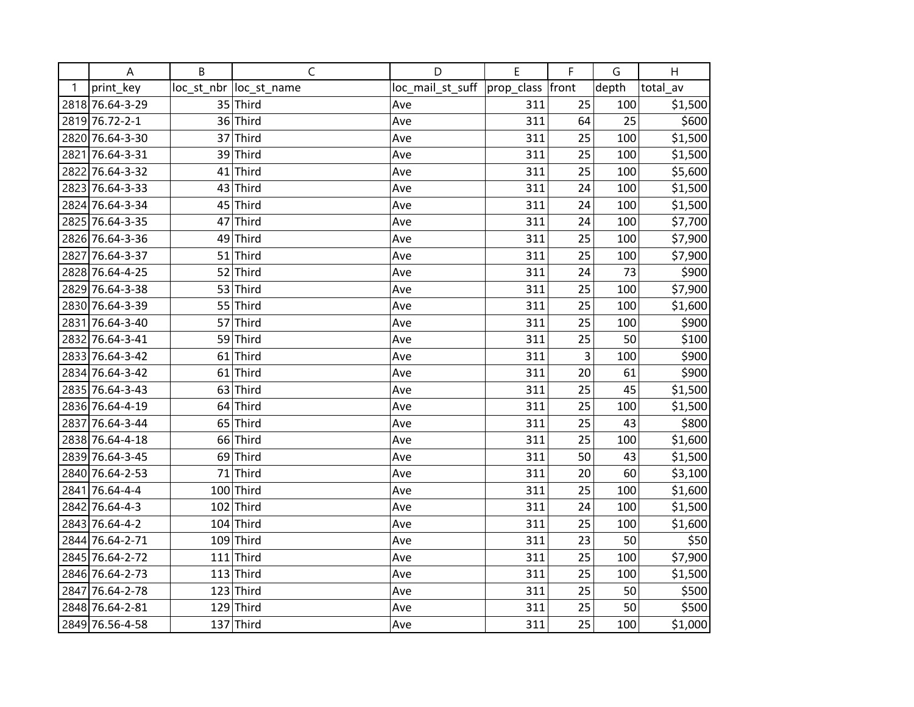|   | A               | B   | $\mathsf{C}$            | D                            | E   | F     | G     | H        |
|---|-----------------|-----|-------------------------|------------------------------|-----|-------|-------|----------|
| 1 | print_key       |     | loc_st_nbr  loc_st_name | loc_mail_st_suff  prop_class |     | front | depth | total av |
|   | 2818 76.64-3-29 |     | $35$ Third              | Ave                          | 311 | 25    | 100   | \$1,500  |
|   | 2819 76.72-2-1  |     | 36 Third                | Ave                          | 311 | 64    | 25    | \$600    |
|   | 2820 76.64-3-30 |     | 37 Third                | Ave                          | 311 | 25    | 100   | \$1,500  |
|   | 2821 76.64-3-31 |     | 39 Third                | Ave                          | 311 | 25    | 100   | \$1,500  |
|   | 2822 76.64-3-32 | 41  | Third                   | Ave                          | 311 | 25    | 100   | \$5,600  |
|   | 2823 76.64-3-33 |     | $43$ Third              | Ave                          | 311 | 24    | 100   | \$1,500  |
|   | 2824 76.64-3-34 |     | $45$ Third              | Ave                          | 311 | 24    | 100   | \$1,500  |
|   | 2825 76.64-3-35 |     | 47 Third                | Ave                          | 311 | 24    | 100   | \$7,700  |
|   | 2826 76.64-3-36 |     | 49 Third                | Ave                          | 311 | 25    | 100   | \$7,900  |
|   | 2827 76.64-3-37 |     | $51$ Third              | Ave                          | 311 | 25    | 100   | \$7,900  |
|   | 2828 76.64-4-25 |     | 52 Third                | Ave                          | 311 | 24    | 73    | \$900    |
|   | 2829 76.64-3-38 |     | 53 Third                | Ave                          | 311 | 25    | 100   | \$7,900  |
|   | 2830 76.64-3-39 |     | 55 Third                | Ave                          | 311 | 25    | 100   | \$1,600  |
|   | 2831 76.64-3-40 |     | 57 Third                | Ave                          | 311 | 25    | 100   | \$900    |
|   | 2832 76.64-3-41 |     | 59 Third                | Ave                          | 311 | 25    | 50    | \$100    |
|   | 2833 76.64-3-42 |     | $61$ Third              | Ave                          | 311 | 3     | 100   | \$900    |
|   | 2834 76.64-3-42 |     | $61$ Third              | Ave                          | 311 | 20    | 61    | \$900    |
|   | 2835 76.64-3-43 |     | $63$ Third              | Ave                          | 311 | 25    | 45    | \$1,500  |
|   | 2836 76.64-4-19 | 64  | Third                   | Ave                          | 311 | 25    | 100   | \$1,500  |
|   | 2837 76.64-3-44 |     | 65 Third                | Ave                          | 311 | 25    | 43    | \$800    |
|   | 2838 76.64-4-18 |     | 66 Third                | Ave                          | 311 | 25    | 100   | \$1,600  |
|   | 2839 76.64-3-45 |     | 69 Third                | Ave                          | 311 | 50    | 43    | \$1,500  |
|   | 2840 76.64-2-53 |     | $71$ Third              | Ave                          | 311 | 20    | 60    | \$3,100  |
|   | 2841 76.64-4-4  |     | 100 Third               | Ave                          | 311 | 25    | 100   | \$1,600  |
|   | 2842 76.64-4-3  |     | $102$ Third             | Ave                          | 311 | 24    | 100   | \$1,500  |
|   | 2843 76.64-4-2  |     | $104$ Third             | Ave                          | 311 | 25    | 100   | \$1,600  |
|   | 2844 76.64-2-71 |     | $109$ Third             | Ave                          | 311 | 23    | 50    | \$50     |
|   | 2845 76.64-2-72 |     | $111$ Third             | Ave                          | 311 | 25    | 100   | \$7,900  |
|   | 2846 76.64-2-73 |     | $113$ Third             | Ave                          | 311 | 25    | 100   | \$1,500  |
|   | 2847 76.64-2-78 | 123 | Third                   | Ave                          | 311 | 25    | 50    | \$500    |
|   | 2848 76.64-2-81 |     | $129$ Third             | Ave                          | 311 | 25    | 50    | \$500    |
|   | 2849 76.56-4-58 |     | $137$ Third             | Ave                          | 311 | 25    | 100   | \$1,000  |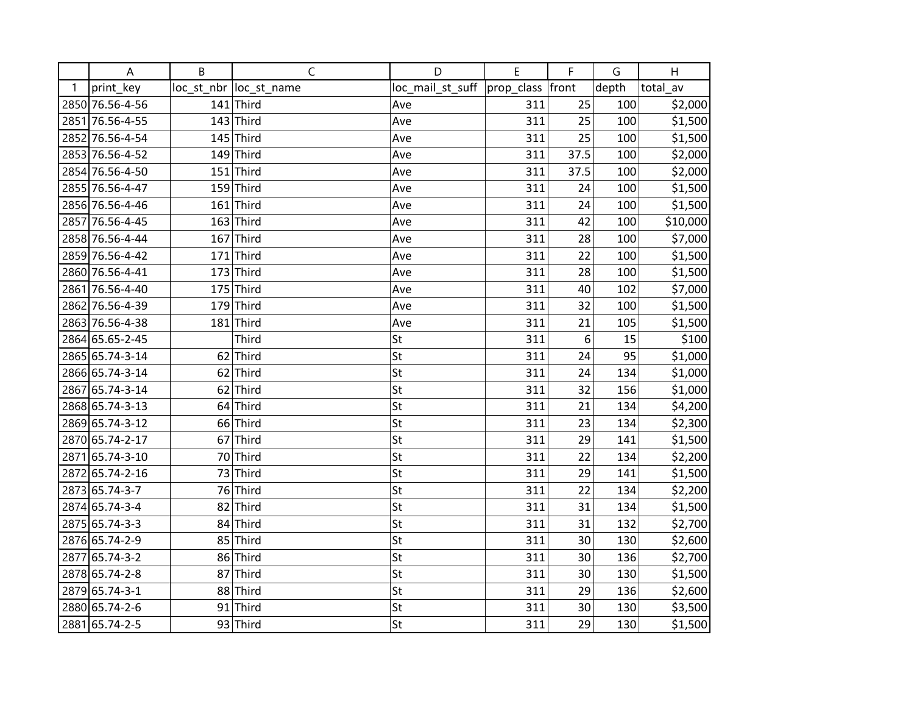|   | Α               | B   | $\mathsf{C}$            | D                                   | E   | F    | G     | Н        |
|---|-----------------|-----|-------------------------|-------------------------------------|-----|------|-------|----------|
| 1 | print_key       |     | loc_st_nbr  loc_st_name | loc_mail_st_suff  prop_class  front |     |      | depth | total av |
|   | 2850 76.56-4-56 |     | $141$ Third             | Ave                                 | 311 | 25   | 100   | \$2,000  |
|   | 2851 76.56-4-55 |     | $143$ Third             | Ave                                 | 311 | 25   | 100   | \$1,500  |
|   | 2852 76.56-4-54 |     | $145$ Third             | Ave                                 | 311 | 25   | 100   | \$1,500  |
|   | 2853 76.56-4-52 |     | $149$ Third             | Ave                                 | 311 | 37.5 | 100   | \$2,000  |
|   | 2854 76.56-4-50 |     | $151$ Third             | Ave                                 | 311 | 37.5 | 100   | \$2,000  |
|   | 2855 76.56-4-47 |     | $159$ Third             | Ave                                 | 311 | 24   | 100   | \$1,500  |
|   | 2856 76.56-4-46 |     | $161$ Third             | Ave                                 | 311 | 24   | 100   | \$1,500  |
|   | 2857 76.56-4-45 |     | $163$ Third             | Ave                                 | 311 | 42   | 100   | \$10,000 |
|   | 2858 76.56-4-44 |     | $167$ Third             | Ave                                 | 311 | 28   | 100   | \$7,000  |
|   | 2859 76.56-4-42 |     | $171$ Third             | Ave                                 | 311 | 22   | 100   | \$1,500  |
|   | 2860 76.56-4-41 |     | $173$ Third             | Ave                                 | 311 | 28   | 100   | \$1,500  |
|   | 2861 76.56-4-40 |     | $175$ Third             | Ave                                 | 311 | 40   | 102   | \$7,000  |
|   | 2862 76.56-4-39 |     | $179$ Third             | Ave                                 | 311 | 32   | 100   | \$1,500  |
|   | 2863 76.56-4-38 | 181 | Third                   | Ave                                 | 311 | 21   | 105   | \$1,500  |
|   | 2864 65.65-2-45 |     | <b>Third</b>            | St                                  | 311 | 6    | 15    | \$100    |
|   | 2865 65.74-3-14 |     | $62$ Third              | St                                  | 311 | 24   | 95    | \$1,000  |
|   | 2866 65.74-3-14 |     | $62$ Third              | St                                  | 311 | 24   | 134   | \$1,000  |
|   | 2867 65.74-3-14 |     | $62$ Third              | St                                  | 311 | 32   | 156   | \$1,000  |
|   | 2868 65.74-3-13 |     | $64$ Third              | St                                  | 311 | 21   | 134   | \$4,200  |
|   | 2869 65.74-3-12 |     | 66 Third                | St                                  | 311 | 23   | 134   | \$2,300  |
|   | 2870 65.74-2-17 |     | $67$ Third              | St                                  | 311 | 29   | 141   | \$1,500  |
|   | 2871 65.74-3-10 |     | 70 Third                | St                                  | 311 | 22   | 134   | \$2,200  |
|   | 2872 65.74-2-16 |     | 73 Third                | St                                  | 311 | 29   | 141   | \$1,500  |
|   | 2873 65.74-3-7  |     | 76 Third                | St                                  | 311 | 22   | 134   | \$2,200  |
|   | 2874 65.74-3-4  | 82  | Third                   | St                                  | 311 | 31   | 134   | \$1,500  |
|   | 2875 65.74-3-3  |     | 84 Third                | St                                  | 311 | 31   | 132   | \$2,700  |
|   | 2876 65.74-2-9  |     | 85 Third                | St                                  | 311 | 30   | 130   | \$2,600  |
|   | 2877 65.74-3-2  |     | 86 Third                | St                                  | 311 | 30   | 136   | \$2,700  |
|   | 2878 65.74-2-8  |     | 87 Third                | St                                  | 311 | 30   | 130   | \$1,500  |
|   | 2879 65.74-3-1  |     | 88 Third                | St                                  | 311 | 29   | 136   | \$2,600  |
|   | 2880 65.74-2-6  |     | $91$ Third              | St                                  | 311 | 30   | 130   | \$3,500  |
|   | 2881 65.74-2-5  |     | 93 Third                | St                                  | 311 | 29   | 130   | \$1,500  |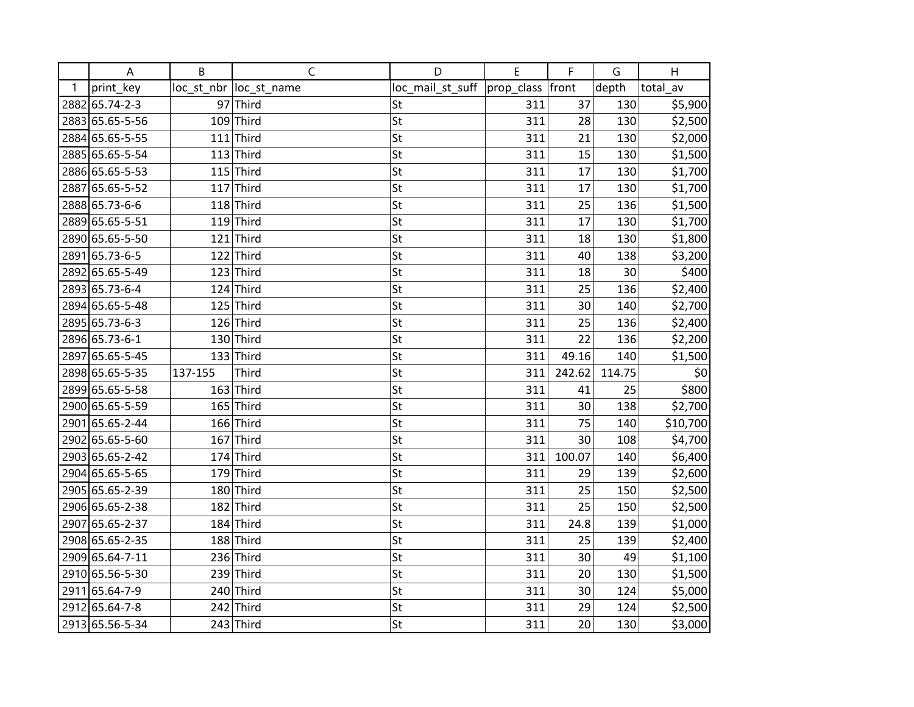|      | A               | B       | $\mathsf{C}$            | D                            | E   | F      | G      | H        |
|------|-----------------|---------|-------------------------|------------------------------|-----|--------|--------|----------|
| 1    | print_key       |         | loc_st_nbr  loc_st_name | loc_mail_st_suff  prop_class |     | front  | depth  | total_av |
|      | 2882 65.74-2-3  |         | 97 Third                | St                           | 311 | 37     | 130    | \$5,900  |
|      | 2883 65.65-5-56 |         | $109$ Third             | St                           | 311 | 28     | 130    | \$2,500  |
|      | 2884 65.65-5-55 |         | $111$ Third             | St                           | 311 | 21     | 130    | \$2,000  |
|      | 2885 65.65-5-54 |         | $113$ Third             | St                           | 311 | 15     | 130    | \$1,500  |
|      | 2886 65.65-5-53 |         | $115$ Third             | St                           | 311 | 17     | 130    | \$1,700  |
| 2887 | 65.65-5-52      |         | $117$ Third             | St                           | 311 | 17     | 130    | \$1,700  |
|      | 2888 65.73-6-6  |         | $118$ Third             | St                           | 311 | 25     | 136    | \$1,500  |
|      | 2889 65.65-5-51 |         | $119$ Third             | St                           | 311 | 17     | 130    | \$1,700  |
|      | 2890 65.65-5-50 |         | $121$ Third             | St                           | 311 | 18     | 130    | \$1,800  |
|      | 2891 65.73-6-5  |         | $122$ Third             | St                           | 311 | 40     | 138    | \$3,200  |
|      | 2892 65.65-5-49 |         | $123$ Third             | St                           | 311 | 18     | 30     | \$400    |
|      | 2893 65.73-6-4  |         | $124$ Third             | St                           | 311 | 25     | 136    | \$2,400  |
|      | 2894 65.65-5-48 |         | $125$ Third             | St                           | 311 | 30     | 140    | \$2,700  |
|      | 2895 65.73-6-3  |         | $126$ Third             | St                           | 311 | 25     | 136    | \$2,400  |
|      | 2896 65.73-6-1  |         | $130$ Third             | St                           | 311 | 22     | 136    | \$2,200  |
|      | 2897 65.65-5-45 |         | $133$ Third             | St                           | 311 | 49.16  | 140    | \$1,500  |
|      | 2898 65.65-5-35 | 137-155 | <b>Third</b>            | St                           | 311 | 242.62 | 114.75 | \$0      |
|      | 2899 65.65-5-58 |         | $163$ Third             | St                           | 311 | 41     | 25     | \$800    |
|      | 2900 65.65-5-59 |         | $165$ Third             | St                           | 311 | 30     | 138    | \$2,700  |
|      | 2901 65.65-2-44 |         | $166$ Third             | St                           | 311 | 75     | 140    | \$10,700 |
|      | 2902 65.65-5-60 |         | $167$ Third             | St                           | 311 | 30     | 108    | \$4,700  |
|      | 2903 65.65-2-42 |         | $174$ Third             | St                           | 311 | 100.07 | 140    | \$6,400  |
|      | 2904 65.65-5-65 |         | $179$ Third             | St                           | 311 | 29     | 139    | \$2,600  |
|      | 2905 65.65-2-39 |         | 180 Third               | St                           | 311 | 25     | 150    | \$2,500  |
|      | 2906 65.65-2-38 |         | $182$ Third             | St                           | 311 | 25     | 150    | \$2,500  |
|      | 2907 65.65-2-37 |         | $184$ Third             | St                           | 311 | 24.8   | 139    | \$1,000  |
|      | 2908 65.65-2-35 |         | 188 Third               | St                           | 311 | 25     | 139    | \$2,400  |
|      | 2909 65.64-7-11 |         | $236$ Third             | St                           | 311 | 30     | 49     | \$1,100  |
|      | 2910 65.56-5-30 |         | $239$ Third             | St                           | 311 | 20     | 130    | \$1,500  |
|      | 2911 65.64-7-9  |         | $240$ Third             | St                           | 311 | 30     | 124    | \$5,000  |
|      | 2912 65.64-7-8  |         | $242$ Third             | St                           | 311 | 29     | 124    | \$2,500  |
|      | 2913 65.56-5-34 |         | $243$ Third             | St                           | 311 | 20     | 130    | \$3,000  |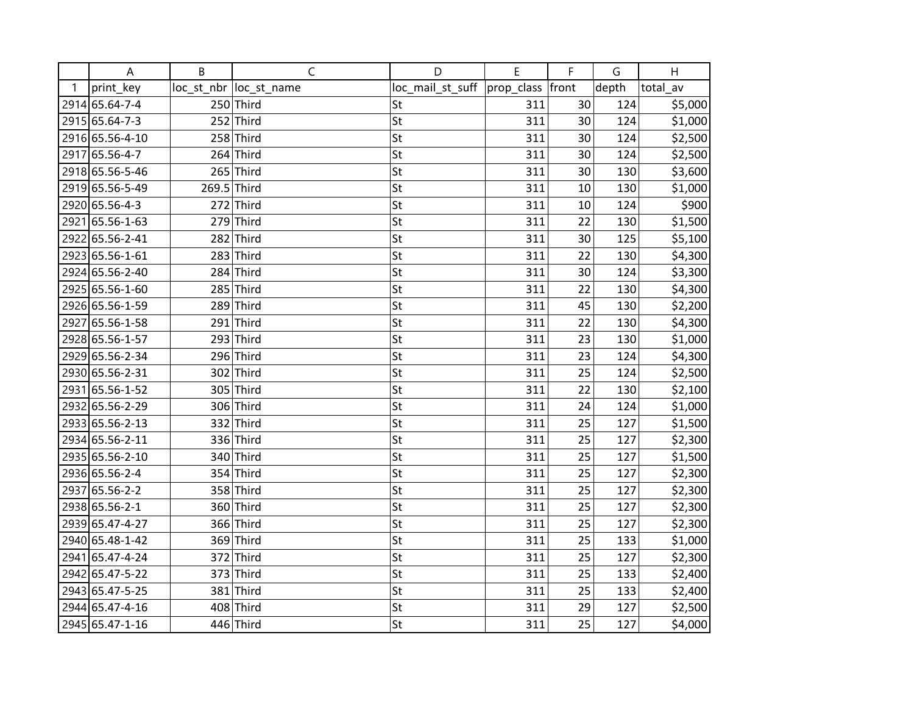|   | A               | B           | C                       | D                | E          | F     | G     | H        |
|---|-----------------|-------------|-------------------------|------------------|------------|-------|-------|----------|
| 1 | print key       |             | loc_st_nbr  loc_st_name | loc_mail_st_suff | prop_class | front | depth | total av |
|   | 2914 65.64-7-4  |             | 250 Third               | St               | 311        | 30    | 124   | \$5,000  |
|   | 2915 65.64-7-3  |             | $252$ Third             | St               | 311        | 30    | 124   | \$1,000  |
|   | 2916 65.56-4-10 |             | $258$ Third             | St               | 311        | 30    | 124   | \$2,500  |
|   | 2917 65.56-4-7  |             | $264$ Third             | St               | 311        | 30    | 124   | \$2,500  |
|   | 2918 65.56-5-46 |             | 265 Third               | St               | 311        | 30    | 130   | \$3,600  |
|   | 2919 65.56-5-49 | 269.5 Third |                         | St               | 311        | 10    | 130   | \$1,000  |
|   | 2920 65.56-4-3  |             | $272$ Third             | St               | 311        | 10    | 124   | \$900    |
|   | 2921 65.56-1-63 |             | $279$ Third             | St               | 311        | 22    | 130   | \$1,500  |
|   | 2922 65.56-2-41 |             | 282 Third               | St               | 311        | 30    | 125   | \$5,100  |
|   | 2923 65.56-1-61 |             | $283$ Third             | St               | 311        | 22    | 130   | \$4,300  |
|   | 2924 65.56-2-40 |             | 284 Third               | St               | 311        | 30    | 124   | \$3,300  |
|   | 2925 65.56-1-60 |             | 285 Third               | St               | 311        | 22    | 130   | \$4,300  |
|   | 2926 65.56-1-59 |             | 289 Third               | St               | 311        | 45    | 130   | \$2,200  |
|   | 2927 65.56-1-58 |             | $291$ Third             | St               | 311        | 22    | 130   | \$4,300  |
|   | 2928 65.56-1-57 |             | $293$ Third             | St               | 311        | 23    | 130   | \$1,000  |
|   | 2929 65.56-2-34 |             | 296 Third               | St               | 311        | 23    | 124   | \$4,300  |
|   | 2930 65.56-2-31 |             | 302 Third               | St               | 311        | 25    | 124   | \$2,500  |
|   | 2931 65.56-1-52 |             | 305 Third               | St               | 311        | 22    | 130   | \$2,100  |
|   | 2932 65.56-2-29 |             | 306 Third               | St               | 311        | 24    | 124   | \$1,000  |
|   | 2933 65.56-2-13 |             | 332 Third               | St               | 311        | 25    | 127   | \$1,500  |
|   | 2934 65.56-2-11 |             | 336 Third               | St               | 311        | 25    | 127   | \$2,300  |
|   | 2935 65.56-2-10 |             | 340 Third               | St               | 311        | 25    | 127   | \$1,500  |
|   | 2936 65.56-2-4  |             | 354 Third               | St               | 311        | 25    | 127   | \$2,300  |
|   | 2937 65.56-2-2  |             | 358 Third               | St               | 311        | 25    | 127   | \$2,300  |
|   | 2938 65.56-2-1  |             | 360 Third               | St               | 311        | 25    | 127   | \$2,300  |
|   | 2939 65.47-4-27 |             | 366 Third               | St               | 311        | 25    | 127   | \$2,300  |
|   | 2940 65.48-1-42 |             | 369 Third               | St               | 311        | 25    | 133   | \$1,000  |
|   | 2941 65.47-4-24 |             | 372 Third               | St               | 311        | 25    | 127   | \$2,300  |
|   | 2942 65.47-5-22 |             | 373 Third               | St               | 311        | 25    | 133   | \$2,400  |
|   | 2943 65.47-5-25 |             | 381 Third               | St               | 311        | 25    | 133   | \$2,400  |
|   | 2944 65.47-4-16 |             | 408 Third               | St               | 311        | 29    | 127   | \$2,500  |
|   | 2945 65.47-1-16 |             | 446 Third               | St               | 311        | 25    | 127   | \$4,000  |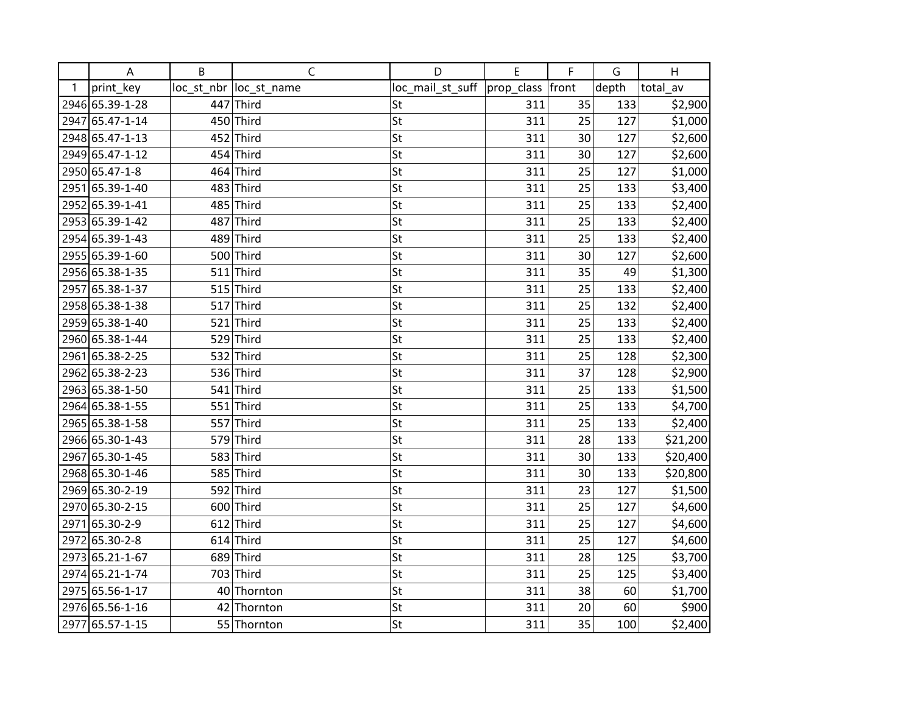|      | A               | B   | $\mathsf{C}$            | D                            | E   | F     | G     | H        |
|------|-----------------|-----|-------------------------|------------------------------|-----|-------|-------|----------|
| 1    | print_key       |     | loc_st_nbr  loc_st_name | loc_mail_st_suff  prop_class |     | front | depth | total_av |
|      | 2946 65.39-1-28 | 447 | Third                   | St                           | 311 | 35    | 133   | \$2,900  |
|      | 2947 65.47-1-14 |     | 450 Third               | St                           | 311 | 25    | 127   | \$1,000  |
|      | 2948 65.47-1-13 |     | 452 Third               | St                           | 311 | 30    | 127   | \$2,600  |
|      | 2949 65.47-1-12 |     | 454 Third               | St                           | 311 | 30    | 127   | \$2,600  |
|      | 2950 65.47-1-8  |     | 464 Third               | St                           | 311 | 25    | 127   | \$1,000  |
|      | 2951 65.39-1-40 |     | $483$ Third             | St                           | 311 | 25    | 133   | \$3,400  |
|      | 2952 65.39-1-41 |     | $485$ Third             | St                           | 311 | 25    | 133   | \$2,400  |
|      | 2953 65.39-1-42 |     | 487 Third               | St                           | 311 | 25    | 133   | \$2,400  |
|      | 2954 65.39-1-43 |     | 489 Third               | St                           | 311 | 25    | 133   | \$2,400  |
|      | 2955 65.39-1-60 |     | 500 Third               | St                           | 311 | 30    | 127   | \$2,600  |
|      | 2956 65.38-1-35 |     | $511$ Third             | St                           | 311 | 35    | 49    | \$1,300  |
|      | 2957 65.38-1-37 |     | $515$ Third             | St                           | 311 | 25    | 133   | \$2,400  |
|      | 2958 65.38-1-38 |     | $517$ Third             | St                           | 311 | 25    | 132   | \$2,400  |
|      | 2959 65.38-1-40 |     | $521$ Third             | St                           | 311 | 25    | 133   | \$2,400  |
|      | 2960 65.38-1-44 |     | $529$ Third             | St                           | 311 | 25    | 133   | \$2,400  |
| 2961 | 65.38-2-25      |     | 532 Third               | St                           | 311 | 25    | 128   | \$2,300  |
|      | 2962 65.38-2-23 |     | 536 Third               | St                           | 311 | 37    | 128   | \$2,900  |
|      | 2963 65.38-1-50 |     | $541$ Third             | St                           | 311 | 25    | 133   | \$1,500  |
|      | 2964 65.38-1-55 |     | $551$ Third             | St                           | 311 | 25    | 133   | \$4,700  |
|      | 2965 65.38-1-58 |     | 557 Third               | St                           | 311 | 25    | 133   | \$2,400  |
|      | 2966 65.30-1-43 |     | 579 Third               | St                           | 311 | 28    | 133   | \$21,200 |
|      | 2967 65.30-1-45 |     | 583 Third               | St                           | 311 | 30    | 133   | \$20,400 |
|      | 2968 65.30-1-46 |     | 585 Third               | St                           | 311 | 30    | 133   | \$20,800 |
|      | 2969 65.30-2-19 |     | 592 Third               | St                           | 311 | 23    | 127   | \$1,500  |
|      | 2970 65.30-2-15 |     | 600 Third               | St                           | 311 | 25    | 127   | \$4,600  |
|      | 2971 65.30-2-9  |     | $612$ Third             | St                           | 311 | 25    | 127   | \$4,600  |
|      | 2972 65.30-2-8  |     | $614$ Third             | St                           | 311 | 25    | 127   | \$4,600  |
|      | 2973 65.21-1-67 |     | 689 Third               | St                           | 311 | 28    | 125   | \$3,700  |
|      | 2974 65.21-1-74 |     | 703 Third               | St                           | 311 | 25    | 125   | \$3,400  |
|      | 2975 65.56-1-17 | 40  | Thornton                | St                           | 311 | 38    | 60    | \$1,700  |
|      | 2976 65.56-1-16 |     | 42 Thornton             | St                           | 311 | 20    | 60    | \$900    |
|      | 2977 65.57-1-15 |     | 55 Thornton             | St                           | 311 | 35    | 100   | \$2,400  |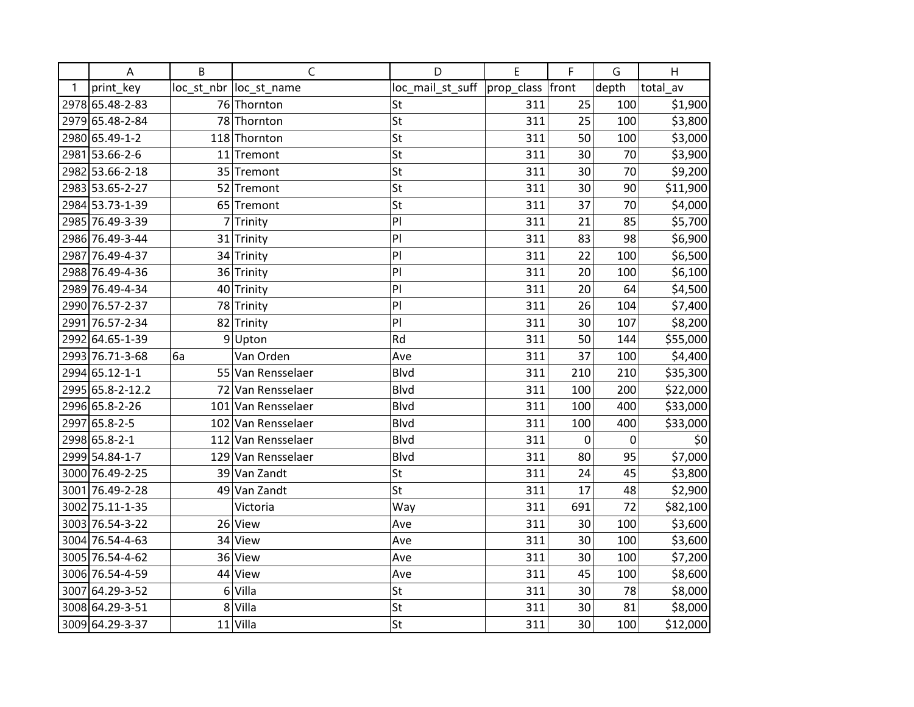|   | A                | B  | $\mathsf{C}$            | D                | E          | F     | G     | H        |
|---|------------------|----|-------------------------|------------------|------------|-------|-------|----------|
| 1 | print key        |    | loc_st_nbr  loc_st_name | loc_mail_st_suff | prop_class | front | depth | total_av |
|   | 2978 65.48-2-83  |    | 76 Thornton             | St               | 311        | 25    | 100   | \$1,900  |
|   | 2979 65.48-2-84  |    | 78 Thornton             | St               | 311        | 25    | 100   | \$3,800  |
|   | 2980 65.49-1-2   |    | 118 Thornton            | St               | 311        | 50    | 100   | \$3,000  |
|   | 2981 53.66-2-6   |    | 11 Tremont              | St               | 311        | 30    | 70    | \$3,900  |
|   | 2982 53.66-2-18  |    | 35 Tremont              | St               | 311        | 30    | 70    | \$9,200  |
|   | 2983 53.65-2-27  |    | 52 Tremont              | St               | 311        | 30    | 90    | \$11,900 |
|   | 2984 53.73-1-39  |    | 65 Tremont              | St               | 311        | 37    | 70    | \$4,000  |
|   | 2985 76.49-3-39  |    | 7 Trinity               | PI               | 311        | 21    | 85    | \$5,700  |
|   | 2986 76.49-3-44  |    | 31 Trinity              | PI               | 311        | 83    | 98    | \$6,900  |
|   | 2987 76.49-4-37  |    | 34 Trinity              | PI               | 311        | 22    | 100   | \$6,500  |
|   | 2988 76.49-4-36  |    | 36 Trinity              | PI               | 311        | 20    | 100   | \$6,100  |
|   | 2989 76.49-4-34  |    | 40 Trinity              | PI               | 311        | 20    | 64    | \$4,500  |
|   | 2990 76.57-2-37  |    | 78 Trinity              | PI               | 311        | 26    | 104   | \$7,400  |
|   | 2991 76.57-2-34  |    | 82 Trinity              | PI               | 311        | 30    | 107   | \$8,200  |
|   | 2992 64.65-1-39  |    | $9$ Upton               | Rd               | 311        | 50    | 144   | \$55,000 |
|   | 2993 76.71-3-68  | 6a | Van Orden               | Ave              | 311        | 37    | 100   | \$4,400  |
|   | 2994 65.12-1-1   |    | 55 Van Rensselaer       | <b>Blvd</b>      | 311        | 210   | 210   | \$35,300 |
|   | 2995 65.8-2-12.2 |    | 72 Van Rensselaer       | <b>Blvd</b>      | 311        | 100   | 200   | \$22,000 |
|   | 2996 65.8-2-26   |    | 101 Van Rensselaer      | Blvd             | 311        | 100   | 400   | \$33,000 |
|   | 2997 65.8-2-5    |    | 102 Van Rensselaer      | <b>Blvd</b>      | 311        | 100   | 400   | \$33,000 |
|   | 2998 65.8-2-1    |    | 112 Van Rensselaer      | <b>Blvd</b>      | 311        | 0     | 0     | \$0      |
|   | 2999 54.84-1-7   |    | 129 Van Rensselaer      | <b>Blvd</b>      | 311        | 80    | 95    | \$7,000  |
|   | 3000 76.49-2-25  |    | 39 Van Zandt            | St               | 311        | 24    | 45    | \$3,800  |
|   | 3001 76.49-2-28  |    | 49 Van Zandt            | St               | 311        | 17    | 48    | \$2,900  |
|   | 3002 75.11-1-35  |    | Victoria                | Way              | 311        | 691   | 72    | \$82,100 |
|   | 3003 76.54-3-22  |    | 26 View                 | Ave              | 311        | 30    | 100   | \$3,600  |
|   | 3004 76.54-4-63  |    | 34 View                 | Ave              | 311        | 30    | 100   | \$3,600  |
|   | 3005 76.54-4-62  |    | 36 View                 | Ave              | 311        | 30    | 100   | \$7,200  |
|   | 3006 76.54-4-59  |    | 44 View                 | Ave              | 311        | 45    | 100   | \$8,600  |
|   | 3007 64.29-3-52  | 6  | Villa                   | St               | 311        | 30    | 78    | \$8,000  |
|   | 3008 64.29-3-51  | 8  | Villa                   | St               | 311        | 30    | 81    | \$8,000  |
|   | 3009 64.29-3-37  |    | $11$ Villa              | St               | 311        | 30    | 100   | \$12,000 |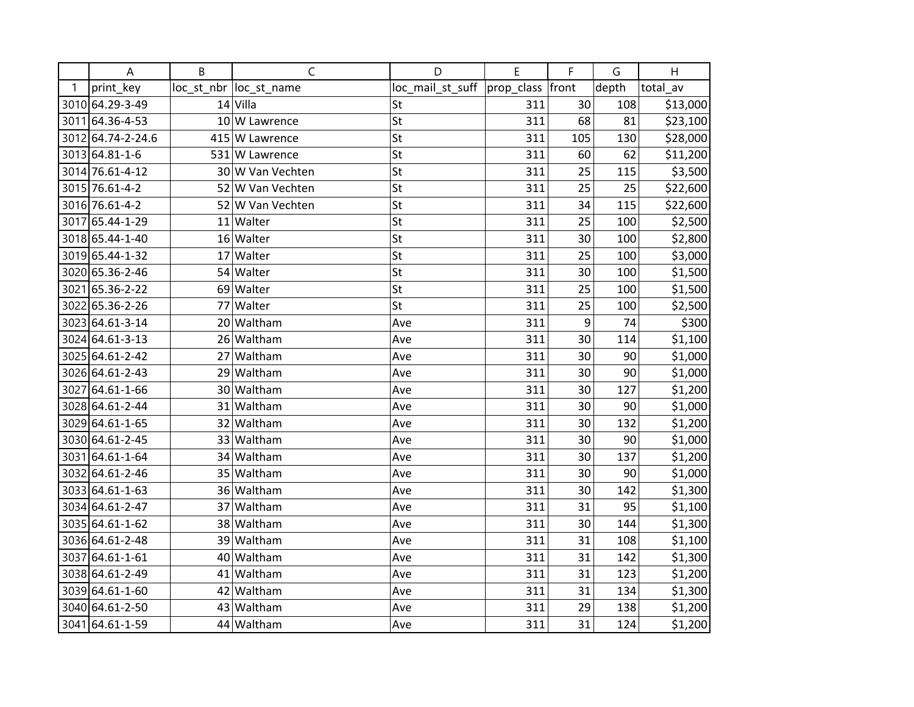|              | A                 | B | $\mathsf{C}$            | D                | E                | F   | G     | H        |
|--------------|-------------------|---|-------------------------|------------------|------------------|-----|-------|----------|
| $\mathbf{1}$ | print_key         |   | loc_st_nbr  loc_st_name | loc_mail_st_suff | prop_class front |     | depth | total_av |
|              | 3010 64.29-3-49   |   | $14$ Villa              | St               | 311              | 30  | 108   | \$13,000 |
|              | 3011 64.36-4-53   |   | 10 W Lawrence           | St               | 311              | 68  | 81    | \$23,100 |
|              | 3012 64.74-2-24.6 |   | 415 W Lawrence          | St               | 311              | 105 | 130   | \$28,000 |
|              | 3013 64.81-1-6    |   | 531 W Lawrence          | St               | 311              | 60  | 62    | \$11,200 |
|              | 3014 76.61-4-12   |   | 30 W Van Vechten        | St               | 311              | 25  | 115   | \$3,500  |
|              | 3015 76.61-4-2    |   | 52 W Van Vechten        | St               | 311              | 25  | 25    | \$22,600 |
|              | 3016 76.61-4-2    |   | 52 W Van Vechten        | St               | 311              | 34  | 115   | \$22,600 |
|              | 3017 65.44-1-29   |   | 11 Walter               | St               | 311              | 25  | 100   | \$2,500  |
|              | 3018 65.44-1-40   |   | 16 Walter               | St               | 311              | 30  | 100   | \$2,800  |
|              | 3019 65.44-1-32   |   | 17 Walter               | St               | 311              | 25  | 100   | \$3,000  |
|              | 3020 65.36-2-46   |   | 54 Walter               | St               | 311              | 30  | 100   | \$1,500  |
|              | 3021 65.36-2-22   |   | 69 Walter               | St               | 311              | 25  | 100   | \$1,500  |
|              | 3022 65.36-2-26   |   | 77 Walter               | St               | 311              | 25  | 100   | \$2,500  |
|              | 3023 64.61-3-14   |   | 20 Waltham              | Ave              | 311              | 9   | 74    | \$300    |
|              | 3024 64.61-3-13   |   | 26 Waltham              | Ave              | 311              | 30  | 114   | \$1,100  |
|              | 3025 64.61-2-42   |   | 27 Waltham              | Ave              | 311              | 30  | 90    | \$1,000  |
|              | 3026 64.61-2-43   |   | 29 Waltham              | Ave              | 311              | 30  | 90    | \$1,000  |
|              | 3027 64.61-1-66   |   | 30 Waltham              | Ave              | 311              | 30  | 127   | \$1,200  |
|              | 3028 64.61-2-44   |   | 31 Waltham              | Ave              | 311              | 30  | 90    | \$1,000  |
|              | 3029 64.61-1-65   |   | 32 Waltham              | Ave              | 311              | 30  | 132   | \$1,200  |
|              | 3030 64.61-2-45   |   | 33 Waltham              | Ave              | 311              | 30  | 90    | \$1,000  |
|              | 3031 64.61-1-64   |   | 34 Waltham              | Ave              | 311              | 30  | 137   | \$1,200  |
|              | 3032 64.61-2-46   |   | 35 Waltham              | Ave              | 311              | 30  | 90    | \$1,000  |
|              | 3033 64.61-1-63   |   | 36 Waltham              | Ave              | 311              | 30  | 142   | \$1,300  |
|              | 3034 64.61-2-47   |   | 37 Waltham              | Ave              | 311              | 31  | 95    | \$1,100  |
|              | 3035 64.61-1-62   |   | 38 Waltham              | Ave              | 311              | 30  | 144   | \$1,300  |
|              | 3036 64.61-2-48   |   | 39 Waltham              | Ave              | 311              | 31  | 108   | \$1,100  |
|              | 3037 64.61-1-61   |   | 40 Waltham              | Ave              | 311              | 31  | 142   | \$1,300  |
|              | 3038 64.61-2-49   |   | 41 Waltham              | Ave              | 311              | 31  | 123   | \$1,200  |
|              | 3039 64.61-1-60   |   | 42 Waltham              | Ave              | 311              | 31  | 134   | \$1,300  |
|              | 3040 64.61-2-50   |   | 43 Waltham              | Ave              | 311              | 29  | 138   | \$1,200  |
|              | 3041 64.61-1-59   |   | 44 Waltham              | Ave              | 311              | 31  | 124   | \$1,200  |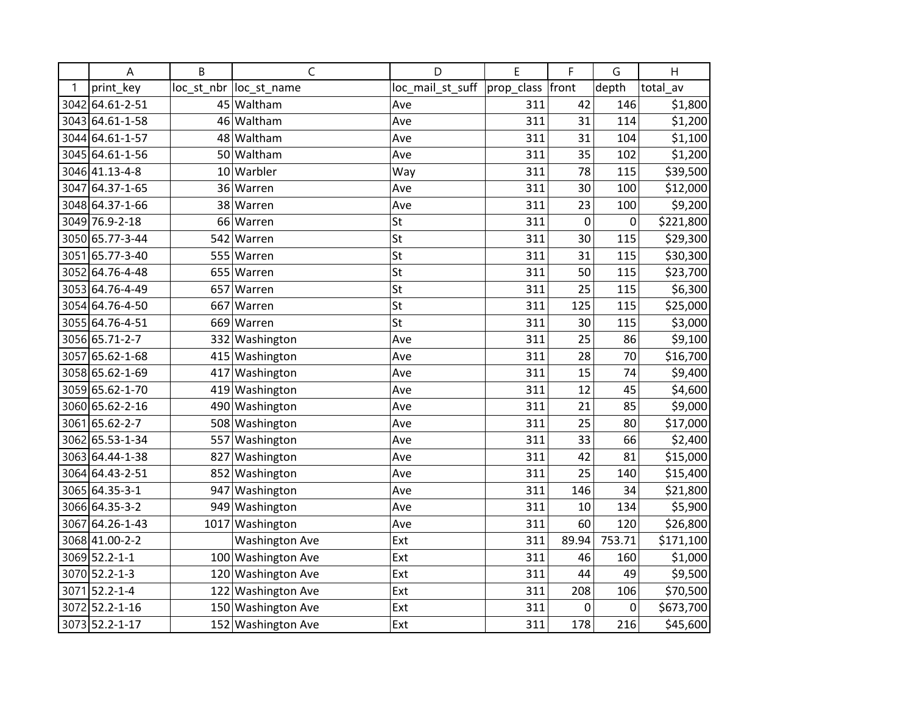|      | A               | B    | C                      | D                | E          | F           | G      | H         |
|------|-----------------|------|------------------------|------------------|------------|-------------|--------|-----------|
| 1    | print key       |      | loc st nbr loc st name | loc_mail_st_suff | prop_class | front       | depth  | total av  |
| 3042 | 64.61-2-51      |      | 45 Waltham             | Ave              | 311        | 42          | 146    | \$1,800   |
|      | 3043 64.61-1-58 |      | 46 Waltham             | Ave              | 311        | 31          | 114    | \$1,200   |
| 3044 | 64.61-1-57      |      | 48 Waltham             | Ave              | 311        | 31          | 104    | \$1,100   |
|      | 3045 64.61-1-56 | 50   | Waltham                | Ave              | 311        | 35          | 102    | \$1,200   |
|      | 3046 41.13-4-8  |      | 10 Warbler             | Way              | 311        | 78          | 115    | \$39,500  |
|      | 3047 64.37-1-65 | 36   | Warren                 | Ave              | 311        | 30          | 100    | \$12,000  |
|      | 3048 64.37-1-66 |      | 38 Warren              | Ave              | 311        | 23          | 100    | \$9,200   |
|      | 3049 76.9-2-18  |      | 66 Warren              | St               | 311        | $\mathbf 0$ | 0      | \$221,800 |
|      | 3050 65.77-3-44 | 542  | Warren                 | St               | 311        | 30          | 115    | \$29,300  |
| 3051 | 65.77-3-40      |      | 555 Warren             | St               | 311        | 31          | 115    | \$30,300  |
| 3052 | 64.76-4-48      | 655  | Warren                 | St               | 311        | 50          | 115    | \$23,700  |
|      | 3053 64.76-4-49 |      | 657 Warren             | St               | 311        | 25          | 115    | \$6,300   |
|      | 3054 64.76-4-50 |      | 667 Warren             | St               | 311        | 125         | 115    | \$25,000  |
|      | 3055 64.76-4-51 |      | 669 Warren             | St               | 311        | 30          | 115    | \$3,000   |
|      | 3056 65.71-2-7  | 332  | Washington             | Ave              | 311        | 25          | 86     | \$9,100   |
| 3057 | 65.62-1-68      |      | 415 Washington         | Ave              | 311        | 28          | 70     | \$16,700  |
|      | 3058 65.62-1-69 |      | 417 Washington         | Ave              | 311        | 15          | 74     | \$9,400   |
|      | 3059 65.62-1-70 |      | 419 Washington         | Ave              | 311        | 12          | 45     | \$4,600   |
|      | 3060 65.62-2-16 |      | 490 Washington         | Ave              | 311        | 21          | 85     | \$9,000   |
| 3061 | 65.62-2-7       |      | 508 Washington         | Ave              | 311        | 25          | 80     | \$17,000  |
|      | 3062 65.53-1-34 | 557  | Washington             | Ave              | 311        | 33          | 66     | \$2,400   |
|      | 3063 64.44-1-38 | 827  | Washington             | Ave              | 311        | 42          | 81     | \$15,000  |
|      | 3064 64.43-2-51 |      | 852 Washington         | Ave              | 311        | 25          | 140    | \$15,400  |
|      | 3065 64.35-3-1  |      | 947 Washington         | Ave              | 311        | 146         | 34     | \$21,800  |
|      | 3066 64.35-3-2  | 949  | Washington             | Ave              | 311        | 10          | 134    | \$5,900   |
| 3067 | 64.26-1-43      | 1017 | Washington             | Ave              | 311        | 60          | 120    | \$26,800  |
|      | 3068 41.00-2-2  |      | <b>Washington Ave</b>  | Ext              | 311        | 89.94       | 753.71 | \$171,100 |
|      | 3069 52.2-1-1   |      | 100 Washington Ave     | Ext              | 311        | 46          | 160    | \$1,000   |
|      | 3070 52.2-1-3   |      | 120 Washington Ave     | Ext              | 311        | 44          | 49     | \$9,500   |
| 3071 | 52.2-1-4        | 122  | <b>Washington Ave</b>  | Ext              | 311        | 208         | 106    | \$70,500  |
|      | 3072 52.2-1-16  |      | 150 Washington Ave     | Ext              | 311        | 0           | 0      | \$673,700 |
|      | 3073 52.2-1-17  |      | 152 Washington Ave     | Ext              | 311        | 178         | 216    | \$45,600  |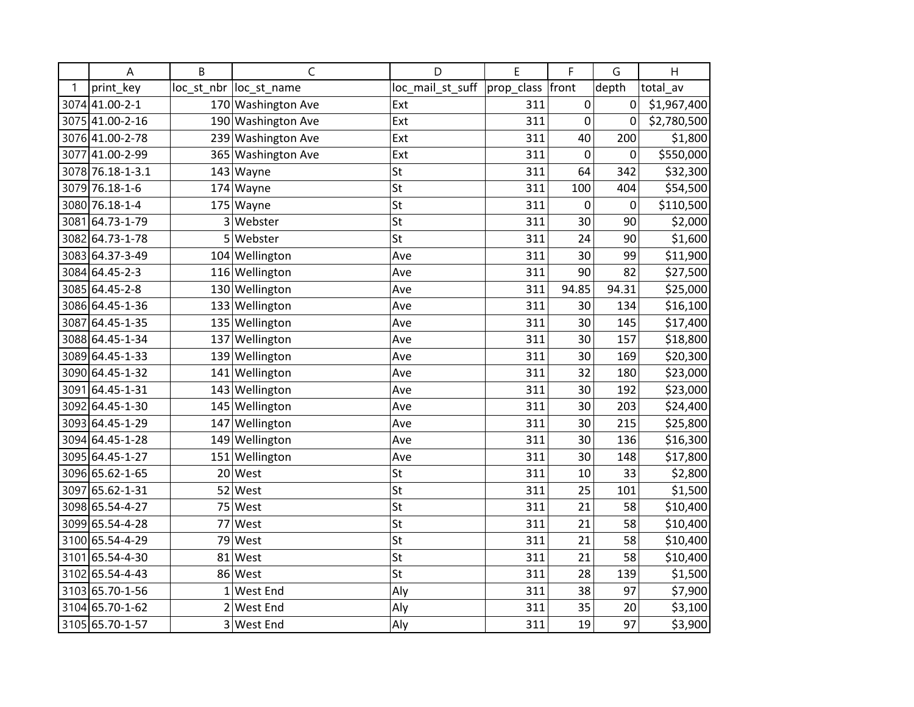|      | A                | B           | C                       | D                | E          | F           | G     | H           |
|------|------------------|-------------|-------------------------|------------------|------------|-------------|-------|-------------|
| 1    | print key        |             | loc_st_nbr  loc_st_name | loc_mail_st_suff | prop_class | front       | depth | total av    |
|      | 3074 41.00-2-1   |             | 170 Washington Ave      | Ext              | 311        | 0           | 0     | \$1,967,400 |
|      | 3075 41.00-2-16  |             | 190 Washington Ave      | Ext              | 311        | 0           | 0     | \$2,780,500 |
|      | 3076 41.00-2-78  |             | 239 Washington Ave      | Ext              | 311        | 40          | 200   | \$1,800     |
| 3077 | 41.00-2-99       |             | 365 Washington Ave      | Ext              | 311        | $\mathbf 0$ | 0     | \$550,000   |
|      | 3078 76.18-1-3.1 |             | $143$ Wayne             | St               | 311        | 64          | 342   | \$32,300    |
|      | 3079 76.18-1-6   |             | 174 Wayne               | St               | 311        | 100         | 404   | \$54,500    |
|      | 3080 76.18-1-4   |             | 175 Wayne               | St               | 311        | 0           | 0     | \$110,500   |
| 3081 | 64.73-1-79       |             | 3 Webster               | St               | 311        | 30          | 90    | \$2,000     |
|      | 3082 64.73-1-78  | 5           | Webster                 | St               | 311        | 24          | 90    | \$1,600     |
|      | 3083 64.37-3-49  |             | 104 Wellington          | Ave              | 311        | 30          | 99    | \$11,900    |
|      | 3084 64.45-2-3   |             | 116 Wellington          | Ave              | 311        | 90          | 82    | \$27,500    |
|      | 3085 64.45-2-8   |             | 130 Wellington          | Ave              | 311        | 94.85       | 94.31 | \$25,000    |
|      | 3086 64.45-1-36  |             | 133 Wellington          | Ave              | 311        | 30          | 134   | \$16,100    |
| 3087 | 64.45-1-35       |             | 135 Wellington          | Ave              | 311        | 30          | 145   | \$17,400    |
|      | 3088 64.45-1-34  |             | 137 Wellington          | Ave              | 311        | 30          | 157   | \$18,800    |
|      | 3089 64.45-1-33  |             | 139 Wellington          | Ave              | 311        | 30          | 169   | \$20,300    |
|      | 3090 64.45-1-32  |             | 141 Wellington          | Ave              | 311        | 32          | 180   | \$23,000    |
| 3091 | 64.45-1-31       |             | 143 Wellington          | Ave              | 311        | 30          | 192   | \$23,000    |
|      | 3092 64.45-1-30  |             | 145 Wellington          | Ave              | 311        | 30          | 203   | \$24,400    |
|      | 3093 64.45-1-29  |             | 147 Wellington          | Ave              | 311        | 30          | 215   | \$25,800    |
|      | 3094 64.45-1-28  |             | 149 Wellington          | Ave              | 311        | 30          | 136   | \$16,300    |
|      | 3095 64.45-1-27  |             | 151 Wellington          | Ave              | 311        | 30          | 148   | \$17,800    |
|      | 3096 65.62-1-65  |             | 20 West                 | St               | 311        | 10          | 33    | \$2,800     |
|      | 3097 65.62-1-31  |             | 52 West                 | St               | 311        | 25          | 101   | \$1,500     |
|      | 3098 65.54-4-27  | 75          | West                    | St               | 311        | 21          | 58    | \$10,400    |
|      | 3099 65.54-4-28  |             | 77 West                 | St               | 311        | 21          | 58    | \$10,400    |
|      | 3100 65.54-4-29  |             | 79 West                 | St               | 311        | 21          | 58    | \$10,400    |
|      | 3101 65.54-4-30  |             | 81 West                 | St               | 311        | 21          | 58    | \$10,400    |
|      | 3102 65.54-4-43  |             | 86 West                 | St               | 311        | 28          | 139   | \$1,500     |
|      | 3103 65.70-1-56  | $\mathbf 1$ | West End                | Aly              | 311        | 38          | 97    | \$7,900     |
|      | 3104 65.70-1-62  |             | 2 West End              | Aly              | 311        | 35          | 20    | \$3,100     |
|      | 3105 65.70-1-57  |             | 3 West End              | Aly              | 311        | 19          | 97    | \$3,900     |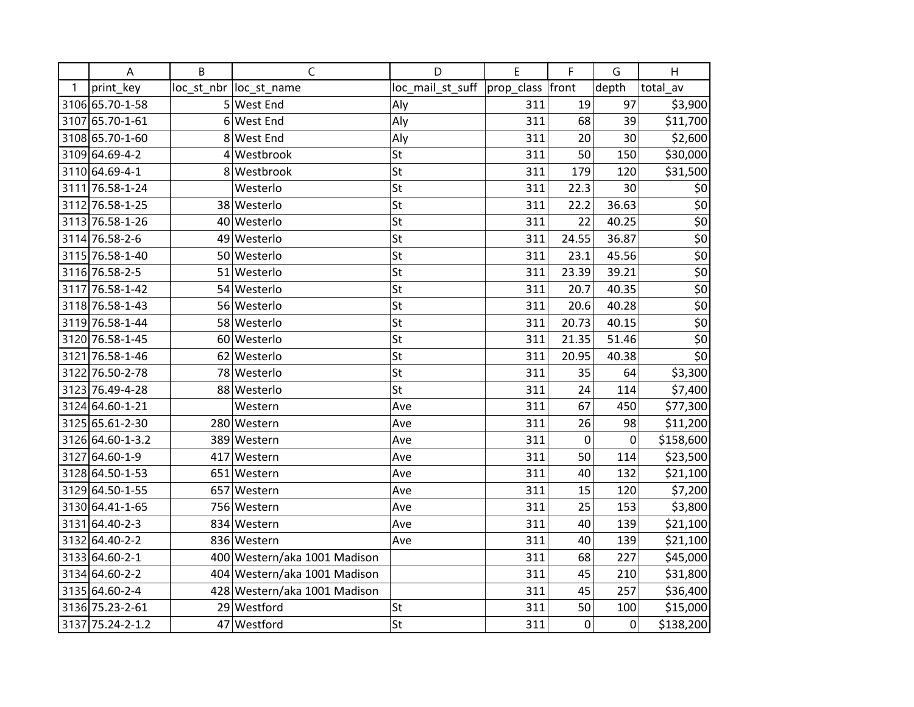|   | Α                | B               | $\mathsf{C}$                 | D                | E                | F           | G     | H                  |
|---|------------------|-----------------|------------------------------|------------------|------------------|-------------|-------|--------------------|
| 1 | print_key        |                 | loc_st_nbr  loc_st_name      | loc_mail_st_suff | prop_class front |             | depth | total_av           |
|   | 3106 65.70-1-58  |                 | 5 West End                   | Aly              | 311              | 19          | 97    | \$3,900            |
|   | 3107 65.70-1-61  |                 | 6 West End                   | Aly              | 311              | 68          | 39    | \$11,700           |
|   | 3108 65.70-1-60  |                 | 8 West End                   | Aly              | 311              | 20          | 30    | \$2,600            |
|   | 3109 64.69-4-2   | $\vert 4 \vert$ | Westbrook                    | St               | 311              | 50          | 150   | \$30,000           |
|   | 3110 64.69-4-1   |                 | 8 Westbrook                  | St               | 311              | 179         | 120   | \$31,500           |
|   | 3111 76.58-1-24  |                 | Westerlo                     | St               | 311              | 22.3        | 30    | \$0                |
|   | 3112 76.58-1-25  |                 | 38 Westerlo                  | St               | 311              | 22.2        | 36.63 | \$0                |
|   | 3113 76.58-1-26  |                 | 40 Westerlo                  | St               | 311              | 22          | 40.25 | $\overline{\xi_0}$ |
|   | 3114 76.58-2-6   |                 | 49 Westerlo                  | St               | 311              | 24.55       | 36.87 | $\overline{\xi_0}$ |
|   | 3115 76.58-1-40  |                 | 50 Westerlo                  | St               | 311              | 23.1        | 45.56 | \$0                |
|   | 3116 76.58-2-5   |                 | 51 Westerlo                  | St               | 311              | 23.39       | 39.21 | $\frac{1}{50}$     |
|   | 3117 76.58-1-42  |                 | 54 Westerlo                  | St               | 311              | 20.7        | 40.35 | $\overline{\xi_0}$ |
|   | 3118 76.58-1-43  |                 | 56 Westerlo                  | St               | 311              | 20.6        | 40.28 | $\overline{\xi_0}$ |
|   | 3119 76.58-1-44  |                 | 58 Westerlo                  | St               | 311              | 20.73       | 40.15 | $\frac{1}{50}$     |
|   | 3120 76.58-1-45  |                 | 60 Westerlo                  | St               | 311              | 21.35       | 51.46 | $\overline{\xi_0}$ |
|   | 3121 76.58-1-46  |                 | 62 Westerlo                  | St               | 311              | 20.95       | 40.38 | $\overline{\xi_0}$ |
|   | 3122 76.50-2-78  |                 | 78 Westerlo                  | St               | 311              | 35          | 64    | \$3,300            |
|   | 3123 76.49-4-28  |                 | 88 Westerlo                  | St               | 311              | 24          | 114   | \$7,400            |
|   | 3124 64.60-1-21  |                 | Western                      | Ave              | 311              | 67          | 450   | \$77,300           |
|   | 3125 65.61-2-30  |                 | 280 Western                  | Ave              | 311              | 26          | 98    | \$11,200           |
|   | 3126 64.60-1-3.2 |                 | 389 Western                  | Ave              | 311              | 0           | 0     | \$158,600          |
|   | 3127 64.60-1-9   |                 | 417 Western                  | Ave              | 311              | 50          | 114   | \$23,500           |
|   | 3128 64.50-1-53  |                 | 651 Western                  | Ave              | 311              | 40          | 132   | \$21,100           |
|   | 3129 64.50-1-55  |                 | 657 Western                  | Ave              | 311              | 15          | 120   | \$7,200            |
|   | 3130 64.41-1-65  |                 | 756 Western                  | Ave              | 311              | 25          | 153   | \$3,800            |
|   | 3131 64.40-2-3   |                 | 834 Western                  | Ave              | 311              | 40          | 139   | \$21,100           |
|   | 3132 64.40-2-2   |                 | 836 Western                  | Ave              | 311              | 40          | 139   | \$21,100           |
|   | 3133 64.60-2-1   |                 | 400 Western/aka 1001 Madison |                  | 311              | 68          | 227   | \$45,000           |
|   | 3134 64.60-2-2   |                 | 404 Western/aka 1001 Madison |                  | 311              | 45          | 210   | \$31,800           |
|   | 3135 64.60-2-4   |                 | 428 Western/aka 1001 Madison |                  | 311              | 45          | 257   | \$36,400           |
|   | 3136 75.23-2-61  |                 | 29 Westford                  | St               | 311              | 50          | 100   | \$15,000           |
|   | 3137 75.24-2-1.2 |                 | 47 Westford                  | St               | 311              | $\mathbf 0$ | 0     | \$138,200          |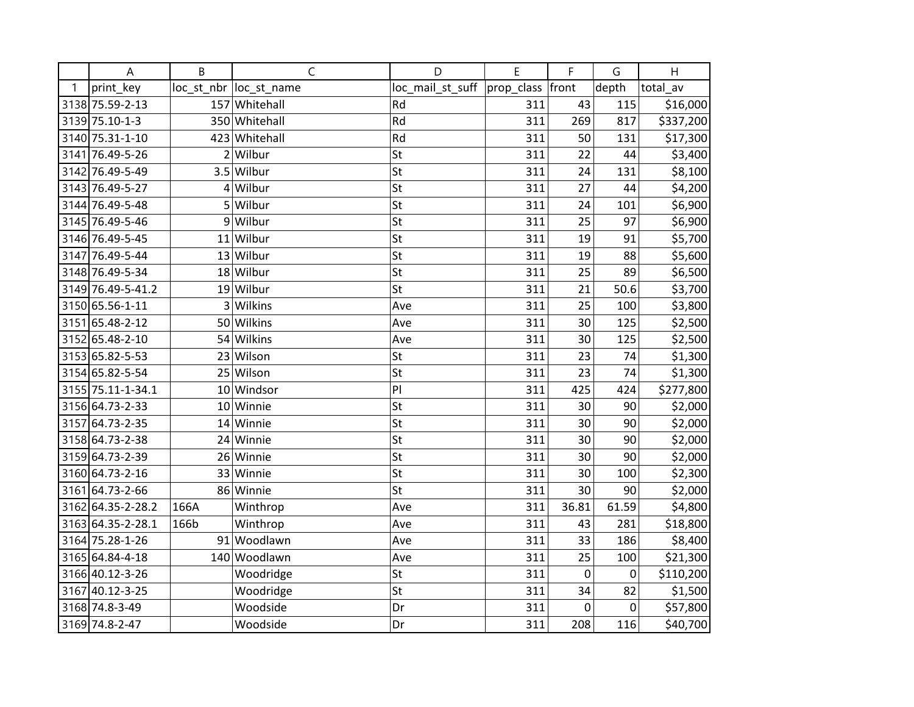|   | A                 | B              | $\mathsf{C}$            | D                | E          | F           | G     | H         |
|---|-------------------|----------------|-------------------------|------------------|------------|-------------|-------|-----------|
| 1 | print_key         |                | loc_st_nbr  loc_st_name | loc_mail_st_suff | prop_class | front       | depth | total av  |
|   | 3138 75.59-2-13   |                | 157 Whitehall           | Rd               | 311        | 43          | 115   | \$16,000  |
|   | 3139 75.10-1-3    |                | 350 Whitehall           | Rd               | 311        | 269         | 817   | \$337,200 |
|   | 3140 75.31-1-10   |                | 423 Whitehall           | Rd               | 311        | 50          | 131   | \$17,300  |
|   | 3141 76.49-5-26   | $\overline{2}$ | Wilbur                  | St               | 311        | 22          | 44    | \$3,400   |
|   | 3142 76.49-5-49   |                | $3.5$ Wilbur            | St               | 311        | 24          | 131   | \$8,100   |
|   | 3143 76.49-5-27   |                | 4Wilbur                 | St               | 311        | 27          | 44    | \$4,200   |
|   | 3144 76.49-5-48   |                | 5 Wilbur                | St               | 311        | 24          | 101   | \$6,900   |
|   | 3145 76.49-5-46   | 9              | Wilbur                  | St               | 311        | 25          | 97    | \$6,900   |
|   | 3146 76.49-5-45   |                | 11 Wilbur               | St               | 311        | 19          | 91    | \$5,700   |
|   | 3147 76.49-5-44   |                | 13 Wilbur               | St               | 311        | 19          | 88    | \$5,600   |
|   | 3148 76.49-5-34   |                | 18 Wilbur               | St               | 311        | 25          | 89    | \$6,500   |
|   | 3149 76.49-5-41.2 |                | 19 Wilbur               | St               | 311        | 21          | 50.6  | \$3,700   |
|   | 3150 65.56-1-11   |                | 3 Wilkins               | Ave              | 311        | 25          | 100   | \$3,800   |
|   | 3151 65.48-2-12   |                | 50 Wilkins              | Ave              | 311        | 30          | 125   | \$2,500   |
|   | 3152 65.48-2-10   |                | 54 Wilkins              | Ave              | 311        | 30          | 125   | \$2,500   |
|   | 3153 65.82-5-53   |                | 23 Wilson               | St               | 311        | 23          | 74    | \$1,300   |
|   | 3154 65.82-5-54   |                | 25 Wilson               | St               | 311        | 23          | 74    | \$1,300   |
|   | 3155 75.11-1-34.1 |                | 10 Windsor              | PI               | 311        | 425         | 424   | \$277,800 |
|   | 3156 64.73-2-33   |                | 10 Winnie               | St               | 311        | 30          | 90    | \$2,000   |
|   | 3157 64.73-2-35   |                | 14 Winnie               | St               | 311        | 30          | 90    | \$2,000   |
|   | 3158 64.73-2-38   |                | 24 Winnie               | St               | 311        | 30          | 90    | \$2,000   |
|   | 3159 64.73-2-39   |                | 26 Winnie               | St               | 311        | 30          | 90    | \$2,000   |
|   | 3160 64.73-2-16   |                | 33 Winnie               | St               | 311        | 30          | 100   | \$2,300   |
|   | 3161 64.73-2-66   |                | 86 Winnie               | St               | 311        | 30          | 90    | \$2,000   |
|   | 3162 64.35-2-28.2 | 166A           | Winthrop                | Ave              | 311        | 36.81       | 61.59 | \$4,800   |
|   | 3163 64.35-2-28.1 | 166b           | Winthrop                | Ave              | 311        | 43          | 281   | \$18,800  |
|   | 3164 75.28-1-26   |                | 91 Woodlawn             | Ave              | 311        | 33          | 186   | \$8,400   |
|   | 3165 64.84-4-18   |                | 140 Woodlawn            | Ave              | 311        | 25          | 100   | \$21,300  |
|   | 3166 40.12-3-26   |                | Woodridge               | St               | 311        | 0           | 0     | \$110,200 |
|   | 3167 40.12-3-25   |                | Woodridge               | St               | 311        | 34          | 82    | \$1,500   |
|   | 3168 74.8-3-49    |                | Woodside                | Dr               | 311        | $\mathbf 0$ | 0     | \$57,800  |
|   | 3169 74.8-2-47    |                | Woodside                | Dr               | 311        | 208         | 116   | \$40,700  |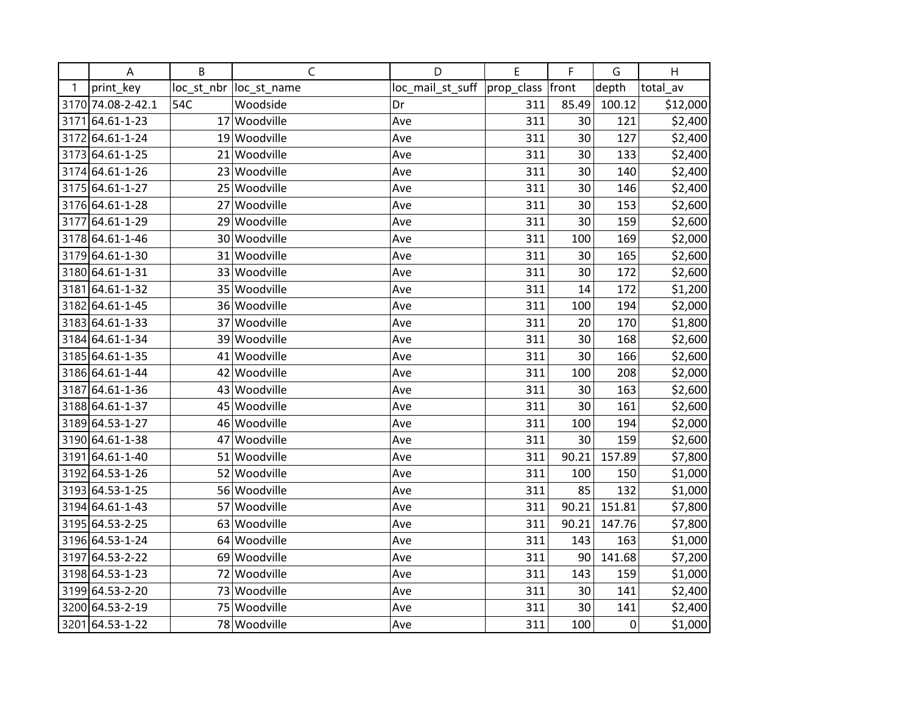|   | Α                 | B   | C                       | D                                   | E   | F     | G           | H        |
|---|-------------------|-----|-------------------------|-------------------------------------|-----|-------|-------------|----------|
| 1 | print_key         |     | loc_st_nbr  loc_st_name | loc_mail_st_suff  prop_class  front |     |       | depth       | total_av |
|   | 3170 74.08-2-42.1 | 54C | Woodside                | Dr                                  | 311 | 85.49 | 100.12      | \$12,000 |
|   | 3171 64.61-1-23   |     | 17 Woodville            | Ave                                 | 311 | 30    | 121         | \$2,400  |
|   | 3172 64.61-1-24   |     | 19 Woodville            | Ave                                 | 311 | 30    | 127         | \$2,400  |
|   | 3173 64.61-1-25   |     | 21 Woodville            | Ave                                 | 311 | 30    | 133         | \$2,400  |
|   | 3174 64.61-1-26   |     | 23 Woodville            | Ave                                 | 311 | 30    | 140         | \$2,400  |
|   | 3175 64.61-1-27   |     | 25 Woodville            | Ave                                 | 311 | 30    | 146         | \$2,400  |
|   | 3176 64.61-1-28   |     | 27 Woodville            | Ave                                 | 311 | 30    | 153         | \$2,600  |
|   | 3177 64.61-1-29   |     | 29 Woodville            | Ave                                 | 311 | 30    | 159         | \$2,600  |
|   | 3178 64.61-1-46   |     | 30 Woodville            | Ave                                 | 311 | 100   | 169         | \$2,000  |
|   | 3179 64.61-1-30   |     | 31 Woodville            | Ave                                 | 311 | 30    | 165         | \$2,600  |
|   | 3180 64.61-1-31   |     | 33 Woodville            | Ave                                 | 311 | 30    | 172         | \$2,600  |
|   | 3181 64.61-1-32   |     | 35 Woodville            | Ave                                 | 311 | 14    | 172         | \$1,200  |
|   | 3182 64.61-1-45   |     | 36 Woodville            | Ave                                 | 311 | 100   | 194         | \$2,000  |
|   | 3183 64.61-1-33   |     | 37 Woodville            | Ave                                 | 311 | 20    | 170         | \$1,800  |
|   | 3184 64.61-1-34   |     | 39 Woodville            | Ave                                 | 311 | 30    | 168         | \$2,600  |
|   | 3185 64.61-1-35   |     | 41 Woodville            | Ave                                 | 311 | 30    | 166         | \$2,600  |
|   | 3186 64.61-1-44   |     | 42 Woodville            | Ave                                 | 311 | 100   | 208         | \$2,000  |
|   | 3187 64.61-1-36   |     | 43 Woodville            | Ave                                 | 311 | 30    | 163         | \$2,600  |
|   | 3188 64.61-1-37   |     | 45 Woodville            | Ave                                 | 311 | 30    | 161         | \$2,600  |
|   | 3189 64.53-1-27   |     | 46 Woodville            | Ave                                 | 311 | 100   | 194         | \$2,000  |
|   | 3190 64.61-1-38   |     | 47 Woodville            | Ave                                 | 311 | 30    | 159         | \$2,600  |
|   | 3191 64.61-1-40   |     | 51 Woodville            | Ave                                 | 311 | 90.21 | 157.89      | \$7,800  |
|   | 3192 64.53-1-26   |     | 52 Woodville            | Ave                                 | 311 | 100   | 150         | \$1,000  |
|   | 3193 64.53-1-25   |     | 56 Woodville            | Ave                                 | 311 | 85    | 132         | \$1,000  |
|   | 3194 64.61-1-43   |     | 57 Woodville            | Ave                                 | 311 | 90.21 | 151.81      | \$7,800  |
|   | 3195 64.53-2-25   |     | 63 Woodville            | Ave                                 | 311 | 90.21 | 147.76      | \$7,800  |
|   | 3196 64.53-1-24   |     | 64 Woodville            | Ave                                 | 311 | 143   | 163         | \$1,000  |
|   | 3197 64.53-2-22   |     | 69 Woodville            | Ave                                 | 311 | 90    | 141.68      | \$7,200  |
|   | 3198 64.53-1-23   |     | 72 Woodville            | Ave                                 | 311 | 143   | 159         | \$1,000  |
|   | 3199 64.53-2-20   |     | 73 Woodville            | Ave                                 | 311 | 30    | 141         | \$2,400  |
|   | 3200 64.53-2-19   |     | 75 Woodville            | Ave                                 | 311 | 30    | 141         | \$2,400  |
|   | 3201 64.53-1-22   |     | 78 Woodville            | Ave                                 | 311 | 100   | $\mathbf 0$ | \$1,000  |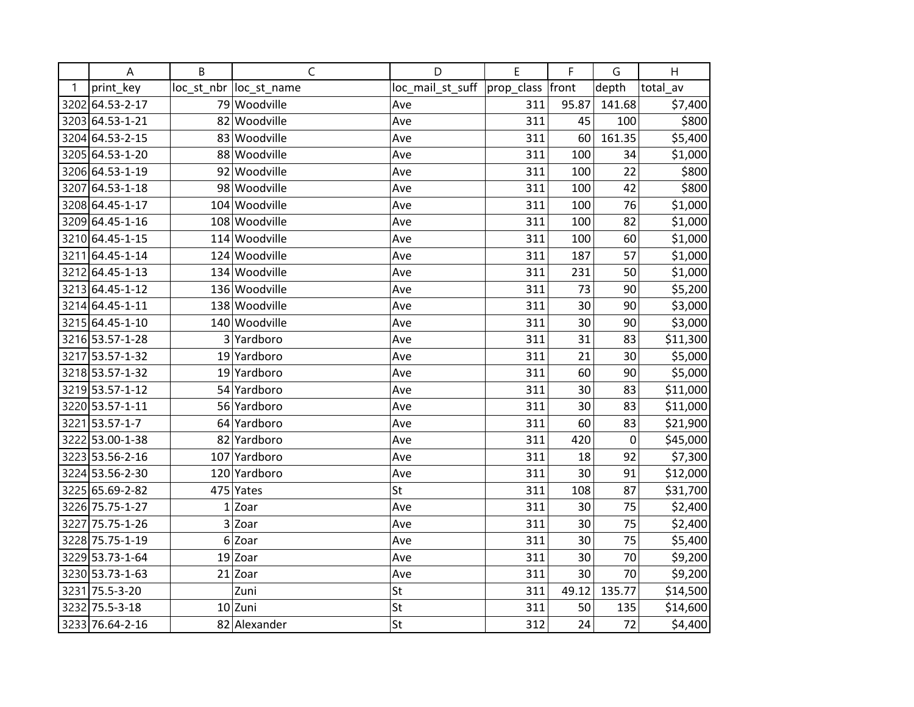|   | A               | B              | C                       | D                | E                | F     | G           | H        |
|---|-----------------|----------------|-------------------------|------------------|------------------|-------|-------------|----------|
| 1 | print_key       |                | loc_st_nbr  loc_st_name | loc_mail_st_suff | prop_class front |       | depth       | total_av |
|   | 3202 64.53-2-17 |                | 79 Woodville            | Ave              | 311              | 95.87 | 141.68      | \$7,400  |
|   | 3203 64.53-1-21 |                | 82 Woodville            | Ave              | 311              | 45    | 100         | \$800    |
|   | 3204 64.53-2-15 |                | 83 Woodville            | Ave              | 311              | 60    | 161.35      | \$5,400  |
|   | 3205 64.53-1-20 |                | 88 Woodville            | Ave              | 311              | 100   | 34          | \$1,000  |
|   | 3206 64.53-1-19 |                | 92 Woodville            | Ave              | 311              | 100   | 22          | \$800    |
|   | 3207 64.53-1-18 |                | 98 Woodville            | Ave              | 311              | 100   | 42          | \$800    |
|   | 3208 64.45-1-17 |                | 104 Woodville           | Ave              | 311              | 100   | 76          | \$1,000  |
|   | 3209 64.45-1-16 |                | 108 Woodville           | Ave              | 311              | 100   | 82          | \$1,000  |
|   | 3210 64.45-1-15 |                | 114 Woodville           | Ave              | 311              | 100   | 60          | \$1,000  |
|   | 3211 64.45-1-14 |                | 124 Woodville           | Ave              | 311              | 187   | 57          | \$1,000  |
|   | 3212 64.45-1-13 |                | 134 Woodville           | Ave              | 311              | 231   | 50          | \$1,000  |
|   | 3213 64.45-1-12 |                | 136 Woodville           | Ave              | 311              | 73    | 90          | \$5,200  |
|   | 3214 64.45-1-11 |                | 138 Woodville           | Ave              | 311              | 30    | 90          | \$3,000  |
|   | 3215 64.45-1-10 |                | 140 Woodville           | Ave              | 311              | 30    | 90          | \$3,000  |
|   | 3216 53.57-1-28 |                | 3 Yardboro              | Ave              | 311              | 31    | 83          | \$11,300 |
|   | 3217 53.57-1-32 |                | 19 Yardboro             | Ave              | 311              | 21    | 30          | \$5,000  |
|   | 3218 53.57-1-32 |                | 19 Yardboro             | Ave              | 311              | 60    | 90          | \$5,000  |
|   | 3219 53.57-1-12 |                | 54 Yardboro             | Ave              | 311              | 30    | 83          | \$11,000 |
|   | 3220 53.57-1-11 |                | 56 Yardboro             | Ave              | 311              | 30    | 83          | \$11,000 |
|   | 3221 53.57-1-7  |                | 64 Yardboro             | Ave              | 311              | 60    | 83          | \$21,900 |
|   | 3222 53.00-1-38 |                | 82 Yardboro             | Ave              | 311              | 420   | $\mathbf 0$ | \$45,000 |
|   | 3223 53.56-2-16 |                | 107 Yardboro            | Ave              | 311              | 18    | 92          | \$7,300  |
|   | 3224 53.56-2-30 |                | 120 Yardboro            | Ave              | 311              | 30    | 91          | \$12,000 |
|   | 3225 65.69-2-82 |                | 475 Yates               | St               | 311              | 108   | 87          | \$31,700 |
|   | 3226 75.75-1-27 | $\mathbf{1}$   | Zoar                    | Ave              | 311              | 30    | 75          | \$2,400  |
|   | 3227 75.75-1-26 |                | 3 Zoar                  | Ave              | 311              | 30    | 75          | \$2,400  |
|   | 3228 75.75-1-19 | 6 <sup>1</sup> | Zoar                    | Ave              | 311              | 30    | 75          | \$5,400  |
|   | 3229 53.73-1-64 |                | $19$ Zoar               | Ave              | 311              | 30    | 70          | \$9,200  |
|   | 3230 53.73-1-63 |                | $21$ Zoar               | Ave              | 311              | 30    | 70          | \$9,200  |
|   | 3231 75.5-3-20  |                | Zuni                    | St               | 311              | 49.12 | 135.77      | \$14,500 |
|   | 3232 75.5-3-18  |                | $10$ Zuni               | St               | 311              | 50    | 135         | \$14,600 |
|   | 3233 76.64-2-16 |                | 82 Alexander            | St               | 312              | 24    | 72          | \$4,400  |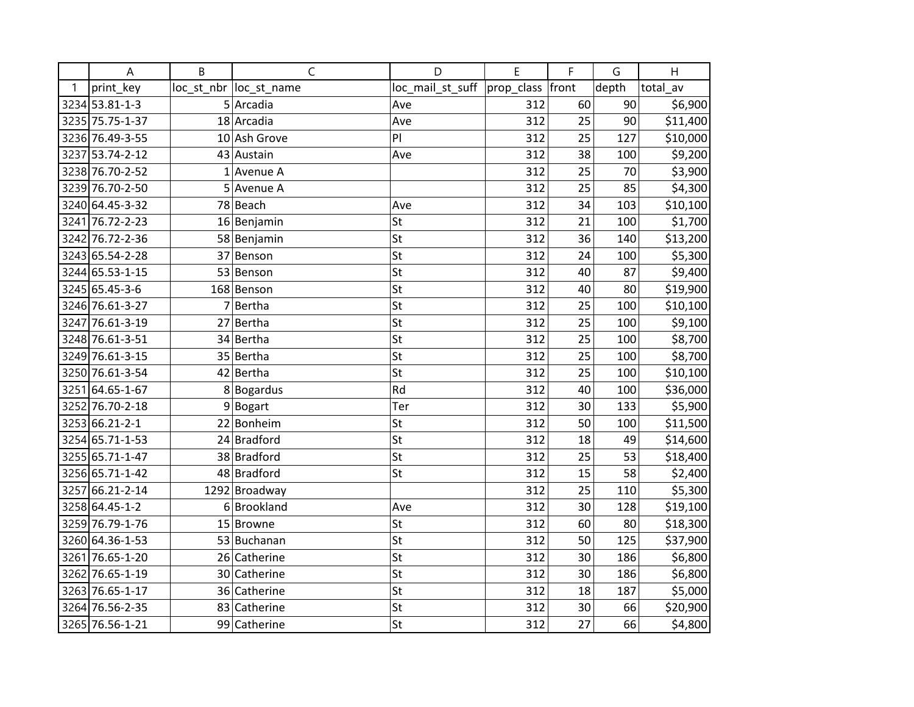|      | A               | B | $\mathsf{C}$            | D                | E          | F     | G     | H        |
|------|-----------------|---|-------------------------|------------------|------------|-------|-------|----------|
| 1    | print_key       |   | loc_st_nbr  loc_st_name | loc_mail_st_suff | prop_class | front | depth | total_av |
|      | 3234 53.81-1-3  |   | $5$ Arcadia             | Ave              | 312        | 60    | 90    | \$6,900  |
|      | 3235 75.75-1-37 |   | 18 Arcadia              | Ave              | 312        | 25    | 90    | \$11,400 |
|      | 3236 76.49-3-55 |   | 10 Ash Grove            | PI               | 312        | 25    | 127   | \$10,000 |
|      | 3237 53.74-2-12 |   | 43 Austain              | Ave              | 312        | 38    | 100   | \$9,200  |
|      | 3238 76.70-2-52 |   | $1$ Avenue A            |                  | 312        | 25    | 70    | \$3,900  |
|      | 3239 76.70-2-50 |   | 5 Avenue A              |                  | 312        | 25    | 85    | \$4,300  |
|      | 3240 64.45-3-32 |   | 78 Beach                | Ave              | 312        | 34    | 103   | \$10,100 |
|      | 3241 76.72-2-23 |   | 16 Benjamin             | St               | 312        | 21    | 100   | \$1,700  |
|      | 3242 76.72-2-36 |   | 58 Benjamin             | St               | 312        | 36    | 140   | \$13,200 |
|      | 3243 65.54-2-28 |   | 37 Benson               | St               | 312        | 24    | 100   | \$5,300  |
|      | 3244 65.53-1-15 |   | 53 Benson               | St               | 312        | 40    | 87    | \$9,400  |
|      | 3245 65.45-3-6  |   | 168 Benson              | St               | 312        | 40    | 80    | \$19,900 |
|      | 3246 76.61-3-27 |   | 7Bertha                 | St               | 312        | 25    | 100   | \$10,100 |
|      | 3247 76.61-3-19 |   | 27 Bertha               | St               | 312        | 25    | 100   | \$9,100  |
|      | 3248 76.61-3-51 |   | 34 Bertha               | St               | 312        | 25    | 100   | \$8,700  |
|      | 3249 76.61-3-15 |   | 35 Bertha               | St               | 312        | 25    | 100   | \$8,700  |
|      | 3250 76.61-3-54 |   | 42 Bertha               | St               | 312        | 25    | 100   | \$10,100 |
|      | 3251 64.65-1-67 |   | 8Bogardus               | Rd               | 312        | 40    | 100   | \$36,000 |
|      | 3252 76.70-2-18 |   | 9Bogart                 | Ter              | 312        | 30    | 133   | \$5,900  |
|      | 3253 66.21-2-1  |   | 22 Bonheim              | St               | 312        | 50    | 100   | \$11,500 |
|      | 3254 65.71-1-53 |   | 24 Bradford             | St               | 312        | 18    | 49    | \$14,600 |
|      | 3255 65.71-1-47 |   | 38 Bradford             | St               | 312        | 25    | 53    | \$18,400 |
|      | 3256 65.71-1-42 |   | 48 Bradford             | St               | 312        | 15    | 58    | \$2,400  |
| 3257 | 66.21-2-14      |   | 1292 Broadway           |                  | 312        | 25    | 110   | \$5,300  |
|      | 3258 64.45-1-2  | 6 | <b>Brookland</b>        | Ave              | 312        | 30    | 128   | \$19,100 |
|      | 3259 76.79-1-76 |   | 15 Browne               | St               | 312        | 60    | 80    | \$18,300 |
|      | 3260 64.36-1-53 |   | 53 Buchanan             | St               | 312        | 50    | 125   | \$37,900 |
|      | 3261 76.65-1-20 |   | 26 Catherine            | St               | 312        | 30    | 186   | \$6,800  |
|      | 3262 76.65-1-19 |   | 30 Catherine            | St               | 312        | 30    | 186   | \$6,800  |
|      | 3263 76.65-1-17 |   | 36 Catherine            | St               | 312        | 18    | 187   | \$5,000  |
|      | 3264 76.56-2-35 |   | 83 Catherine            | St               | 312        | 30    | 66    | \$20,900 |
|      | 3265 76.56-1-21 |   | 99 Catherine            | St               | 312        | 27    | 66    | \$4,800  |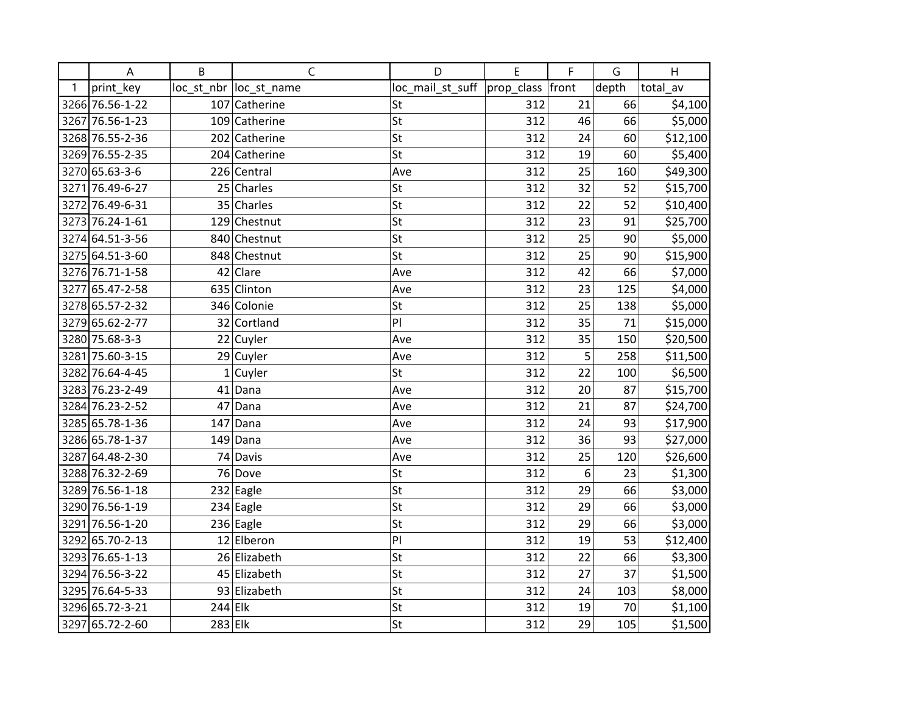|   | A               | B         | $\mathsf{C}$            | D                | E          | F     | G     | H        |
|---|-----------------|-----------|-------------------------|------------------|------------|-------|-------|----------|
| 1 | print_key       |           | loc_st_nbr  loc_st_name | loc_mail_st_suff | prop_class | front | depth | total_av |
|   | 3266 76.56-1-22 |           | 107 Catherine           | St               | 312        | 21    | 66    | \$4,100  |
|   | 3267 76.56-1-23 |           | 109 Catherine           | St               | 312        | 46    | 66    | \$5,000  |
|   | 3268 76.55-2-36 |           | 202 Catherine           | St               | 312        | 24    | 60    | \$12,100 |
|   | 3269 76.55-2-35 |           | 204 Catherine           | St               | 312        | 19    | 60    | \$5,400  |
|   | 3270 65.63-3-6  |           | 226 Central             | Ave              | 312        | 25    | 160   | \$49,300 |
|   | 3271 76.49-6-27 |           | 25 Charles              | St               | 312        | 32    | 52    | \$15,700 |
|   | 3272 76.49-6-31 |           | 35 Charles              | St               | 312        | 22    | 52    | \$10,400 |
|   | 3273 76.24-1-61 |           | 129 Chestnut            | St               | 312        | 23    | 91    | \$25,700 |
|   | 3274 64.51-3-56 |           | 840 Chestnut            | St               | 312        | 25    | 90    | \$5,000  |
|   | 3275 64.51-3-60 |           | 848 Chestnut            | St               | 312        | 25    | 90    | \$15,900 |
|   | 3276 76.71-1-58 |           | $42$ Clare              | Ave              | 312        | 42    | 66    | \$7,000  |
|   | 3277 65.47-2-58 |           | 635 Clinton             | Ave              | 312        | 23    | 125   | \$4,000  |
|   | 3278 65.57-2-32 |           | 346 Colonie             | St               | 312        | 25    | 138   | \$5,000  |
|   | 3279 65.62-2-77 |           | 32 Cortland             | PI               | 312        | 35    | 71    | \$15,000 |
|   | 3280 75.68-3-3  |           | 22 Cuyler               | Ave              | 312        | 35    | 150   | \$20,500 |
|   | 3281 75.60-3-15 |           | 29 Cuyler               | Ave              | 312        | 5     | 258   | \$11,500 |
|   | 3282 76.64-4-45 |           | $1$ Cuyler              | St               | 312        | 22    | 100   | \$6,500  |
|   | 3283 76.23-2-49 |           | $41$ Dana               | Ave              | 312        | 20    | 87    | \$15,700 |
|   | 3284 76.23-2-52 |           | 47 Dana                 | Ave              | 312        | 21    | 87    | \$24,700 |
|   | 3285 65.78-1-36 | 147       | Dana                    | Ave              | 312        | 24    | 93    | \$17,900 |
|   | 3286 65.78-1-37 |           | $149$ Dana              | Ave              | 312        | 36    | 93    | \$27,000 |
|   | 3287 64.48-2-30 |           | 74 Davis                | Ave              | 312        | 25    | 120   | \$26,600 |
|   | 3288 76.32-2-69 |           | 76 Dove                 | St               | 312        | 6     | 23    | \$1,300  |
|   | 3289 76.56-1-18 |           | 232 Eagle               | St               | 312        | 29    | 66    | \$3,000  |
|   | 3290 76.56-1-19 |           | $\overline{2}34$ Eagle  | St               | 312        | 29    | 66    | \$3,000  |
|   | 3291 76.56-1-20 |           | $236$ Eagle             | St               | 312        | 29    | 66    | \$3,000  |
|   | 3292 65.70-2-13 |           | 12 Elberon              | PI               | 312        | 19    | 53    | \$12,400 |
|   | 3293 76.65-1-13 |           | 26 Elizabeth            | St               | 312        | 22    | 66    | \$3,300  |
|   | 3294 76.56-3-22 |           | 45 Elizabeth            | St               | 312        | 27    | 37    | \$1,500  |
|   | 3295 76.64-5-33 |           | 93 Elizabeth            | St               | 312        | 24    | 103   | \$8,000  |
|   | 3296 65.72-3-21 | $244$ Elk |                         | St               | 312        | 19    | 70    | \$1,100  |
|   | 3297 65.72-2-60 | $283$ Elk |                         | St               | 312        | 29    | 105   | \$1,500  |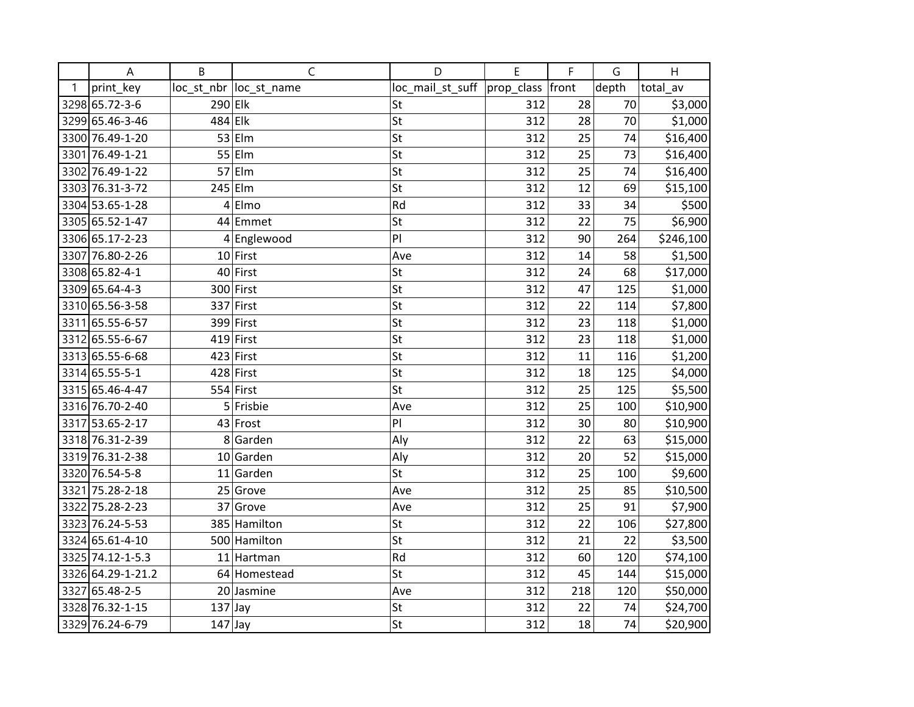|   | A                 | B         | C                       | D                                   | E   | F   | G     | H         |
|---|-------------------|-----------|-------------------------|-------------------------------------|-----|-----|-------|-----------|
| 1 | print_key         |           | loc_st_nbr  loc_st_name | loc_mail_st_suff  prop_class  front |     |     | depth | total av  |
|   | 3298 65.72-3-6    | 290 Elk   |                         | St                                  | 312 | 28  | 70    | \$3,000   |
|   | 3299 65.46-3-46   | 484 Elk   |                         | St                                  | 312 | 28  | 70    | \$1,000   |
|   | 3300 76.49-1-20   |           | $53$ Elm                | St                                  | 312 | 25  | 74    | \$16,400  |
|   | 3301 76.49-1-21   |           | $55$ Elm                | St                                  | 312 | 25  | 73    | \$16,400  |
|   | 3302 76.49-1-22   |           | $57$  Elm               | St                                  | 312 | 25  | 74    | \$16,400  |
|   | 3303 76.31-3-72   |           | $245$ Elm               | St                                  | 312 | 12  | 69    | \$15,100  |
|   | 3304 53.65-1-28   |           | $4$ Elmo                | Rd                                  | 312 | 33  | 34    | \$500     |
|   | 3305 65.52-1-47   |           | 44 Emmet                | St                                  | 312 | 22  | 75    | \$6,900   |
|   | 3306 65.17-2-23   |           | 4 Englewood             | PI                                  | 312 | 90  | 264   | \$246,100 |
|   | 3307 76.80-2-26   |           | $10$ First              | Ave                                 | 312 | 14  | 58    | \$1,500   |
|   | 3308 65.82-4-1    |           | 40 First                | St                                  | 312 | 24  | 68    | \$17,000  |
|   | 3309 65.64-4-3    |           | 300 First               | St                                  | 312 | 47  | 125   | \$1,000   |
|   | 3310 65.56-3-58   |           | 337 First               | St                                  | 312 | 22  | 114   | \$7,800   |
|   | 3311 65.55-6-57   |           | 399 First               | St                                  | 312 | 23  | 118   | \$1,000   |
|   | 3312 65.55-6-67   |           | $419$ First             | St                                  | 312 | 23  | 118   | \$1,000   |
|   | 3313 65.55-6-68   |           | $423$ First             | St                                  | 312 | 11  | 116   | \$1,200   |
|   | 3314 65.55-5-1    |           | 428 First               | St                                  | 312 | 18  | 125   | \$4,000   |
|   | 3315 65.46-4-47   |           | $554$ First             | St                                  | 312 | 25  | 125   | \$5,500   |
|   | 3316 76.70-2-40   |           | $5$ Frisbie             | Ave                                 | 312 | 25  | 100   | \$10,900  |
|   | 3317 53.65-2-17   |           | 43 Frost                | PI                                  | 312 | 30  | 80    | \$10,900  |
|   | 3318 76.31-2-39   |           | 8 Garden                | Aly                                 | 312 | 22  | 63    | \$15,000  |
|   | 3319 76.31-2-38   |           | 10 Garden               | Aly                                 | 312 | 20  | 52    | \$15,000  |
|   | 3320 76.54-5-8    |           | $11$ Garden             | St                                  | 312 | 25  | 100   | \$9,600   |
|   | 3321 75.28-2-18   |           | 25 Grove                | Ave                                 | 312 | 25  | 85    | \$10,500  |
|   | 3322 75.28-2-23   |           | 37 Grove                | Ave                                 | 312 | 25  | 91    | \$7,900   |
|   | 3323 76.24-5-53   |           | 385 Hamilton            | St                                  | 312 | 22  | 106   | \$27,800  |
|   | 3324 65.61-4-10   |           | 500 Hamilton            | St                                  | 312 | 21  | 22    | \$3,500   |
|   | 3325 74.12-1-5.3  |           | 11 Hartman              | Rd                                  | 312 | 60  | 120   | \$74,100  |
|   | 3326 64.29-1-21.2 |           | 64 Homestead            | St                                  | 312 | 45  | 144   | \$15,000  |
|   | 3327 65.48-2-5    |           | 20 Jasmine              | Ave                                 | 312 | 218 | 120   | \$50,000  |
|   | 3328 76.32-1-15   | $137$ Jay |                         | St                                  | 312 | 22  | 74    | \$24,700  |
|   | 3329 76.24-6-79   | $147$ Jay |                         | St                                  | 312 | 18  | 74    | \$20,900  |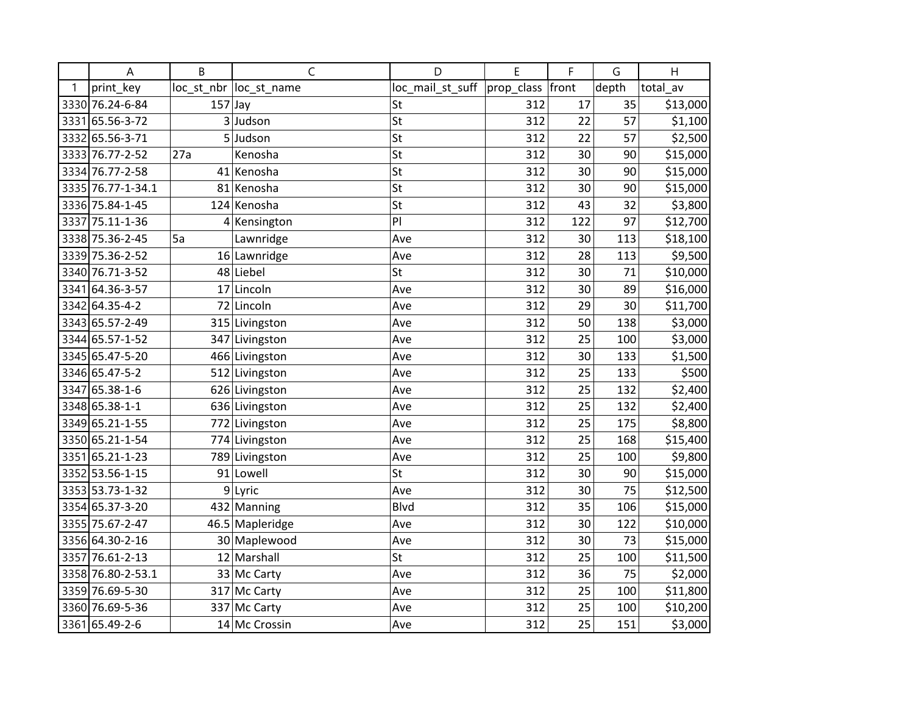|   | A                 | B         | C                       | D                | E                | F   | G     | $\mathsf{H}$ |
|---|-------------------|-----------|-------------------------|------------------|------------------|-----|-------|--------------|
| 1 | print key         |           | loc_st_nbr  loc_st_name | loc_mail_st_suff | prop_class front |     | depth | total_av     |
|   | 3330 76.24-6-84   | $157$ Jay |                         | St               | 312              | 17  | 35    | \$13,000     |
|   | 3331 65.56-3-72   |           | 3 Judson                | St               | 312              | 22  | 57    | \$1,100      |
|   | 3332 65.56-3-71   |           | 5Judson                 | St               | 312              | 22  | 57    | \$2,500      |
|   | 3333 76.77-2-52   | 27a       | Kenosha                 | St               | 312              | 30  | 90    | \$15,000     |
|   | 3334 76.77-2-58   |           | 41 Kenosha              | St               | 312              | 30  | 90    | \$15,000     |
|   | 3335 76.77-1-34.1 |           | 81 Kenosha              | St               | 312              | 30  | 90    | \$15,000     |
|   | 3336 75.84-1-45   |           | 124 Kenosha             | St               | 312              | 43  | 32    | \$3,800      |
|   | 3337 75.11-1-36   |           | 4 Kensington            | PI               | 312              | 122 | 97    | \$12,700     |
|   | 3338 75.36-2-45   | 5a        | Lawnridge               | Ave              | 312              | 30  | 113   | \$18,100     |
|   | 3339 75.36-2-52   |           | 16 Lawnridge            | Ave              | 312              | 28  | 113   | \$9,500      |
|   | 3340 76.71-3-52   |           | 48 Liebel               | St               | 312              | 30  | 71    | \$10,000     |
|   | 3341 64.36-3-57   |           | 17 Lincoln              | Ave              | 312              | 30  | 89    | \$16,000     |
|   | 3342 64.35-4-2    |           | 72 Lincoln              | Ave              | 312              | 29  | 30    | \$11,700     |
|   | 3343 65.57-2-49   |           | 315 Livingston          | Ave              | 312              | 50  | 138   | \$3,000      |
|   | 3344 65.57-1-52   |           | 347 Livingston          | Ave              | 312              | 25  | 100   | \$3,000      |
|   | 3345 65.47-5-20   |           | 466 Livingston          | Ave              | 312              | 30  | 133   | \$1,500      |
|   | 3346 65.47-5-2    |           | 512 Livingston          | Ave              | 312              | 25  | 133   | \$500        |
|   | 3347 65.38-1-6    |           | 626 Livingston          | Ave              | 312              | 25  | 132   | \$2,400      |
|   | 3348 65.38-1-1    |           | 636 Livingston          | Ave              | 312              | 25  | 132   | \$2,400      |
|   | 3349 65.21-1-55   |           | 772 Livingston          | Ave              | 312              | 25  | 175   | \$8,800      |
|   | 3350 65.21-1-54   |           | 774 Livingston          | Ave              | 312              | 25  | 168   | \$15,400     |
|   | 3351 65.21-1-23   |           | 789 Livingston          | Ave              | 312              | 25  | 100   | \$9,800      |
|   | 3352 53.56-1-15   |           | 91 Lowell               | St               | 312              | 30  | 90    | \$15,000     |
|   | 3353 53.73-1-32   |           | 9 Lyric                 | Ave              | 312              | 30  | 75    | \$12,500     |
|   | 3354 65.37-3-20   |           | 432 Manning             | Blvd             | 312              | 35  | 106   | \$15,000     |
|   | 3355 75.67-2-47   |           | 46.5 Mapleridge         | Ave              | 312              | 30  | 122   | \$10,000     |
|   | 3356 64.30-2-16   |           | 30 Maplewood            | Ave              | 312              | 30  | 73    | \$15,000     |
|   | 3357 76.61-2-13   |           | 12 Marshall             | St               | 312              | 25  | 100   | \$11,500     |
|   | 3358 76.80-2-53.1 |           | 33 Mc Carty             | Ave              | 312              | 36  | 75    | \$2,000      |
|   | 3359 76.69-5-30   |           | 317 Mc Carty            | Ave              | 312              | 25  | 100   | \$11,800     |
|   | 3360 76.69-5-36   |           | 337 Mc Carty            | Ave              | 312              | 25  | 100   | \$10,200     |
|   | 3361 65.49-2-6    |           | 14 Mc Crossin           | Ave              | 312              | 25  | 151   | \$3,000      |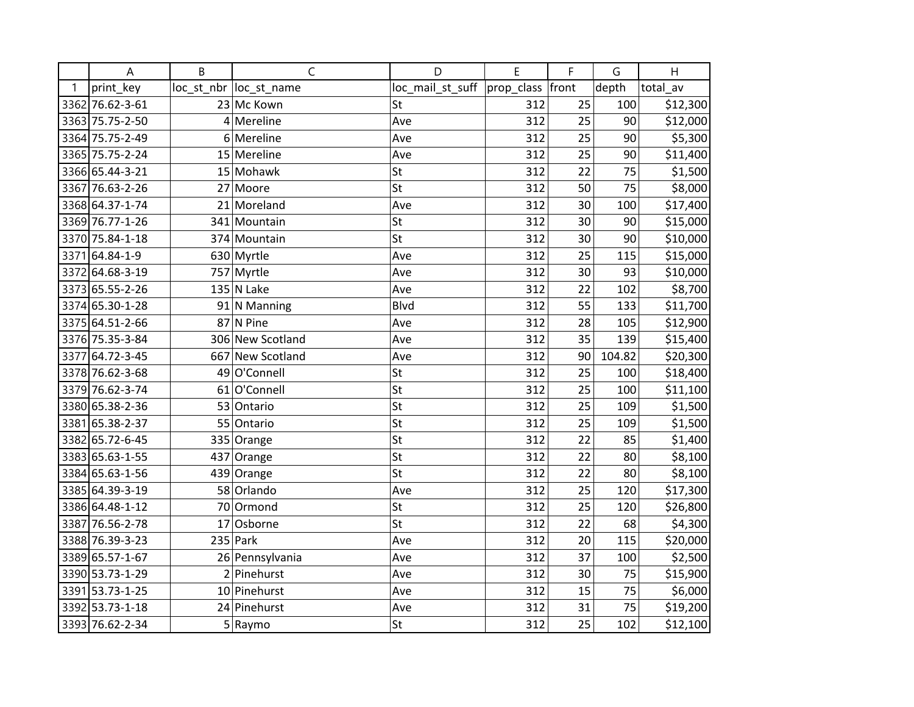|      | A               | B | $\mathsf{C}$            | D                | E                | F  | G      | H        |
|------|-----------------|---|-------------------------|------------------|------------------|----|--------|----------|
| 1    | print_key       |   | loc_st_nbr  loc_st_name | loc_mail_st_suff | prop_class front |    | depth  | total_av |
|      | 3362 76.62-3-61 |   | 23 Mc Kown              | St               | 312              | 25 | 100    | \$12,300 |
|      | 3363 75.75-2-50 |   | $4$ Mereline            | Ave              | 312              | 25 | 90     | \$12,000 |
|      | 3364 75.75-2-49 |   | 6 Mereline              | Ave              | 312              | 25 | 90     | \$5,300  |
|      | 3365 75.75-2-24 |   | 15 Mereline             | Ave              | 312              | 25 | 90     | \$11,400 |
|      | 3366 65.44-3-21 |   | 15 Mohawk               | St               | 312              | 22 | 75     | \$1,500  |
|      | 3367 76.63-2-26 |   | 27 Moore                | St               | 312              | 50 | 75     | \$8,000  |
|      | 3368 64.37-1-74 |   | 21 Moreland             | Ave              | 312              | 30 | 100    | \$17,400 |
|      | 3369 76.77-1-26 |   | 341 Mountain            | St               | 312              | 30 | 90     | \$15,000 |
|      | 3370 75.84-1-18 |   | 374 Mountain            | St               | 312              | 30 | 90     | \$10,000 |
| 3371 | 64.84-1-9       |   | 630 Myrtle              | Ave              | 312              | 25 | 115    | \$15,000 |
|      | 3372 64.68-3-19 |   | 757 Myrtle              | Ave              | 312              | 30 | 93     | \$10,000 |
|      | 3373 65.55-2-26 |   | $135$ N Lake            | Ave              | 312              | 22 | 102    | \$8,700  |
|      | 3374 65.30-1-28 |   | $91$ N Manning          | <b>Blvd</b>      | 312              | 55 | 133    | \$11,700 |
|      | 3375 64.51-2-66 |   | $87$ N Pine             | Ave              | 312              | 28 | 105    | \$12,900 |
|      | 3376 75.35-3-84 |   | 306 New Scotland        | Ave              | 312              | 35 | 139    | \$15,400 |
| 3377 | 64.72-3-45      |   | 667 New Scotland        | Ave              | 312              | 90 | 104.82 | \$20,300 |
|      | 3378 76.62-3-68 |   | 49 O'Connell            | St               | 312              | 25 | 100    | \$18,400 |
|      | 3379 76.62-3-74 |   | 61 O'Connell            | St               | 312              | 25 | 100    | \$11,100 |
|      | 3380 65.38-2-36 |   | 53 Ontario              | St               | 312              | 25 | 109    | \$1,500  |
|      | 3381 65.38-2-37 |   | 55 Ontario              | St               | 312              | 25 | 109    | \$1,500  |
|      | 3382 65.72-6-45 |   | 335 Orange              | St               | 312              | 22 | 85     | \$1,400  |
|      | 3383 65.63-1-55 |   | 437 Orange              | St               | 312              | 22 | 80     | \$8,100  |
|      | 3384 65.63-1-56 |   | 439 Orange              | St               | 312              | 22 | 80     | \$8,100  |
|      | 3385 64.39-3-19 |   | 58 Orlando              | Ave              | 312              | 25 | 120    | \$17,300 |
|      | 3386 64.48-1-12 |   | 70 Ormond               | St               | 312              | 25 | 120    | \$26,800 |
|      | 3387 76.56-2-78 |   | 17 Osborne              | St               | 312              | 22 | 68     | \$4,300  |
|      | 3388 76.39-3-23 |   | $235$ Park              | Ave              | 312              | 20 | 115    | \$20,000 |
|      | 3389 65.57-1-67 |   | 26 Pennsylvania         | Ave              | 312              | 37 | 100    | \$2,500  |
|      | 3390 53.73-1-29 |   | 2 Pinehurst             | Ave              | 312              | 30 | 75     | \$15,900 |
|      | 3391 53.73-1-25 |   | 10 Pinehurst            | Ave              | 312              | 15 | 75     | \$6,000  |
|      | 3392 53.73-1-18 |   | 24 Pinehurst            | Ave              | 312              | 31 | 75     | \$19,200 |
|      | 3393 76.62-2-34 |   | $5 $ Raymo              | St               | 312              | 25 | 102    | \$12,100 |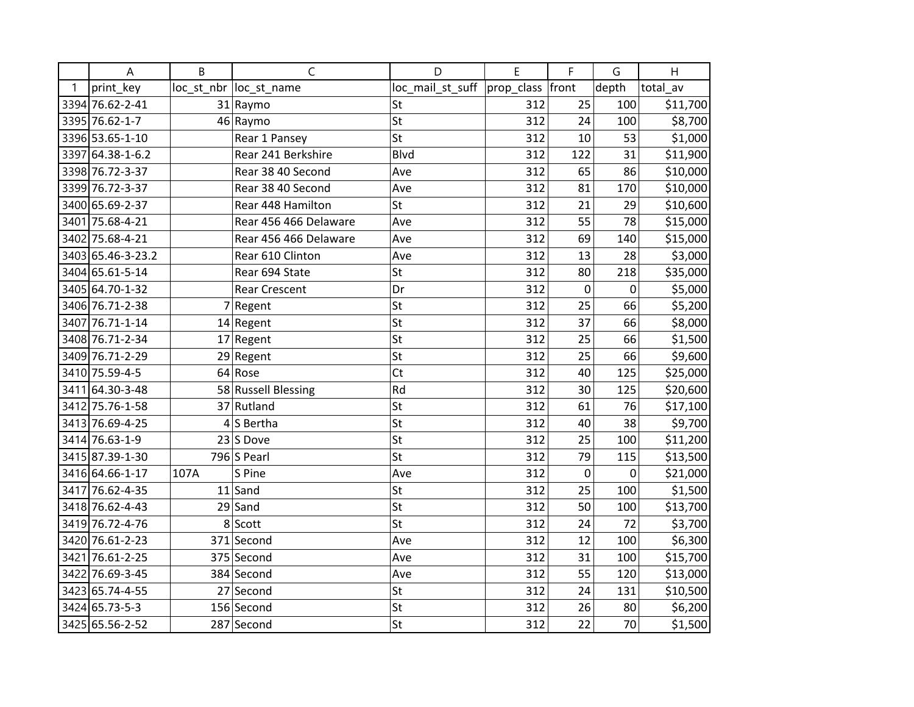|   | A                 | B    | $\mathsf{C}$            | D                | E          | F           | G     | H        |
|---|-------------------|------|-------------------------|------------------|------------|-------------|-------|----------|
| 1 | print key         |      | loc_st_nbr  loc_st_name | loc_mail_st_suff | prop_class | front       | depth | total av |
|   | 3394 76.62-2-41   |      | 31 Raymo                | St               | 312        | 25          | 100   | \$11,700 |
|   | 3395 76.62-1-7    |      | 46 Raymo                | St               | 312        | 24          | 100   | \$8,700  |
|   | 3396 53.65-1-10   |      | Rear 1 Pansey           | St               | 312        | 10          | 53    | \$1,000  |
|   | 3397 64.38-1-6.2  |      | Rear 241 Berkshire      | <b>Blvd</b>      | 312        | 122         | 31    | \$11,900 |
|   | 3398 76.72-3-37   |      | Rear 38 40 Second       | Ave              | 312        | 65          | 86    | \$10,000 |
|   | 3399 76.72-3-37   |      | Rear 38 40 Second       | Ave              | 312        | 81          | 170   | \$10,000 |
|   | 3400 65.69-2-37   |      | Rear 448 Hamilton       | St               | 312        | 21          | 29    | \$10,600 |
|   | 3401 75.68-4-21   |      | Rear 456 466 Delaware   | Ave              | 312        | 55          | 78    | \$15,000 |
|   | 3402 75.68-4-21   |      | Rear 456 466 Delaware   | Ave              | 312        | 69          | 140   | \$15,000 |
|   | 3403 65.46-3-23.2 |      | Rear 610 Clinton        | Ave              | 312        | 13          | 28    | \$3,000  |
|   | 3404 65.61-5-14   |      | Rear 694 State          | St               | 312        | 80          | 218   | \$35,000 |
|   | 3405 64.70-1-32   |      | <b>Rear Crescent</b>    | Dr               | 312        | $\mathbf 0$ | 0     | \$5,000  |
|   | 3406 76.71-2-38   |      | $7$ Regent              | St               | 312        | 25          | 66    | \$5,200  |
|   | 3407 76.71-1-14   |      | $14$ Regent             | St               | 312        | 37          | 66    | \$8,000  |
|   | 3408 76.71-2-34   |      | 17 Regent               | St               | 312        | 25          | 66    | \$1,500  |
|   | 3409 76.71-2-29   |      | 29 Regent               | St               | 312        | 25          | 66    | \$9,600  |
|   | 3410 75.59-4-5    |      | 64 Rose                 | Ct               | 312        | 40          | 125   | \$25,000 |
|   | 3411 64.30-3-48   |      | 58 Russell Blessing     | Rd               | 312        | 30          | 125   | \$20,600 |
|   | 3412 75.76-1-58   |      | 37 Rutland              | St               | 312        | 61          | 76    | \$17,100 |
|   | 3413 76.69-4-25   |      | $4 S$ Bertha            | St               | 312        | 40          | 38    | \$9,700  |
|   | 3414 76.63-1-9    |      | $23$ S Dove             | St               | 312        | 25          | 100   | \$11,200 |
|   | 3415 87.39-1-30   |      | 796 $S$ Pearl           | St               | 312        | 79          | 115   | \$13,500 |
|   | 3416 64.66-1-17   | 107A | S Pine                  | Ave              | 312        | 0           | 0     | \$21,000 |
|   | 3417 76.62-4-35   |      | $11$ Sand               | St               | 312        | 25          | 100   | \$1,500  |
|   | 3418 76.62-4-43   |      | $29$ Sand               | St               | 312        | 50          | 100   | \$13,700 |
|   | 3419 76.72-4-76   |      | 8 Scott                 | St               | 312        | 24          | 72    | \$3,700  |
|   | 3420 76.61-2-23   |      | 371 Second              | Ave              | 312        | 12          | 100   | \$6,300  |
|   | 3421 76.61-2-25   |      | 375 Second              | Ave              | 312        | 31          | 100   | \$15,700 |
|   | 3422 76.69-3-45   |      | 384 Second              | Ave              | 312        | 55          | 120   | \$13,000 |
|   | 3423 65.74-4-55   |      | 27 Second               | St               | 312        | 24          | 131   | \$10,500 |
|   | 3424 65.73-5-3    |      | 156 Second              | St               | 312        | 26          | 80    | \$6,200  |
|   | 3425 65.56-2-52   |      | 287 Second              | St               | 312        | 22          | 70    | \$1,500  |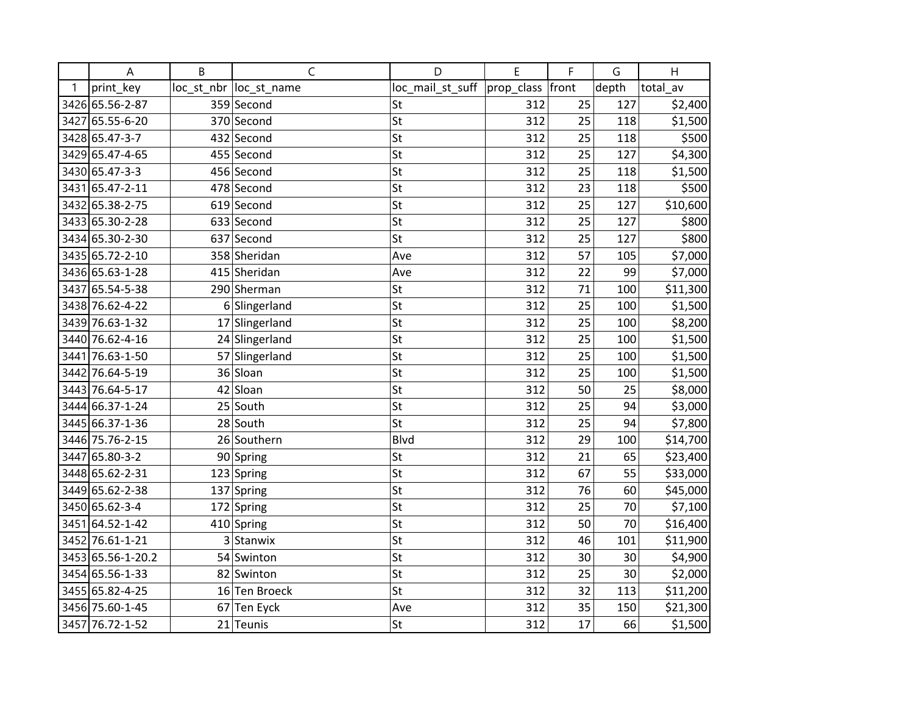|   | A                 | B | C                       | D                | E                | F  | G     | H        |
|---|-------------------|---|-------------------------|------------------|------------------|----|-------|----------|
| 1 | print_key         |   | loc_st_nbr  loc_st_name | loc_mail_st_suff | prop_class front |    | depth | total_av |
|   | 3426 65.56-2-87   |   | 359 Second              | St               | 312              | 25 | 127   | \$2,400  |
|   | 3427 65.55-6-20   |   | 370 Second              | St               | 312              | 25 | 118   | \$1,500  |
|   | 3428 65.47-3-7    |   | 432 Second              | St               | 312              | 25 | 118   | \$500    |
|   | 3429 65.47-4-65   |   | 455 Second              | St               | 312              | 25 | 127   | \$4,300  |
|   | 3430 65.47-3-3    |   | 456 Second              | St               | 312              | 25 | 118   | \$1,500  |
|   | 3431 65.47-2-11   |   | 478 Second              | St               | 312              | 23 | 118   | \$500    |
|   | 3432 65.38-2-75   |   | 619 Second              | St               | 312              | 25 | 127   | \$10,600 |
|   | 3433 65.30-2-28   |   | 633 Second              | St               | 312              | 25 | 127   | \$800    |
|   | 3434 65.30-2-30   |   | 637 Second              | St               | 312              | 25 | 127   | \$800    |
|   | 3435 65.72-2-10   |   | 358 Sheridan            | Ave              | 312              | 57 | 105   | \$7,000  |
|   | 3436 65.63-1-28   |   | 415 Sheridan            | Ave              | 312              | 22 | 99    | \$7,000  |
|   | 3437 65.54-5-38   |   | 290 Sherman             | St               | 312              | 71 | 100   | \$11,300 |
|   | 3438 76.62-4-22   |   | 6 Slingerland           | St               | 312              | 25 | 100   | \$1,500  |
|   | 3439 76.63-1-32   |   | 17 Slingerland          | St               | 312              | 25 | 100   | \$8,200  |
|   | 3440 76.62-4-16   |   | 24 Slingerland          | St               | 312              | 25 | 100   | \$1,500  |
|   | 3441 76.63-1-50   |   | 57 Slingerland          | St               | 312              | 25 | 100   | \$1,500  |
|   | 3442 76.64-5-19   |   | 36 Sloan                | St               | 312              | 25 | 100   | \$1,500  |
|   | 3443 76.64-5-17   |   | 42 Sloan                | St               | 312              | 50 | 25    | \$8,000  |
|   | 3444 66.37-1-24   |   | 25 South                | St               | 312              | 25 | 94    | \$3,000  |
|   | 3445 66.37-1-36   |   | 28 South                | St               | 312              | 25 | 94    | \$7,800  |
|   | 3446 75.76-2-15   |   | 26 Southern             | <b>Blvd</b>      | 312              | 29 | 100   | \$14,700 |
|   | 3447 65.80-3-2    |   | 90 Spring               | St               | 312              | 21 | 65    | \$23,400 |
|   | 3448 65.62-2-31   |   | 123 Spring              | St               | 312              | 67 | 55    | \$33,000 |
|   | 3449 65.62-2-38   |   | 137 Spring              | St               | 312              | 76 | 60    | \$45,000 |
|   | 3450 65.62-3-4    |   | 172 Spring              | St               | 312              | 25 | 70    | \$7,100  |
|   | 3451 64.52-1-42   |   | 410 Spring              | St               | 312              | 50 | 70    | \$16,400 |
|   | 3452 76.61-1-21   |   | 3 Stanwix               | St               | 312              | 46 | 101   | \$11,900 |
|   | 3453 65.56-1-20.2 |   | 54 Swinton              | St               | 312              | 30 | 30    | \$4,900  |
|   | 3454 65.56-1-33   |   | 82 Swinton              | St               | 312              | 25 | 30    | \$2,000  |
|   | 3455 65.82-4-25   |   | 16 Ten Broeck           | St               | 312              | 32 | 113   | \$11,200 |
|   | 3456 75.60-1-45   |   | 67 Ten Eyck             | Ave              | 312              | 35 | 150   | \$21,300 |
|   | 3457 76.72-1-52   |   | 21 Teunis               | St               | 312              | 17 | 66    | \$1,500  |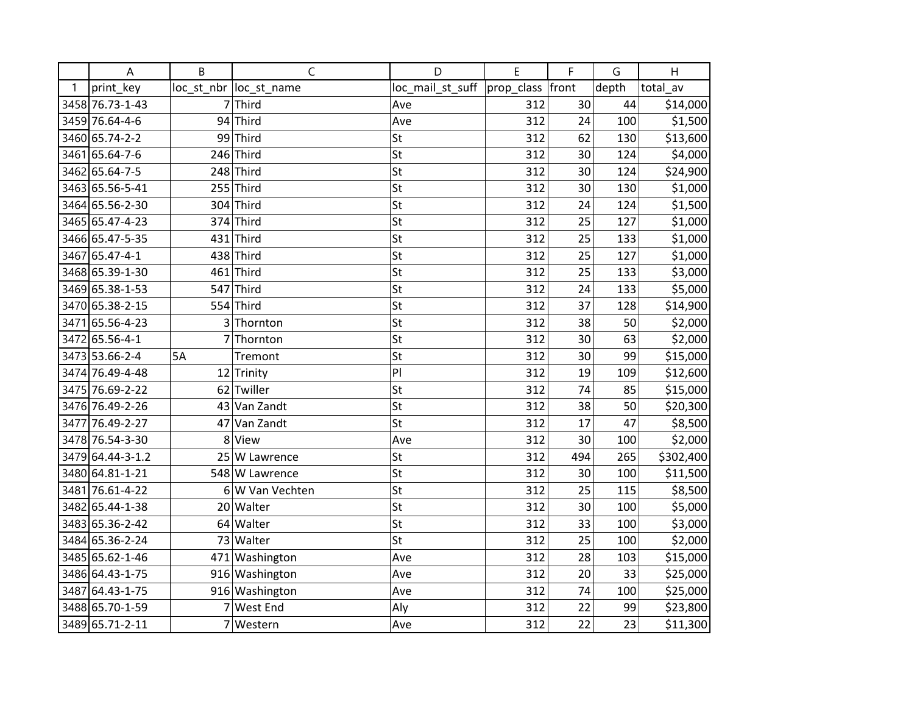|   | A                | B         | C                      | D                | E          | F     | G     | H         |
|---|------------------|-----------|------------------------|------------------|------------|-------|-------|-----------|
| 1 | print key        |           | loc_st_nbr loc_st_name | loc_mail_st_suff | prop_class | front | depth | total av  |
|   | 3458 76.73-1-43  |           | $7$ Third              | Ave              | 312        | 30    | 44    | \$14,000  |
|   | 3459 76.64-4-6   |           | 94 Third               | Ave              | 312        | 24    | 100   | \$1,500   |
|   | 3460 65.74-2-2   |           | 99 Third               | St               | 312        | 62    | 130   | \$13,600  |
|   | 3461 65.64-7-6   |           | $246$ Third            | St               | 312        | 30    | 124   | \$4,000   |
|   | 3462 65.64-7-5   |           | 248 Third              | St               | 312        | 30    | 124   | \$24,900  |
|   | 3463 65.56-5-41  |           | $255$ Third            | St               | 312        | 30    | 130   | \$1,000   |
|   | 3464 65.56-2-30  |           | $304$ Third            | St               | 312        | 24    | 124   | \$1,500   |
|   | 3465 65.47-4-23  |           | 374 Third              | St               | 312        | 25    | 127   | \$1,000   |
|   | 3466 65.47-5-35  | 431       | Third                  | St               | 312        | 25    | 133   | \$1,000   |
|   | 3467 65.47-4-1   |           | 438 Third              | St               | 312        | 25    | 127   | \$1,000   |
|   | 3468 65.39-1-30  |           | 461 Third              | St               | 312        | 25    | 133   | \$3,000   |
|   | 3469 65.38-1-53  |           | $547$ Third            | St               | 312        | 24    | 133   | \$5,000   |
|   | 3470 65.38-2-15  |           | 554 Third              | St               | 312        | 37    | 128   | \$14,900  |
|   | 3471 65.56-4-23  | 3         | Thornton               | St               | 312        | 38    | 50    | \$2,000   |
|   | 3472 65.56-4-1   | 7         | Thornton               | St               | 312        | 30    | 63    | \$2,000   |
|   | 3473 53.66-2-4   | <b>5A</b> | Tremont                | St               | 312        | 30    | 99    | \$15,000  |
|   | 3474 76.49-4-48  |           | 12 Trinity             | PI               | 312        | 19    | 109   | \$12,600  |
|   | 3475 76.69-2-22  |           | 62 Twiller             | St               | 312        | 74    | 85    | \$15,000  |
|   | 3476 76.49-2-26  |           | 43 Van Zandt           | St               | 312        | 38    | 50    | \$20,300  |
|   | 3477 76.49-2-27  |           | 47 Van Zandt           | St               | 312        | 17    | 47    | \$8,500   |
|   | 3478 76.54-3-30  |           | 8 View                 | Ave              | 312        | 30    | 100   | \$2,000   |
|   | 3479 64.44-3-1.2 |           | 25 W Lawrence          | St               | 312        | 494   | 265   | \$302,400 |
|   | 3480 64.81-1-21  |           | 548 W Lawrence         | St               | 312        | 30    | 100   | \$11,500  |
|   | 3481 76.61-4-22  |           | 6 W Van Vechten        | St               | 312        | 25    | 115   | \$8,500   |
|   | 3482 65.44-1-38  | 20        | Walter                 | St               | 312        | 30    | 100   | \$5,000   |
|   | 3483 65.36-2-42  |           | 64 Walter              | St               | 312        | 33    | 100   | \$3,000   |
|   | 3484 65.36-2-24  |           | 73 Walter              | St               | 312        | 25    | 100   | \$2,000   |
|   | 3485 65.62-1-46  |           | 471 Washington         | Ave              | 312        | 28    | 103   | \$15,000  |
|   | 3486 64.43-1-75  |           | 916 Washington         | Ave              | 312        | 20    | 33    | \$25,000  |
|   | 3487 64.43-1-75  |           | 916 Washington         | Ave              | 312        | 74    | 100   | \$25,000  |
|   | 3488 65.70-1-59  |           | 7 West End             | Aly              | 312        | 22    | 99    | \$23,800  |
|   | 3489 65.71-2-11  |           | 7 Western              | Ave              | 312        | 22    | 23    | \$11,300  |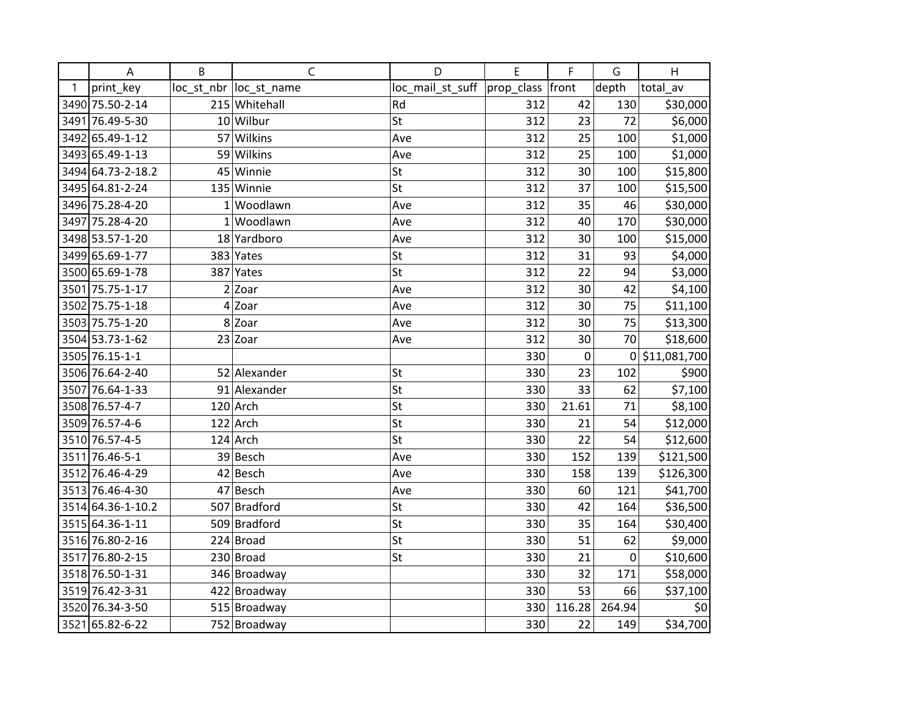|   | A                 | B | $\mathsf{C}$            | D                | E          | F           | G           | H            |
|---|-------------------|---|-------------------------|------------------|------------|-------------|-------------|--------------|
| 1 | print_key         |   | loc_st_nbr  loc_st_name | loc_mail_st_suff | prop_class | front       | depth       | total_av     |
|   | 3490 75.50-2-14   |   | 215 Whitehall           | Rd               | 312        | 42          | 130         | \$30,000     |
|   | 3491 76.49-5-30   |   | 10 Wilbur               | St               | 312        | 23          | 72          | \$6,000      |
|   | 3492 65.49-1-12   |   | 57 Wilkins              | Ave              | 312        | 25          | 100         | \$1,000      |
|   | 3493 65.49-1-13   |   | 59 Wilkins              | Ave              | 312        | 25          | 100         | \$1,000      |
|   | 3494 64.73-2-18.2 |   | 45 Winnie               | St               | 312        | 30          | 100         | \$15,800     |
|   | 3495 64.81-2-24   |   | 135 Winnie              | St               | 312        | 37          | 100         | \$15,500     |
|   | 3496 75.28-4-20   |   | $1$ Woodlawn            | Ave              | 312        | 35          | 46          | \$30,000     |
|   | 3497 75.28-4-20   |   | $1$ Woodlawn            | Ave              | 312        | 40          | 170         | \$30,000     |
|   | 3498 53.57-1-20   |   | 18 Yardboro             | Ave              | 312        | 30          | 100         | \$15,000     |
|   | 3499 65.69-1-77   |   | 383 Yates               | St               | 312        | 31          | 93          | \$4,000      |
|   | 3500 65.69-1-78   |   | 387 Yates               | St               | 312        | 22          | 94          | \$3,000      |
|   | 3501 75.75-1-17   |   | 2 Zoar                  | Ave              | 312        | 30          | 42          | \$4,100      |
|   | 3502 75.75-1-18   |   | 4 Zoar                  | Ave              | 312        | 30          | 75          | \$11,100     |
|   | 3503 75.75-1-20   |   | 8 Zoar                  | Ave              | 312        | 30          | 75          | \$13,300     |
|   | 3504 53.73-1-62   |   | $23$ Zoar               | Ave              | 312        | 30          | 70          | \$18,600     |
|   | 3505 76.15-1-1    |   |                         |                  | 330        | $\mathbf 0$ | 0           | \$11,081,700 |
|   | 3506 76.64-2-40   |   | 52 Alexander            | St               | 330        | 23          | 102         | \$900        |
|   | 3507 76.64-1-33   |   | 91 Alexander            | St               | 330        | 33          | 62          | \$7,100      |
|   | 3508 76.57-4-7    |   | $120$ Arch              | St               | 330        | 21.61       | 71          | \$8,100      |
|   | 3509 76.57-4-6    |   | $122$ Arch              | St               | 330        | 21          | 54          | \$12,000     |
|   | 3510 76.57-4-5    |   | $124$ Arch              | St               | 330        | 22          | 54          | \$12,600     |
|   | 3511 76.46-5-1    |   | 39 Besch                | Ave              | 330        | 152         | 139         | \$121,500    |
|   | 3512 76.46-4-29   |   | 42 Besch                | Ave              | 330        | 158         | 139         | \$126,300    |
|   | 3513 76.46-4-30   |   | 47 Besch                | Ave              | 330        | 60          | 121         | \$41,700     |
|   | 3514 64.36-1-10.2 |   | 507 Bradford            | St               | 330        | 42          | 164         | \$36,500     |
|   | 3515 64.36-1-11   |   | 509 Bradford            | St               | 330        | 35          | 164         | \$30,400     |
|   | 3516 76.80-2-16   |   | 224 Broad               | St               | 330        | 51          | 62          | \$9,000      |
|   | 3517 76.80-2-15   |   | $230$ Broad             | St               | 330        | 21          | $\mathbf 0$ | \$10,600     |
|   | 3518 76.50-1-31   |   | 346 Broadway            |                  | 330        | 32          | 171         | \$58,000     |
|   | 3519 76.42-3-31   |   | 422 Broadway            |                  | 330        | 53          | 66          | \$37,100     |
|   | 3520 76.34-3-50   |   | 515 Broadway            |                  | 330        | 116.28      | 264.94      | \$0          |
|   | 3521 65.82-6-22   |   | 752 Broadway            |                  | 330        | 22          | 149         | \$34,700     |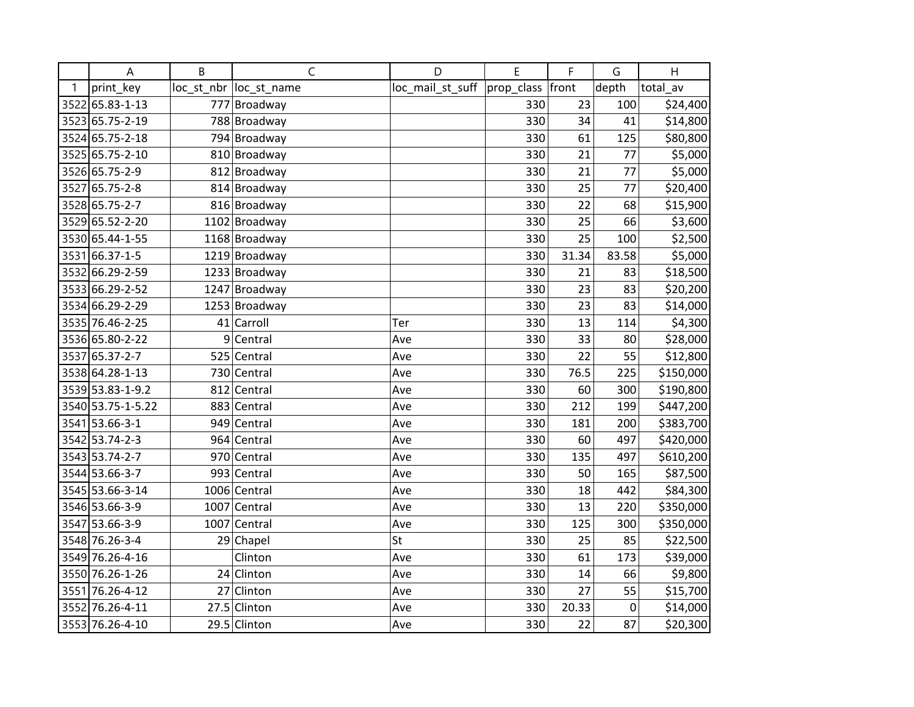|      | A                 | B  | $\mathsf{C}$            | D                | E          | F     | G     | H         |
|------|-------------------|----|-------------------------|------------------|------------|-------|-------|-----------|
| 1    | print_key         |    | loc_st_nbr  loc_st_name | loc_mail_st_suff | prop_class | front | depth | total av  |
|      | 3522 65.83-1-13   |    | 777 Broadway            |                  | 330        | 23    | 100   | \$24,400  |
|      | 3523 65.75-2-19   |    | 788 Broadway            |                  | 330        | 34    | 41    | \$14,800  |
|      | 3524 65.75-2-18   |    | 794 Broadway            |                  | 330        | 61    | 125   | \$80,800  |
|      | 3525 65.75-2-10   |    | 810 Broadway            |                  | 330        | 21    | 77    | \$5,000   |
|      | 3526 65.75-2-9    |    | 812 Broadway            |                  | 330        | 21    | 77    | \$5,000   |
|      | 3527 65.75-2-8    |    | 814 Broadway            |                  | 330        | 25    | 77    | \$20,400  |
|      | 3528 65.75-2-7    |    | 816 Broadway            |                  | 330        | 22    | 68    | \$15,900  |
|      | 3529 65.52-2-20   |    | 1102 Broadway           |                  | 330        | 25    | 66    | \$3,600   |
|      | 3530 65.44-1-55   |    | 1168 Broadway           |                  | 330        | 25    | 100   | \$2,500   |
| 3531 | 66.37-1-5         |    | 1219 Broadway           |                  | 330        | 31.34 | 83.58 | \$5,000   |
|      | 3532 66.29-2-59   |    | 1233 Broadway           |                  | 330        | 21    | 83    | \$18,500  |
|      | 3533 66.29-2-52   |    | 1247 Broadway           |                  | 330        | 23    | 83    | \$20,200  |
|      | 3534 66.29-2-29   |    | 1253 Broadway           |                  | 330        | 23    | 83    | \$14,000  |
|      | 3535 76.46-2-25   |    | 41 Carroll              | Ter              | 330        | 13    | 114   | \$4,300   |
|      | 3536 65.80-2-22   | 9  | Central                 | Ave              | 330        | 33    | 80    | \$28,000  |
| 3537 | 65.37-2-7         |    | 525 Central             | Ave              | 330        | 22    | 55    | \$12,800  |
|      | 3538 64.28-1-13   |    | 730 Central             | Ave              | 330        | 76.5  | 225   | \$150,000 |
|      | 3539 53.83-1-9.2  |    | 812 Central             | Ave              | 330        | 60    | 300   | \$190,800 |
|      | 3540 53.75-1-5.22 |    | 883 Central             | Ave              | 330        | 212   | 199   | \$447,200 |
|      | 3541 53.66-3-1    |    | 949 Central             | Ave              | 330        | 181   | 200   | \$383,700 |
|      | 3542 53.74-2-3    |    | 964 Central             | Ave              | 330        | 60    | 497   | \$420,000 |
|      | 3543 53.74-2-7    |    | 970 Central             | Ave              | 330        | 135   | 497   | \$610,200 |
|      | 3544 53.66-3-7    |    | 993 Central             | Ave              | 330        | 50    | 165   | \$87,500  |
|      | 3545 53.66-3-14   |    | 1006 Central            | Ave              | 330        | 18    | 442   | \$84,300  |
|      | 3546 53.66-3-9    |    | 1007 Central            | Ave              | 330        | 13    | 220   | \$350,000 |
|      | 3547 53.66-3-9    |    | 1007 Central            | Ave              | 330        | 125   | 300   | \$350,000 |
|      | 3548 76.26-3-4    |    | 29 Chapel               | St               | 330        | 25    | 85    | \$22,500  |
|      | 3549 76.26-4-16   |    | Clinton                 | Ave              | 330        | 61    | 173   | \$39,000  |
|      | 3550 76.26-1-26   |    | 24 Clinton              | Ave              | 330        | 14    | 66    | \$9,800   |
|      | 3551 76.26-4-12   | 27 | Clinton                 | Ave              | 330        | 27    | 55    | \$15,700  |
|      | 3552 76.26-4-11   |    | 27.5 Clinton            | Ave              | 330        | 20.33 | 0     | \$14,000  |
|      | 3553 76.26-4-10   |    | 29.5 Clinton            | Ave              | 330        | 22    | 87    | \$20,300  |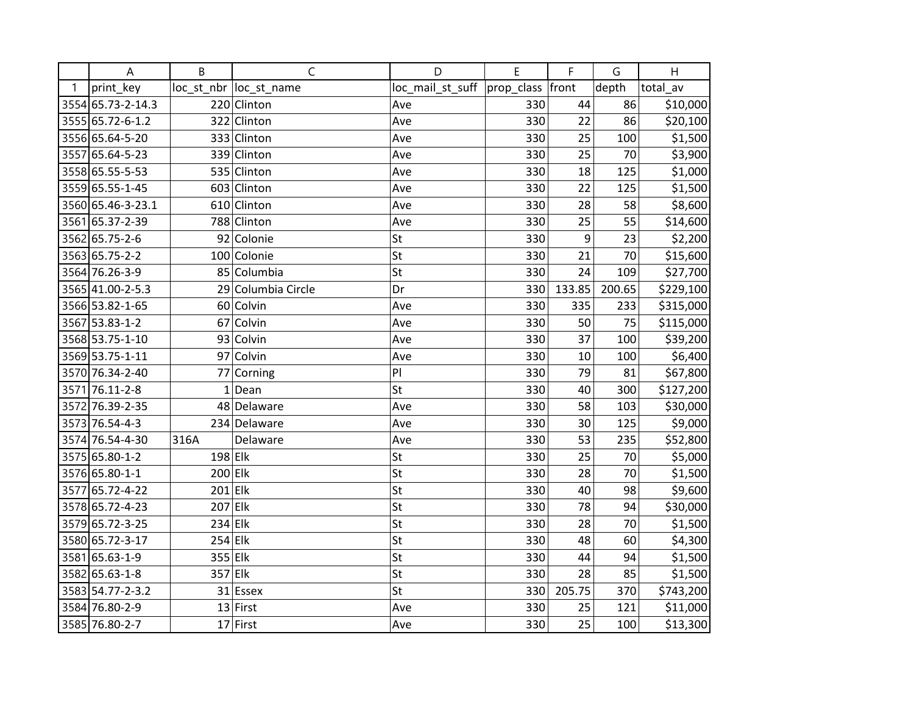|   | A                 | B         | $\mathsf{C}$            | D                | E          | F      | G      | H         |
|---|-------------------|-----------|-------------------------|------------------|------------|--------|--------|-----------|
| 1 | print_key         |           | loc_st_nbr  loc_st_name | loc_mail_st_suff | prop_class | front  | depth  | total_av  |
|   | 3554 65.73-2-14.3 |           | 220 Clinton             | Ave              | 330        | 44     | 86     | \$10,000  |
|   | 3555 65.72-6-1.2  |           | 322 Clinton             | Ave              | 330        | 22     | 86     | \$20,100  |
|   | 3556 65.64-5-20   |           | 333 Clinton             | Ave              | 330        | 25     | 100    | \$1,500   |
|   | 3557 65.64-5-23   |           | 339 Clinton             | Ave              | 330        | 25     | 70     | \$3,900   |
|   | 3558 65.55-5-53   |           | 535 Clinton             | Ave              | 330        | 18     | 125    | \$1,000   |
|   | 3559 65.55-1-45   |           | 603 Clinton             | Ave              | 330        | 22     | 125    | \$1,500   |
|   | 3560 65.46-3-23.1 |           | 610 Clinton             | Ave              | 330        | 28     | 58     | \$8,600   |
|   | 3561 65.37-2-39   |           | 788 Clinton             | Ave              | 330        | 25     | 55     | \$14,600  |
|   | 3562 65.75-2-6    |           | 92 Colonie              | St               | 330        | 9      | 23     | \$2,200   |
|   | 3563 65.75-2-2    |           | 100 Colonie             | St               | 330        | 21     | 70     | \$15,600  |
|   | 3564 76.26-3-9    |           | 85 Columbia             | St               | 330        | 24     | 109    | \$27,700  |
|   | 3565 41.00-2-5.3  |           | 29 Columbia Circle      | Dr               | 330        | 133.85 | 200.65 | \$229,100 |
|   | 3566 53.82-1-65   |           | 60 Colvin               | Ave              | 330        | 335    | 233    | \$315,000 |
|   | 3567 53.83-1-2    |           | 67 Colvin               | Ave              | 330        | 50     | 75     | \$115,000 |
|   | 3568 53.75-1-10   |           | 93 Colvin               | Ave              | 330        | 37     | 100    | \$39,200  |
|   | 3569 53.75-1-11   |           | 97 Colvin               | Ave              | 330        | 10     | 100    | \$6,400   |
|   | 3570 76.34-2-40   |           | 77 Corning              | PI               | 330        | 79     | 81     | \$67,800  |
|   | 3571 76.11-2-8    |           | $1$ Dean                | St               | 330        | 40     | 300    | \$127,200 |
|   | 3572 76.39-2-35   |           | 48 Delaware             | Ave              | 330        | 58     | 103    | \$30,000  |
|   | 3573 76.54-4-3    |           | 234 Delaware            | Ave              | 330        | 30     | 125    | \$9,000   |
|   | 3574 76.54-4-30   | 316A      | Delaware                | Ave              | 330        | 53     | 235    | \$52,800  |
|   | 3575 65.80-1-2    | $198$ Elk |                         | St               | 330        | 25     | 70     | \$5,000   |
|   | 3576 65.80-1-1    | $200$ Elk |                         | St               | 330        | 28     | 70     | \$1,500   |
|   | 3577 65.72-4-22   | $201$ Elk |                         | St               | 330        | 40     | 98     | \$9,600   |
|   | 3578 65.72-4-23   | $207$ Elk |                         | St               | 330        | 78     | 94     | \$30,000  |
|   | 3579 65.72-3-25   | $234$ Elk |                         | St               | 330        | 28     | 70     | \$1,500   |
|   | 3580 65.72-3-17   | $254$ Elk |                         | St               | 330        | 48     | 60     | \$4,300   |
|   | 3581 65.63-1-9    | 355 Elk   |                         | St               | 330        | 44     | 94     | \$1,500   |
|   | 3582 65.63-1-8    | 357 Elk   |                         | St               | 330        | 28     | 85     | \$1,500   |
|   | 3583 54.77-2-3.2  |           | $31$ Essex              | St               | 330        | 205.75 | 370    | \$743,200 |
|   | 3584 76.80-2-9    |           | $13$ First              | Ave              | 330        | 25     | 121    | \$11,000  |
|   | 3585 76.80-2-7    |           | $17$ First              | Ave              | 330        | 25     | 100    | \$13,300  |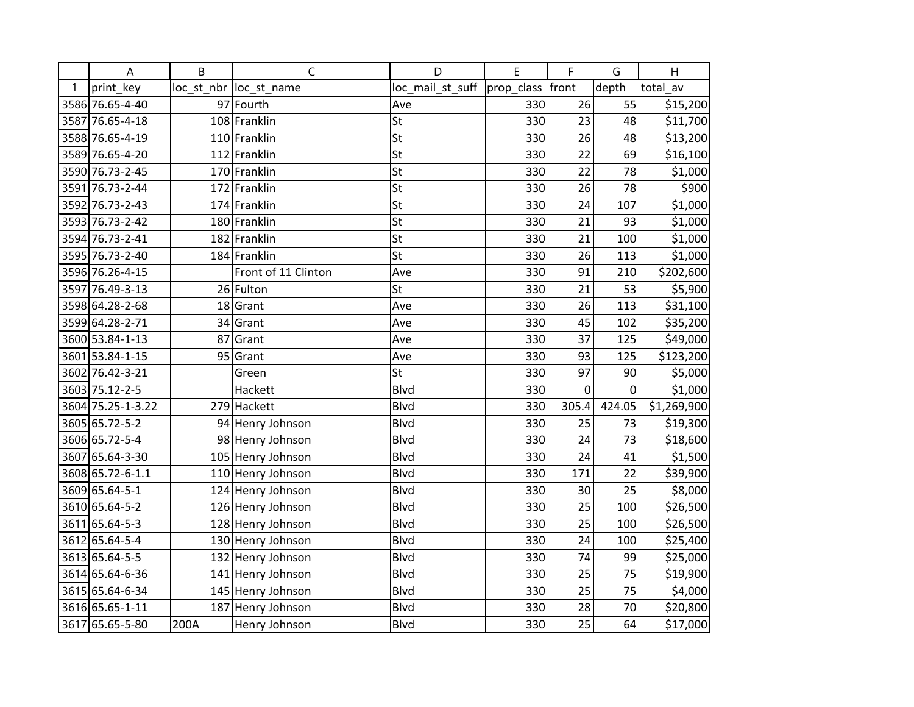|      | A                 | B    | $\mathsf C$             | D                | E          | F           | G      | H           |
|------|-------------------|------|-------------------------|------------------|------------|-------------|--------|-------------|
| 1    | print key         |      | loc_st_nbr  loc_st_name | loc_mail_st_suff | prop_class | front       | depth  | total_av    |
|      | 3586 76.65-4-40   |      | 97 Fourth               | Ave              | 330        | 26          | 55     | \$15,200    |
|      | 3587 76.65-4-18   |      | 108 Franklin            | St               | 330        | 23          | 48     | \$11,700    |
|      | 3588 76.65-4-19   |      | 110 Franklin            | St               | 330        | 26          | 48     | \$13,200    |
|      | 3589 76.65-4-20   |      | 112 Franklin            | St               | 330        | 22          | 69     | \$16,100    |
|      | 3590 76.73-2-45   |      | 170 Franklin            | St               | 330        | 22          | 78     | \$1,000     |
|      | 3591 76.73-2-44   |      | 172 Franklin            | St               | 330        | 26          | 78     | \$900       |
|      | 3592 76.73-2-43   |      | 174 Franklin            | St               | 330        | 24          | 107    | \$1,000     |
|      | 3593 76.73-2-42   |      | 180 Franklin            | St               | 330        | 21          | 93     | \$1,000     |
|      | 3594 76.73-2-41   |      | 182 Franklin            | St               | 330        | 21          | 100    | \$1,000     |
|      | 3595 76.73-2-40   |      | 184 Franklin            | St               | 330        | 26          | 113    | \$1,000     |
|      | 3596 76.26-4-15   |      | Front of 11 Clinton     | Ave              | 330        | 91          | 210    | \$202,600   |
|      | 3597 76.49-3-13   |      | 26 Fulton               | St               | 330        | 21          | 53     | \$5,900     |
|      | 3598 64.28-2-68   |      | 18 Grant                | Ave              | 330        | 26          | 113    | \$31,100    |
|      | 3599 64.28-2-71   |      | 34 Grant                | Ave              | 330        | 45          | 102    | \$35,200    |
|      | 3600 53.84-1-13   | 87   | Grant                   | Ave              | 330        | 37          | 125    | \$49,000    |
|      | 3601 53.84-1-15   |      | $95$ Grant              | Ave              | 330        | 93          | 125    | \$123,200   |
|      | 3602 76.42-3-21   |      | Green                   | St               | 330        | 97          | 90     | \$5,000     |
|      | 3603 75.12-2-5    |      | Hackett                 | <b>Blvd</b>      | 330        | $\mathbf 0$ | 0      | \$1,000     |
|      | 3604 75.25-1-3.22 |      | 279 Hackett             | <b>Blvd</b>      | 330        | 305.4       | 424.05 | \$1,269,900 |
|      | 3605 65.72-5-2    |      | 94 Henry Johnson        | <b>Blvd</b>      | 330        | 25          | 73     | \$19,300    |
|      | 3606 65.72-5-4    |      | 98 Henry Johnson        | <b>Blvd</b>      | 330        | 24          | 73     | \$18,600    |
|      | 3607 65.64-3-30   |      | 105 Henry Johnson       | <b>Blvd</b>      | 330        | 24          | 41     | \$1,500     |
|      | 3608 65.72-6-1.1  |      | 110 Henry Johnson       | <b>Blvd</b>      | 330        | 171         | 22     | \$39,900    |
|      | 3609 65.64-5-1    |      | 124 Henry Johnson       | <b>Blvd</b>      | 330        | 30          | 25     | \$8,000     |
|      | 3610 65.64-5-2    |      | 126 Henry Johnson       | <b>Blvd</b>      | 330        | 25          | 100    | \$26,500    |
| 3611 | 65.64-5-3         |      | 128 Henry Johnson       | <b>Blvd</b>      | 330        | 25          | 100    | \$26,500    |
| 3612 | 65.64-5-4         |      | 130 Henry Johnson       | <b>Blvd</b>      | 330        | 24          | 100    | \$25,400    |
|      | 3613 65.64-5-5    |      | 132 Henry Johnson       | <b>Blvd</b>      | 330        | 74          | 99     | \$25,000    |
|      | 3614 65.64-6-36   |      | 141 Henry Johnson       | <b>Blvd</b>      | 330        | 25          | 75     | \$19,900    |
|      | 3615 65.64-6-34   |      | 145 Henry Johnson       | <b>Blvd</b>      | 330        | 25          | 75     | \$4,000     |
|      | 3616 65.65-1-11   |      | 187 Henry Johnson       | <b>Blvd</b>      | 330        | 28          | 70     | \$20,800    |
|      | 3617 65.65-5-80   | 200A | Henry Johnson           | <b>Blvd</b>      | 330        | 25          | 64     | \$17,000    |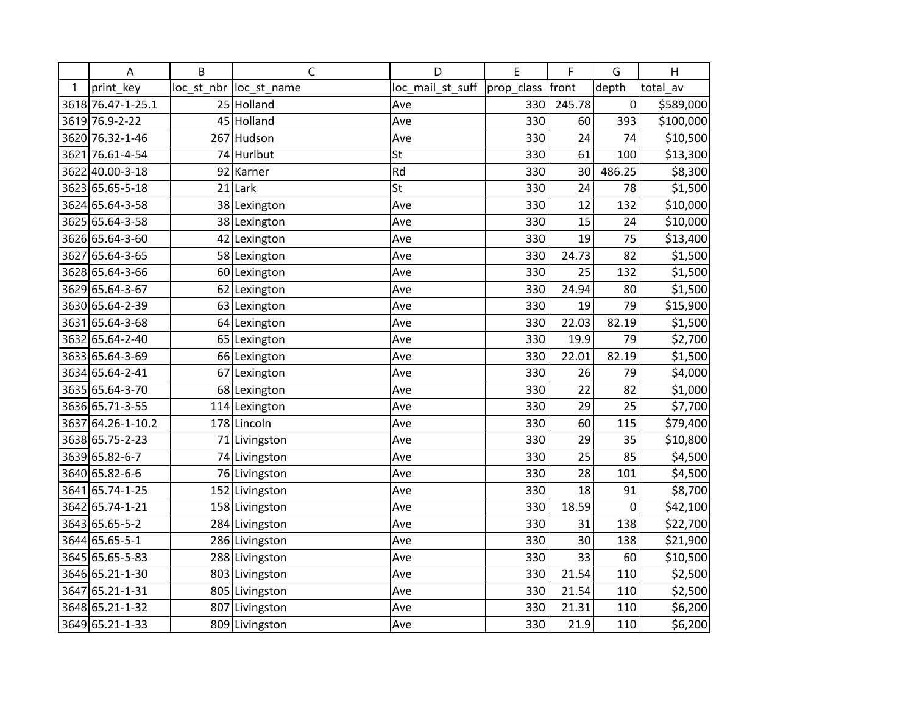|      | A                 | B  | C                      | D                | E          | F      | G      | H         |
|------|-------------------|----|------------------------|------------------|------------|--------|--------|-----------|
| 1    | print key         |    | loc st nbr loc st name | loc_mail_st_suff | prop_class | front  | depth  | total_av  |
|      | 3618 76.47-1-25.1 |    | 25 Holland             | Ave              | 330        | 245.78 | 0      | \$589,000 |
|      | 3619 76.9-2-22    |    | 45 Holland             | Ave              | 330        | 60     | 393    | \$100,000 |
|      | 3620 76.32-1-46   |    | 267 Hudson             | Ave              | 330        | 24     | 74     | \$10,500  |
| 3621 | 76.61-4-54        |    | 74 Hurlbut             | St               | 330        | 61     | 100    | \$13,300  |
|      | 3622 40.00-3-18   | 92 | Karner                 | Rd               | 330        | 30     | 486.25 | \$8,300   |
|      | 3623 65.65-5-18   | 21 | Lark                   | St               | 330        | 24     | 78     | \$1,500   |
|      | 3624 65.64-3-58   |    | 38 Lexington           | Ave              | 330        | 12     | 132    | \$10,000  |
|      | 3625 65.64-3-58   |    | 38 Lexington           | Ave              | 330        | 15     | 24     | \$10,000  |
|      | 3626 65.64-3-60   |    | 42 Lexington           | Ave              | 330        | 19     | 75     | \$13,400  |
| 3627 | 65.64-3-65        |    | 58 Lexington           | Ave              | 330        | 24.73  | 82     | \$1,500   |
|      | 3628 65.64-3-66   |    | 60 Lexington           | Ave              | 330        | 25     | 132    | \$1,500   |
|      | 3629 65.64-3-67   |    | 62 Lexington           | Ave              | 330        | 24.94  | 80     | \$1,500   |
|      | 3630 65.64-2-39   |    | 63 Lexington           | Ave              | 330        | 19     | 79     | \$15,900  |
|      | 3631 65.64-3-68   |    | 64 Lexington           | Ave              | 330        | 22.03  | 82.19  | \$1,500   |
|      | 3632 65.64-2-40   |    | 65 Lexington           | Ave              | 330        | 19.9   | 79     | \$2,700   |
|      | 3633 65.64-3-69   |    | 66 Lexington           | Ave              | 330        | 22.01  | 82.19  | \$1,500   |
|      | 3634 65.64-2-41   |    | 67 Lexington           | Ave              | 330        | 26     | 79     | \$4,000   |
|      | 3635 65.64-3-70   |    | 68 Lexington           | Ave              | 330        | 22     | 82     | \$1,000   |
|      | 3636 65.71-3-55   |    | 114 Lexington          | Ave              | 330        | 29     | 25     | \$7,700   |
| 3637 | 64.26-1-10.2      |    | 178 Lincoln            | Ave              | 330        | 60     | 115    | \$79,400  |
|      | 3638 65.75-2-23   |    | 71 Livingston          | Ave              | 330        | 29     | 35     | \$10,800  |
|      | 3639 65.82-6-7    |    | 74 Livingston          | Ave              | 330        | 25     | 85     | \$4,500   |
|      | 3640 65.82-6-6    |    | 76 Livingston          | Ave              | 330        | 28     | 101    | \$4,500   |
|      | 3641 65.74-1-25   |    | 152 Livingston         | Ave              | 330        | 18     | 91     | \$8,700   |
|      | 3642 65.74-1-21   |    | 158 Livingston         | Ave              | 330        | 18.59  | 0      | \$42,100  |
|      | 3643 65.65-5-2    |    | 284 Livingston         | Ave              | 330        | 31     | 138    | \$22,700  |
|      | 3644 65.65-5-1    |    | 286 Livingston         | Ave              | 330        | 30     | 138    | \$21,900  |
|      | 3645 65.65-5-83   |    | 288 Livingston         | Ave              | 330        | 33     | 60     | \$10,500  |
|      | 3646 65.21-1-30   |    | 803 Livingston         | Ave              | 330        | 21.54  | 110    | \$2,500   |
|      | 3647 65.21-1-31   |    | 805 Livingston         | Ave              | 330        | 21.54  | 110    | \$2,500   |
|      | 3648 65.21-1-32   |    | 807 Livingston         | Ave              | 330        | 21.31  | 110    | \$6,200   |
|      | 3649 65.21-1-33   |    | 809 Livingston         | Ave              | 330        | 21.9   | 110    | \$6,200   |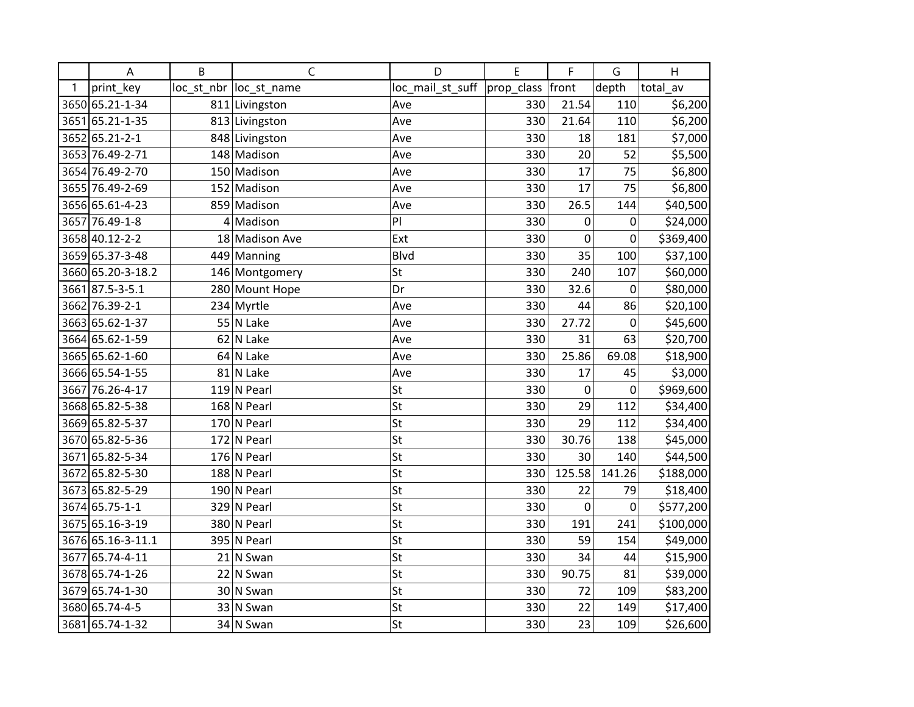|      | A                 | B | $\mathsf{C}$            | D                | E          | F      | G      | H         |
|------|-------------------|---|-------------------------|------------------|------------|--------|--------|-----------|
| 1    | print_key         |   | loc_st_nbr  loc_st_name | loc_mail_st_suff | prop_class | front  | depth  | total_av  |
|      | 3650 65.21-1-34   |   | 811 Livingston          | Ave              | 330        | 21.54  | 110    | \$6,200   |
|      | 3651 65.21-1-35   |   | 813 Livingston          | Ave              | 330        | 21.64  | 110    | \$6,200   |
|      | 3652 65.21-2-1    |   | 848 Livingston          | Ave              | 330        | 18     | 181    | \$7,000   |
|      | 3653 76.49-2-71   |   | 148 Madison             | Ave              | 330        | 20     | 52     | \$5,500   |
|      | 3654 76.49-2-70   |   | 150 Madison             | Ave              | 330        | 17     | 75     | \$6,800   |
|      | 3655 76.49-2-69   |   | 152 Madison             | Ave              | 330        | 17     | 75     | \$6,800   |
|      | 3656 65.61-4-23   |   | 859 Madison             | Ave              | 330        | 26.5   | 144    | \$40,500  |
|      | 3657 76.49-1-8    |   | $4$ Madison             | PI               | 330        | 0      | 0      | \$24,000  |
|      | 3658 40.12-2-2    |   | 18 Madison Ave          | Ext              | 330        | 0      | 0      | \$369,400 |
|      | 3659 65.37-3-48   |   | 449 Manning             | <b>Blvd</b>      | 330        | 35     | 100    | \$37,100  |
|      | 3660 65.20-3-18.2 |   | 146 Montgomery          | St               | 330        | 240    | 107    | \$60,000  |
|      | 3661 87.5-3-5.1   |   | 280 Mount Hope          | Dr               | 330        | 32.6   | 0      | \$80,000  |
|      | 3662 76.39-2-1    |   | 234 Myrtle              | Ave              | 330        | 44     | 86     | \$20,100  |
|      | 3663 65.62-1-37   |   | 55 N Lake               | Ave              | 330        | 27.72  | 0      | \$45,600  |
|      | 3664 65.62-1-59   |   | 62 N Lake               | Ave              | 330        | 31     | 63     | \$20,700  |
|      | 3665 65.62-1-60   |   | $64$ N Lake             | Ave              | 330        | 25.86  | 69.08  | \$18,900  |
|      | 3666 65.54-1-55   |   | 81 N Lake               | Ave              | 330        | 17     | 45     | \$3,000   |
|      | 3667 76.26-4-17   |   | $119$ N Pearl           | St               | 330        | 0      | 0      | \$969,600 |
|      | 3668 65.82-5-38   |   | $168$ N Pearl           | St               | 330        | 29     | 112    | \$34,400  |
|      | 3669 65.82-5-37   |   | 170 N Pearl             | St               | 330        | 29     | 112    | \$34,400  |
|      | 3670 65.82-5-36   |   | 172 N Pearl             | St               | 330        | 30.76  | 138    | \$45,000  |
| 3671 | 65.82-5-34        |   | $176$ N Pearl           | St               | 330        | 30     | 140    | \$44,500  |
|      | 3672 65.82-5-30   |   | 188 N Pearl             | St               | 330        | 125.58 | 141.26 | \$188,000 |
|      | 3673 65.82-5-29   |   | $190$ N Pearl           | St               | 330        | 22     | 79     | \$18,400  |
|      | 3674 65.75-1-1    |   | 329 N Pearl             | St               | 330        | 0      | 0      | \$577,200 |
|      | 3675 65.16-3-19   |   | 380 N Pearl             | St               | 330        | 191    | 241    | \$100,000 |
|      | 3676 65.16-3-11.1 |   | 395 N Pearl             | St               | 330        | 59     | 154    | \$49,000  |
|      | 3677 65.74-4-11   |   | $21$ N Swan             | St               | 330        | 34     | 44     | \$15,900  |
|      | 3678 65.74-1-26   |   | $22$ N Swan             | St               | 330        | 90.75  | 81     | \$39,000  |
|      | 3679 65.74-1-30   |   | 30 N Swan               | St               | 330        | 72     | 109    | \$83,200  |
|      | 3680 65.74-4-5    |   | 33 N Swan               | St               | 330        | 22     | 149    | \$17,400  |
|      | 3681 65.74-1-32   |   | 34 N Swan               | St               | 330        | 23     | 109    | \$26,600  |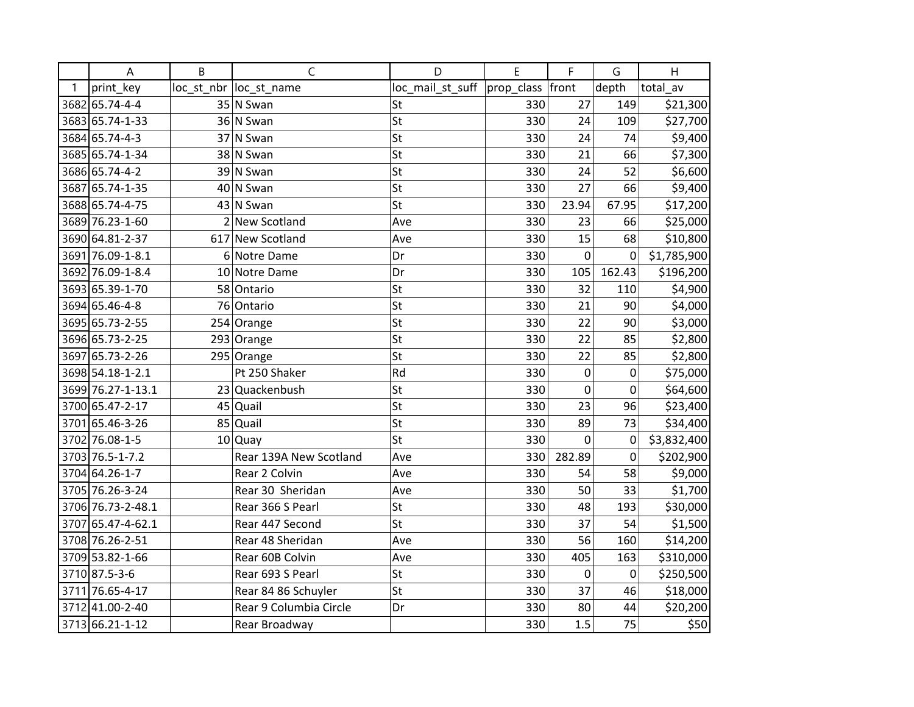|      | A                 | B | $\mathsf{C}$            | D                            | E   | F           | G              | $\mathsf{H}$ |
|------|-------------------|---|-------------------------|------------------------------|-----|-------------|----------------|--------------|
| 1    | print_key         |   | loc_st_nbr  loc_st_name | loc_mail_st_suff  prop_class |     | front       | depth          | total_av     |
|      | 3682 65.74-4-4    |   | $35$ N Swan             | St                           | 330 | 27          | 149            | \$21,300     |
|      | 3683 65.74-1-33   |   | 36 N Swan               | St                           | 330 | 24          | 109            | \$27,700     |
|      | 3684 65.74-4-3    |   | 37 N Swan               | St                           | 330 | 24          | 74             | \$9,400      |
|      | 3685 65.74-1-34   |   | 38 N Swan               | St                           | 330 | 21          | 66             | \$7,300      |
|      | 3686 65.74-4-2    |   | 39 N Swan               | St                           | 330 | 24          | 52             | \$6,600      |
|      | 3687 65.74-1-35   |   | 40 N Swan               | St                           | 330 | 27          | 66             | \$9,400      |
|      | 3688 65.74-4-75   |   | $43$ N Swan             | St                           | 330 | 23.94       | 67.95          | \$17,200     |
|      | 3689 76.23-1-60   |   | 2 New Scotland          | Ave                          | 330 | 23          | 66             | \$25,000     |
|      | 3690 64.81-2-37   |   | 617 New Scotland        | Ave                          | 330 | 15          | 68             | \$10,800     |
|      | 3691 76.09-1-8.1  |   | 6 Notre Dame            | Dr                           | 330 | $\mathbf 0$ | 0              | \$1,785,900  |
|      | 3692 76.09-1-8.4  |   | 10 Notre Dame           | Dr                           | 330 | 105         | 162.43         | \$196,200    |
|      | 3693 65.39-1-70   |   | 58 Ontario              | St                           | 330 | 32          | 110            | \$4,900      |
|      | 3694 65.46-4-8    |   | 76 Ontario              | St                           | 330 | 21          | 90             | \$4,000      |
|      | 3695 65.73-2-55   |   | 254 Orange              | St                           | 330 | 22          | 90             | \$3,000      |
|      | 3696 65.73-2-25   |   | 293 Orange              | St                           | 330 | 22          | 85             | \$2,800      |
| 3697 | 65.73-2-26        |   | 295 Orange              | St                           | 330 | 22          | 85             | \$2,800      |
|      | 3698 54.18-1-2.1  |   | Pt 250 Shaker           | Rd                           | 330 | 0           | 0              | \$75,000     |
|      | 3699 76.27-1-13.1 |   | 23 Quackenbush          | St                           | 330 | $\mathbf 0$ | $\mathbf 0$    | \$64,600     |
|      | 3700 65.47-2-17   |   | 45 Quail                | St                           | 330 | 23          | 96             | \$23,400     |
|      | 3701 65.46-3-26   |   | 85 Quail                | St                           | 330 | 89          | 73             | \$34,400     |
|      | 3702 76.08-1-5    |   | $10$ Quay               | St                           | 330 | $\mathbf 0$ | 0              | \$3,832,400  |
|      | 3703 76.5-1-7.2   |   | Rear 139A New Scotland  | Ave                          | 330 | 282.89      | $\overline{0}$ | \$202,900    |
|      | 3704 64.26-1-7    |   | Rear 2 Colvin           | Ave                          | 330 | 54          | 58             | \$9,000      |
|      | 3705 76.26-3-24   |   | Rear 30 Sheridan        | Ave                          | 330 | 50          | 33             | \$1,700      |
|      | 3706 76.73-2-48.1 |   | Rear 366 S Pearl        | St                           | 330 | 48          | 193            | \$30,000     |
|      | 3707 65.47-4-62.1 |   | Rear 447 Second         | St                           | 330 | 37          | 54             | \$1,500      |
|      | 3708 76.26-2-51   |   | Rear 48 Sheridan        | Ave                          | 330 | 56          | 160            | \$14,200     |
|      | 3709 53.82-1-66   |   | Rear 60B Colvin         | Ave                          | 330 | 405         | 163            | \$310,000    |
|      | 3710 87.5-3-6     |   | Rear 693 S Pearl        | St                           | 330 | 0           | 0              | \$250,500    |
|      | 3711 76.65-4-17   |   | Rear 84 86 Schuyler     | St                           | 330 | 37          | 46             | \$18,000     |
|      | 3712 41.00-2-40   |   | Rear 9 Columbia Circle  | Dr                           | 330 | 80          | 44             | \$20,200     |
|      | 3713 66.21-1-12   |   | Rear Broadway           |                              | 330 | 1.5         | 75             | \$50         |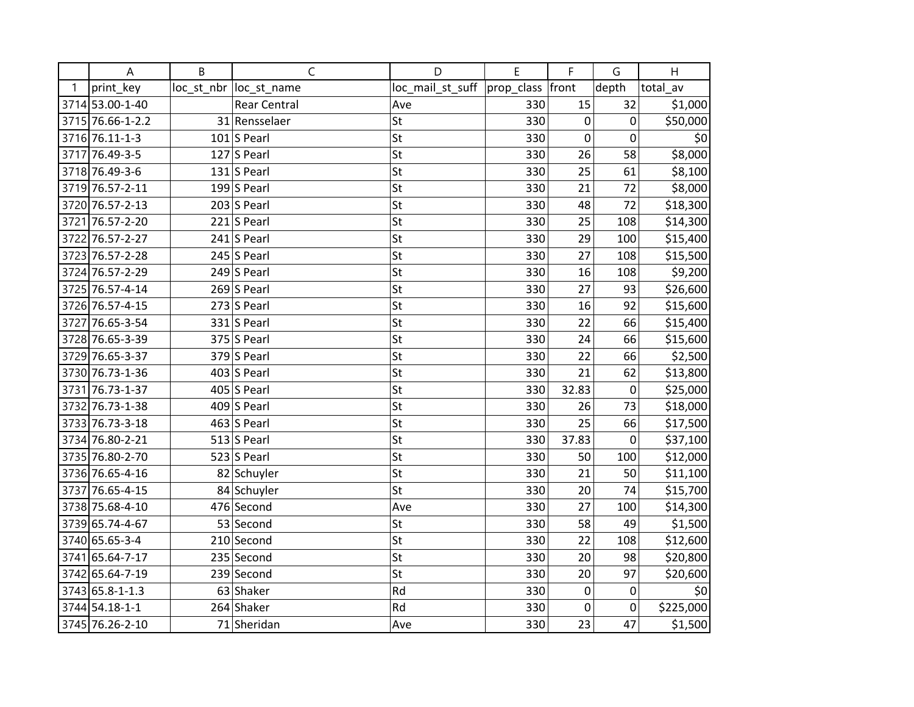|   | A                | B | $\mathsf C$             | D                | E          | F           | G                | H         |
|---|------------------|---|-------------------------|------------------|------------|-------------|------------------|-----------|
| 1 | print_key        |   | loc_st_nbr  loc_st_name | loc_mail_st_suff | prop_class | front       | depth            | total_av  |
|   | 3714 53.00-1-40  |   | <b>Rear Central</b>     | Ave              | 330        | 15          | 32               | \$1,000   |
|   | 3715 76.66-1-2.2 |   | 31 Rensselaer           | St               | 330        | 0           | 0                | \$50,000  |
|   | 3716 76.11-1-3   |   | $101$ S Pearl           | St               | 330        | 0           | 0                | \$0       |
|   | 3717 76.49-3-5   |   | $127$ S Pearl           | St               | 330        | 26          | 58               | \$8,000   |
|   | 3718 76.49-3-6   |   | $131$ S Pearl           | St               | 330        | 25          | 61               | \$8,100   |
|   | 3719 76.57-2-11  |   | 199 $ S$ Pearl          | St               | 330        | 21          | 72               | \$8,000   |
|   | 3720 76.57-2-13  |   | $203$ S Pearl           | St               | 330        | 48          | 72               | \$18,300  |
|   | 3721 76.57-2-20  |   | $221$ S Pearl           | St               | 330        | 25          | 108              | \$14,300  |
|   | 3722 76.57-2-27  |   | $241$ S Pearl           | St               | 330        | 29          | 100              | \$15,400  |
|   | 3723 76.57-2-28  |   | 245 S Pearl             | St               | 330        | 27          | 108              | \$15,500  |
|   | 3724 76.57-2-29  |   | 249 $ S$ Pearl          | St               | 330        | 16          | 108              | \$9,200   |
|   | 3725 76.57-4-14  |   | $269$ S Pearl           | St               | 330        | 27          | 93               | \$26,600  |
|   | 3726 76.57-4-15  |   | $273$ S Pearl           | St               | 330        | 16          | 92               | \$15,600  |
|   | 3727 76.65-3-54  |   | $331$ S Pearl           | St               | 330        | 22          | 66               | \$15,400  |
|   | 3728 76.65-3-39  |   | $375$ S Pearl           | St               | 330        | 24          | 66               | \$15,600  |
|   | 3729 76.65-3-37  |   | $379$ S Pearl           | St               | 330        | 22          | 66               | \$2,500   |
|   | 3730 76.73-1-36  |   | 403 S Pearl             | St               | 330        | 21          | 62               | \$13,800  |
|   | 3731 76.73-1-37  |   | 405 S Pearl             | St               | 330        | 32.83       | $\boldsymbol{0}$ | \$25,000  |
|   | 3732 76.73-1-38  |   | $409$ S Pearl           | St               | 330        | 26          | 73               | \$18,000  |
|   | 3733 76.73-3-18  |   | 463 S Pearl             | St               | 330        | 25          | 66               | \$17,500  |
|   | 3734 76.80-2-21  |   | 513 $ S$ Pearl          | St               | 330        | 37.83       | 0                | \$37,100  |
|   | 3735 76.80-2-70  |   | 523 S Pearl             | St               | 330        | 50          | 100              | \$12,000  |
|   | 3736 76.65-4-16  |   | 82 Schuyler             | St               | 330        | 21          | 50               | \$11,100  |
|   | 3737 76.65-4-15  |   | 84 Schuyler             | St               | 330        | 20          | 74               | \$15,700  |
|   | 3738 75.68-4-10  |   | 476 Second              | Ave              | 330        | 27          | 100              | \$14,300  |
|   | 3739 65.74-4-67  |   | 53 Second               | St               | 330        | 58          | 49               | \$1,500   |
|   | 3740 65.65-3-4   |   | 210 Second              | St               | 330        | 22          | 108              | \$12,600  |
|   | 3741 65.64-7-17  |   | 235 Second              | St               | 330        | 20          | 98               | \$20,800  |
|   | 3742 65.64-7-19  |   | 239 Second              | St               | 330        | 20          | 97               | \$20,600  |
|   | 3743 65.8-1-1.3  |   | 63 Shaker               | Rd               | 330        | $\pmb{0}$   | 0                | \$0       |
|   | 3744 54.18-1-1   |   | 264 Shaker              | Rd               | 330        | $\mathbf 0$ | 0                | \$225,000 |
|   | 3745 76.26-2-10  |   | 71 Sheridan             | Ave              | 330        | 23          | 47               | \$1,500   |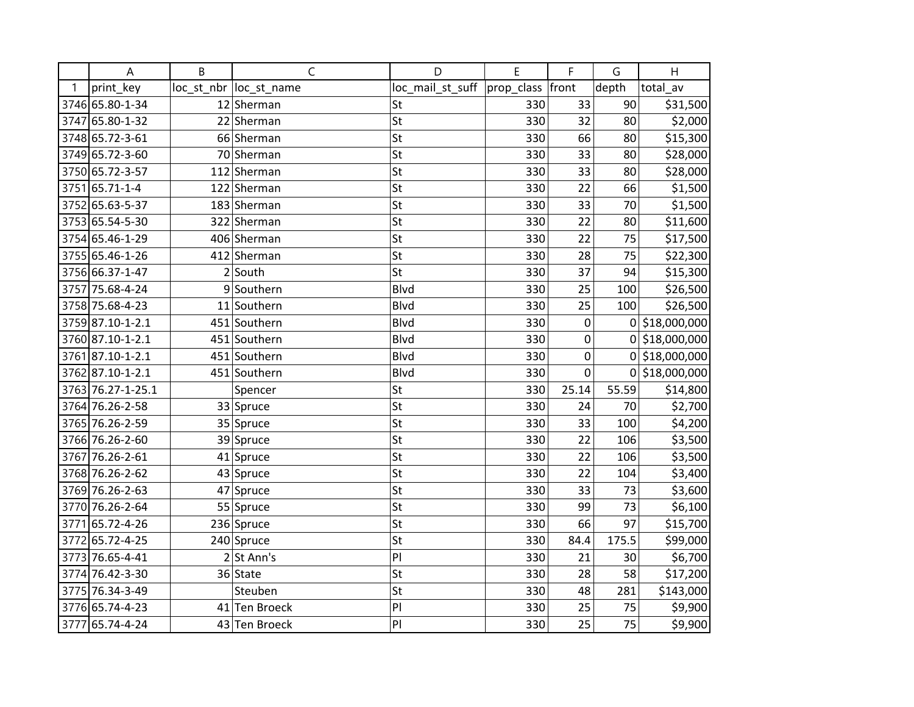|      | A                 | B | $\mathsf{C}$            | D                | E          | F           | G        | H                |
|------|-------------------|---|-------------------------|------------------|------------|-------------|----------|------------------|
| 1    | print key         |   | loc_st_nbr  loc_st_name | loc_mail_st_suff | prop_class | front       | depth    | total_av         |
|      | 3746 65.80-1-34   |   | 12 Sherman              | St               | 330        | 33          | 90       | \$31,500         |
|      | 3747 65.80-1-32   |   | 22 Sherman              | St               | 330        | 32          | 80       | \$2,000          |
|      | 3748 65.72-3-61   |   | 66 Sherman              | St               | 330        | 66          | 80       | \$15,300         |
|      | 3749 65.72-3-60   |   | 70 Sherman              | St               | 330        | 33          | 80       | \$28,000         |
|      | 3750 65.72-3-57   |   | 112 Sherman             | St               | 330        | 33          | 80       | \$28,000         |
|      | 3751 65.71-1-4    |   | 122 Sherman             | St               | 330        | 22          | 66       | \$1,500          |
|      | 3752 65.63-5-37   |   | 183 Sherman             | St               | 330        | 33          | 70       | \$1,500          |
|      | 3753 65.54-5-30   |   | 322 Sherman             | St               | 330        | 22          | 80       | \$11,600         |
|      | 3754 65.46-1-29   |   | 406 Sherman             | St               | 330        | 22          | 75       | \$17,500         |
|      | 3755 65.46-1-26   |   | 412 Sherman             | St               | 330        | 28          | 75       | \$22,300         |
|      | 3756 66.37-1-47   |   | $2$ South               | St               | 330        | 37          | 94       | \$15,300         |
|      | 3757 75.68-4-24   |   | 9 Southern              | <b>Blvd</b>      | 330        | 25          | 100      | \$26,500         |
|      | 3758 75.68-4-23   |   | 11 Southern             | <b>Blvd</b>      | 330        | 25          | 100      | \$26,500         |
|      | 3759 87.10-1-2.1  |   | 451 Southern            | <b>Blvd</b>      | 330        | $\pmb{0}$   | $\Omega$ | \$18,000,000     |
|      | 3760 87.10-1-2.1  |   | 451 Southern            | <b>Blvd</b>      | 330        | $\mathbf 0$ |          | 0 \$18,000,000   |
|      | 3761 87.10-1-2.1  |   | 451 Southern            | <b>Blvd</b>      | 330        | 0           |          | 0 \$18,000,000   |
|      | 3762 87.10-1-2.1  |   | 451 Southern            | <b>Blvd</b>      | 330        | 0           |          | $0$ \$18,000,000 |
|      | 3763 76.27-1-25.1 |   | Spencer                 | St               | 330        | 25.14       | 55.59    | \$14,800         |
|      | 3764 76.26-2-58   |   | 33 Spruce               | St               | 330        | 24          | 70       | \$2,700          |
|      | 3765 76.26-2-59   |   | 35 Spruce               | St               | 330        | 33          | 100      | \$4,200          |
|      | 3766 76.26-2-60   |   | 39 Spruce               | St               | 330        | 22          | 106      | \$3,500          |
|      | 3767 76.26-2-61   |   | $41$ Spruce             | St               | 330        | 22          | 106      | \$3,500          |
|      | 3768 76.26-2-62   |   | 43 Spruce               | St               | 330        | 22          | 104      | \$3,400          |
|      | 3769 76.26-2-63   |   | 47 Spruce               | St               | 330        | 33          | 73       | \$3,600          |
|      | 3770 76.26-2-64   |   | 55 Spruce               | St               | 330        | 99          | 73       | \$6,100          |
| 3771 | 65.72-4-26        |   | 236 Spruce              | St               | 330        | 66          | 97       | \$15,700         |
|      | 3772 65.72-4-25   |   | 240 Spruce              | St               | 330        | 84.4        | 175.5    | \$99,000         |
|      | 3773 76.65-4-41   |   | $2$ St Ann's            | PI               | 330        | 21          | 30       | \$6,700          |
|      | 3774 76.42-3-30   |   | 36 State                | St               | 330        | 28          | 58       | \$17,200         |
|      | 3775 76.34-3-49   |   | Steuben                 | St               | 330        | 48          | 281      | \$143,000        |
|      | 3776 65.74-4-23   |   | 41 Ten Broeck           | PI               | 330        | 25          | 75       | \$9,900          |
|      | 3777 65.74-4-24   |   | 43 Ten Broeck           | PI               | 330        | 25          | 75       | \$9,900          |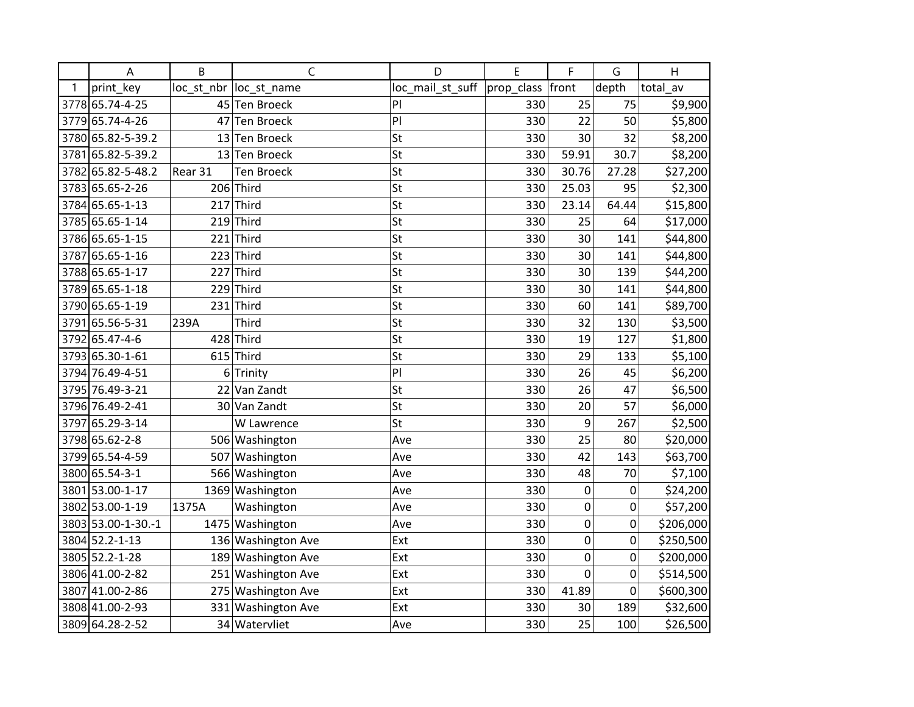|      | A                  | B              | $\mathsf{C}$            | D                | E          | F              | G           | H         |
|------|--------------------|----------------|-------------------------|------------------|------------|----------------|-------------|-----------|
| 1    | print key          |                | loc_st_nbr  loc_st_name | loc_mail_st_suff | prop_class | front          | depth       | total av  |
|      | 3778 65.74-4-25    | 45             | <b>Ten Broeck</b>       | PI               | 330        | 25             | 75          | \$9,900   |
|      | 3779 65.74-4-26    |                | 47 Ten Broeck           | PI               | 330        | 22             | 50          | \$5,800   |
|      | 3780 65.82-5-39.2  |                | 13 Ten Broeck           | St               | 330        | 30             | 32          | \$8,200   |
| 3781 | 65.82-5-39.2       | 13             | <b>Ten Broeck</b>       | St               | 330        | 59.91          | 30.7        | \$8,200   |
|      | 3782 65.82-5-48.2  | Rear 31        | <b>Ten Broeck</b>       | St               | 330        | 30.76          | 27.28       | \$27,200  |
|      | 3783 65.65-2-26    |                | 206 Third               | St               | 330        | 25.03          | 95          | \$2,300   |
|      | 3784 65.65-1-13    |                | $217$ Third             | St               | 330        | 23.14          | 64.44       | \$15,800  |
|      | 3785 65.65-1-14    |                | $219$ Third             | St               | 330        | 25             | 64          | \$17,000  |
|      | 3786 65.65-1-15    | 221            | Third                   | St               | 330        | 30             | 141         | \$44,800  |
| 3787 | 65.65-1-16         | 223            | Third                   | St               | 330        | 30             | 141         | \$44,800  |
|      | 3788 65.65-1-17    | 227            | Third                   | St               | 330        | 30             | 139         | \$44,200  |
|      | 3789 65.65-1-18    | 229            | Third                   | St               | 330        | 30             | 141         | \$44,800  |
|      | 3790 65.65-1-19    | 231            | Third                   | St               | 330        | 60             | 141         | \$89,700  |
| 3791 | 65.56-5-31         | 239A           | Third                   | St               | 330        | 32             | 130         | \$3,500   |
|      | 3792 65.47-4-6     | 428            | Third                   | St               | 330        | 19             | 127         | \$1,800   |
|      | 3793 65.30-1-61    | 615            | Third                   | St               | 330        | 29             | 133         | \$5,100   |
|      | 3794 76.49-4-51    | 6 <sup>1</sup> | Trinity                 | PI               | 330        | 26             | 45          | \$6,200   |
|      | 3795 76.49-3-21    |                | 22 Van Zandt            | St               | 330        | 26             | 47          | \$6,500   |
|      | 3796 76.49-2-41    | 30             | Van Zandt               | St               | 330        | 20             | 57          | \$6,000   |
| 3797 | 65.29-3-14         |                | W Lawrence              | St               | 330        | 9              | 267         | \$2,500   |
|      | 3798 65.62-2-8     |                | 506 Washington          | Ave              | 330        | 25             | 80          | \$20,000  |
|      | 3799 65.54-4-59    |                | 507 Washington          | Ave              | 330        | 42             | 143         | \$63,700  |
|      | 3800 65.54-3-1     |                | 566 Washington          | Ave              | 330        | 48             | 70          | \$7,100   |
| 3801 | 53.00-1-17         |                | 1369 Washington         | Ave              | 330        | 0              | 0           | \$24,200  |
|      | 3802 53.00-1-19    | 1375A          | Washington              | Ave              | 330        | 0              | 0           | \$57,200  |
|      | 3803 53.00-1-30.-1 |                | 1475 Washington         | Ave              | 330        | $\mathbf 0$    | $\mathbf 0$ | \$206,000 |
|      | 3804 52.2-1-13     |                | 136 Washington Ave      | Ext              | 330        | $\mathbf 0$    | 0           | \$250,500 |
|      | 3805 52.2-1-28     |                | 189 Washington Ave      | Ext              | 330        | 0              | 0           | \$200,000 |
|      | 3806 41.00-2-82    |                | 251 Washington Ave      | Ext              | 330        | $\overline{0}$ | 0           | \$514,500 |
| 3807 | 41.00-2-86         |                | 275 Washington Ave      | Ext              | 330        | 41.89          | $\mathbf 0$ | \$600,300 |
|      | 3808 41.00-2-93    |                | 331 Washington Ave      | Ext              | 330        | 30             | 189         | \$32,600  |
|      | 3809 64.28-2-52    |                | 34 Watervliet           | Ave              | 330        | 25             | 100         | \$26,500  |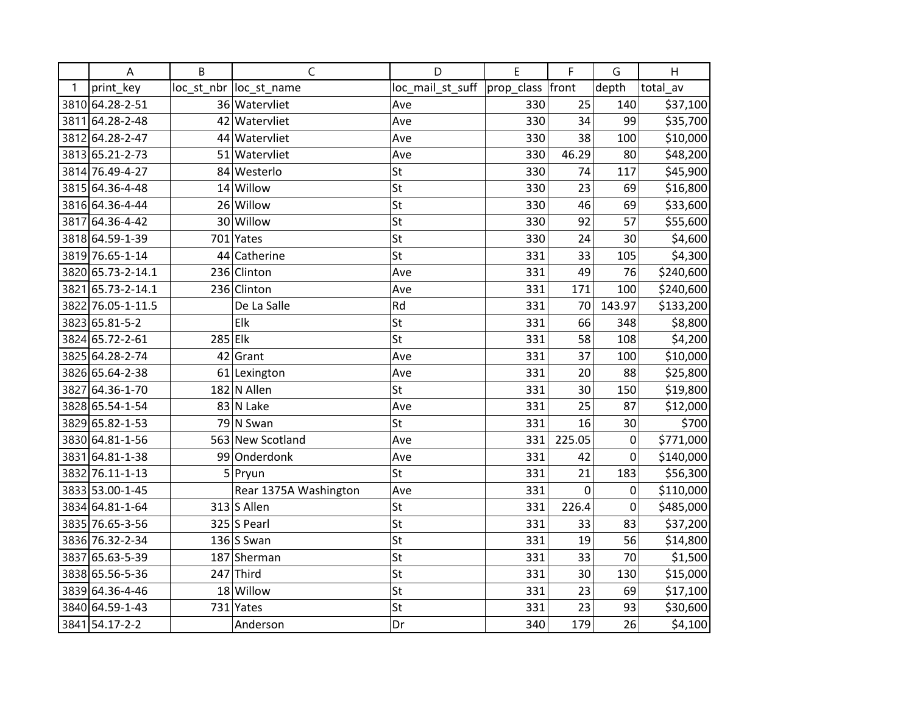|   | A                 | B       | $\mathsf{C}$           | D                | E          | F      | G                | H         |
|---|-------------------|---------|------------------------|------------------|------------|--------|------------------|-----------|
| 1 | print_key         |         | loc st nbr loc st name | loc_mail_st_suff | prop_class | front  | depth            | total_av  |
|   | 3810 64.28-2-51   |         | 36 Watervliet          | Ave              | 330        | 25     | 140              | \$37,100  |
|   | 3811 64.28-2-48   |         | 42 Watervliet          | Ave              | 330        | 34     | 99               | \$35,700  |
|   | 3812 64.28-2-47   |         | 44 Watervliet          | Ave              | 330        | 38     | 100              | \$10,000  |
|   | 3813 65.21-2-73   |         | 51 Watervliet          | Ave              | 330        | 46.29  | 80               | \$48,200  |
|   | 3814 76.49-4-27   |         | 84 Westerlo            | St               | 330        | 74     | 117              | \$45,900  |
|   | 3815 64.36-4-48   |         | $14$ Willow            | St               | 330        | 23     | 69               | \$16,800  |
|   | 3816 64.36-4-44   |         | 26 Willow              | St               | 330        | 46     | 69               | \$33,600  |
|   | 3817 64.36-4-42   |         | 30 Willow              | St               | 330        | 92     | 57               | \$55,600  |
|   | 3818 64.59-1-39   |         | 701 Yates              | St               | 330        | 24     | 30               | \$4,600   |
|   | 3819 76.65-1-14   |         | 44 Catherine           | St               | 331        | 33     | 105              | \$4,300   |
|   | 3820 65.73-2-14.1 |         | 236 Clinton            | Ave              | 331        | 49     | 76               | \$240,600 |
|   | 3821 65.73-2-14.1 |         | 236 Clinton            | Ave              | 331        | 171    | 100              | \$240,600 |
|   | 3822 76.05-1-11.5 |         | De La Salle            | Rd               | 331        | 70     | 143.97           | \$133,200 |
|   | 3823 65.81-5-2    |         | Elk                    | St               | 331        | 66     | 348              | \$8,800   |
|   | 3824 65.72-2-61   | 285 Elk |                        | St               | 331        | 58     | 108              | \$4,200   |
|   | 3825 64.28-2-74   | 42      | Grant                  | Ave              | 331        | 37     | 100              | \$10,000  |
|   | 3826 65.64-2-38   |         | $61$  Lexington        | Ave              | 331        | 20     | 88               | \$25,800  |
|   | 3827 64.36-1-70   |         | 182 N Allen            | St               | 331        | 30     | 150              | \$19,800  |
|   | 3828 65.54-1-54   |         | 83 N Lake              | Ave              | 331        | 25     | 87               | \$12,000  |
|   | 3829 65.82-1-53   |         | 79 N Swan              | <b>St</b>        | 331        | 16     | 30               | \$700     |
|   | 3830 64.81-1-56   |         | 563 New Scotland       | Ave              | 331        | 225.05 | 0                | \$771,000 |
|   | 3831 64.81-1-38   |         | 99 Onderdonk           | Ave              | 331        | 42     | $\boldsymbol{0}$ | \$140,000 |
|   | 3832 76.11-1-13   |         | 5 Pryun                | St               | 331        | 21     | 183              | \$56,300  |
|   | 3833 53.00-1-45   |         | Rear 1375A Washington  | Ave              | 331        | 0      | 0                | \$110,000 |
|   | 3834 64.81-1-64   |         | $313$ S Allen          | St               | 331        | 226.4  | 0                | \$485,000 |
|   | 3835 76.65-3-56   |         | $325$ S Pearl          | St               | 331        | 33     | 83               | \$37,200  |
|   | 3836 76.32-2-34   |         | $136$ S Swan           | St               | 331        | 19     | 56               | \$14,800  |
|   | 3837 65.63-5-39   |         | 187 Sherman            | St               | 331        | 33     | 70               | \$1,500   |
|   | 3838 65.56-5-36   |         | 247 Third              | St               | 331        | 30     | 130              | \$15,000  |
|   | 3839 64.36-4-46   |         | 18 Willow              | St               | 331        | 23     | 69               | \$17,100  |
|   | 3840 64.59-1-43   |         | 731 Yates              | St               | 331        | 23     | 93               | \$30,600  |
|   | 3841 54.17-2-2    |         | Anderson               | Dr               | 340        | 179    | 26               | \$4,100   |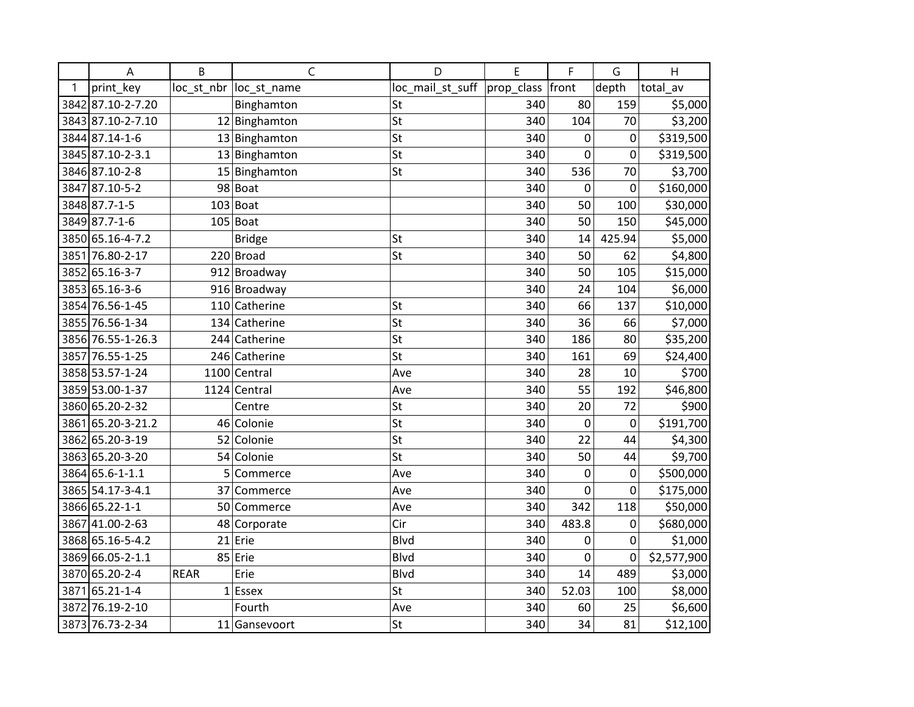|      | A                 | B           | $\mathsf{C}$            | D                | E          | F           | G           | H           |
|------|-------------------|-------------|-------------------------|------------------|------------|-------------|-------------|-------------|
| 1    | print key         |             | loc_st_nbr  loc_st_name | loc_mail_st_suff | prop_class | front       | depth       | total_av    |
|      | 3842 87.10-2-7.20 |             | Binghamton              | St               | 340        | 80          | 159         | \$5,000     |
|      | 3843 87.10-2-7.10 |             | 12 Binghamton           | St               | 340        | 104         | 70          | \$3,200     |
|      | 3844 87.14-1-6    |             | 13 Binghamton           | St               | 340        | 0           | 0           | \$319,500   |
|      | 3845 87.10-2-3.1  |             | 13 Binghamton           | St               | 340        | 0           | $\mathbf 0$ | \$319,500   |
|      | 3846 87.10-2-8    |             | 15 Binghamton           | St               | 340        | 536         | 70          | \$3,700     |
|      | 3847 87.10-5-2    |             | 98 Boat                 |                  | 340        | $\mathbf 0$ | $\mathbf 0$ | \$160,000   |
|      | 3848 87.7-1-5     |             | $103 $ Boat             |                  | 340        | 50          | 100         | \$30,000    |
|      | 3849 87.7-1-6     |             | $105$ Boat              |                  | 340        | 50          | 150         | \$45,000    |
|      | 3850 65.16-4-7.2  |             | <b>Bridge</b>           | St               | 340        | 14          | 425.94      | \$5,000     |
|      | 3851 76.80-2-17   |             | 220 Broad               | St               | 340        | 50          | 62          | \$4,800     |
|      | 3852 65.16-3-7    |             | 912 Broadway            |                  | 340        | 50          | 105         | \$15,000    |
|      | 3853 65.16-3-6    |             | 916 Broadway            |                  | 340        | 24          | 104         | \$6,000     |
|      | 3854 76.56-1-45   |             | 110 Catherine           | St               | 340        | 66          | 137         | \$10,000    |
|      | 3855 76.56-1-34   |             | 134 Catherine           | St               | 340        | 36          | 66          | \$7,000     |
|      | 3856 76.55-1-26.3 |             | 244 Catherine           | St               | 340        | 186         | 80          | \$35,200    |
|      | 3857 76.55-1-25   |             | 246 Catherine           | St               | 340        | 161         | 69          | \$24,400    |
|      | 3858 53.57-1-24   |             | 1100 Central            | Ave              | 340        | 28          | 10          | \$700       |
|      | 3859 53.00-1-37   |             | 1124 Central            | Ave              | 340        | 55          | 192         | \$46,800    |
|      | 3860 65.20-2-32   |             | Centre                  | St               | 340        | 20          | 72          | \$900       |
|      | 3861 65.20-3-21.2 |             | 46 Colonie              | St               | 340        | $\mathbf 0$ | 0           | \$191,700   |
|      | 3862 65.20-3-19   |             | 52 Colonie              | St               | 340        | 22          | 44          | \$4,300     |
|      | 3863 65.20-3-20   |             | 54 Colonie              | St               | 340        | 50          | 44          | \$9,700     |
|      | 3864 65.6-1-1.1   | 5           | Commerce                | Ave              | 340        | 0           | 0           | \$500,000   |
|      | 3865 54.17-3-4.1  |             | 37 Commerce             | Ave              | 340        | $\mathbf 0$ | 0           | \$175,000   |
|      | 3866 65.22-1-1    | 50          | Commerce                | Ave              | 340        | 342         | 118         | \$50,000    |
|      | 3867 41.00-2-63   |             | 48 Corporate            | Cir              | 340        | 483.8       | 0           | \$680,000   |
|      | 3868 65.16-5-4.2  |             | $21$ Erie               | <b>Blvd</b>      | 340        | 0           | 0           | \$1,000     |
|      | 3869 66.05-2-1.1  |             | 85 Erie                 | <b>Blvd</b>      | 340        | $\mathbf 0$ | 0           | \$2,577,900 |
|      | 3870 65.20-2-4    | <b>REAR</b> | Erie                    | <b>Blvd</b>      | 340        | 14          | 489         | \$3,000     |
| 3871 | 65.21-1-4         |             | $1$  Essex              | St               | 340        | 52.03       | 100         | \$8,000     |
|      | 3872 76.19-2-10   |             | Fourth                  | Ave              | 340        | 60          | 25          | \$6,600     |
|      | 3873 76.73-2-34   |             | 11 Gansevoort           | St               | 340        | 34          | 81          | \$12,100    |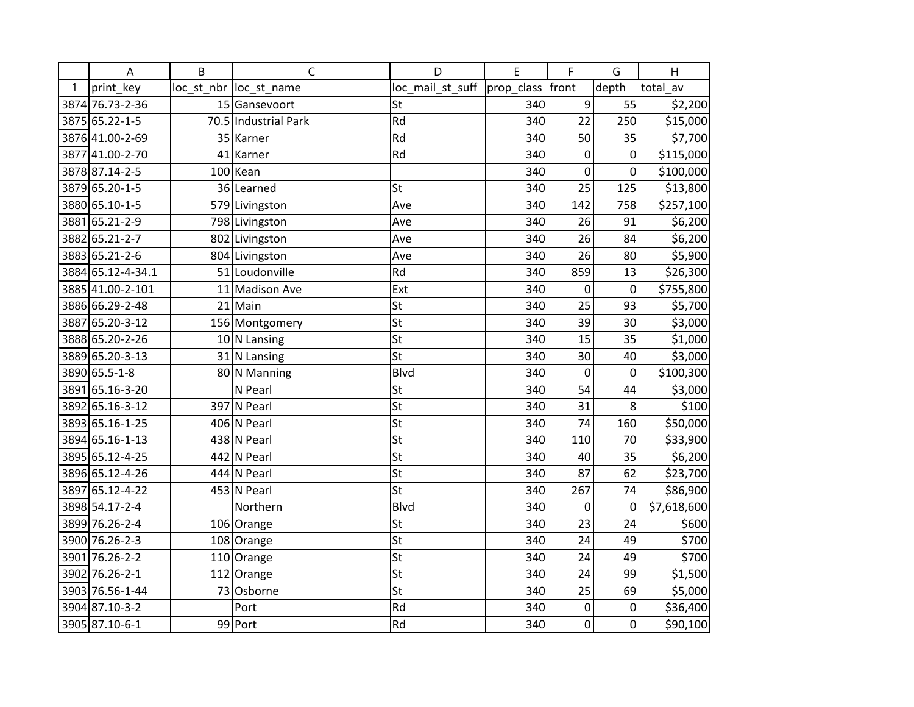|      | A                 | B   | $\mathsf{C}$           | D                | E          | F           | G           | H           |
|------|-------------------|-----|------------------------|------------------|------------|-------------|-------------|-------------|
| 1    | print key         |     | loc st nbr loc st name | loc_mail_st_suff | prop_class | front       | depth       | total av    |
|      | 3874 76.73-2-36   |     | 15 Gansevoort          | St               | 340        | 9           | 55          | \$2,200     |
|      | 3875 65.22-1-5    |     | 70.5 Industrial Park   | Rd               | 340        | 22          | 250         | \$15,000    |
|      | 3876 41.00-2-69   |     | 35 Karner              | Rd               | 340        | 50          | 35          | \$7,700     |
| 3877 | 41.00-2-70        | 41  | Karner                 | Rd               | 340        | 0           | 0           | \$115,000   |
|      | 3878 87.14-2-5    | 100 | Kean                   |                  | 340        | 0           | 0           | \$100,000   |
|      | 3879 65.20-1-5    |     | 36 Learned             | St               | 340        | 25          | 125         | \$13,800    |
|      | 3880 65.10-1-5    |     | 579 Livingston         | Ave              | 340        | 142         | 758         | \$257,100   |
|      | 3881 65.21-2-9    |     | 798 Livingston         | Ave              | 340        | 26          | 91          | \$6,200     |
|      | 3882 65.21-2-7    |     | 802 Livingston         | Ave              | 340        | 26          | 84          | \$6,200     |
|      | 3883 65.21-2-6    |     | 804 Livingston         | Ave              | 340        | 26          | 80          | \$5,900     |
|      | 3884 65.12-4-34.1 |     | 51 Loudonville         | Rd               | 340        | 859         | 13          | \$26,300    |
|      | 3885 41.00-2-101  |     | 11 Madison Ave         | Ext              | 340        | 0           | $\mathbf 0$ | \$755,800   |
|      | 3886 66.29-2-48   |     | $21$ Main              | St               | 340        | 25          | 93          | \$5,700     |
|      | 3887 65.20-3-12   |     | 156 Montgomery         | St               | 340        | 39          | 30          | \$3,000     |
|      | 3888 65.20-2-26   |     | $10 N$ Lansing         | St               | 340        | 15          | 35          | \$1,000     |
|      | 3889 65.20-3-13   |     | $31$ N Lansing         | St               | 340        | 30          | 40          | \$3,000     |
|      | 3890 65.5-1-8     |     | 80 N Manning           | <b>Blvd</b>      | 340        | $\mathbf 0$ | $\mathbf 0$ | \$100,300   |
| 3891 | 65.16-3-20        |     | N Pearl                | St               | 340        | 54          | 44          | \$3,000     |
|      | 3892 65.16-3-12   |     | 397 N Pearl            | St               | 340        | 31          | 8           | \$100       |
|      | 3893 65.16-1-25   |     | 406 N Pearl            | St               | 340        | 74          | 160         | \$50,000    |
|      | 3894 65.16-1-13   |     | 438 N Pearl            | St               | 340        | 110         | 70          | \$33,900    |
|      | 3895 65.12-4-25   |     | 442 N Pearl            | St               | 340        | 40          | 35          | \$6,200     |
|      | 3896 65.12-4-26   |     | 444 N Pearl            | St               | 340        | 87          | 62          | \$23,700    |
|      | 3897 65.12-4-22   |     | 453 N Pearl            | St               | 340        | 267         | 74          | \$86,900    |
|      | 3898 54.17-2-4    |     | Northern               | Blvd             | 340        | 0           | 0           | \$7,618,600 |
|      | 3899 76.26-2-4    |     | 106 Orange             | St               | 340        | 23          | 24          | \$600       |
|      | 3900 76.26-2-3    |     | 108 Orange             | St               | 340        | 24          | 49          | \$700       |
|      | 3901 76.26-2-2    |     | $110$ Orange           | St               | 340        | 24          | 49          | \$700       |
|      | 3902 76.26-2-1    |     | $112$ Orange           | St               | 340        | 24          | 99          | \$1,500     |
|      | 3903 76.56-1-44   | 73  | Osborne                | St               | 340        | 25          | 69          | \$5,000     |
|      | 3904 87.10-3-2    |     | Port                   | Rd               | 340        | $\pmb{0}$   | 0           | \$36,400    |
|      | 3905 87.10-6-1    |     | 99 Port                | Rd               | 340        | $\mathbf 0$ | 0           | \$90,100    |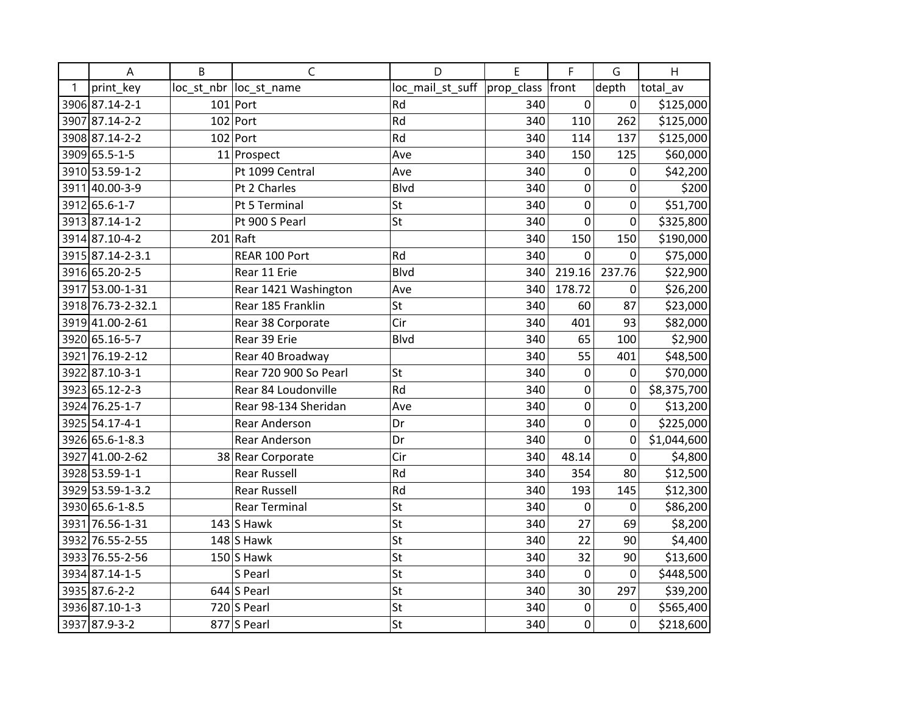|   | Α                 | B | C                      | D                | E                | F           | G           | H           |
|---|-------------------|---|------------------------|------------------|------------------|-------------|-------------|-------------|
| 1 | print_key         |   | loc st nbr loc st name | loc_mail_st_suff | prop_class front |             | depth       | total_av    |
|   | 3906 87.14-2-1    |   | $101$ Port             | Rd               | 340              | $\pmb{0}$   | 0           | \$125,000   |
|   | 3907 87.14-2-2    |   | $102$ Port             | Rd               | 340              | 110         | 262         | \$125,000   |
|   | 3908 87.14-2-2    |   | $102$ Port             | Rd               | 340              | 114         | 137         | \$125,000   |
|   | 3909 65.5-1-5     |   | 11 Prospect            | Ave              | 340              | 150         | 125         | \$60,000    |
|   | 3910 53.59-1-2    |   | Pt 1099 Central        | Ave              | 340              | 0           | 0           | \$42,200    |
|   | 3911 40.00-3-9    |   | Pt 2 Charles           | <b>Blvd</b>      | 340              | $\mathbf 0$ | 0           | \$200       |
|   | 3912 65.6-1-7     |   | Pt 5 Terminal          | St               | 340              | $\mathbf 0$ | 0           | \$51,700    |
|   | 3913 87.14-1-2    |   | Pt 900 S Pearl         | St               | 340              | $\mathbf 0$ | $\mathbf 0$ | \$325,800   |
|   | 3914 87.10-4-2    |   | $201$ Raft             |                  | 340              | 150         | 150         | \$190,000   |
|   | 3915 87.14-2-3.1  |   | REAR 100 Port          | Rd               | 340              | 0           | 0           | \$75,000    |
|   | 3916 65.20-2-5    |   | Rear 11 Erie           | <b>Blvd</b>      | 340              | 219.16      | 237.76      | \$22,900    |
|   | 3917 53.00-1-31   |   | Rear 1421 Washington   | Ave              | 340              | 178.72      | 0           | \$26,200    |
|   | 3918 76.73-2-32.1 |   | Rear 185 Franklin      | St               | 340              | 60          | 87          | \$23,000    |
|   | 3919 41.00-2-61   |   | Rear 38 Corporate      | Cir              | 340              | 401         | 93          | \$82,000    |
|   | 3920 65.16-5-7    |   | Rear 39 Erie           | <b>Blvd</b>      | 340              | 65          | 100         | \$2,900     |
|   | 3921 76.19-2-12   |   | Rear 40 Broadway       |                  | 340              | 55          | 401         | \$48,500    |
|   | 3922 87.10-3-1    |   | Rear 720 900 So Pearl  | St               | 340              | $\mathbf 0$ | 0           | \$70,000    |
|   | 3923 65.12-2-3    |   | Rear 84 Loudonville    | Rd               | 340              | $\mathbf 0$ | 0           | \$8,375,700 |
|   | 3924 76.25-1-7    |   | Rear 98-134 Sheridan   | Ave              | 340              | $\mathbf 0$ | 0           | \$13,200    |
|   | 3925 54.17-4-1    |   | <b>Rear Anderson</b>   | Dr               | 340              | $\mathbf 0$ | $\Omega$    | \$225,000   |
|   | 3926 65.6-1-8.3   |   | <b>Rear Anderson</b>   | Dr               | 340              | $\mathbf 0$ | 0           | \$1,044,600 |
|   | 3927 41.00-2-62   |   | 38 Rear Corporate      | Cir              | 340              | 48.14       | 0           | \$4,800     |
|   | 3928 53.59-1-1    |   | <b>Rear Russell</b>    | Rd               | 340              | 354         | 80          | \$12,500    |
|   | 3929 53.59-1-3.2  |   | <b>Rear Russell</b>    | Rd               | 340              | 193         | 145         | \$12,300    |
|   | 3930 65.6-1-8.5   |   | <b>Rear Terminal</b>   | St               | 340              | 0           | 0           | \$86,200    |
|   | 3931 76.56-1-31   |   | $143$ S Hawk           | St               | 340              | 27          | 69          | \$8,200     |
|   | 3932 76.55-2-55   |   | $148$ S Hawk           | St               | 340              | 22          | 90          | \$4,400     |
|   | 3933 76.55-2-56   |   | $150$ S Hawk           | St               | 340              | 32          | 90          | \$13,600    |
|   | 3934 87.14-1-5    |   | S Pearl                | St               | 340              | $\mathbf 0$ | $\mathbf 0$ | \$448,500   |
|   | 3935 87.6-2-2     |   | $644$ S Pearl          | St               | 340              | 30          | 297         | \$39,200    |
|   | 3936 87.10-1-3    |   | 720 S Pearl            | St               | 340              | 0           | 0           | \$565,400   |
|   | 3937 87.9-3-2     |   | 877 S Pearl            | St               | 340              | $\mathbf 0$ | 0           | \$218,600   |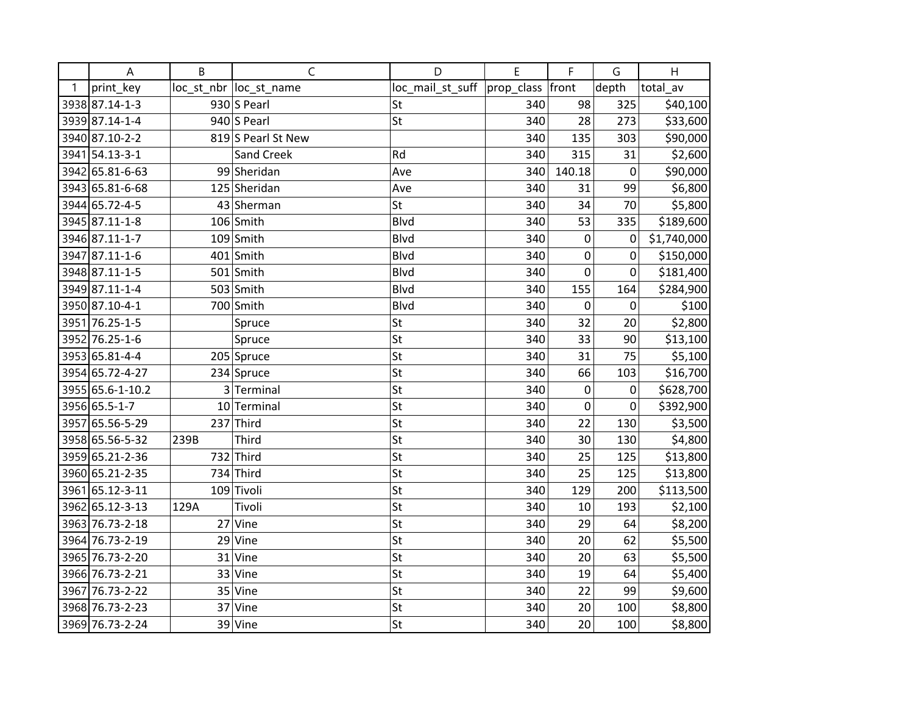|   | A                | B    | $\mathsf{C}$            | D                | E          | F         | G     | H           |
|---|------------------|------|-------------------------|------------------|------------|-----------|-------|-------------|
| 1 | print_key        |      | loc_st_nbr  loc_st_name | loc_mail_st_suff | prop_class | front     | depth | total_av    |
|   | 3938 87.14-1-3   |      | $930$ S Pearl           | St               | 340        | 98        | 325   | \$40,100    |
|   | 3939 87.14-1-4   |      | $940$ S Pearl           | St               | 340        | 28        | 273   | \$33,600    |
|   | 3940 87.10-2-2   |      | 819 S Pearl St New      |                  | 340        | 135       | 303   | \$90,000    |
|   | 3941 54.13-3-1   |      | Sand Creek              | Rd               | 340        | 315       | 31    | \$2,600     |
|   | 3942 65.81-6-63  |      | 99 Sheridan             | Ave              | 340        | 140.18    | 0     | \$90,000    |
|   | 3943 65.81-6-68  |      | 125 Sheridan            | Ave              | 340        | 31        | 99    | \$6,800     |
|   | 3944 65.72-4-5   |      | 43 Sherman              | <b>St</b>        | 340        | 34        | 70    | \$5,800     |
|   | 3945 87.11-1-8   |      | $106$ Smith             | <b>Blvd</b>      | 340        | 53        | 335   | \$189,600   |
|   | 3946 87.11-1-7   |      | $109$ Smith             | <b>Blvd</b>      | 340        | $\pmb{0}$ | 0     | \$1,740,000 |
|   | 3947 87.11-1-6   |      | $401$ Smith             | Blvd             | 340        | 0         | 0     | \$150,000   |
|   | 3948 87.11-1-5   |      | 501 Smith               | <b>Blvd</b>      | 340        | 0         | 0     | \$181,400   |
|   | 3949 87.11-1-4   |      | 503 Smith               | <b>Blvd</b>      | 340        | 155       | 164   | \$284,900   |
|   | 3950 87.10-4-1   |      | 700 Smith               | Blvd             | 340        | 0         | 0     | \$100       |
|   | 3951 76.25-1-5   |      | Spruce                  | St               | 340        | 32        | 20    | \$2,800     |
|   | 3952 76.25-1-6   |      | Spruce                  | St               | 340        | 33        | 90    | \$13,100    |
|   | 3953 65.81-4-4   |      | 205 Spruce              | St               | 340        | 31        | 75    | \$5,100     |
|   | 3954 65.72-4-27  |      | 234 Spruce              | St               | 340        | 66        | 103   | \$16,700    |
|   | 3955 65.6-1-10.2 |      | 3 Terminal              | St               | 340        | 0         | 0     | \$628,700   |
|   | 3956 65.5-1-7    |      | 10 Terminal             | St               | 340        | 0         | 0     | \$392,900   |
|   | 3957 65.56-5-29  | 237  | Third                   | St               | 340        | 22        | 130   | \$3,500     |
|   | 3958 65.56-5-32  | 239B | Third                   | St               | 340        | 30        | 130   | \$4,800     |
|   | 3959 65.21-2-36  |      | $732$ Third             | St               | 340        | 25        | 125   | \$13,800    |
|   | 3960 65.21-2-35  |      | 734 Third               | St               | 340        | 25        | 125   | \$13,800    |
|   | 3961 65.12-3-11  |      | 109 Tivoli              | St               | 340        | 129       | 200   | \$113,500   |
|   | 3962 65.12-3-13  | 129A | Tivoli                  | St               | 340        | 10        | 193   | \$2,100     |
|   | 3963 76.73-2-18  |      | $27$ Vine               | St               | 340        | 29        | 64    | \$8,200     |
|   | 3964 76.73-2-19  |      | $29$ Vine               | St               | 340        | 20        | 62    | \$5,500     |
|   | 3965 76.73-2-20  |      | $31$ Vine               | St               | 340        | 20        | 63    | \$5,500     |
|   | 3966 76.73-2-21  |      | 33 Vine                 | St               | 340        | 19        | 64    | \$5,400     |
|   | 3967 76.73-2-22  |      | $35$ Vine               | St               | 340        | 22        | 99    | \$9,600     |
|   | 3968 76.73-2-23  |      | 37 Vine                 | St               | 340        | 20        | 100   | \$8,800     |
|   | 3969 76.73-2-24  |      | 39 Vine                 | St               | 340        | 20        | 100   | \$8,800     |